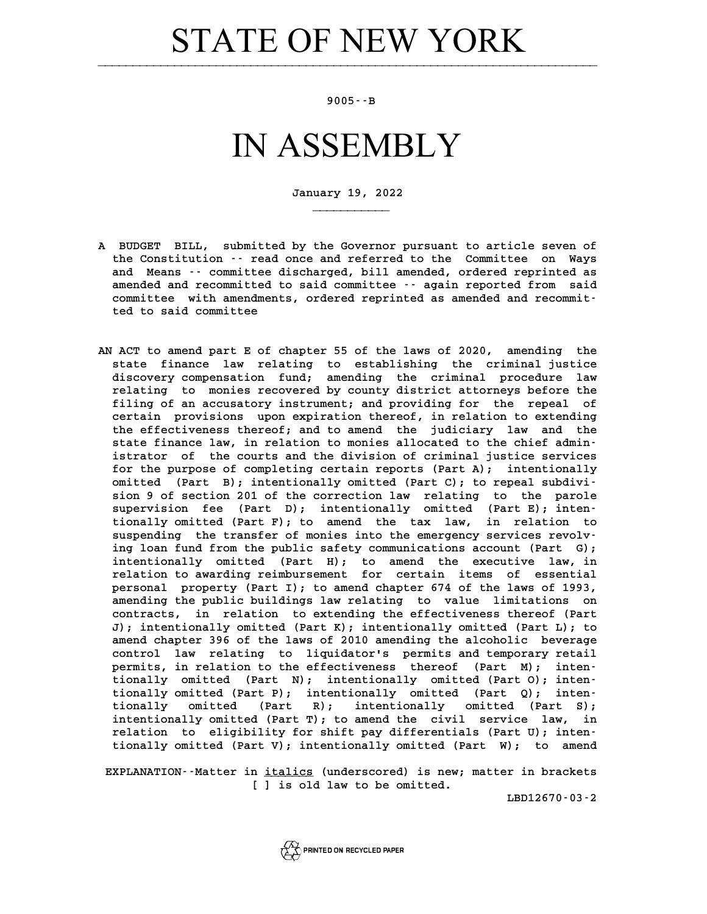## **STATE OF NEW YORK**

## **9005--B**

## IN ASSEMBLY

**January 19, 2022**

**\_\_\_\_\_\_\_\_\_\_\_**

- **A BUDGET BILL, submitted by the Governor pursuant to article seven of** BUDGET BILL, submitted by the Governor pursuant to article seven of<br>the Constitution -- read once and referred to the Committee on Ways BUDGET BILL, submitted by the Governor pursuant to article seven of<br>the Constitution -- read once and referred to the Committee on Ways<br>and Means -- committee discharged, bill amended, ordered reprinted as<br>areaded and reco the Constitution -- read once and referred to the Committee on Ways<br>and Means -- committee discharged, bill amended, ordered reprinted as<br>amended and recommitted to said committee -- again reported from said<br>committee with and Means  $\cdot$  committee discharged, bill amended, ordered reprinted as amended and recommitted to said committee  $\cdot$  again reported from said committee with amendments, ordered reprinted as amended and recommitted to sai amended and recommitted<br>committee with amendmen<br>ted to said committee
- **AN ACT to amend part E of chapter 55 of the laws of 2020, amending the** ACT to amend part E of chapter 55 of the laws of 2020, amending the<br>state finance law relating to establishing the criminal justice<br>discovery componention fund, amending the criminal procedure law ACT to amend part E of chapter 55 of the laws of 2020, amending the<br>state finance law relating to establishing the criminal justice<br>discovery compensation fund; amending the criminal procedure law<br>relating to menior reques state finance law relating to establishing the criminal justice<br>discovery compensation fund; amending the criminal procedure law<br>relating to monies recovered by county district attorneys before the<br>filing of an acquasion: discovery compensation fund; amending the criminal procedure law<br>relating to monies recovered by county district attorneys before the<br>filing of an accusatory instrument; and providing for the repeal of<br>cortain provisions u relating to monies recovered by county district attorneys before the<br>filing of an accusatory instrument; and providing for the repeal of<br>certain provisions upon expiration thereof, in relation to extending filing of an accusatory instrument; and providing for the repeal of<br>certain provisions upon expiration thereof, in relation to extending<br>the effectiveness thereof; and to amend the judiciary law and the<br>state finance law i certain provisions upon expiration thereof, in relation to extending<br>the effectiveness thereof; and to amend the judiciary law and the<br>state finance law, in relation to monies allocated to the chief admin-<br>intrator of the the effectiveness thereof; and to amend the judiciary law and the state finance law, in relation to monies allocated to the chief admin-<br>istrator of the courts and the division of criminal justice services<br>for the purpose state finance law, in relation to monies allocated to the chief administrator of the courts and the division of criminal justice services for the purpose of completing certain reports (Part A); intentionally istrator of the courts and the division of criminal justice services<br>for the purpose of completing certain reports (Part A); intentionally<br>omitted (Part B); intentionally omitted (Part C); to repeal subdivi-<br>sion 9 of sect for the purpose of completing certain reports (Part A); intentionally<br>omitted (Part B); intentionally omitted (Part C); to repeal subdivi-<br>sion 9 of section 201 of the correction law relating to the parole<br>supervision foe omitted (Part B); intentionally omitted (Part C); to repeal subdivision 9 of section 201 of the correction law relating to the parole supervision fee (Part D); intentionally omitted (Part E); inten-<br>tionally omitted (Part sion 9 of section 201 of the correction law relating to the parole<br>supervision fee (Part D); intentionally omitted (Part E); inten-<br>tionally omitted (Part F); to amend the tax law, in relation to supervision fee (Part D); intentionally omitted (Part E); intentionally omitted (Part F); to amend the tax law, in relation to suspending the transfer of monies into the emergency services revolv-<br>ing loan fund from the pu tionally omitted (Part F); to amend the tax law, in relation to<br>suspending the transfer of monies into the emergency services revolv-<br>ing loan fund from the public safety communications account (Part G);<br>intentionally emit suspending the transfer of monies into the emergency services revolving loan fund from the public safety communications account (Part G); intentionally omitted (Part H); to amend the executive law, in ing loan fund from the public safety communications account (Part G);<br>intentionally omitted (Part H); to amend the executive law, in<br>relation to awarding reimbursement for certain items of essential<br>porsonal proporty (Part intentionally omitted (Part H); to amend the executive law, in<br>relation to awarding reimbursement for certain items of essential<br>personal property (Part I); to amend chapter 674 of the laws of 1993,<br>amending the public bui relation to awarding reimbursement for certain items of essential<br>personal property (Part I); to amend chapter 674 of the laws of 1993,<br>amending the public buildings law relating to value limitations on<br>contracts in relati personal property (Part I); to amend chapter 674 of the laws of 1993,<br>amending the public buildings law relating to value limitations on<br>contracts, in relation to extending the effectiveness thereof (Part<br>J), intentionally amending the public buildings law relating to value limitations on<br>contracts, in relation to extending the effectiveness thereof (Part<br>J); intentionally omitted (Part K); intentionally omitted (Part L); to<br>amond shaptor 39 contracts, in relation to extending the effectiveness thereof (Part<br>
J); intentionally omitted (Part K); intentionally omitted (Part L); to<br>
amend chapter 396 of the laws of 2010 amending the alcoholic beverage<br>
control la **comtain the control control is the control control control control control control control control control control control control control control control control control control control control control control control co** amend chapter 396 of the laws of 2010 amending the alcoholic beverage<br>control law relating to liquidator's permits and temporary retail<br>permits, in relation to the effectiveness thereof (Part M); inten-<br>tionally emitted (P control law relating to liquidator's permits and temporary retail<br>permits, in relation to the effectiveness thereof (Part M); inten-<br>tionally omitted (Part N); intentionally omitted (Part O); inten**tionally omitted (Part P); intentionally omitted (Part Q); inten**tionally omitted (Part N); intentionally omitted (Part O); intentionally omitted (Part P); intentionally omitted (Part P); intentionally omitted (Part S);<br>tionally omitted (Part R); intentionally omitted (Part S);<br>intentio tionally omitted (Part P); intentionally omitted (Part Q); inten-<br>tionally omitted (Part R); intentionally omitted (Part S);<br>intentionally omitted (Part T); to amend the civil service law, in<br>relation to eligibility for sh tionally omitted (Part R); intentionally omitted (Part S);<br>intentionally omitted (Part T); to amend the civil service law, in<br>relation to eligibility for shift pay differentials (Part U); inten-<br>tionally omitted (Part V); intentionally omitted (Part T); to amend the civil service law, in relation to eligibility for shift pay differentials (Part U); intentionally omitted (Part V); intentionally omitted (Part W); to amend

tionally omitted (Part V); intentionally omitted (Part W); to amend<br>**EXPLANATION**--Matter in <u>italics</u> (underscored) is new; matter in brackets n <u>italics</u> (underscored) is new;<br>[ ] is old law to be omitted.

**LBD12670-03-2**

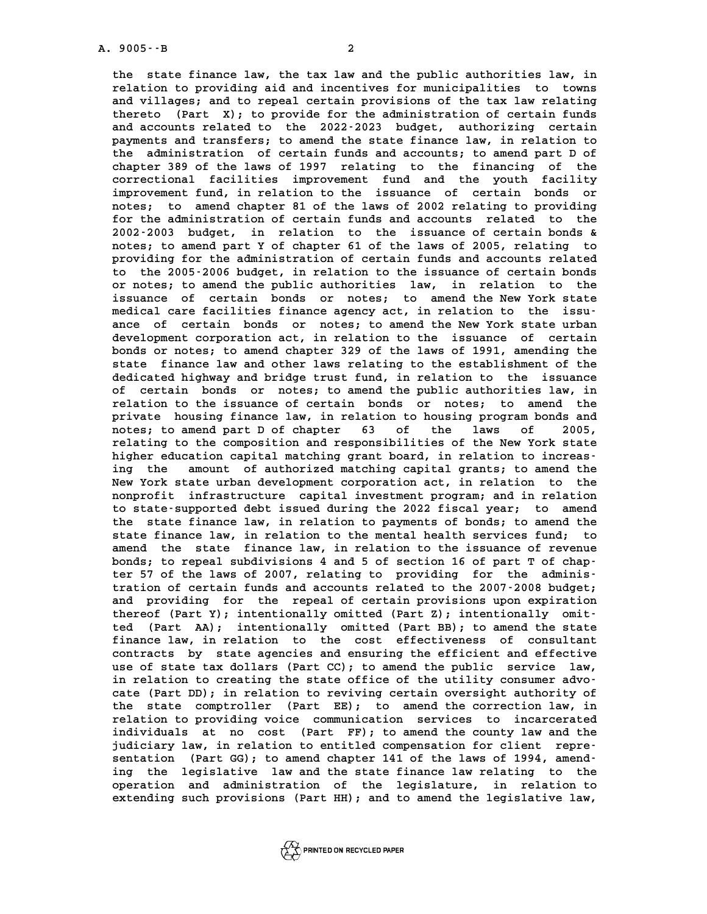**the state finance law, the tax law and the public authorities law, in** the state finance law, the tax law and the public authorities law, in<br>relation to providing aid and incentives for municipalities to towns<br>and villages: and to repeal gertain provisions of the tax law relating the state finance law, the tax law and the public authorities law, in relation to providing aid and incentives for municipalities to towns and villages; and to repeal certain provisions of the tax law relating<br>therete (Bar relation to providing aid and incentives for municipalities to towns<br>and villages; and to repeal certain provisions of the tax law relating<br>thereto (Part X); to provide for the administration of certain funds<br>and accounts and villages; and to repeal certain provisions of the tax law relating<br>thereto (Part X); to provide for the administration of certain funds<br>and accounts related to the 2022-2023 budget, authorizing certain<br>normonts and tra thereto (Part X); to provide for the administration of certain funds<br>and accounts related to the 2022-2023 budget, authorizing certain<br>payments and transfers; to amend the state finance law, in relation to<br>the administrati and accounts related to the 2022-2023 budget, authorizing certain payments and transfers; to amend the state finance law, in relation to the administration of certain funds and accounts; to amend part D of chapter 389 of t payments and transfers; to amend the state finance law, in relation to<br>the administration of certain funds and accounts; to amend part D of<br>chapter 389 of the laws of 1997 relating to the financing of the<br>correctional faci the administration of certain funds and accounts; to amend part D of chapter 389 of the laws of 1997 relating to the financing of the correctional facilities improvement fund and the youth facility improvement fund, in relation to the issuance of certain bonds or notes: to amend chapter 81 correctional facilities improvement fund and the youth facility<br>improvement fund, in relation to the issuance of certain bonds or<br>notes; to amend chapter 81 of the laws of 2002 relating to providing<br>for the administration improvement fund, in relation to the issuance of certain bonds or<br>notes; to amend chapter 81 of the laws of 2002 relating to providing<br>for the administration of certain funds and accounts related to the<br>2002-2003 budget in notes; to amend chapter 81 of the laws of 2002 relating to providing<br>for the administration of certain funds and accounts related to the<br>2002-2003 budget, in relation to the issuance of certain bonds &<br>notes: to amend part for the administration of certain funds and accounts related to the 2002-2003 budget, in relation to the issuance of certain bonds & notes; to amend part Y of chapter 61 of the laws of 2005, relating to providing for the a 2002-2003 budget, in relation to the issuance of certain bonds &<br>notes; to amend part Y of chapter 61 of the laws of 2005, relating to<br>providing for the administration of certain funds and accounts related<br>to the 2005-2006 notes; to amend part Y of chapter 61 of the laws of 2005, relating to providing for the administration of certain funds and accounts related to the 2005-2006 budget, in relation to the issuance of certain bonds providing for the administration of certain funds and accounts related<br>to the 2005-2006 budget, in relation to the issuance of certain bonds<br>or notes; to amend the public authorities law, in relation to the<br>issuance of ser to the 2005-2006 budget, in relation to the issuance of certain bonds<br>or notes; to amend the public authorities law, in relation to the<br>issuance of certain bonds or notes; to amend the New York state<br>modical care facilitie or notes; to amend the public authorities law, in relation to the issuance of certain bonds or notes; to amend the New York state medical care facilities finance agency act, in relation to the issuissuance of certain bonds or notes; to amend the New York state medical care facilities finance agency act, in relation to the issu-<br>ance of certain bonds or notes; to amend the New York state urban<br>development corporation medical care facilities finance agency act, in relation to the issuance of certain bonds or notes; to amend the New York state urban<br>development corporation act, in relation to the issuance of certain<br>bonds or notes; to amend chapter 329 of the laws of 1991, amending the<br>state finance law development corporation act, in relation to the issuance of certain<br>bonds or notes; to amend chapter 329 of the laws of 1991, amending the<br>state finance law and other laws relating to the establishment of the<br>dedicated big bonds or notes; to amend chapter 329 of the laws of 1991, amending the state finance law and other laws relating to the establishment of the dedicated highway and bridge trust fund, in relation to the issuance<br>of cortain b state finance law and other laws relating to the establishment of the dedicated highway and bridge trust fund, in relation to the issuance of certain bonds or notes; to amend the public authorities law, in relation to the dedicated highway and bridge trust fund, in relation to the issuance<br>of certain bonds or notes; to amend the public authorities law, in<br>relation to the issuance of certain bonds or notes; to amend the<br>priuste bouging finan of certain bonds or notes; to amend the public authorities law, in relation to the issuance of certain bonds or notes; to amend the private housing finance law, in relation to housing program bonds and relation to the issuance of certain bonds or notes; to amend the private housing finance law, in relation to housing program bonds and notes; to amend part D of chapter 63 of the laws of 2005, private housing finance law, in relation to housing program bonds and<br>notes; to amend part D of chapter 63 of the laws of 2005,<br>relating to the composition and responsibilities of the New York state<br>higher education capita notes; to amend part D of chapter 63 of the laws of 2005,<br>relating to the composition and responsibilities of the New York state<br>higher education capital matching grant board, in relation to increas-<br>ing the smount of auth relating to the composition and responsibilities of the New York state<br>higher education capital matching grant board, in relation to increas-<br>ing the amount of authorized matching capital grants; to amend the<br>Nov York stat higher education capital matching grant board, in relation to increasing the amount of authorized matching capital grants; to amend the<br>New York state urban development corporation act, in relation to the<br>nonrofit infrastr ing the amount of authorized matching capital grants; to amend the<br>New York state urban development corporation act, in relation to the<br>nonprofit infrastructure capital investment program; and in relation<br>to state supporte New York state urban development corporation act, in relation to the<br>nonprofit infrastructure capital investment program; and in relation<br>to state-supported debt issued during the 2022 fiscal year; to amend<br>the state finan nonprofit infrastructure capital investment program; and in relation<br>to state supported debt issued during the 2022 fiscal year; to amend<br>the state finance law, in relation to payments of bonds; to amend the<br>state finance to state supported debt issued during the 2022 fiscal year; to amend<br>the state finance law, in relation to payments of bonds; to amend the<br>state finance law, in relation to the mental health services fund; to<br>amond the sta the state finance law, in relation to payments of bonds; to amend the state finance law, in relation to the mental health services fund; to amend the state finance law, in relation to the issuance of revenue state finance law, in relation to the mental health services fund; to amend the state finance law, in relation to the issuance of revenue bonds; to repeal subdivisions 4 and 5 of section 16 of part T of chap-<br>her 57 of the amend the state finance law, in relation to the issuance of revenue<br>bonds; to repeal subdivisions 4 and 5 of section 16 of part T of chap-<br>ter 57 of the laws of 2007, relating to providing for the adminis-<br>tration of corta bonds; to repeal subdivisions 4 and 5 of section 16 of part T of chap-<br>ter 57 of the laws of 2007, relating to providing for the adminis-<br>tration of certain funds and accounts related to the 2007-2008 budget;<br>and providing ter 57 of the laws of 2007, relating to providing for the administration of certain funds and accounts related to the 2007-2008 budget;<br>and providing for the repeal of certain provisions upon expiration **thereof (Part Y); intentionally omitted (Part Z); intentionally omit**and providing for the repeal of certain provisions upon expiration<br>thereof (Part Y); intentionally omitted (Part Z); intentionally omit-<br>ted (Part AA); intentionally omitted (Part BB); to amend the state<br>finance law in rel thereof (Part Y); intentionally omitted (Part Z); intentionally omit-<br>ted (Part AA); intentionally omitted (Part BB); to amend the state<br>finance law, in relation to the cost effectiveness of consultant<br>contracts by state a ted (Part AA); intentionally omitted (Part BB); to amend the state<br>finance law, in relation to the cost effectiveness of consultant<br>contracts by state agencies and ensuring the efficient and effective<br>use of state tor dell finance law, in relation to the cost effectiveness of consultant contracts by state agencies and ensuring the efficient and effective use of state tax dollars (Part CC); to amend the public service law, contracts by state agencies and ensuring the efficient and effective<br>use of state tax dollars (Part CC); to amend the public service law,<br>in relation to creating the state office of the utility consumer advo-<br>cate (Part DD in relation to creating the state office of the utility consumer advoin relation to creating the state office of the utility consumer advo-<br>cate (Part DD); in relation to reviving certain oversight authority of<br>the state comptroller (Part EE); to amend the correction law, in<br>relation to pro cate (Part DD); in relation to reviving certain oversight authority of<br>the state comptroller (Part EE); to amend the correction law, in<br>relation to providing voice communication services to incarcerated<br>individuals at no s the state comptroller (Part EE); to amend the correction law, in relation to providing voice communication services to incarcerated individuals at no cost (Part FF); to amend the county law and the individuals in relation relation to providing voice communication services to incarcerated<br>individuals at no cost (Part FF); to amend the county law and the<br>judiciary law, in relation to entitled compensation for client repre-<br>sentation (Part GG) individuals at no cost (Part FF); to amend the county law and the judiciary law, in relation to entitled compensation for client representation (Part GG); to amend chapter 141 of the laws of 1994, amend-<br>ing the logislativ



**ing the legislative law and the state finance law relating to the** sentation (Part GG); to amend chapter 141 of the laws of 1994, amend-<br>ing the legislative law and the state finance law relating to the<br>operation and administration of the legislature, in relation to<br>outpoding such provisi ing the legislative law and the state finance law relating to the<br>operation and administration of the legislature, in relation to<br>extending such provisions (Part HH); and to amend the legislative law,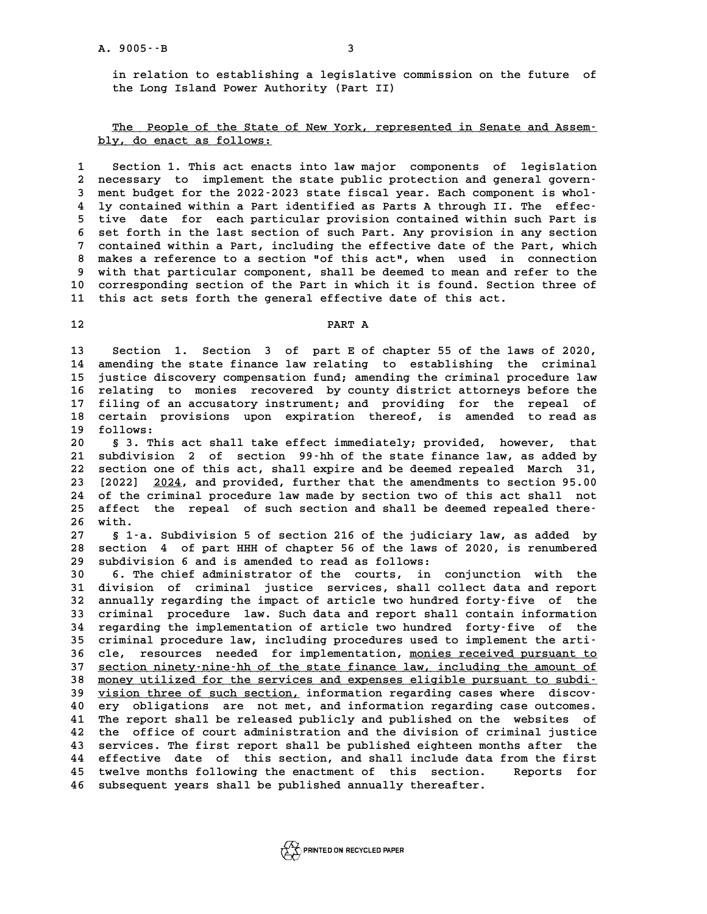**in relation to establishing a legislative commission on the future of the Long Island Power Authority (Part II)**

The People of the State of New York, represented in Senate and Assem-<br>**The People of the State of New York, represented in Senate and Assem**-<u>The People of the State o</u><br>bly, do enact as follows:

**1 Section 1. This act enacts into law major components of legislation 2 necessary to implement the state public protection and general govern-**Section 1. This act enacts into law major components of legislation<br>
2 necessary to implement the state public protection and general govern-<br>
3 ment budget for the 2022-2023 state fiscal year. Each component is whol-<br>
<sup>1</sup> a necessary to implement the state public protection and general govern-<br>
3 ment budget for the 2022-2023 state fiscal year. Each component is whol-<br>
4 ly contained within a Part identified as Parts A through II. The effec **5** ment budget for the 2022-2023 state fiscal year. Each component is whol-<br>4 ly contained within a Part identified as Parts A through II. The effec-<br>5 tive date for each particular provision contained within such Part is **6 4 1y contained within a Part identified as Parts A through II. The effective date for each particular provision contained within such Part is<br>6 set forth in the last section of such Part. Any provision in any section<br>2** <sup>1</sup> **7** tive date for each particular provision contained within such Part is<br>
<sup>1</sup> set forth in the last section of such Part. Any provision in any section<br>
<sup>7</sup> contained within a Part, including the effective date of the 8 set forth in the last section of such Part. Any provision in any section<br>7 contained within a Part, including the effective date of the Part, which<br>8 makes a reference to a section "of this act", when used in connection<br> P contained within a Part, including the effective date of the Part, which<br>
8 makes a reference to a section "of this act", when used in connection<br>
9 with that particular component, shall be deemed to mean and refer to th 8 makes a reference to a section "of this act", when used in connection<br>9 with that particular component, shall be deemed to mean and refer to the<br>10 corresponding section of the Part in which it is found. Section three of 9 with that particular component, shall be deemed to mean and re<br>10 corresponding section of the Part in which it is found. Section<br>11 this act sets forth the general effective date of this act. this act sets forth the general effective date of this act.<br>12

**13 Section 1. Section 3 of part E of chapter 55 of the laws of 2020, 13** Section 1. Section 3 of part E of chapter 55 of the laws of 2020,<br>14 amending the state finance law relating to establishing the criminal<br>15 iustice discovery componention fund, amending the criminal procedure law **13 Section 1. Section 3 of part E of chapter 55 of the laws of 2020,<br>14 amending the state finance law relating to establishing the criminal<br>15 justice discovery compensation fund; amending the criminal procedure law**<br>16 14 amending the state finance law relating to establishing the criminal<br>15 justice discovery compensation fund; amending the criminal procedure law<br>16 relating to monies recovered by county district attorneys before the<br>17 15 justice discovery compensation fund; amending the criminal procedure law<br>16 relating to monies recovered by county district attorneys before the<br>17 filing of an accusatory instrument; and providing for the repeal of<br>20 16 relating to monies recovered by county district attorneys before the<br>17 filing of an accusatory instrument; and providing for the repeal of<br>18 certain provisions upon expiration thereof, is amended to read as<br><sup>19</sup> follo 17 filing of an accusatory instrument; and providing for the repeal of certain provisions upon expiration thereof, is amended to read as follows:<br>**19 follows:**<br>8 3. This act shall take effect immediately; provided, however

**20 § 3. This act shall take effect immediately; provided, however, that 20** s 3. This act shall take effect immediately; provided, however, that<br>21 subdivision 2 of section 99-hh of the state finance law, as added by<br>22 section one of this act, shall expire and be deemed repealed. March 31 8 3. This act shall take effect immediately; provided, however, that<br>21 subdivision 2 of section 99-hh of the state finance law, as added by<br>22 section one of this act, shall expire and be deemed repealed March 31,<br>23 [202 21 subdivision 2 of section 99-hh of the state finance law, as added by<br>22 section one of this act, shall expire and be deemed repealed March 31,<br>23 [2022] <u>2024</u>, and provided, further that the amendments to section 95.00 22 section one of this act, shall expire and be deemed repealed March 31,<br>23 [2022] <u>2024</u>, and provided, further that the amendments to section 95.00<br>24 of the criminal procedure law made by section two of this act shall 23 [2022] <u>2024</u>, and provided, further that the amendments to section 95.00<br>24 of the criminal procedure law made by section two of this act shall not<br>25 affect the repeal of such section and shall be deemed repealed ther 24 of the c.<br>25 affect<br>26 with. **25 affect the repeal of such section and shall be deemed repealed there-**<br>26 with.<br>27 § 1-a. Subdivision 5 of section 216 of the judiciary law, as added by<br>28 Section 4 of part HHH of shapter 56 of the laws of 2020, is re

**26 with.**<br>27 § 1-a. Subdivision 5 of section 216 of the judiciary law, as added by<br>28 section 4 of part HHH of chapter 56 of the laws of 2020, is renumbered<br>29 subdivision 6 and is arounded to read as follows. 8 1-a. Subdivision 5 of section 216 of the judici<br>
28 section 4 of part HHH of chapter 56 of the laws of<br>
29 subdivision 6 and is amended to read as follows:<br>
20 f. The chief administrator of the sourts in 5 **30 section 4 of part HHH of chapter 56 of the laws of 2020, is renumbered<br>
<b>30 subdivision 6 and is amended to read as follows:**<br> **30 6. The chief administrator of the courts, in conjunction with the**<br> **31 division of cri** 

**39 subdivision 6 and is amended to read as follows:**<br> **30 6. The chief administrator of the courts, in conjunction with the**<br> **31 division of criminal justice services, shall collect data and report**<br> **32 annually recardi** 30 6. The chief administrator of the courts, in conjunction with the<br>31 division of criminal justice services, shall collect data and report<br>32 annually regarding the impact of article two hundred forty-five of the<br>33 crim 31 division of criminal justice services, shall collect data and report<br>32 annually regarding the impact of article two hundred forty-five of the<br>33 criminal procedure law. Such data and report shall contain information<br>34 32 annually regarding the impact of article two hundred forty-five of the<br>33 criminal procedure law. Such data and report shall contain information<br>34 regarding the implementation of article two hundred forty-five of the<br>2 34 regarding the implementation of article two hundred forty-five of the<br>35 criminal procedure law, including procedures used to implement the arti-<br>36 cle, resources needed for implementation, monies received pursuant to 34 regarding the implementation of article two hundred forty-five of the<br>35 criminal procedure law, including procedures used to implement the arti-<br>36 cle, resources needed for implementation, <u>monies received pursuant to</u> 35 criminal procedure law, including procedures used to implement the arti-<br>36 cle, resources needed for implementation, <u>monies received pursuant to</u><br>37 <u>section ninety-nine-hh of the state finance law, including the amou</u> 36 cle, resources needed for implementation, <u>monies received pursuant to</u><br>37 <u>section ninety-nine-hh of the state finance law, including the amount of<br>38 money utilized for the services and expenses eligible pursuant to s</u> 37 <u>section ninety-nine-hh of the state finance law, including the amount of<br>38 money utilized for the services and expenses eligible pursuant to subdi-<br><u>vision three of such section</u>, information regarding cases where dis</u> **EXECUTE:** A money utilized for the services and expenses eligible pursuant to subdi-<br> **40** ery obligations are not met, and information regarding case outcomes.<br> **40** ery obligations are not met, and information regarding **41 The report shall be released publication** regarding cases where discovery obligations are not met, and information regarding case outcomes.<br>41 The report shall be released publicly and published on the websites of<br>the **40** ery obligations are not met, and information regarding case outcomes.<br>41 The report shall be released publicly and published on the websites of<br>42 the office of court administration and the division of criminal justic 41 The report shall be released publicly and published on the websites of<br>42 the office of court administration and the division of criminal justice<br>43 services. The first report shall be published eighteen months after th 42 the office of court administration and the division of criminal justice<br>43 services. The first report shall be published eighteen months after the<br>44 effective date of this section, and shall include data from the first **effective** date of this section, and shall include data from the first **46 subsequent years shall be published annually thereafter.**

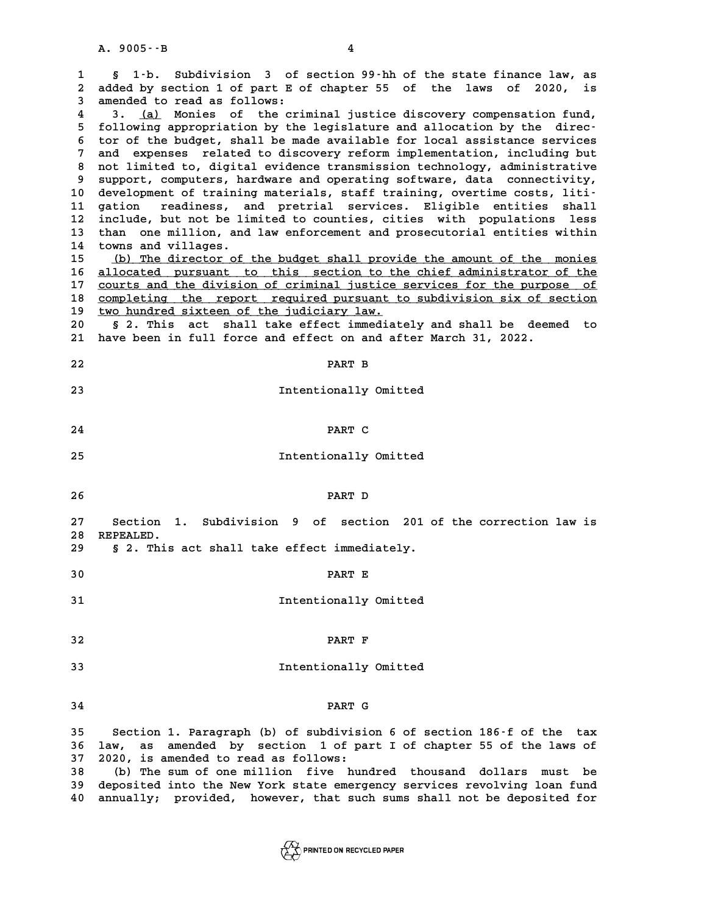**1**<br>**1** § 1-b. Subdivision 3 of section 99-hh of the state finance law, as<br>2 added by section 1 of part F of shapter 55 of the laws of 2020, is **2** 1.b. Subdivision 3 of section 99.hh of the state finance law, as<br>2 added by section 1 of part E of chapter 55 of the laws of 2020, is S 1-b. Subdivision 3 of section 99-hh of the state finance law, as<br>2 added by section 1 of part E of chapter 55 of the laws of 2020, is<br>3 amended to read as follows:<br><sup>4</sup> 3 (a) Monies of the criminal iustice discovery compe added by section 1 of part E of chapter 55 of the laws of 2020, is<br>3 amended to read as follows:<br>4 3. <u>(a)</u> Monies of the criminal justice discovery compensation fund,<br>5 following appropriation by the logislature and alloc 3 amended to read as follows:<br>
4 3. <u>(a)</u> Monies of the criminal justice discovery compensation fund,<br>
5 following appropriation by the legislature and allocation by the direc-<br>
<sup>5</sup> tores the budget shall be made available **6 to observe the following appropriation by the legislature and allocation by the director of the budget, shall be made available for local assistance services**<br>The budget, shall be made available for local assistance ser 5 following appropriation by the legislature and allocation by the director of the budget, shall be made available for local assistance services<br>7 and expenses related to discovery reform implementation, including but<br>2 an 8 tor of the budget, shall be made available for local assistance services<br>
7 and expenses related to discovery reform implementation, including but<br>
8 not limited to, digital evidence transmission technology, administrati 9 and expenses related to discovery reform implementation, including but<br>8 not limited to, digital evidence transmission technology, administrative<br>9 support, computers, hardware and operating software, data connectivity, 8 not limited to, digital evidence transmission technology, administrative<br>
9 support, computers, hardware and operating software, data connectivity,<br>
10 development of training materials, staff training, overtime costs, l 9 support, computers, hardware and operating software, data connectivity,<br>10 development of training materials, staff training, overtime costs, liti-<br>11 gation readiness, and pretrial services. Eligible entities shall<br>incl 10 development of training materials, staff training, overtime costs, liti-<br>11 gation readiness, and pretrial services. Eligible entities shall<br>12 include, but not be limited to counties, cities with populations less<br>than 11 gation readiness, and pretrial services. Eligible entities shall<br>12 include, but not be limited to counties, cities with populations less<br>13 than one million, and law enforcement and prosecutorial entities within<br>14 tow

13 than one million, and law enforcement and prosecutorial entities within<br>14 towns and villages.<br>15 (b) The director of the budget shall provide the amount of the monies **15 (b) The director of the budget shall provide the amount of the monies \_\_\_\_\_\_\_\_\_\_\_\_\_\_\_\_\_\_\_\_\_\_\_\_\_\_\_\_\_\_\_\_\_\_\_\_\_\_\_\_\_\_\_\_\_\_\_\_\_\_\_\_\_\_\_\_\_\_\_\_\_\_\_\_\_\_\_\_\_\_** 16 <u>allocated pursuant to this section to the chief administrator of the</u><br>17 courts and the division of criminal justice services for the purpose of (b) The director of the budget shall provide the amount of the monies<br>
16 <u>allocated</u> pursuant to this section to the chief administrator of the<br>
2001 courts and the division of criminal justice services for the purpose of 16 <u>allocated pursuant to this section to the chief administrator of the courts and the division of criminal justice services for the purpose of completing the report required pursuant to subdivision six of section two hun</u> 17 courts and the division of criminal justice<br>18 <u>completing the report required pursuant t</u><br>19 <u>two hundred sixteen of the judiciary law.</u><br>20 5.2 This ast shall take offect impediat 20 <u>completing the report required pursuant to subdivision six of section</u><br>20 <u>§ 2. This act shall take effect immediately</u> and shall be deemed to

## § 2. This act shall take effect immediately and shall be deemed to 21 have been in full force and effect on and after March 31, 2022.<br>22 **PART B**

- 
- 
- **22** PART B<br> **23** Intentionally Omitted
- **24 PART C**
- PART C<br>25 Intentionally Omitted<br>25
- 

**26 PART D**

- **27 Section 1. Subdivision 9 of section 201 of the correction law is** 27 Section 1<br>28 REPEALED.<br>29 S.2 This **29 § 2. This act shall take effect immediately.**
- S 2. This act shall take effect immediately.<br>30 **PART E**
- 
- **30** PART E<br> **31** Intentionally Omitted
- **32 PART F**
- **32** PART F<br> **33** Intentionally Omitted
- **34 PART G**

**24**<br>35 Section 1. Paragraph (b) of subdivision 6 of section 186-f of the tax<br>36 Jay 25 arouded by section 1 of part I of chaptor 55 of the lays of 35 Section 1. Paragraph (b) of subdivision 6 of section 186–f of the tax<br>36 law, as amended by section 1 of part I of chapter 55 of the laws of **35 Section 1. Paragraph (b) of subdivisi**<br>**36 law, as amended by section 1 of pa**<br>**37 2020, is amended to read as follows:**<br>**38** (b) The surm of one million five hun **36 law, as amended by section 1 of part I of chapter 55 of the laws of 2020, is amended to read as follows:**<br>**38** (b) The sum of one million five hundred thousand dollars must be<br>**29** depending into the New York at the em

**37 2020, is amended to read as follows:**<br> **38** (b) The sum of one million five hundred thousand dollars must be<br> **39 deposited into the New York state emergency services revolving loan fund**<br> **10 approximately provided** b 38 (b) The sum of one million five hundred thousand dollars must be<br>39 deposited into the New York state emergency services revolving loan fund<br>40 annually; provided, however, that such sums shall not be deposited for

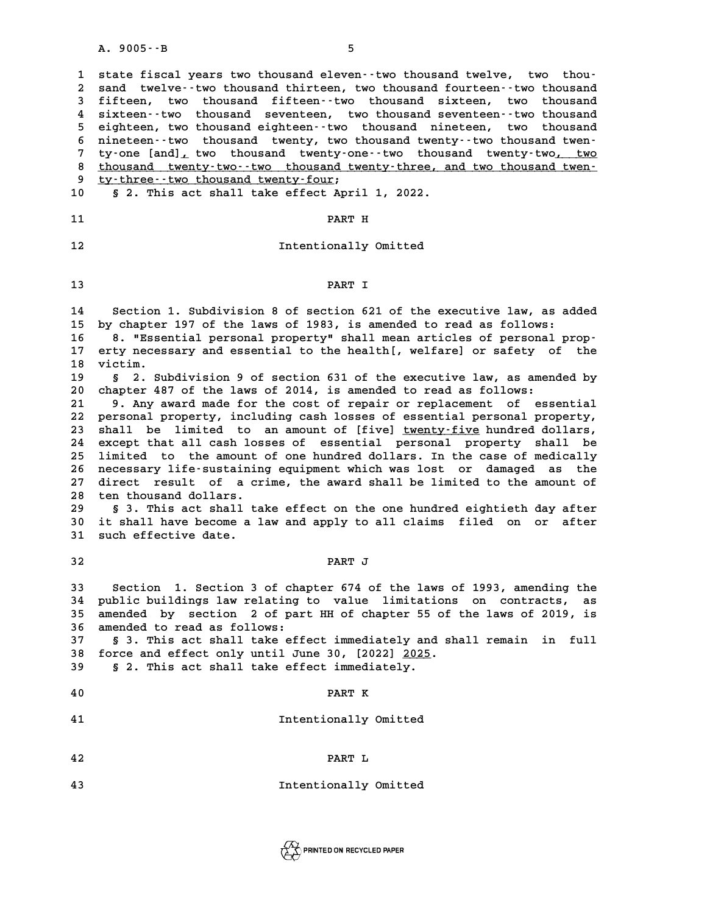A. 9005--B<br>1 state fiscal years two thousand eleven--two thousand twelve, two thou-<br>2 sand twelve two thousand thirteen two thousand fourteen two thousand 1 state fiscal years two thousand eleven--two thousand twelve, two thou-<br>2 sand twelve--two thousand thirteen, two thousand fourteen--two thousand<br>3 fifteen, two thousand fifteen--two thousand sixteen, two thousand **3 fifteen, two thousand fifteen--two thousand sixteen, two thousand** 2 sand twelve--two thousand thirteen, two thousand fourteen--two thousand<br>3 fifteen, two thousand fifteen--two thousand sixteen, two thousand<br>4 sixteen--two thousand seventeen, two thousand seventeen--two thousand<br>5 sighte 3 fifteen, two thousand fifteen--two thousand sixteen, two thousand<br>4 sixteen--two thousand seventeen, two thousand seventeen--two thousand<br>5 eighteen, two thousand eighteen--two thousand nineteen, two thousand<br>6 nineteen-4 sixteen--two thousand seventeen, two thousand seventeen--two thousand<br>
5 eighteen, two thousand eighteen--two thousand nineteen, two thousand<br>
6 nineteen--two thousand twenty, two thousand twenty--two thousand twen-<br>
<sup>7</sup> 5 eighteen, two thousand eighteen--two thousand nineteen, two thousand<br>6 nineteen--two thousand twenty, two thousand twenty--two thousand twen-<br>7 ty-one [and], two thousand twenty-one--two thousand twenty-two, two<br>10 thous 8 nineteen--two-thousand twenty, two-thousand twenty--two-thousand twen-<br>
7 ty-one [and]<sub>1</sub> two-thousand twenty-one--two-thousand twenty-two<u>, two</u><br>
8 <u>thousand twenty-two--two-thousand twenty-three, and two-thousand twen-</u> ty-one [and]<sub>*r*</sub> two thousand twenty-on<br>8 thousand twenty-two--two thousand twenty-<br>9 ty-three--two thousand twenty-four;<br>0 5 2 This 25t shall take offect Apri 8 <u>thousand twenty-two--two thousand twenty-three, and two thousand twen-<br>10 § 2. This act shall take effect April 1, 2022.</u> **10** § 2. This act shall take effect April 1, 2022.<br>11 PART H **11**<br> **12** Intentionally Omitted<br> **12 13 PART I** PART I<br>14 Section 1. Subdivision 8 of section 621 of the executive law, as added<br>15 by chapter 197 of the laws of 1983, is amended to read as follows: **14** Section 1. Subdivision 8 of section 621 of the executive law, as ad<br>15 by chapter 197 of the laws of 1983, is amended to read as follows:<br>16 **8** UESSential personal property" shall mean articles of personal pro **14** Section 1. Subdivision 8 of section 621 of the executive law, as added<br> **15** by chapter 197 of the laws of 1983, is amended to read as follows:<br> **16** 8. "Essential personal property" shall mean articles of personal pr 15 by chapter 197 of the laws of 1983, is amended to read as follows:<br>16 8. "Essential personal property" shall mean articles of personal prop-<br>17 erty necessary and essential to the health[, welfare] or safety of the<br>1 16 8. **"Esse:**<br>17 erty neces<br>18 victim.<br>19 5 3 cu 17 erty necessary and essential to the health[, welfare] or safety of the<br>18 victim.<br>19 § 2. Subdivision 9 of section 631 of the executive law, as amended by<br>20 shartor 487 of the laws of 2014 is amended to read as follows **20 chapter 18 chapter 18 chapter 188**<br> **20** chapter 487 of the laws of 2014, is amended to read as follows:<br> **21** chapter 487 of the laws of 2014, is amended to read as follows: **20 8** 2. Subdivision 9 of section 631 of the executive law, as amended by<br>
20 chapter 487 of the laws of 2014, is amended to read as follows:<br>
21 9. Any award made for the cost of repair or replacement of essential<br>
22 chapter 487 of the laws of 2014, is amended to read as follows:<br>
21 9. Any award made for the cost of repair or replacement of essential<br>
22 personal property, including cash losses of essential personal property,<br>
23 shal 21 9. Any award made for the cost of repair or replacement of essential<br>22 personal property, including cash losses of essential personal property,<br>23 shall be limited to an amount of [five] <u>twenty-five</u> hundred dollars, **24 except that all cash losses of essential personal property shall be** 23 shall be limited to an amount of [five] <u>twenty-five</u> hundred dollars,<br>24 except that all cash losses of essential personal property shall be<br>25 limited to the amount of one hundred dollars. In the case of medically<br>26 24 except that all cash losses of essential personal property shall be<br>25 limited to the amount of one hundred dollars. In the case of medically<br>26 necessary life-sustaining equipment which was lost or damaged as the<br>27 di 25 limited to the amount of one hundred dollars. In the case of medically<br>26 necessary life-sustaining equipment which was lost or damaged as the<br>27 direct result of a crime, the award shall be limited to the amount of<br>28 26 necessary life-sustainin<br>27 direct result of a cr<br>28 ten thousand dollars.<br>29 5.3 This 25t shall to 27 direct result of a crime, the award shall be limited to the amount of<br>28 ten thousand dollars.<br>29 § 3. This act shall take effect on the one hundred eightieth day after<br><sup>20</sup> it shall have because a law and annly to all 18 ten thousand dollars.<br>29 § 3. This act shall take effect on the one hundred eightieth day after<br>30 it shall have become a law and apply to all claims filed on or after<br>31 such offective date 29 § 3. This act shall t<br>30 it shall have become a<br>31 such effective date. 31 such effective date.<br>32 **PART J 33 Section 1. Section 3 of chapter 674 of the laws of 1993, amending the 34 public buildings law relating to value limitations on contracts, as** 33 Section 1. Section 3 of chapter 674 of the laws of 1993, amending the<br>34 public buildings law relating to value limitations on contracts, as<br>35 amended by section 2 of part HH of chapter 55 of the laws of 2019, is<br>36 am 34 public buildings law relating<br>35 amended by section 2 of par<br>36 amended to read as follows:<br><sup>37</sup> 5<sup>3</sup> This 29t shall take off 35 amended by section 2 of part HH of chapter 55 of the laws of 2019, is<br>36 amended to read as follows:<br>37 § 3. This act shall take effect immediately and shall remain in full<br>28 force and effect only until Iune 20 [2022] 36 amended to read as follows:<br>37 § 3. This act shall take effect immediately and sh<br>38 force and effect only until June 30, [2022] <u>2025</u>.<br>29 § 2. This ast shall take effect immediately **39 § 2. This act shall take effect immediately.** 8 2. This act shall take effect immediately.<br>40 **PART K 40** PART K<br> **41** Intentionally Omitted **42 PART L 42** PART L<br> **43** Intentionally Omitted

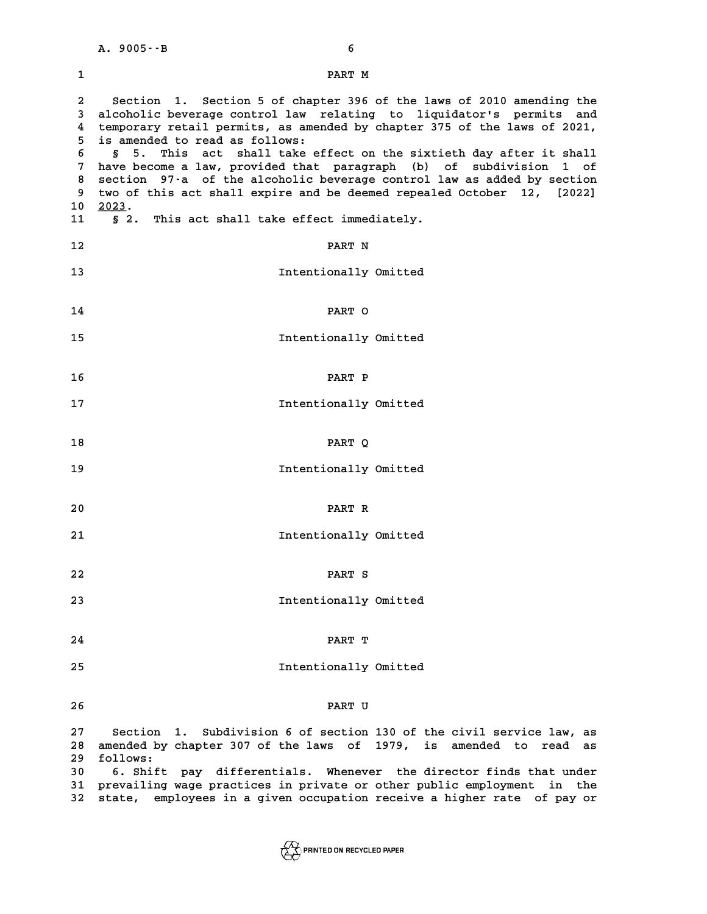|                                                  | $A.9005 - B$<br>6                                                                                                                                                                                                                                                                                                                                                                                                                                                                                                                                                                                                  |
|--------------------------------------------------|--------------------------------------------------------------------------------------------------------------------------------------------------------------------------------------------------------------------------------------------------------------------------------------------------------------------------------------------------------------------------------------------------------------------------------------------------------------------------------------------------------------------------------------------------------------------------------------------------------------------|
| 1                                                | PART M                                                                                                                                                                                                                                                                                                                                                                                                                                                                                                                                                                                                             |
| 2<br>3<br>4<br>5<br>6<br>7<br>8<br>9<br>10<br>11 | Section 1. Section 5 of chapter 396 of the laws of 2010 amending the<br>alcoholic beverage control law relating to liquidator's permits and<br>temporary retail permits, as amended by chapter 375 of the laws of 2021,<br>is amended to read as follows:<br>§ 5. This act shall take effect on the sixtieth day after it shall<br>have become a law, provided that paragraph (b) of subdivision 1 of<br>section 97-a of the alcoholic beverage control law as added by section<br>two of this act shall expire and be deemed repealed October 12, [2022]<br>2023.<br>§ 2. This act shall take effect immediately. |
| 12                                               | PART N                                                                                                                                                                                                                                                                                                                                                                                                                                                                                                                                                                                                             |
| 13                                               | Intentionally Omitted                                                                                                                                                                                                                                                                                                                                                                                                                                                                                                                                                                                              |
| 14                                               | PART O                                                                                                                                                                                                                                                                                                                                                                                                                                                                                                                                                                                                             |
| 15                                               | Intentionally Omitted                                                                                                                                                                                                                                                                                                                                                                                                                                                                                                                                                                                              |
| 16                                               | PART P                                                                                                                                                                                                                                                                                                                                                                                                                                                                                                                                                                                                             |
| 17                                               | Intentionally Omitted                                                                                                                                                                                                                                                                                                                                                                                                                                                                                                                                                                                              |

- 
- **18 PART Q**
- 18 PART Q<br>19 Intentionally Omitted
- **20 PART R**
- 20 PART R<br>21 **Intentionally Omitted**
- **22 PART S**
- PART S<br>23 Intentionally Omitted<br>23 Intentionally Omitted
- **24 PART T**
- Example of the set of the set of the set of the set of the set of the set of the set of the set of the set of the set of the set of the set of the set of the set of the set of the set of the set of the set of the set of th
- **26 PART U**

**26**<br>27 Section 1. Subdivision 6 of section 130 of the civil service law, as<br>28 Section the chapter 207 of the laws of 1979, is seended to read as **28 amended by chapter 307 of the laws of 1979, is amended to read as** Section 1. Subdivision 6 of section 130 of the civil service law, as<br>28 amended by chapter 307 of the laws of 1979, is amended to read as<br>29 follows:<br>30 6. Shift pay differentials. Whenever the director finds that under **30 4. 20 5. Show and Solution 10. Show 10. Show 10. Show 10. Show 10. Shift pay differentials. Whenever the director finds that under<br>
30 6. Shift pay differentials. Whenever the director finds that under<br>
31 proved in 20 51 provide as a set of the set of the set of the set of the set of the set of the set of the set of the prevailing wage practices in private or other public employment in the<br>
<b>31 prevailing wage practices in private or o** 30 6. Shift pay differentials. Whenever the director finds that under<br>31 prevailing wage practices in private or other public employment in the<br>32 state, employees in a given occupation receive a higher rate of pay or

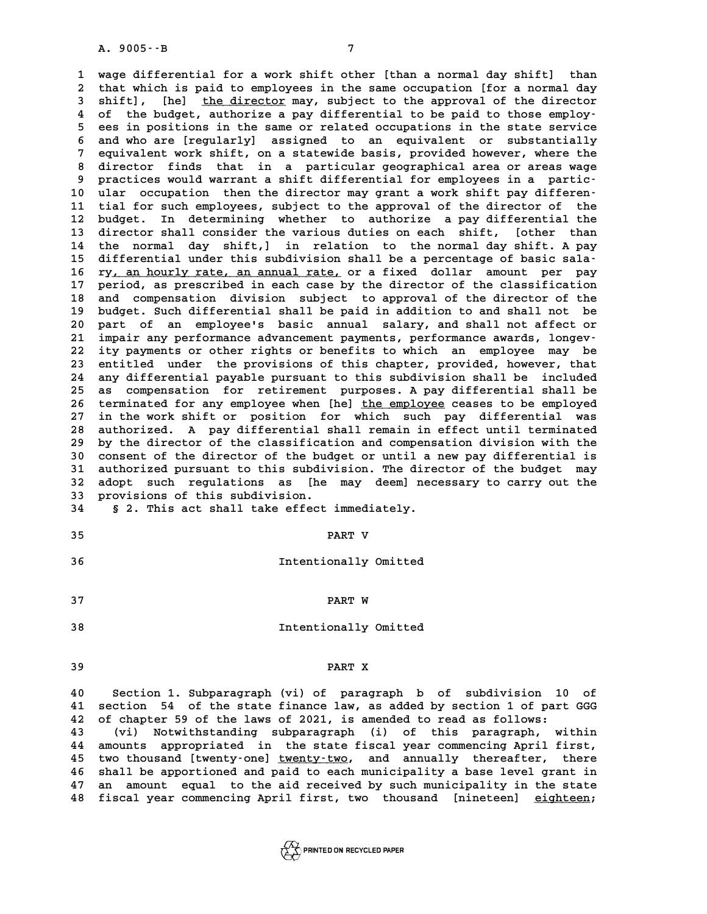**1 wage differential for a work shift other [than a normal day shift] than 2** wage differential for a work shift other [than a normal day shift] than<br>2 that which is paid to employees in the same occupation [for a normal day<br>3 shift] [he] the director may subject to the annroyal of the director **3** wage differential for a work shift other [than a normal day shift] than<br>2 that which is paid to employees in the same occupation [for a normal day<br>3 shift], [he] <u>the director</u> may, subject to the approval of the direc 2 that which is paid to employees in the same occupation [for a normal day<br>3 shift], [he] <u>the director</u> may, subject to the approval of the director<br>4 of the budget, authorize a pay differential to be paid to those employ 3 shift], [he] <u>the director</u> may, subject to the approval of the director<br>4 of the budget, authorize a pay differential to be paid to those employ-<br>5 ees in positions in the same or related occupations in the state servic 4 of the budget, authorize a pay differential to be paid to those employ-<br>5 ees in positions in the same or related occupations in the state service<br>6 and who are [regularly] assigned to an equivalent or substantially<br>7 eq 5 ees in positions in the same or related occupations in the state service<br>6 and who are [regularly] assigned to an equivalent or substantially<br>7 equivalent work shift, on a statewide basis, provided however, where the<br>8 d 8 and who are [regularly] assigned to an equivalent or substantially<br>
7 equivalent work shift, on a statewide basis, provided however, where the<br>
8 director finds that in a particular geographical area or areas wage<br>
9 pra equivalent work shift, on a statewide basis, provided however, where the 8 director finds that in a particular geographical area or areas wage<br>
9 practices would warrant a shift differential for employees in a partic-<br>
10 ular occupation then the director may grant a work shift pay differen-<br>
<sup></sup> 9 practices would warrant a shift differential for employees in a partic-<br>10 ular occupation then the director may grant a work shift pay differen-<br>11 tial for such employees, subject to the approval of the director of the 10 ular occupation then the director may grant a work shift pay differen-<br>11 tial for such employees, subject to the approval of the director of the<br>12 budget. In determining whether to authorize a pay differential the<br>13 11 tial for such employees, subject to the approval of the director of the<br>12 budget. In determining whether to authorize a pay differential the<br>13 director shall consider the various duties on each shift, [other than 12 budget. In determining whether to authorize a pay differential the<br>13 director shall consider the various duties on each shift, [other than<br>14 the normal day shift,] in relation to the normal day shift. A pay 13 director shall consider the various duties on each shift, [other than<br>
14 the normal day shift,] in relation to the normal day shift. A pay<br>
15 differential under this subdivision shall be a percentage of basic sala-<br>
<sup></sup> 14 the normal day shift,] in relation to the normal day shift. A pay<br>15 differential under this subdivision shall be a percentage of basic sala-<br>16 ry, an hourly rate, an annual rate, or a fixed dollar amount per pay<br>17 pe 15 differential under this subdivision shall be a percentage of basic sala-<br>16 ry, an hourly rate, an annual rate, or a fixed dollar amount per pay<br>17 period, as prescribed in each case by the director of the classificatio 16 ry, an hourly rate, an annual rate, or a fixed dollar amount per pay<br>17 period, as prescribed in each case by the director of the classification<br>18 and compensation division subject to approval of the director of the<br>hy 17 period, as prescribed in each case by the director of the classification<br>18 and compensation division subject to approval of the director of the<br>19 budget. Such differential shall be paid in addition to and shall not be 18 and compensation division subject to approval of the director of the budget. Such differential shall be paid in addition to and shall not be 20 part of an employee's basic annual salary, and shall not affect or 21 impai budget. Such differential shall be paid in addition to and shall not be 20 part of an employee's basic annual salary, and shall not affect or<br>21 impair any performance advancement payments, performance awards, longev-<br>22 ity payments or other rights or benefits to which an employee may be<br>23 e 21 impair any performance advancement payments, performance awards, longev-<br>22 ity payments or other rights or benefits to which an employee may be<br>23 entitled under the provisions of this chapter, provided, however, that<br> 22 ity payments or other rights or benefits to which an employee may be<br>23 entitled under the provisions of this chapter, provided, however, that<br>24 any differential payable pursuant to this subdivision shall be included<br>2 23 entitled under the provisions of this chapter, provided, however, that<br>24 any differential payable pursuant to this subdivision shall be included<br>25 as compensation for retirement purposes. A pay differential shall be<br>2 24 any differential payable pursuant to this subdivision shall be included<br>25 as compensation for retirement purposes. A pay differential shall be<br>26 terminated for any employee when [he] the employee ceases to be employed 25 as compensation for retirement purposes. A pay differential shall be<br>26 terminated for any employee when [he] <u>the employee</u> ceases to be employed<br>27 in the work shift or position for which such pay differential was<br>28 26 terminated for any employee when [he] the employee ceases to be employed<br>27 in the work shift or position for which such pay differential was<br>28 authorized. A pay differential shall remain in effect until terminated<br>29 27 in the work shift or position for which such pay differential was<br>28 authorized. A pay differential shall remain in effect until terminated<br>29 by the director of the classification and compensation division with the<br>20 28 authorized. A pay differential shall remain in effect until terminated<br>29 by the director of the classification and compensation division with the<br>30 consent of the director of the budget or until a new pay differential **29 by the director of the classification and compensation division with the consent of the director of the budget or until a new pay differential is authorized pursuant to this subdivision. The director of the budget may<br>** 30 consent of the director of the budget or until a new pay differential is<br>31 authorized pursuant to this subdivision. The director of the budget may<br>32 adopt such regulations as [he may deem] necessary to carry out the<br>3 31 authorized pursuant to this subdiv<br>32 adopt such regulations as [he<br>33 provisions of this subdivision. 32 adopt such regulations as [he may deem] nec<br>33 provisions of this subdivision.<br>34 § 2. This act shall take effect immediately. 33 provisions of this subdivision.<br>34 § 2. This act shall take effect immediately.<br>35 **PART V** 

# **25** Intentionally Omitted<br> **36** Intentionally Omitted

- **37 PART W 28** Intentionally Omitted<br> **38** Intentionally Omitted
	-

# **39 PART X**

**40 Section 1. Subparagraph (vi) of paragraph b of subdivision 10 of<br>40 Section 1. Subparagraph (vi) of paragraph b of subdivision 10 of<br>41 Section 54 of the state finance law as added by section 1 of part CCC 40** Section 1. Subparagraph (vi) of paragraph b of subdivision 10 of<br>41 section 54 of the state finance law, as added by section 1 of part GGG<br>42 of shaptor 59 of the laws of 2021 is aroughed to read as follows: **40** Section 1. Subparagraph (vi) of paragraph b of subdivision 10<br>**41** section 54 of the state finance law, as added by section 1 of part<br>**42** of chapter 59 of the laws of 2021, is amended to read as follows:<br>(vi) Notwith 41 section 54 of the state finance law, as added by section 1 of part GGG<br>42 of chapter 59 of the laws of 2021, is amended to read as follows:<br>(vi) Notwithstanding subparagraph (i) of this paragraph, within<br>44 amounts appr 42 of chapter 59 of the laws of 2021, is amended to read as follows:<br>
43 (vi) Notwithstanding subparagraph (i) of this paragraph, within<br>
44 amounts appropriated in the state fiscal year commencing April first,<br>
<sup>15</sup> two t 42 of chapter 59 of the laws of 2021, is amended to read as follows:<br>
43 (vi) Notwithstanding subparagraph (i) of this paragraph, within<br>
44 amounts appropriated in the state fiscal year commencing April first,<br>
45 two tho 44 amounts appropriated in the state fiscal year commencing April first,<br>45 two thousand [twenty-one] <u>twenty-two</u>, and annually thereafter, there<br>46 shall be apportioned and paid to each municipality a base level grant in 45 two thousand [twenty-one] <u>twenty-two</u>, and annually thereafter, there<br>46 shall be apportioned and paid to each municipality a base level grant in<br>47 an amount equal to the aid received by such municipality in the state 47 an amount equal to the aid received by such municipality in the state<br>48 fiscal year commencing April first, two thousand [nineteen] <u>eighteen</u>;

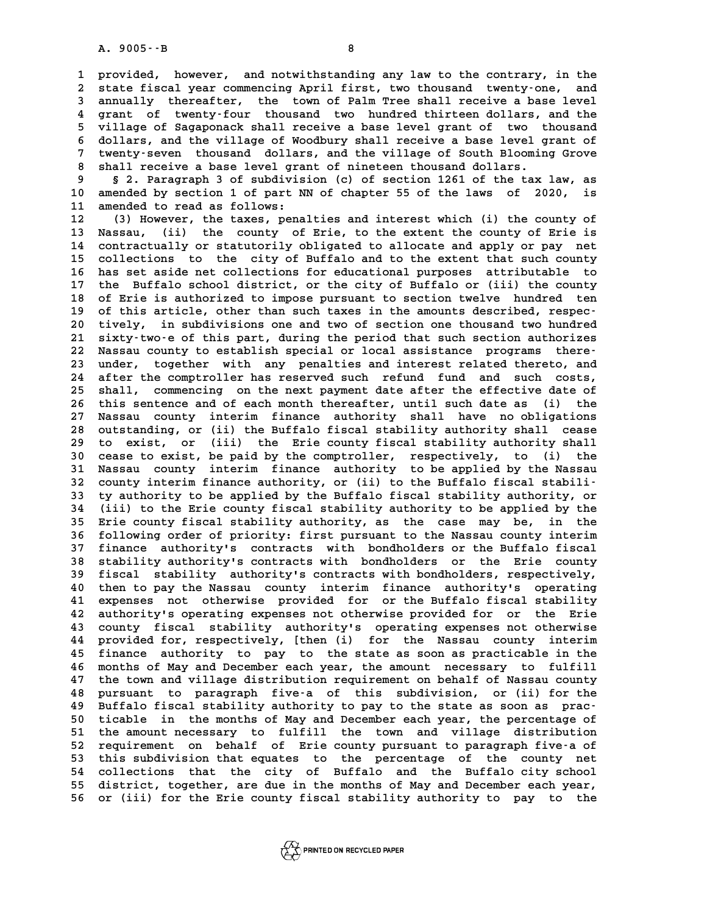**1 provided, however, and notwithstanding any law to the contrary, in the 2** provided, however, and notwithstanding any law to the contrary, in the<br>2 state fiscal year commencing April first, two thousand twenty-one, and<br>3 annually thereafter, the town of Balm Tree shall receive a base level 1 provided, however, and notwithstanding any law to the contrary, in the<br>2 state fiscal year commencing April first, two thousand twenty-one, and<br>3 annually thereafter, the town of Palm Tree shall receive a base level<br>4 gr 2 state fiscal year commencing April first, two thousand twenty-one, and<br>3 annually thereafter, the town of Palm Tree shall receive a base level<br>4 grant of twenty-four thousand two hundred thirteen dollars, and the<br>5 willi 3 annually thereafter, the town of Palm Tree shall receive a base level<br>4 grant of twenty-four thousand two hundred thirteen dollars, and the<br>5 village of Sagaponack shall receive a base level grant of two thousand<br>6 dolla 4 grant of twenty-four thousand two hundred thirteen dollars, and the<br>5 village of Sagaponack shall receive a base level grant of two thousand<br>6 dollars, and the village of Woodbury shall receive a base level grant of<br>7 tw 5 village of Sagaponack shall receive a base level grant of two thousand<br>6 dollars, and the village of Woodbury shall receive a base level grant of<br>7 twenty-seven thousand dollars, and the village of South Blooming Grove<br>8 8 dollars, and the village of Woodbury shall receive a base level grant of<br>7 twenty-seven thousand dollars, and the village of South Blooming Grove<br>8 shall receive a base level grant of nineteen thousand dollars.<br>8 2. Para

9 **19 State 10 State 10 State 10 State 10 State 10** Shall receive a base level grant of nineteen thousand dollars.<br>9 § 2. Paragraph 3 of subdivision (c) of section 1261 of the tax law, as<br>10 amended by section 1 of part NN 8 shall receive a base level grant of nineteen thousand dollars.<br>
9 § 2. Paragraph 3 of subdivision (c) of section 1261 of the tax law, as<br>
10 amended by section 1 of part NN of chapter 55 of the laws of 2020, is<br>
<sup>11</sup> ame 9 § 2. Paragraph 3 of subdivis<br>10 amended by section 1 of part N.<br>11 amended to read as follows:<br><sup>12</sup> (<sup>2)</sup> Hoveyer, the taxes person **10 amended by section 1 of part NN of chapter 55 of the laws of 2020, is<br>11 amended to read as follows:**<br>12 (3) However, the taxes, penalties and interest which (i) the county of<br>13 Nassau (ii) the county of Frie to the e

11 amended to read as follows:<br>
12 (3) However, the taxes, penalties and interest which (i) the county of<br>
13 Nassau, (ii) the county of Erie, to the extent the county of Erie is<br>
14 contractually or statutorily obligated 12 (3) However, the taxes, penalties and interest which (i) the county of<br>13 Nassau, (ii) the county of Erie, to the extent the county of Erie is<br>14 contractually or statutorily obligated to allocate and apply or pay net<br>1 13 Nassau, (ii) the county of Erie, to the extent the county of Erie is<br>14 contractually or statutorily obligated to allocate and apply or pay net<br>15 collections to the city of Buffalo and to the extent that such county<br>16 14 contractually or statutorily obligated to allocate and apply or pay net<br>15 collections to the city of Buffalo and to the extent that such county<br>16 has set aside net collections for educational purposes attributable to<br> 15 collections to the city of Buffalo and to the extent that such county<br>16 has set aside net collections for educational purposes attributable to<br>17 the Buffalo school district, or the city of Buffalo or (iii) the county<br> 16 has set aside net collections for educational purposes attributable to<br>17 the Buffalo school district, or the city of Buffalo or (iii) the county<br>18 of Erie is authorized to impose pursuant to section twelve hundred ten 17 the Buffalo school district, or the city of Buffalo or (iii) the county<br>18 of Erie is authorized to impose pursuant to section twelve hundred ten<br>19 of this article, other than such taxes in the amounts described, respe 18 of Erie is authorized to impose pursuant to section twelve hundred ten<br>19 of this article, other than such taxes in the amounts described, respec-<br>20 tively, in subdivisions one and two of section one thousand two hundr of this article, other than such taxes in the amounts described, respec-20 tively, in subdivisions one and two of section one thousand two hundred<br>
21 sixty-two-e of this part, during the period that such section authorizes<br>
22 Nassau county to establish special or local assistance programs th 21 sixty-two-e of this part, during the period that such section authorizes<br>22 Nassau county to establish special or local assistance programs there-<br>23 under, together with any penalties and interest related thereto, and<br> 22 Nassau county to establish special or local assistance programs there-<br>23 under, together with any penalties and interest related thereto, and<br>24 after the comptroller has reserved such refund fund and such costs,<br>25 ab 23 under, together with any penalties and interest related thereto, and after the comptroller has reserved such refund fund and such costs, shall, commencing on the next payment date after the effective date of this senten 24 after the comptroller has reserved such refund fund and such costs,<br>25 shall, commencing on the next payment date after the effective date of<br>26 this sentence and of each month thereafter, until such date as (i) the<br>27 25 shall, commencing on the next payment date after the effective date of<br>26 this sentence and of each month thereafter, until such date as (i) the<br>27 Nassau county interim finance authority shall have no obligations<br>28 ou 26 this sentence and of each month thereafter, until such date as (i) the<br>27 Nassau county interim finance authority shall have no obligations<br>28 outstanding, or (ii) the Buffalo fiscal stability authority shall cease<br>29 t 27 Nassau county interim finance authority shall have no obligations<br>28 outstanding, or (ii) the Buffalo fiscal stability authority shall cease<br>29 to exist, or (iii) the Erie county fiscal stability authority shall<br>30 ceas 28 outstanding, or (ii) the Buffalo fiscal stability authority shall cease<br>29 to exist, or (iii) the Erie county fiscal stability authority shall<br>30 cease to exist, be paid by the comptroller, respectively, to (i) the<br>31 N 29 to exist, or (iii) the Erie county fiscal stability authority shall<br>30 cease to exist, be paid by the comptroller, respectively, to (i) the<br>31 Nassau county interim finance authority to be applied by the Nassau<br>22 count 30 cease to exist, be paid by the comptroller, respectively, to (i) the Nassau county interim finance authority to be applied by the Nassau county interim finance authority, or (ii) to the Buffalo fiscal stabili-<br><sup>33</sup> ty a **31 Nassau county interim finance authority to be applied by the Nassau county interim finance authority, or (ii) to the Buffalo fiscal stabili-<br>33 ty authority to be applied by the Buffalo fiscal stability authority, or<br>2** 32 county interim finance authority, or (ii) to the Buffalo fiscal stabili-<br>33 ty authority to be applied by the Buffalo fiscal stability authority, or<br>34 (iii) to the Erie county fiscal stability authority to be applied b 32 county interim finance authority, or (ii) to the Buffalo fiscal stabili-<br>33 ty authority to be applied by the Buffalo fiscal stability authority, or<br>34 (iii) to the Erie county fiscal stability authority, as the case ma 34 (iii) to the Erie county fiscal stability authority to be applied by the<br>35 Erie county fiscal stability authority, as the case may be, in the<br>36 following order of priority: first pursuant to the Nassau county interim<br> **35 Erie county fiscal stability authority, as the case may be, in the following order of priority: first pursuant to the Nassau county interim<br>37 finance authority's contracts with bondholders or the Buffalo fiscal<br>38 sta 36 following order of priority: first pursuant to the Nassau county interim<br>37 finance authority's contracts with bondholders or the Buffalo fiscal<br>38 stability authority's contracts with bondholders or the Erie county<br>53** 37 finance authority's contracts with bondholders or the Buffalo fiscal<br>38 stability authority's contracts with bondholders or the Erie county<br>39 fiscal stability authority's contracts with bondholders, respectively,<br>then 38 stability authority's contracts with bondholders or the Erie county<br>
40 fiscal stability authority's contracts with bondholders, respectively,<br>
40 then to pay the Nassau county interim finance authority's operating<br>
41 **40 fiscal stability authority's contracts with bondholders, respectively,**<br> **40 then to pay the Nassau county interim finance authority's operating**<br> **41 expenses not otherwise provided for or the Buffalo fiscal stability** 40 then to pay the Nassau county interim finance authority's operating<br>41 expenses not otherwise provided for or the Buffalo fiscal stability<br>42 authority's operating expenses not otherwise provided for or the Erie<br>43 coun 41 expenses not otherwise provided for or the Buffalo fiscal stability<br>42 authority's operating expenses not otherwise provided for or the Erie<br>43 county fiscal stability authority's operating expenses not otherwise<br>44 pro 42 authority's operating expenses not otherwise provided for or the Erie<br>43 county fiscal stability authority's operating expenses not otherwise<br>44 provided for, respectively, [then (i) for the Nassau county interim<br>45 fin 43 county fiscal stability authority's operating expenses not otherwise<br>44 provided for, respectively, [then (i) for the Nassau county interim<br>45 finance authority to pay to the state as soon as practicable in the<br>46 month 44 provided for, respectively, [then (i) for the Nassau county interim<br>45 finance authority to pay to the state as soon as practicable in the<br>46 months of May and December each year, the amount necessary to fulfill<br><sup>47</sup> th **45 finance authority to pay to the state as soon as practicable in the months of May and December each year, the amount necessary to fulfill**<br>47 the town and village distribution requirement on behalf of Nassau county<br>18 **46 months of May and December each year, the amount necessary to fulfill**<br>47 the town and village distribution requirement on behalf of Nassau county<br>48 pursuant to paragraph five-a of this subdivision, or (ii) for the<br>19 47 the town and village distribution requirement on behalf of Nassau county<br>48 pursuant to paragraph five-a of this subdivision, or (ii) for the<br>49 Buffalo fiscal stability authority to pay to the state as soon as prac-<br>50 80 pursuant to paragraph five-a of this subdivision, or (ii) for the<br>49 Buffalo fiscal stability authority to pay to the state as soon as prac-<br>50 ticable in the months of May and December each year, the percentage of<br>51 t Buffalo fiscal stability authority to pay to the state as soon as practicable in the months of May and December each year, the percentage of the amount necessary to fulfill the town and village distribution<br>
For examing th 50 ticable in the months of May and December each year, the percentage of<br>51 the amount necessary to fulfill the town and village distribution<br>52 requirement on behalf of Erie county pursuant to paragraph five-a of<br>this su 51 the amount necessary to fulfill the town and village distribution<br>52 requirement on behalf of Erie county pursuant to paragraph five-a of<br>53 this subdivision that equates to the percentage of the county net<br>54 collectio 52 requirement on behalf of Erie county pursuant to paragraph five-a of<br>53 this subdivision that equates to the percentage of the county net<br>54 collections that the city of Buffalo and the Buffalo city school<br>55 district t 53 this subdivision that equates to the percentage of the county net<br>54 collections that the city of Buffalo and the Buffalo city school<br>55 district, together, are due in the months of May and December each year,<br>56 av (ii 53 this subdivision that equates to the percentage of the county net<br>54 collections that the city of Buffalo and the Buffalo city school<br>55 district, together, are due in the months of May and December each year,<br>56 or (ii

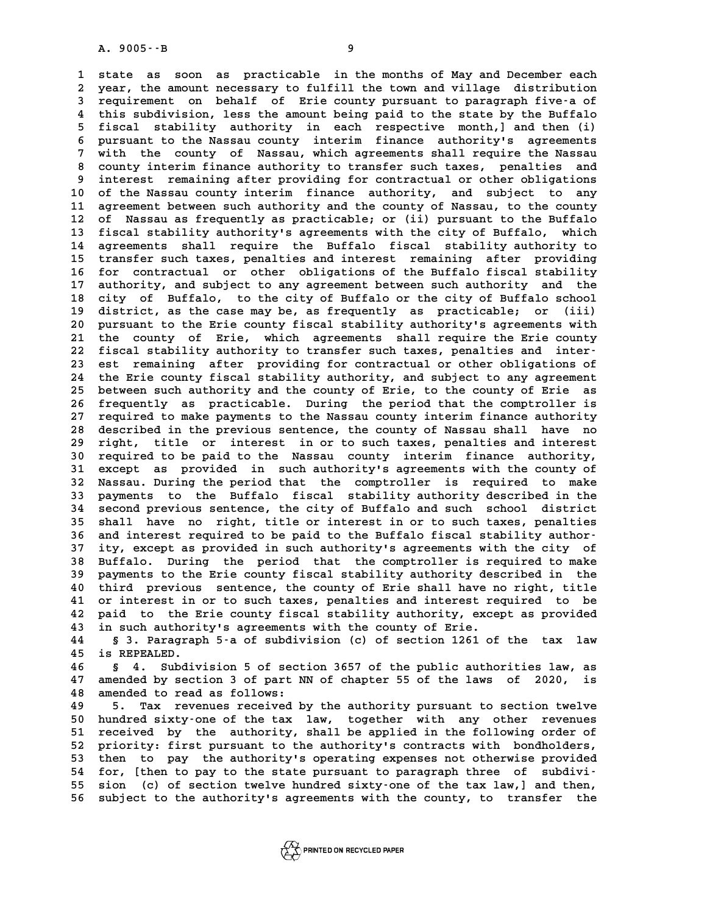**1 state as soon as practicable in the months of May and December each 2** state as soon as practicable in the months of May and December each<br>2 year, the amount necessary to fulfill the town and village distribution<br>3 requirement on behalf of Frie county pursuant to paragraph five a of 1 state as soon as practicable in the months of May and December each<br>2 year, the amount necessary to fulfill the town and village distribution<br>3 requirement on behalf of Erie county pursuant to paragraph five-a of<br><sup>4</sup> thi 4 year, the amount necessary to fulfill the town and village distribution<br>3 requirement on behalf of Erie county pursuant to paragraph five-a of<br>4 this subdivision, less the amount being paid to the state by the Buffalo<br>5 **5 find Theory Fiscal stability** authority in each respective month,] and then (i)<br>5 fiscal stability authority in each respective month,] and then (i)<br>5 **sympalsis is also process contract the Maggium** state finance sut 4 this subdivision, less the amount being paid to the state by the Buffalo<br>5 fiscal stability authority in each respective month, and then (i)<br>6 pursuant to the Nassau county interim finance authority's agreements<br>7 with t 5 fiscal stability authority in each respective month, and then (i)<br>6 pursuant to the Nassau county interim finance authority's agreements<br>7 with the county of Nassau, which agreements shall require the Nassau<br>8 county int 8 pursuant to the Nassau county interim finance authority's agreements<br>7 with the county of Nassau, which agreements shall require the Nassau<br>8 county interim finance authority to transfer such taxes, penalties and<br>interes 7 with the county of Nassau, which agreements shall require the Nassau<br>8 county interim finance authority to transfer such taxes, penalties and<br>9 interest remaining after providing for contractual or other obligations **10 of the Nassau county interim finance authority, and subject to any** 9 interest remaining after providing for contractual or other obligations<br>10 of the Nassau county interim finance authority, and subject to any<br>11 agreement between such authority and the county of Nassau, to the county<br>12 10 of the Nassau county interim finance authority, and subject to any<br>11 agreement between such authority and the county of Nassau, to the county<br>12 of Nassau as frequently as practicable; or (ii) pursuant to the Buffalo<br>1 11 agreement between such authority and the county of Nassau, to the county<br>12 of Nassau as frequently as practicable; or (ii) pursuant to the Buffalo<br>13 fiscal stability authority's agreements with the city of Buffalo, wh 12 of Nassau as frequently as practicable; or (ii) pursuant to the Buffalo<br>13 fiscal stability authority's agreements with the city of Buffalo, which<br>14 agreements shall require the Buffalo fiscal stability authority to<br>15 13 fiscal stability authority's agreements with the city of Buffalo, which<br>14 agreements shall require the Buffalo fiscal stability authority to<br>15 transfer such taxes, penalties and interest remaining after providing<br>16 f 14 agreements shall require the Buffalo fiscal stability authority to<br>15 transfer such taxes, penalties and interest remaining after providing<br>16 for contractual or other obligations of the Buffalo fiscal stability<br>17 auth 15 transfer such taxes, penalties and interest remaining after providing<br>16 for contractual or other obligations of the Buffalo fiscal stability<br>17 authority, and subject to any agreement between such authority and the<br>18 16 for contractual or other obligations of the Buffalo fiscal stability<br>17 authority, and subject to any agreement between such authority and the<br>18 city of Buffalo, to the city of Buffalo or the city of Buffalo school<br>dis 17 authority, and subject to any agreement between such authority and the<br>18 city of Buffalo, to the city of Buffalo or the city of Buffalo school<br>19 district, as the case may be, as frequently as practicable; or (iii) 20 pursuant to the city of Buffalo or the city of Buffalo school<br>
20 pursuant to the Erie county fiscal stability authority's agreements with<br>
21 the county of Frie, which agreements shall require the Frie county 19 district, as the case may be, as frequently as practicable; or (iii)<br>20 pursuant to the Erie county fiscal stability authority's agreements with<br>21 the county of Erie, which agreements shall require the Erie county<br>22 f 20 pursuant to the Erie county fiscal stability authority's agreements with<br>
21 the county of Erie, which agreements shall require the Erie county<br>
22 fiscal stability authority to transfer such taxes, penalties and inter-21 the county of Erie, which agreements shall require the Erie county<br>22 fiscal stability authority to transfer such taxes, penalties and inter-<br>23 est remaining after providing for contractual or other obligations of<br>24 t 22 fiscal stability authority to transfer such taxes, penalties and inter-<br>23 est remaining after providing for contractual or other obligations of<br>24 the Erie county fiscal stability authority, and subject to any agreemen 23 est remaining after providing for contractual or other obligations of<br>24 the Erie county fiscal stability authority, and subject to any agreement<br>25 between such authority and the county of Erie, to the county of Erie a 24 the Erie county fiscal stability authority, and subject to any agreement<br>25 between such authority and the county of Erie, to the county of Erie as<br>26 frequently as practicable. During the period that the comptroller is 25 between such authority and the county of Erie, to the county of Erie as<br>26 frequently as practicable. During the period that the comptroller is<br>27 required to make payments to the Nassau county interim finance authority 26 frequently as practicable. During the period that the comptroller is<br>27 required to make payments to the Nassau county interim finance authority<br>28 described in the previous sentence, the county of Nassau shall have no<br> 27 required to make payments to the Nassau county interim finance authority<br>28 described in the previous sentence, the county of Nassau shall have no<br>29 right, title or interest in or to such taxes, penalties and interest<br> described in the previous sentence, the county of Nassau shall have no<br>29 right, title or interest in or to such taxes, penalties and interest<br>30 required to be paid to the Nassau county interim finance authority,<br>31 exect 29 right, title or interest in or to such taxes, penalties and interest<br>30 required to be paid to the Nassau county interim finance authority,<br>31 except as provided in such authority's agreements with the county of<br><sup>32</sup> Na 30 required to be paid to the Nassau county interim finance authority,<br>31 except as provided in such authority's agreements with the county of<br>32 Nassau. During the period that the comptroller is required to make<br>33 navmen 31 except as provided in such authority's agreements with the county of Nassau. During the period that the comptroller is required to make payments to the Buffalo fiscal stability authority described in the second previous 32 Nassau. During the period that the comptroller is required to make<br>33 payments to the Buffalo fiscal stability authority described in the<br>34 second previous sentence, the city of Buffalo and such school district<br>35 shal **35 shall have no right, title or interest in or to such taxes, penalties** 34 second previous sentence, the city of Buffalo and such school district<br>
35 shall have no right, title or interest in or to such taxes, penalties<br>
36 and interest required to be paid to the Buffalo fiscal stability autho 35 shall have no right, title or interest in or to such taxes, penalties<br>36 and interest required to be paid to the Buffalo fiscal stability author-<br>37 ity, except as provided in such authority's agreements with the city o 36 and interest required to be paid to the Buffalo fiscal stability author-<br>37 ity, except as provided in such authority's agreements with the city of<br>38 Buffalo. During the period that the comptroller is required to make<br> **37 ity, except as provided in such authority's agreements with the city of Buffalo. During the period that the comptroller is required to make payments to the Erie county fiscal stability authority described in the third** Buffalo. During the period that the comptroller is required to make<br>
40 third previous sentence, the county of Erie shall have no right, title<br>
40 third previous sentence, the county of Erie shall have no right, title<br>
41 39 payments to the Erie county fiscal stability authority described in the<br>40 third previous sentence, the county of Erie shall have no right, title<br>41 or interest in or to such taxes, penalties and interest required to be **40 third previous sentence, the county of Erie shall have no right, title**<br>41 or interest in or to such taxes, penalties and interest required to be<br>42 paid to the Erie county fiscal stability authority, except as provide 41 or interest in or to such taxes, penalties and interest re<br>42 paid to the Erie county fiscal stability authority, exce<br>43 in such authority's agreements with the county of Erie.<br>44 5.3 Personant 5-2 of subdivision (3) o **42 paid to the Erie county fiscal stability authority, except as provided<br>43 in such authority's agreements with the county of Erie.<br>44 § 3. Paragraph 5-a of subdivision (c) of section 1261 of the tax law<br>45 is PEREALED** 

in such authority's agreements with the county of Erie.<br>44 § 3. Paragraph 5-a of subdivision (c) of section 1261 of the tax law<br>45 is REPEALED.<br>46 § 4. Subdivision 5 of section 3657 of the public authorities law, as § 3. Paragraph 5-a of subdivision (c) of section 1261 of the tax law<br>45 is REPEALED.<br>46 § 4. Subdivision 5 of section 3657 of the public authorities law, as<br>47 amended by section 3 of part NN of chapter 55 of the laws of 2

**45 is REPEALED.**<br>46 § 4. Subdivision 5 of section 3657 of the public authorities law, as<br>47 amended by section 3 of part NN of chapter 55 of the laws of 2020, is<br>48 amended to read as follows: 46 § 4. Subdivision 5 of sect<br>47 amended by section 3 of part N.<br>48 amended to read as follows:<br><sup>49</sup> **by the Communish of the Section** 47 amended by section 3 of part NN of chapter 55 of the laws of 2020, is<br>48 amended to read as follows:<br>5. Tax revenues received by the authority pursuant to section twelve<br>50 bundred givty.org of the tax law, together wit

48 amended to read as follows:<br>49 5. Tax revenues received by the authority pursuant to section twelve<br>50 hundred sixty-one of the tax law, together with any other revenues<br>51 received by the authority shall be applied in 5. Tax revenues received by the authority pursuant to section twelve<br>
50 hundred sixty-one of the tax law, together with any other revenues<br>
51 received by the authority, shall be applied in the following order of<br>
52 prio 50 hundred sixty-one of the tax law, together with any other revenues<br>51 received by the authority, shall be applied in the following order of<br>52 priority: first pursuant to the authority's contracts with bondholders,<br>53 t 51 received by the authority, shall be applied in the following order of<br>52 priority: first pursuant to the authority's contracts with bondholders,<br>53 then to pay the authority's operating expenses not otherwise provided<br>5 52 priority: first pursuant to the authority's contracts with bondholders,<br>
53 then to pay the authority's operating expenses not otherwise provided<br>
54 for, [then to pay to the state pursuant to paragraph three of subdivi then to pay the authority's operating expenses not otherwise provided<br>54 for, [then to pay to the state pursuant to paragraph three of subdivi-<br>55 sion (c) of section twelve hundred sixty-one of the tax law,] and then,<br>56 54 for, [then to pay to the state pursuant to paragraph three of subdivi-<br>55 sion (c) of section twelve hundred sixty-one of the tax law,] and then,<br>56 subject to the authority's agreements with the county, to transfer the

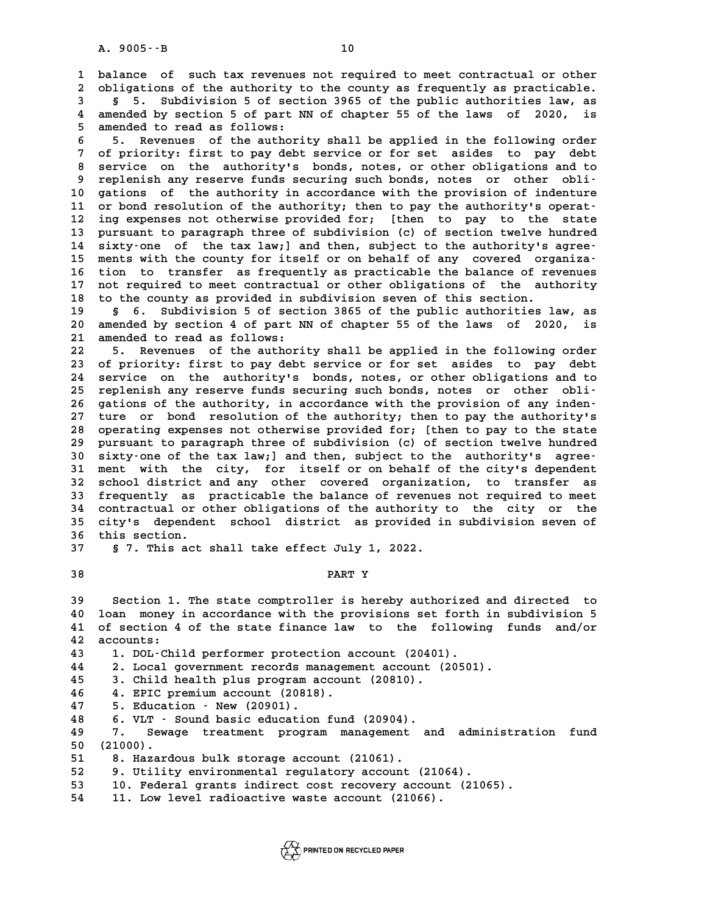A. 9005 - - B<br>10<br>1 balance of such tax revenues not required to meet contractual or other<br>2 shligations of the authority to the county as frequently as practicable. **2** balance of such tax revenues not required to meet contractual or other<br>2 obligations of the authority to the county as frequently as practicable. **3** balance of such tax revenues not required to meet contractual or other<br> **3** bligations of the authority to the county as frequently as practicable.<br> **3 5.** Subdivision 5 of section 3965 of the public authorities law,

bligations of the authority to the county as frequently as practicable.<br>
§ 5. Subdivision 5 of section 3965 of the public authorities law, as<br>
4 amended by section 5 of part NN of chapter 55 of the laws of 2020, is<br>
5 amen **5 amended by section 5 of sect<br>4 amended by section 5 of part N.<br>5 amended to read as follows:<br>5 amended to read as follows:** 4 amended by section 5 of part NN of chapter 55 of the laws of 2020, is<br>5 amended to read as follows:<br>6 5. Revenues of the authority shall be applied in the following order<br>7 of priority, first to pay dobt service or for 3

5 amended to read as follows:<br>6 5. Revenues of the authority shall be applied in the following order<br>7 of priority: first to pay debt service or for set asides to pay debt<br>8 service on the authority's bords potes or other **8 5. Revenues of the authority shall be applied in the following order<br>
7 of priority: first to pay debt service or for set asides to pay debt<br>
8 service on the authority's bonds, notes, or other obligations and to<br>
8 rep** 9 of priority: first to pay debt service or for set asides to pay debt<br>
8 service on the authority's bonds, notes, or other obligations and to<br>
9 replenish any reserve funds securing such bonds, notes or other obli-<br>
0 cat 8 service on the authority's bonds, notes, or other obligations and to<br>9 replenish any reserve funds securing such bonds, notes or other obli-<br>10 gations of the authority in accordance with the provision of indenture<br><sup>11</sup> 9 replenish any reserve funds securing such bonds, notes or other obli-<br>
10 gations of the authority in accordance with the provision of indenture<br>
11 or bond resolution of the authority; then to pay the authority's operat 10 gations of the authority in accordance with the provision of indenture<br>11 or bond resolution of the authority; then to pay the authority's operat-<br>12 ing expenses not otherwise provided for; [then to pay to the state<br>13 11 or bond resolution of the authority; then to pay the authority's operat-<br>12 ing expenses not otherwise provided for; [then to pay to the state<br>13 pursuant to paragraph three of subdivision (c) of section twelve hundred<br> 12 ing expenses not otherwise provided for; [then to pay to the state<br>13 pursuant to paragraph three of subdivision (c) of section twelve hundred<br>14 sixty-one of the tax law;] and then, subject to the authority's agree-<br>15 13 pursuant to paragraph three of subdivision (c) of section twelve hundred<br>
14 sixty-one of the tax law; and then, subject to the authority's agree-<br>
15 ments with the county for itself or on behalf of any covered organiz 14 sixty-one of the tax law;] and then, subject to the authority's agree-<br>15 ments with the county for itself or on behalf of any covered organiza-<br>16 tion to transfer as frequently as practicable the balance of revenues<br>1 15 ments with the county for itself or on behalf of any covered organiza-<br>16 tion to transfer as frequently as practicable the balance of revenues<br>17 not required to meet contractual or other obligations of the authority<br>1 16 tion to transfer as frequently as practicable the balance of revenues<br>17 not required to meet contractual or other obligations of the authority<br>18 to the county as provided in subdivision seven of this section.<br>19 \$ 6. 17 not required to meet contractual or other obligations of the authority<br>18 to the county as provided in subdivision seven of this section.<br>19 § 6. Subdivision 5 of section 3865 of the public authorities law, as<br>20 aporte

**20 american 19 and 10 and 10 american 19 and 10 and 10 amended by section 4 of part NN of chapter 55 of the laws of 2020, is<br>
20 amended by section 4 of part NN of chapter 55 of the laws of 2020, is<br>
21 amended to read as** 19 § 6. Subdivision 5 of sect<br>20 amended by section 4 of part N.<br>21 amended to read as follows:<br><sup>22</sup> <sup>5</sup> Povenues of the authori 20 amended by section 4 of part NN of chapter 55 of the laws of 2020, is<br>21 amended to read as follows:<br>22 5. Revenues of the authority shall be applied in the following order<br>23 of priority: first to pay debt service or f

21 amended to read as follows:<br>22 5. Revenues of the authority shall be applied in the following order<br>23 of priority: first to pay debt service or for set asides to pay debt<br>24 service on the authority's bonds, notes, or **22 5. Revenues of the authority shall be applied in the following order**<br>**23 of priority: first to pay debt service or for set asides to pay debt**<br>**24 service on the authority's bonds, notes, or other obligations and to**<br> 23 of priority: first to pay debt service or for set asides to pay debt<br>
24 service on the authority's bonds, notes, or other obligations and to<br>
25 replenish any reserve funds securing such bonds, notes or other obli-<br>
26 24 service on the authority's bonds, notes, or other obligations and to<br>25 replenish any reserve funds securing such bonds, notes or other obli-<br>26 gations of the authority, in accordance with the provision of any inden-<br><sup></sup> 25 replenish any reserve funds securing such bonds, notes or other obli-<br>26 gations of the authority, in accordance with the provision of any inden-<br>27 ture or bond resolution of the authority; then to pay the authority's 26 gations of the authority, in accordance with the provision of any inden-<br>27 ture or bond resolution of the authority; then to pay the authority's<br>28 operating expenses not otherwise provided for; [then to pay to the sta 27 ture or bond resolution of the authority; then to pay the authority's<br>28 operating expenses not otherwise provided for; [then to pay to the state<br>29 pursuant to paragraph three of subdivision (c) of section twelve hundr 30 operating expenses not otherwise provided for; [then to pay to the state<br>
29 pursuant to paragraph three of subdivision (c) of section twelve hundred<br>
30 sixty-one of the tax law;] and then, subject to the authority's a 29 pursuant to paragraph three of subdivision (c) of section twelve hundred<br>30 sixty-one of the tax law;] and then, subject to the authority's agree-<br>31 ment with the city, for itself or on behalf of the city's dependent<br>2 30 sixty-one of the tax law; and then, subject to the authority's agree-<br>31 ment with the city, for itself or on behalf of the city's dependent<br>32 school district and any other covered organization, to transfer as<br>33 frequ 31 ment with the city, for itself or on behalf of the city's dependent<br>32 school district and any other covered organization, to transfer as<br>33 frequently as practicable the balance of revenues not required to meet<br>34 cont **32** school district and any other covered organization, to transfer as 33 frequently as practicable the balance of revenues not required to meet<br>34 contractual or other obligations of the authority to the city or the<br>35 city's dependent school district as provided in subdivision seven of<br>36 t 34 contractual or other obligations of the authority to the city or the<br>35 city's dependent school district as provided in subdivision seven of<br>36 this section.<br>37 § 7. This act shall take effect July 1, 2022. 35 city's dependent school district as provided in subdivision seven of

## **57.** This act shall take effect July 1, 2022.<br>38 PART Y

**39 Section 1. The state comptroller is hereby authorized and directed to 40** Section 1. The state comptroller is hereby authorized and directed to<br>40 loan money in accordance with the provisions set forth in subdivision 5<br>41 of section 4 of the state finance law, to the following funds, and/or **40** Section 1. The state comptroller is hereby authorized and directed to<br>40 loan money in accordance with the provisions set forth in subdivision 5<br>41 of section 4 of the state finance law to the following funds and/or 40 loan money<br>41 of section 4<br>42 accounts:<br><sup>43</sup> 1 <sup>DOL</sup>-Chi 41 of section 4 of the state finance law to the followi:<br>42 accounts:<br>43 1. DOL-Child performer protection account (20401). **42 accounts:<br>43 1. DOL–Child performer protection account (20401).<br>44 2. Local government records management account (20501).**<br>45 3 Child boalth plus program asseunt (20810).

1. DOL-Child performer protection account (20401).<br>
44 2. Local government records management account (20<br>
45 3. Child health plus program account (20810).<br>
46 4. EPIC premium account (20818). **44 2. Local government records managem<br>
45 3. Child health plus program accoun<br>
46 4. EPIC premium account (20818).**<br>
<sup>47</sup> 5. Education - Now (20001)

3. Child health plus program account (20810).<br> **46 4. EPIC premium account (20818).**<br> **47 5. Education - New (20901).**<br> **48 6. VLT** - Sound basic education fund (20904). **46 4. EPIC premium account (20818).<br>
47 5. Education - New (20901).<br>
48 6. VLT - Sound basic education fund (20904).<br>
49 7 Sevage treatment program management and** 

**47 5. Education – New (20901).<br>48 6. VLT – Sound basic education fund (20904).<br>49 7. Sewage treatment program management and administration fund<br>50 (21000) 50 (21000). 51 8. Sewage treatment program management**<br> **50 (21000).**<br> **51 8. Hazardous bulk storage account (21061).**<br> **52 8. Itility environmental regulatory aggevit ( 50 (21000).**<br> **51 8. Hazardous bulk storage account (21061).**<br> **52 9. Utility environmental regulatory account (21064).**<br> **53 10. Foderal grants indirect sest reservery assemnt (2106)** 

52 9. Utility environmental regulatory account (210<br>53 10. Federal grants indirect cost recovery accoun<br>54 11. Low level radioactive waste account (21066).

**53 10. Federal grants indirect cost recovery account (21065).**

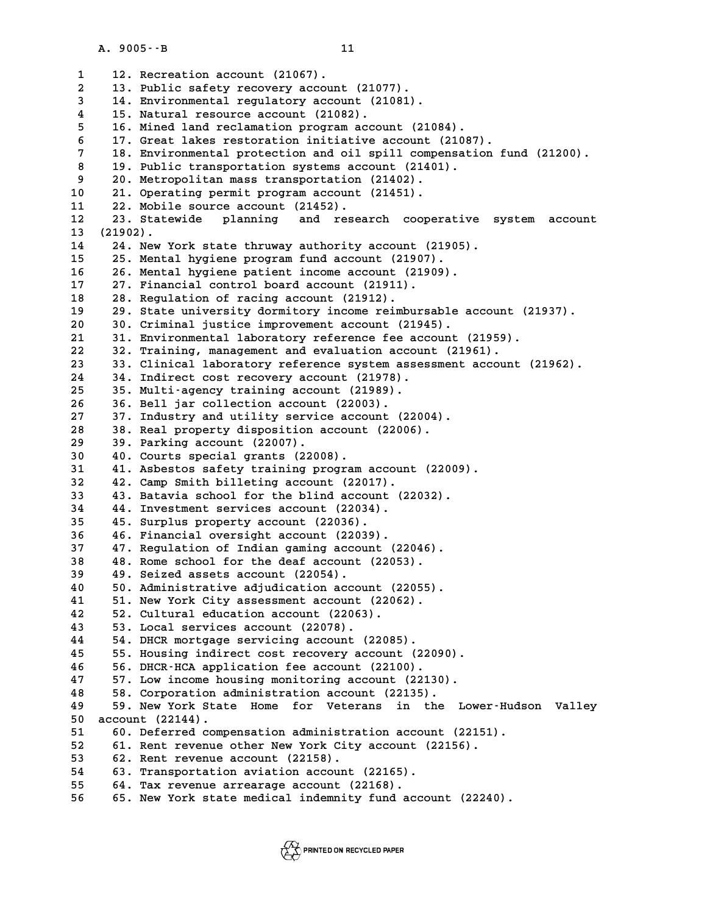A. 9005<sup>--B</sup><br>1 12. Recreation account (21067).<br>2 13. Public safety recovery account **2 13. Public safety recovery account (21077).** 1 12. Recreation account (21067).<br>
2 13. Public safety recovery account (21077).<br>
3 14. Environmental regulatory account (21081).<br>
<sup>15</sup> Natural regeures agount (21082). 13. Public safety recovery account (2107<br>
14. Environmental regulatory account (21<br>
4 15. Natural resource account (21082).<br>
5 16 Minod land reglamation program account **5 16. Mined land reclamation program account (21084). 4 15. Natural resource account (21082).**<br> **6 16. Mined land reclamation program account (21084).**<br> **6 17. Great lakes restoration initiative account (21087).**<br> **18. Environmental protection and cil gpill componention fu 16. Mined land reclamation program account (21084).**<br> **17. Great lakes restoration initiative account (21087).**<br> **18. Environmental protection and oil spill compensation fund (21200).**<br> **19. Public transportation systems 8 17. Great lakes restoration initiative account (21087<br>
<b>18. Environmental protection and oil spill compensation**<br> **19. Public transportation systems account (21401).**<br> **20. Motropolitar mage transportation (21402)** 18. Environmental protection and oil spill competion<br>
19. Public transportation systems account (21401<br>
20. Metropolitan mass transportation (21402).<br>
21. Operating permit program account (21451). 19. Public transportation systems account (21401<br>
20. Metropolitan mass transportation (21402).<br>
10 21. Operating permit program account (21451).<br>
<sup>22</sup> Mobile source account (21452). 9 20. Metropolitan mass transportation<br>
10 21. Operating permit program account<br>
11 22. Mobile source account (21452).<br>
<sup>12</sup> <sup>23</sup> Statewide planning and resea 10 21. Operating permit program account (21451).<br>11 22. Mobile source account (21452).<br>12 23. Statewide planning and research cooperative system account<br>13 (21902) 11 22. Mobile source account (21452).<br>
12 23. Statewide planning and re<br>
13 (21902).<br>
14 24. New York state thruway authori 12 23. Statewide planning and research cooperative s<sup>1</sup><br>13 (21902).<br>14 24. New York state thruway authority account (21905). 13 (21902).<br>14 24. New York state thruway authority account (21905<br>15 25. Mental hygiene program fund account (21907).<br>16 26 Mental hygiene potient inseme asseunt (21909). 14 24. New York state thruway authority account (21905).<br>15 25. Mental hygiene program fund account (21907).<br>16 26. Mental hygiene patient income account (21909). 25. Mental hygiene program fund account (21907)<br>16 26. Mental hygiene patient income account (2190<br>17 27. Financial control board account (21911).<br>28. Bogylation of racing account (21913). 16 26. Mental hygiene patient income account (2<br>17 27. Financial control board account (21911).<br>18 28. Regulation of racing account (21912). 17 27. Financial control board account (21911).<br>18 28. Regulation of racing account (21912).<br>19 29. State university dormitory income reimbursable account (21937).<br>20 Criminal iustice improvement account (21945). 20 28. Regulation of racing account (21912).<br>
29 29. State university dormitory income reimbursable a<br>
20 30. Criminal justice improvement account (21945).<br>
<sup>21</sup> <sup>21</sup> Environmental laboratory reference fee account ( 29. State university dormitory income reimbursable account (21<br>
20 30. Criminal justice improvement account (21945).<br>
21 31. Environmental laboratory reference fee account (21959). **20 30. Criminal justice improvement account (21945).**<br> **21 31. Environmental laboratory reference fee account (21959).**<br> **22 32. Training, management and evaluation account (21961).**<br> **23 33. Clinical laboratory reference 20 30. Criminal justice improvement account (21945).**<br> **21 31. Environmental laboratory reference fee account (21959).**<br> **22 32. Training, management and evaluation account (21961).**<br> **23 33. Clinical laboratory reference** 32. Training, management and evaluation accoun<br>
23 33. Clinical laboratory reference system asses<br>
24 34. Indirect cost recovery account (21978).<br>
25 Multi-2000W, training 2000Wt (21989). **25 35. Multi-agency training account (21989). 26 36. Bell jar collection account (22003). 27 37. Industry and utility service account (22004).** 36. Bell jar collection account (22003).<br>27 37. Industry and utility service account (22004).<br>28 38. Real property disposition account (22006). 27 37. Industry and utility servic<br>
28 38. Real property disposition a<br>
29 39. Parking account (22007).<br>
20 40. Courts special graphs (2200 30 38. Real property disposition account<br>
39. Parking account (22007).<br>
30 40. Courts special grants (22008).<br>
<sup>31</sup> <sup>41</sup> Asbetos safety training program 39. Parking account (22007).<br>30 40. Courts special grants (22008).<br>31 41. Asbestos safety training program account (22009).<br>32 42. Camp Smith billoting account (22017). **32 42. Camp Smith billeting account (22017). 41. Asbestos safety training program account (22009)**<br> **32 42. Camp Smith billeting account (22017).**<br> **43. Batavia school for the blind account (22032).**<br> **44. Investment services asseurt (22034)** 42. Camp Smith billeting account (22017).<br>
43. Batavia school for the blind account<br>
44. Investment services account (22034).<br>
45. Surplus property account (22036). 43. Batavia school for the blind account (22032).<br>
44. Investment services account (22034).<br>
45. Surplus property account (22036).<br>
46. Financial oversight account (22039). 44. Investment services account (22034).<br> **35** 45. Surplus property account (22036).<br> **36** 46. Financial oversight account (22039).<br> **37** 47. Regulation of Indian gaming account **37 47. Regulation of Indian gaming account (22046). 46. Financial oversight account (22039).**<br> **37 47. Regulation of Indian gaming account (22046).**<br> **48. Rome school for the deaf account (22053).**<br> **49. Soired assets assemt (22054) 47. Regulation of Indian gaming account 48. Rome school for the deaf account (22054).**<br>**39 49. Seized assets account (22054).**<br>**40 50 Administrative adividention account** 40 48. Rome school for the deaf account (22053).<br>
49. Seized assets account (22054).<br>
50. Administrative adjudication account (22055).<br>
<sup>41</sup> 51 New York City assessment account (22062). 49. Seized assets account (22054).<br>
40 50. Administrative adjudication account (22055).<br>
41 51. New York City assessment account (22062).<br>
<sup>42 52</sup> Cultural education account (22063). **40 50. Administrative adjudication account (2<br>
<b>41 51. New York City assessment account (2206**<br> **42 52. Cultural education account (22063).**<br> **43 53. Logal services account (22078)** 41 51. New York City assessment account (<br>42 52. Cultural education account (22063)<br>43 53. Local services account (22078).<br><sup>44 54</sup> P<sup>UCP</sup> mortage servising account (2 52. Cultural education account (22063).<br>
43 53. Local services account (22078).<br>
44 54. DHCR mortgage servicing account (22085).<br>
55. Housing indirect cost recovery account ( **43 53. Local services account (22078).**<br>**44 54. DHCR mortgage servicing account (22085).**<br>**45 55. Housing indirect cost recovery account (22090).**<br>**46 56. DHCR HCA application foe account (23100)**. **44 54. DHCR mortgage servicing account (22085).**<br>**45 55. Housing indirect cost recovery account (2209<br><b>56. DHCR-HCA application fee account (22100).**<br><sup>47</sup> 57. Low income bousing monitoring account (22130) **45 55. Housing indirect cost recovery account (22090).**<br>**46 56. DHCR-HCA application fee account (22100).**<br>**47 57. Low income housing monitoring account (22130).**<br>**48 58. Corporation edministration account (22125)**. 58. DHCR-HCA application fee account (22100).<br>47 57. Low income housing monitoring account (22130).<br>48 58. Corporation administration account (22135).<br>49 59. New York State Home for Veterans in the **49 59. New York State Home for Veterans in the Lower-Hudson Valley** 50 58. Corporation administration account (22135).<br> **50 account (22144).**<br>
50 account (22144).<br>
51 60. Deferred compensation administration accoun 59. New York State Home for Veterans in the Lower-Huds<br>50 account (22144).<br>51 60. Deferred compensation administration account (22151).<br>52 61 Bont roughly other New York City 2009/11 (22156). **50** account (22144).<br> **51** 60. Deferred compensation administration account (22151)<br> **52** 61. Rent revenue account (22158).<br> **53** 62 Pent revenue account (22158). 51 60. Deferred compensation administra<br>
52 61. Rent revenue other New York City<br>
53 62. Rent revenue account (22158).<br>
54 63 Transportation aviation account 61. Rent revenue other New York City account (22156).<br>
53 62. Rent revenue account (22158).<br>
54 63. Transportation aviation account (22165).<br>
55 64. Tax revenue arrearage account (22168). **55 64. Tax revenue arrearage account (22168). 56 65. New York state medical indemnity fund account (22240).**

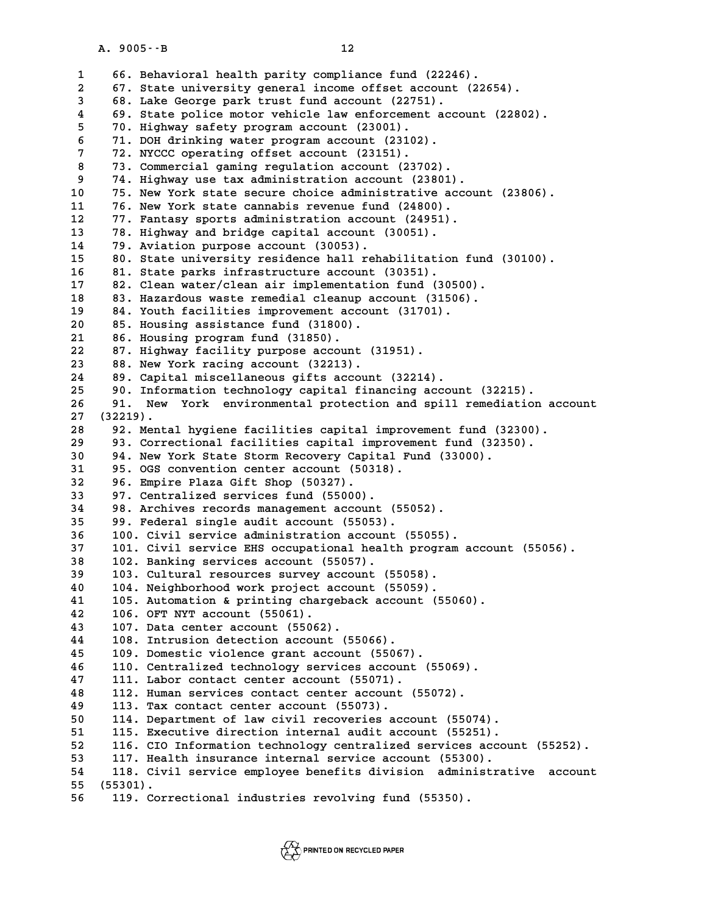**12**<br> **1 66. Behavioral health parity compliance fund (22246).**<br> **1 67. State university coneral income offset account (2265) 2 67. State university general income offset account (22654). 48. Behavioral health parity compliance fund (22246)**<br> **3 67. State university general income offset account**<br> **3 68. Lake George park trust fund account (22751).**<br> **4 68. State police mater webigle law orforoment account 4 67. State university general income offset account (22654).**<br> **4 69. State police motor vehicle law enforcement account (22802).**<br> **4 69. State police motor vehicle law enforcement account (22802). 58. Lake George park trust fund account (22751<br>
<b>59. State police motor vehicle law enforcement**<br> **50. Highway safety program account (23001).**<br> **50. T1. DOU dripling water program account (23103) 69. State police motor vehicle law enforcement acc-**<br> **6 70. Highway safety program account (23001).**<br> **6 71. DOH drinking water program account (23102).**<br> **72. NYCCC operation offset asseurt (23151)** 70. Highway safety program account (23001).<br> **71. DOH drinking water program account (23102)**<br> **72. NYCCC operating offset account (23151).**<br> **8. The Comparish anime meanlation account (2370) 8 71. DOH drinking water program account (23102).**<br>**8 73. Commercial gaming regulation account (23702).**<br>**8 74. Highter use the administration account (23801)** 7 72. NYCCC operating offset account (23151).<br>8 73. Commercial gaming regulation account (23702).<br>9 74. Highway use tax administration account (23801).<br>10 75. New York state secure choice administrative acc 10 13. Commercial gaming regulation account (23702).<br>
10 75. New York state secure choice administrative account (23806).<br>
11 76 New York state gannabis revenue fund (24800). 9 74. Highway use tax administration account (23801).<br>10 75. New York state secure choice administrative acco<sup>1</sup><br>11 76. New York state cannabis revenue fund (24800). 10 75. New York state secure choice administrative accounting the Vork state cannabis revenue fund (24800).<br>12 77. Fantasy sports administration account (24951).<br>13 78 Highway and bridge capital account (30051). 11 76. New York state cannabis revenue fund (24800).<br>12 77. Fantasy sports administration account (24951).<br>13 78. Highway and bridge capital account (30051). 12 77. Fantasy sports administration accoun<br>13 78. Highway and bridge capital account (<br>14 79. Aviation purpose account (30053).<br>15 80. State university residence ball rebal 12 77. Fantasy sports administration account (24951).<br>
13 78. Highway and bridge capital account (30051).<br>
14 79. Aviation purpose account (30053).<br>
15 80. State university residence hall rehabilitation fund (30100).<br>
16 8 **16 81. State parks infrastructure account (30351).** 15 80. State university residence hall rehabilitation fund (<br>16 81. State parks infrastructure account (30351).<br>17 82. Clean water/clean air implementation fund (30500). **81. State parks infrastructure account (30351).**<br> **17 82. Clean water/clean air implementation fund (30500).**<br> **18 83. Hazardous waste remedial cleanup account (31506).**<br> **19 84. Youth facilities improvement account (3170** 17 82. Clean water/clean air implementation fund (30500<br>18 83. Hazardous waste remedial cleanup account (31506)<br>19 84. Youth facilities improvement account (31701). **20 83. Hazardous waste remedial cleanup actional assistance fund (31800).**<br>**20 85. Housing assistance fund (31800).**<br>21 86. Housing program fund (31850). **20** 84. Youth facilities improvement acc.<br> **20** 85. Housing assistance fund (31800).<br> **21** 86. Housing program fund (31850). 85. Housing assistance fund (31800).<br>21 86. Housing program fund (31850).<br>22 87. Highway facility purpose account (31951).<br>23 88. New York raging account (32213). 21 86. Housing program fund (31850).<br>22 87. Highway facility purpose account (3<br>23 88. New York racing account (32213).<br>24 89. Capital missellaneous gifts account. 87. Highway facility purpose account (31951).<br>
23 88. New York racing account (32213).<br>
24 89. Capital miscellaneous gifts account (32214).<br>
25 90. Information tochnology capital financing accoun 88. New York racing account (32213).<br>
24 89. Capital miscellaneous gifts account (32214).<br>
25 90. Information technology capital financing account (32215).<br>
26 91. New York environmental protection and spill remediatio **24 89. Capital miscellaneous gifts account (32214).<br>25 90. Information technology capital financing account (32215).<br>27 (32219)** 25 90. Infor:<br>26 91. New<br>27 (32219). **26 91. New York environmental protection and spill remediation acc.**<br>27 (32219).<br>28 92. Mental hygiene facilities capital improvement fund (32300). **27 (32219).**<br>28 92. Mental hygiene facilities capital improvement fund (32300).<br>29 93. Correctional facilities capital improvement fund (32350).<br>20 94 Nov York State Sterm Besouery Capital Fund (32000). 92. Mental hygiene facilities capital improvement fund (32<br> **30 93. Correctional facilities capital improvement fund (3235<br>
<b>30 94. New York State Storm Recovery Capital Fund (33000).**<br> **31 95 OCS convention center account** 93. Correctional facilities capital improvement fund (32350).<br> **30** 94. New York State Storm Recovery Capital Fund (33000).<br> **31** 95. OGS convention center account (50318).<br> **32** 96. Empire Plaza Gift Shop (50327). 94. New York State Storm Recovery Capital Fund (33000).<br>
95. OGS convention center account (50318).<br>
96. Empire Plaza Gift Shop (50327).<br>
97. Centralized services fund (55000). 95. OGS convention center account (50318).<br> **32 96. Empire Plaza Gift Shop (50327).**<br> **33 97. Centralized services fund (55000).**<br> **34 98. Archives records management account (5** 96. Empire Plaza Gift Shop (50327).<br>33 97. Centralized services fund (55000).<br>34 98. Archives records management account (55052).<br>35 98. Eodoral single audit account (55053). **35 99. Federal single audit account (55053).** 98. Archives records management account (55052).<br>
99. Federal single audit account (55053).<br>
100. Civil service administration account (55055).<br>
27. 101. Civil service EMS equanational bealth program 20 **37 101. Civil service EHS occupational health program account (55056). 38 102. Banking services account (55057).** 101. Civil service EHS occupational health program<br>
102. Banking services account (55057).<br>
103. Cultural resources survey account (55058).<br>
104. Noighborhood work project account (55058). 102. Banking services account (55057).<br>
103. Cultural resources survey account (55058).<br>
104. Neighborhood work project account (55059).<br>
105. Automation & printing chargeback account (550) 103. Cultural resources survey account (55058).<br>
40 104. Neighborhood work project account (55059).<br>
41 105. Automation & printing chargeback account (55060).<br>
42 106. OET NYT 25500UL (55061). **40 104. Neighborhood work project a**<br>**41 105. Automation & printing charg<br><b>42 106. OFT NYT account (55061).**<br>107 Data center account (55063) **41 105. Automation & printing chargebac.<br>
<b>42 106. OFT NYT account (55061).**<br> **43 107. Data center account (55062).**<br> **44 108. Intrusion detection 2000unt (55** 106. OFT NYT account (55061).<br> **43** 107. Data center account (55062).<br> **44** 108. Intrusion detection account (55066).<br> **45** 109. Domestic violence grant account (550 107. Data center account (55062).<br>
108. Intrusion detection account (55066).<br>
109. Domestic violence grant account (55067).<br>
15. 110. Contralized technology corvises assemnt (55 **44 108. Intrusion detection account (55066).**<br>**45 109. Domestic violence grant account (55067).**<br>**46 110. Centralized technology services account (55069).**<br><sup>47</sup> 111. Jabor sontast gontor asseunt (55071). 109. Domestic violence grant account (55067).<br>
110. Centralized technology services account<br>
111. Labor contact center account (55071).<br>
12. Uuran services serbest serber account (5 110. Centralized technology services account (55069).<br> **47** 111. Labor contact center account (55071).<br> **48** 112. Human services contact center account (55072).<br> **49** 113. The contact center account (55073). 111. Labor contact center account (55071).<br> **48** 112. Human services contact center account (55072).<br> **49** 113. Tax contact center account (55073).<br>
114. Department of law civil recoveries account (55 **50 114. Department of law civil recoveries account (55074).** 113. Tax contact center account (55073).<br>
50 114. Department of law civil recoveries account (55074).<br>
115. Executive direction internal audit account (55251).<br>
52 116. CIO Information technology contralized services accou **52 116. CIO Information technology centralized services account (55252).** 115. Executive direction internal audit account (55251).<br>
52 116. CIO Information technology centralized services account<br>
53 117. Health insurance internal service account (55300).<br>
54 118 Civil service errlaves bonefits **116. CIO Information technology centralized services account (55252).<br>
117. Health insurance internal service account (55300).<br>
118. Civil service employee benefits division administrative account<br>
55. (55301).** 53 117. Heal<br>54 118. Civi<br>55 (55301).<br>55 118. Corr 54 118. Civil service employee benefits division admin<br>55 (55301).<br>56 119. Correctional industries revolving fund (55350).

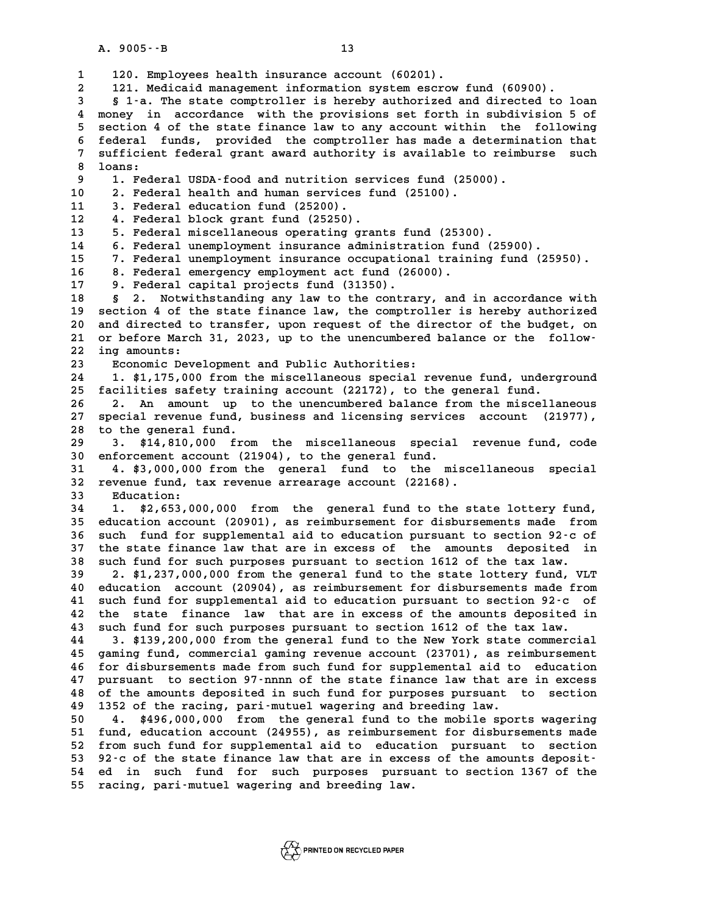A. 9005 - - B 13<br>1 120. Employees health insurance account (60201).<br>2 121. Medicaid management information system escr **2 121. Medicaid management information system escrow fund (60900). 3 § 1-a. The state comptroller is hereby authorized and directed to loan 4 money in accordance with the provisions set forth in subdivision 5 of 5 section 4 of the state finance law to any account within the following** 4 money in accordance with the provisions set forth in subdivision 5 of<br>5 section 4 of the state finance law to any account within the following<br>6 federal funds, provided the comptroller has made a determination that<br>7 suf 5 section 4 of the state finance law to any account within the following<br>6 federal funds, provided the comptroller has made a determination that<br>7 sufficient federal grant award authority is available to reimburse such<br><sup>8</sup> **8** federal<br>**8** loans:<br>**8** loans: 9 1. Federal grant award authority is available to reimburse such<br>
9 1. Federal USDA-food and nutrition services fund (25000).<br>
9 2. Federal health and human services fund (25100). 10 10 2. Federal USDA-food and nutrition services fund (250<br>
10 2. Federal health and human services fund (25100).<br>
<sup>11</sup> <sup>3</sup> Federal education fund (25200) 9 1. Federal USDA-food and nutrition se<br>10 2. Federal health and human services<br>11 3. Federal education fund (25200).<br><sup>12</sup> 4. Federal block grant fund (25250). 2. Federal health and human services fund (25100).<br>
11 3. Federal education fund (25200).<br>
12 4. Federal block grant fund (25250).<br>
13 5. Federal miscellaneous operating grants fund (25 **13 5. Federal miscellaneous operating grants fund (25300). 14 6. Federal unemployment insurance administration fund (25900). 15 7. Federal unemployment insurance occupational training fund (25950). 14 6. Federal unemployment insurance administration fund 15 7. Federal unemployment insurance occupational train 8. Federal emergency employment act fund (26000).**<br>**17 8. Federal emergency employment act fund (26000).** 16 8. Federal emergency employment act fund (26000).<br>17 9. Federal capital projects fund (31350).<br>18 8 2. Notwithstanding any law to the contrary, a **18 § 2. Notwithstanding any law to the contrary, and in accordance with 19 section 4 of the state finance law, the comptroller is hereby authorized 20 and directed to transfer, upon request of the director of the budget, on**<br>**20** and directed to transfer, upon request of the director of the budget, on<br>**21** or before March 31, 2023, up to the upon uphered balance or t 19 section 4 of the state finance law, the comptroller is hereby authorized<br>20 and directed to transfer, upon request of the director of the budget, on<br>21 or before March 31, 2023, up to the unencumbered balance or the fol 20 and directed to<br>21 or before March<br>22 ing amounts:<br><sup>23</sup> Fooremic Dave 21 or before March 31, 2023, up to the unencumbered balance or the follow-<br>22 ing amounts:<br>**Economic Development and Public Authorities:**<br>24 1. \$1,175,000 from the miscellaneous special revenue fund, underground **24 1. \$1,175,000 from the miscellaneous special revenue fund, underground 25 facilities safety training account (22172), to the general fund. 26 2. An amount up to the unencumbered balance from the miscellaneous** 25 facilities safety training account (22172), to the general fund.<br>26 2. An amount up to the unencumbered balance from the miscellaneous<br>27 special revenue fund, business and licensing services account (21977), 26 2. An amount up t.<br>27 special revenue fund, b.<br>28 to the general fund. **27 special revenue fund, business and licensing services account (21977),<br>28 to the general fund.<br>29 3. \$14,810,000 from the miscellaneous special revenue fund, code<br>20 opforsement 2000unt (21904), to the seperal fund** 28 to the general fund.<br>
29 3. \$14,810,000 from the miscellaneous special<br>
30 enforcement account (21904), to the general fund.<br>
31 4 \$3,000,000 from the general fund to the mi **3.** \$14,810,000 from the miscellaneous special revenue fund, code<br>30 enforcement account (21904), to the general fund.<br>31 4. \$3,000,000 from the general fund to the miscellaneous special<br>22 revenue fund thy revenue arrear **30** enforcement account (21904), to the general fund.<br> **31** 4. \$3,000,000 from the general fund to the miscellaneous special<br> **32** revenue fund, tax revenue arrearage account (22168).<br> **Education:** 32 revenue fund, tax revenue arrearage account (22168).<br>33 Education:<br>34 1. \$2,653,000,000 from the general fund to the **34 1. \$2,653,000,000 from the general fund to the state lottery fund, Education:**<br> **33** Education:<br> **34** 1. \$2,653,000,000 from the general fund to the state lottery fund,<br> **35** education account (20901), as reimbursement for disbursements made from **1. \$2,653,000,000 from the general fund to the state lottery fund,<br>35 education account (20901), as reimbursement for disbursements made from<br>36 such fund for supplemental aid to education pursuant to section 92-c of<br>27 t 35 education account (20901), as reimbursement for disbursements made from**<br>36 such fund for supplemental aid to education pursuant to section 92 - c of<br>37 the state finance law that are in excess of the amounts deposited 36 such fund for supplemental aid to education pursuant to section 92 - c o<br>37 the state finance law that are in excess of the amounts deposited is<br>38 such fund for such purposes pursuant to section 1612 of the tax law.<br>29 37 the state finance law that are in excess of the amounts deposited in<br>38 such fund for such purposes pursuant to section 1612 of the tax law.<br>39 2. \$1,237,000,000 from the general fund to the state lottery fund, VLT<br>40 e **40 such fund for such purposes pursuant to section 1612 of the tax law.**<br> **40 education account (20904), as reimbursement for disbursements made from**<br> **40 education account (20904), as reimbursement for disbursements mad** 2. \$1,237,000,000 from the general fund to the state lottery fund, VLT<br>40 education account (20904), as reimbursement for disbursements made from<br>41 such fund for supplemental aid to education pursuant to section 92-c of<br>4 **40 education account (20904), as reimbursement for disbursements made from**<br>**41 such fund for supplemental aid to education pursuant to section 92 c of**<br>**42 the state finance law that are in excess of the amounts deposite** 41 such fund for supplemental aid to education pursuant to section 92.c of<br>42 the state finance law that are in excess of the amounts deposited in<br>43 such fund for such purposes pursuant to section 1612 of the tax law.<br>44 42 the state finance law that are in excess of the amounts deposited in<br>43 such fund for such purposes pursuant to section 1612 of the tax law.<br>44 3. \$139,200,000 from the general fund to the New York state commercial<br>45 s 43 such fund for such purposes pursuant to section 1612 of the tax law.<br>44 3. \$139,200,000 from the general fund to the New York state commercial<br>45 gaming fund, commercial gaming revenue account (23701), as reimbursement<br> **44 3. \$139,200,000 from the general fund to the New York state commercial**<br>**45 gaming fund, commercial gaming revenue account (23701), as reimbursement**<br>**46 for disbursements made from such fund for supplemental aid to ed** 45 gaming fund, commercial gaming revenue account (23701), as reimbursement<br>46 for disbursements made from such fund for supplemental aid to education<br>47 pursuant to section 97-nnnn of the state finance law that are in exc **46 for disbursements made from such fund for supplemental aid to education**<br>47 pursuant to section 97-nnnn of the state finance law that are in excess<br>48 of the amounts deposited in such fund for purposes pursuant to sect 47 pursuant to section 97-nnnn of the state finance law that ar<br>48 of the amounts deposited in such fund for purposes pursuant<br>49 1352 of the racing, pari-mutuel wagering and breeding law.<br>50 1 1 196 000 000 from the gener 48 of the amounts deposited in such fund for purposes pursuant to section<br>49 1352 of the racing, pari-mutuel wagering and breeding law.<br>50 4. \$496,000,000 from the general fund to the mobile sports wagering<br>51 fund, educat 1352 of the racing, pari-mutuel wagering and breeding law.<br>50 14. \$496,000,000 from the general fund to the mobile sports wagering<br>51 fund, education account (24955), as reimbursement for disbursements made<br>52 from such fu **4. \$496,000,000 from the general fund to the mobile sports wagering<br>
51 fund, education account (24955), as reimbursement for disbursements made<br>
52 from such fund for supplemental aid to education pursuant to section<br>
53** 51 fund, education account (24955), as reimbursement for disbursements made<br>
52 from such fund for supplemental aid to education pursuant to section<br>
53 92-c of the state finance law that are in excess of the amounts depos 52 from such fund for supplemental aid to education pursuant to section<br>53 92<sup>-</sup>c of the state finance law that are in excess of the amounts deposit-<br>54 ed in such fund for such purposes pursuant to section 1367 of the<br>55 53 92<sup>-</sup>c of the state finance law that are in exce<br>54 ed in such fund for such purposes pursu<br>55 racing, pari-mutuel wagering and breeding law.

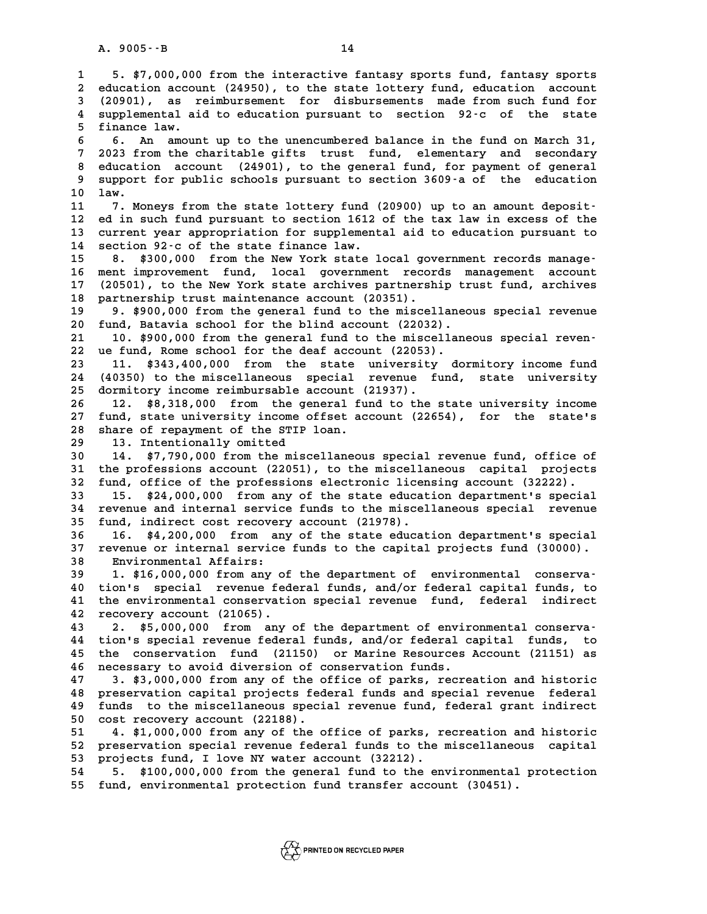**1 5. \$7,000,000 from the interactive fantasy sports fund, fantasy sports 2** 1 5. \$7,000,000 from the interactive fantasy sports fund, fantasy sports<br>2 education account (24950), to the state lottery fund, education account<br>3 (20901), as reimbursement, for disbursements made from such fund for **5. \$7,000,000 from the interactive fantasy sports fund, fantasy sports**<br> **2 education account (24950), to the state lottery fund, education account**<br> **3 (20901), as reimbursement for disbursements made from such fund for** 2 education account (24950), to the state lottery fund, education account<br>3 (20901), as reimbursement for disbursements made from such fund for<br>4 supplemental aid to education pursuant to section 92-c of the state<br>5 financ **5** (20901), as r<br>4 supplemental ai<br>5 finance law. **6 6. An amount up to the unencumbered balance in the fund on March 31,<br>
<b>6.** An amount up to the unencumbered balance in the fund on March 31,<br> **6.** An amount up to the unencumbered balance in the fund on March 31, <sup>1</sup><br> **6** 6. An amount up to the unencumbered balance in the fund on March 31,<br> **7** 2023 from the charitable gifts trust fund, elementary and secondary<br>
<sup>2</sup> education asseunt (24991) to the seneral fund for narrount of sene **8 6. An amount up to the unencumbered balance in the fund on March 31,<br>
<b>8 2023 from the charitable gifts trust fund, elementary and secondary**<br> **8 education account (24901), to the general fund, for payment of general**<br> **9 3023 from the charitable gifts trust fund, elementary and secondary<br>
8 education account (24901), to the general fund, for payment of general<br>
9 support for public schools pursuant to section 3609 a of the education<br>
1** 8 educati<br>9 support<br>10 law.<br><sup>11</sup> <sup>7 Mo</sup> 9 support for public schools pursuant to section 3609 a of the education<br>
10 law.<br>
11 7. Moneys from the state lottery fund (20900) up to an amount deposit-<br>
<sup>12</sup> ed in such fund pursuant to section 1612 of the tax law in **10 law.**<br>**11 7. Moneys from the state lottery fund (20900) up to an amount deposit-<br>12 ed in such fund pursuant to section 1612 of the tax law in excess of the<br>13 current wear appropriation for supplemental aid to educati** 11 7. Moneys from the state lottery fund (20900) up to an amount deposit-<br>12 ed in such fund pursuant to section 1612 of the tax law in excess of the<br>13 current year appropriation for supplemental aid to education pursuant 12 ed in such fund pursuant to section 1612<br>13 current year appropriation for supplement<br>14 section 92-c of the state finance law.<br>15 9 \$300,000 from the Nov York state 1 13 current year appropriation for supplemental aid to education pursuant to<br>14 section 92 c of the state finance law.<br>15 8. \$300,000 from the New York state local government records manage-<br>16 ment improvement fund. local 14 section 92-c of the state finance law.<br>15 8. \$300,000 from the New York state local government records manage-<br>16 ment improvement fund, local government records management account<br>17 (20501) to the New York state arghi 15 8. \$300,000 from the New York state local government records manage<sup>-</sup><br>16 ment improvement fund, local government records management account<br>17 (20501), to the New York state archives partnership trust fund, archives 16 ment improvement fund, local government recor<br>17 (20501), to the New York state archives partnersh<br>18 partnership trust maintenance account (20351).<br>19 0 \$900,000 from the senaral fund to the missel 17 (20501), to the New York state archives partnership trust fund, archives<br>18 partnership trust maintenance account (20351).<br>19 9. \$900,000 from the general fund to the miscellaneous special revenue<br>20 fund, Batavia schoo **20 fundaming 12 and 12 and 12 and 12 and 13 and 13 and 13 and 13 and 13 and 13 and 13 and 13 and 13 and 13 and 13 and 13 and 13 and 13 and 13 and 13 and 13 and 13 and 13 and 13 and 13 and 13 and 13 and 13 and 15 and 15 an 21 10. \$900,000 from the general fund to the miscellaneous special revenue**<br> **20 fund, Batavia school for the blind account (22032).**<br> **21 10. \$900,000 from the general fund to the miscellaneous special reven-**<br> **22 10. f 22 ue fund, Rome school for the deaf account (22053). 23 11. \$343,400,000 from the state university dormitory income fund** 22 ue fund, Rome school for the deaf account (22053).<br>23 11. \$343,400,000 from the state university dormitory income fund<br>24 (40350) to the miscellaneous special revenue fund, state university 23 11. \$343,400,000 from the state university<br>24 (40350) to the miscellaneous special revenue f<br>25 dormitory income reimbursable account (21937). 24 (40350) to the miscellaneous special revenue fund, state university<br>25 dormitory income reimbursable account (21937).<br>26 12. \$8,318,000 from the general fund to the state university income<br>27 fund state university incom **25 dormitory income reimbursable account (21937).**<br>26 12. \$8,318,000 from the general fund to the state university income<br>27 fund, state university income offset account (22654), for the state's<br>28 share of repartment of **26 12. \$8,318,000 from the general fum 27 fund, state university income offset ac share of repayment of the STIP loan.**<br>28 share of repayment of the STIP loan. 12. \$8,318,000 from the general fund to the state university income<br>
27 fund, state university income offset account (22654), for the state's<br>
28 share of repayment of the STIP loan.<br>
29 13. Intentionally omitted<br>
30 14. \$ **30 14. \$7,790,000 from the miscellaneous special revenue fund, office of** 13. Intentionally omitted<br>30 14. \$7,790,000 from the miscellaneous special revenue fund, office of<br>31 the professions account (22051), to the miscellaneous capital projects<br><sup>32</sup> fund office of the professions electronic li 14. \$7,790,000 from the miscellaneous special revenue fund, office of<br>31 the professions account (22051), to the miscellaneous capital projects<br>32 fund, office of the professions electronic licensing account (32222).<br>33 15 **31 the professions account (22051), to the miscellaneous capital projects**<br>**32 fund, office of the professions electronic licensing account (32222).**<br>**33 15. \$24,000,000 from any of the state education department's specia 32 fund, office of the professions electronic licensing account (32222).**<br>**33 15. \$24,000,000 from any of the state education department's special revenue**<br>**34 revenue and internal service funds to the miscellaneous speci 35 fund, indirect cost recovery account (21978). 34 revenue and internal service funds to the miscellaneous special revenue**<br>**35 fund, indirect cost recovery account (21978).**<br>**36 16. \$4,200,000 from any of the state education department's special**<br>**27 revenue or intern 55 fund, indirect cost recovery account (21978).**<br>36 16. \$4,200,000 from any of the state education department's special<br>37 revenue or internal service funds to the capital projects fund (30000).<br>28 Fruirenmental Affairs. **36 16. \$4,200,000 from an**<br>**37 revenue or internal service**<br>**38 Environmental Affairs:**<br>**39 1 \$16,000,000 from any 0** 37 revenue or internal service funds to the capital projects fund (30000).<br>
38 Environmental Affairs:<br>
39 1. \$16,000,000 from any of the department of environmental conserva-<br>
40 tion's special revenue federal funds, and/o **40 tion's special revenue federal funds, and/or federal capital funds, to 41 the environmental conservation special revenue fund, federal indirect 42 recovery account (21065). 43 2. \$5,000,000 from any of the department of environmental conserva-42 recovery account (21065).**<br>**43 2. \$5,000,000 from any of the department of environmental conserva-<br>44 tion's special revenue federal funds, and/or federal capital funds, to<br>45 the conservation fund (21150) or Marine Be 43 2. \$5,000,000 from any of the department of environmental conserva-**<br>**44 tion's special revenue federal funds, and/or federal capital funds, to**<br>**45 the conservation fund (21150) or Marine Resources Account (21151) as** 44 tion's special revenue federal funds, and/or federal c<br>45 the conservation fund (21150) or Marine Resources<br>46 necessary to avoid diversion of conservation funds.<br>47 3 \$3,000,000 from any of the office of parks, respe the conservation fund (21150) or Marine Resources Account (21151) as<br>46 necessary to avoid diversion of conservation funds.<br>47 3. \$3,000,000 from any of the office of parks, recreation and historic<br>48 preservation capital **46 necessary to avoid diversion of conservation funds.**<br>47 3. \$3,000,000 from any of the office of parks, recreation and historic<br>48 preservation capital projects federal funds and special revenue federal<br>19 funds to the **47 3. \$3,000,000 from any of the office of parks, recreation and historic<br>48 preservation capital projects federal funds and special revenue federal<br>49 funds to the miscellaneous special revenue fund, federal grant indire** 90 preservation capital projects federal funds and special revenue federal<br>
49 funds to the miscellaneous special revenue fund, federal grant indirect<br>
50 cost recovery account (22188).<br>
51 4. \$1,000,000 from any of the of **50** funds to the miscellaneous special revenue fund, federal grant indirect<br>50 cost recovery account (22188).<br>51 4. \$1,000,000 from any of the office of parks, recreation and historic<br>52 preservation special revenue feder **50 cost recovery account (22188).**<br>51 4. \$1,000,000 from any of the office of parks, recreation and historic<br>52 preservation special revenue federal funds to the miscellaneous capital<br>53 projects fund I love NY water acco 51 4. \$1,000,000 from any of the office of parks, r<br>52 preservation special revenue federal funds to the 1<br>53 projects fund, I love NY water account (32212). 52 preservation special revenue federal funds to the miscellaneous capital<br>53 projects fund, I love NY water account (32212).<br>54 5. \$100,000,000 from the general fund to the environmental protection<br>55 fund, environmental

**55 fund, environmental protection fund transfer account (30451).**

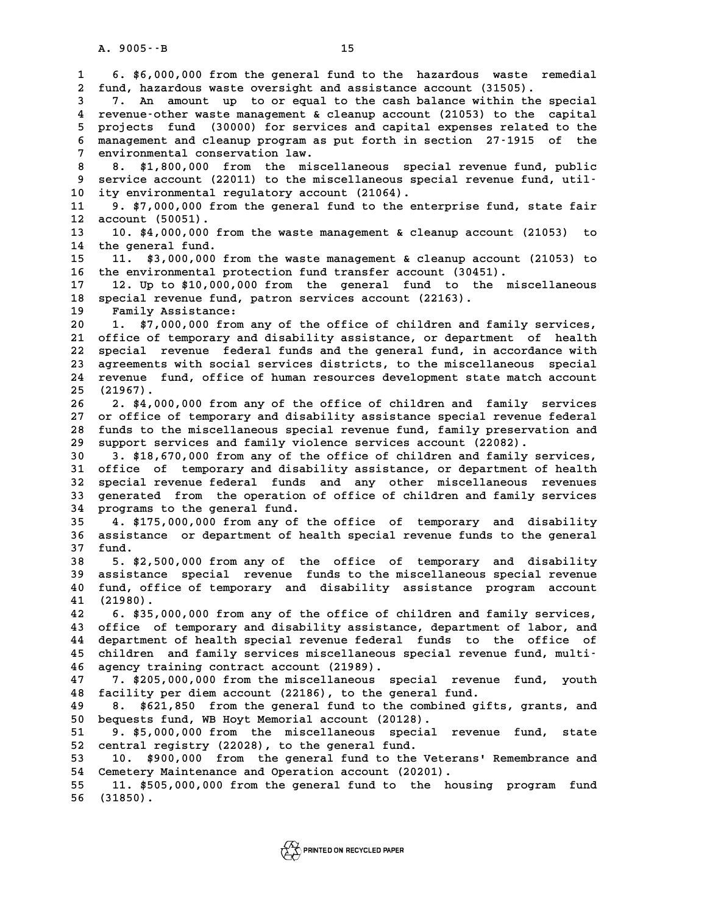**1 6. \$6,000,000 from the general fund to the hazardous waste remedial 2 fund, hazardous waste oversight and assistance account (31505). 6. \$6,000,000 from the general fund to the hazardous waste remedial**<br>**2 fund, hazardous waste oversight and assistance account (31505).**<br>**7.** An amount up to or equal to the cash balance within the special<br>**4** revenue-oth **4 revenue-other waste management & cleanup account (21053) to the capital** 7. An amount up to or equal to the cash balance within the special<br>4 revenue-other waste management & cleanup account (21053) to the capital<br>5 projects fund (30000) for services and capital expenses related to the<br>5 manage **6 4** revenue-other waste management & cleanup account (21053) to the capital<br>5 projects fund (30000) for services and capital expenses related to the<br>6 management and cleanup program as put forth in section 27-1915 of the 5 projects fund (30000) for servic<br>6 management and cleanup program as 3<br>7 environmental conservation law.<br>8 minutes and 200,000 from the minute 8 **8.** \$1,800,000 from the miscellaneous special revenue fund, public<br>8 **8.** \$1,800,000 from the miscellaneous special revenue fund, public<br>9 service account (22011) to the miscellaneous special revenue fund, util-**9 environmental conservation law.**<br> **9 8. \$1,800,000 from the miscellaneous special revenue fund, public<br>
<b>9 service account (22011) to the miscellaneous special revenue fund, util-**<br> **0** ity environmental regulatory agou 8 8. \$1,800,000 from the miscellaneous spec<br>9 service account (22011) to the miscellaneous spec<br>10 ity environmental regulatory account (21064).<br>11 9 \$7,000,000 from the general fund to the ent 9 service account (22011) to the miscellaneous special revenue fund, util-<br>10 ity environmental regulatory account (21064).<br>11 9. \$7,000,000 from the general fund to the enterprise fund, state fair<br><sup>12</sup> 2000unt (50051) **10 ity environmental r**<br> **11 9. \$7,000,000 from**<br> **12 account (50051).**<br> **13 10 \$4,000,000 fr. 11** 9. \$7,000,000 from the general fund to the enterprise fund, state fair<br>12 account (50051).<br>13 10. \$4,000,000 from the waste management & cleanup account (21053) to<br>14 the general fund. 13 10. \$4,000,000 from the waste management & cleanup account (21053)<br>14 the general fund.<br>15 11. \$3.000.000 from the waste management & cleanup account (21053) **15 11. \$3,000,000 from the waste management & cleanup account (21053) to 16 the environmental protection fund transfer account (30451). 17 12. Up to \$10,000,000 from the general fund to the miscellaneous 16 the environmental protection fund transfer account (30451<br>17 12. Up to \$10,000,000 from the general fund to the<br>18 special revenue fund, patron services account (22163).**<br>19 Family Assistance: **17 12.** Up to \$10,000,000<br>**18** special revenue fund, p<br>**19** Family Assistance:<br>20 **1** \$7,000,000 from a **20 1. \$7,000,000 from any of the office of children and family services, 21 office of temporary and disability assistance, or department of health 20 1. \$7,000,000 from any of the office of children and family services,<br>21 office of temporary and disability assistance, or department of health**<br>22 special revenue federal funds and the general fund, in accordance with 21 office of temporary and disability assistance, or department of health<br>22 special revenue federal funds and the general fund, in accordance with<br>23 agreements with social services districts, to the miscellaneous special 22 special revenue federal funds and the general fund, in accordance with<br>23 agreements with social services districts, to the miscellaneous special<br>24 revenue fund, office of human resources development state match accoun 23 agreements<br>24 revenue fu:<br>25 (21967). 24 revenue fund, office of human resources development state match account<br>25 (21967).<br>26 2. \$4,000,000 from any of the office of children and family services<br>27 er office of termorary and disphility aggistance special rev 25 (21967).<br>26 2. \$4,000,000 from any of the office of children and family services<br>27 or office of temporary and disability assistance special revenue federal<br>28 funds to the miscellaneous special revenue fund, family pre 26 2. \$4,000,000 from any of the office of children and family services<br>27 or office of temporary and disability assistance special revenue federal<br>28 funds to the miscellaneous special revenue fund, family preservation an 27 or office of temporary and disability assistance special revenue<br>28 funds to the miscellaneous special revenue fund, family preservat<br>29 support services and family violence services account (22082). **30 5 2.3 3. \$18,670,000 from any of the office of children and family services and family violence services account (22082).**<br> **30 3. \$18,670,000 from any of the office of children and family services,**<br> **31. office of te 30 support services and family violence services account (22082).**<br> **30 3. \$18,670,000 from any of the office of children and family services,**<br> **31 office of temporary and disability assistance, or department of health**<br> 3. \$18,670,000 from any of the office of children and family services,<br>31 office of temporary and disability assistance, or department of health<br>32 special revenue federal funds and any other miscellaneous revenues<br>33 cene 31 office of temporary and disability assistance, or department of health<br>32 special revenue federal funds and any other miscellaneous revenues<br>33 generated from the operation of office of children and family services<br><sup>34</sup> 32 special revenue federal funds and any other miscellaneous revenues<br>33 generated from the operation of office of children and family services<br>34 programs to the general fund.<br>35 4. \$175,000,000 from any of the office of 33 generated from the operation of office of children and family services<br>34 programs to the general fund.<br>35 4. \$175,000,000 from any of the office of temporary and disability<br>36 assistance or department of health special **36 assistance or department of health special revenue funds to the general** 35 **4. \$17**<br>36 assistan<br>37 fund. **36 assistance or department of health special revenue funds to the general**<br>**37 fund.**<br>**5. \$2,500,000 from any of the office of temporary and disability**<br>**29 assistance special revenue funds to the missellaneous special r 59** 5. \$2,500,000 from any of the office of temporary and disability<br> **39** assistance special revenue funds to the miscellaneous special revenue<br> **10** fund office of temporary and disability assistance program asseunt **5. \$2,500,000 from any of the office of temporary and disability**<br>**40 fund, office of temporary and disability assistance program account**<br>41 (21980) **40** assistance<br>**40** fund, offic<br>**41** (21980). **42 6. \$35,000,000 from any of the office of children and family services, 43 office of temporary and disability assistance, department of labor, and 42 6. \$35,000,000 from any of the office of children and family services,<br>43 office of temporary and disability assistance, department of labor, and<br>44 department of health special revenue federal funds to the office of<br>6** 43 office of temporary and disability assistance, department of labor, and<br>44 department of health special revenue federal funds to the office of<br>45 children and family services miscellaneous special revenue fund, multi-<br>4 44 department of health special revenue federal<br>45 children and family services miscellaneous<br>46 agency training contract account (21989).<br>47 3 \$205,000,000 from the miscellaneous sp children and family services miscellaneous special revenue fund, multi-<br>46 agency training contract account (21989).<br>47 7. \$205,000,000 from the miscellaneous special revenue fund, youth<br>48 facility per diem account (22186 46 agency training contract account (21989).<br>47 7. \$205,000,000 from the miscellaneous special revenue<br>48 facility per diem account (22186), to the general fund.<br>49 9. \$621,950, from the general fund to the combined gift **47 7. \$205,000,000 from the miscellaneous special revenue fund, youth**<br>48 facility per diem account (22186), to the general fund.<br>49 8. \$621,850 from the general fund to the combined gifts, grants, and<br>50 horiests fund WP facility per diem account (22186), to the general fund.<br> **50** 8. \$621,850 from the general fund to the combined gifts, grant<br> **50** bequests fund, WB Hoyt Memorial account (20128).<br> **51** 9. \$5,000,000 from the miscellaneous 8. \$621,850 from the general fund to the combined gifts, grants, and<br>50 bequests fund, WB Hoyt Memorial account (20128).<br>51 9. \$5,000,000 from the miscellaneous special revenue fund, state<br>52 central registry (22028), to t 50 bequests fund, WB Hoyt Memorial account (20128).<br>51 9. \$5,000,000 from the miscellaneous specia<br>52 central registry (22028), to the general fund.<br>53 10. \$900,000 from the general fund to the V 51 9. \$5,000,000 from the miscellaneous special revenue fund, state<br>52 central registry (22028), to the general fund.<br>53 10. \$900,000 from the general fund to the Veterans' Remembrance and<br>54 Cemetery Maintenance and Opera 52 central registry (22028), to the general fund.<br>53 10. \$900,000 from the general fund to the Veteran<br>54 Cemetery Maintenance and Operation account (20201).<br>55 11 \$505,000,000 from the general fund to the house 54 Cemetery Maintenance and Operation account (20201).<br>55 11. \$505,000,000 from the general fund to the housing program fund<br>56 (31850). **56 (31850).**

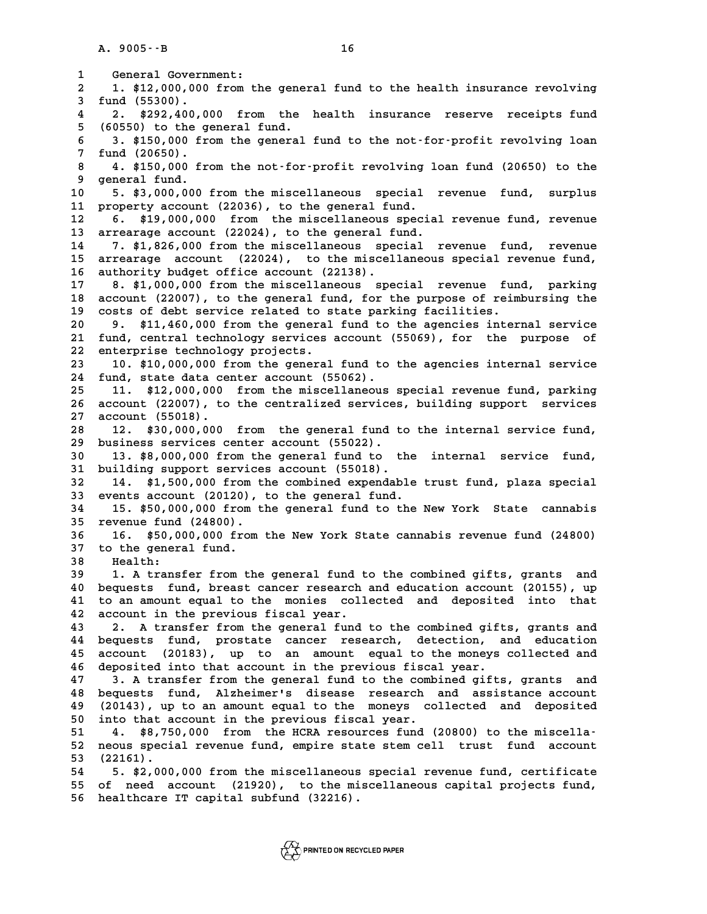**1** General Government:<br> **2 1.** \$12,000,000 from 1 General Government:<br>2 1. \$12,000,000 from the general fund to the health insurance revolving<br>3 fund (55300) **3 diverse 1 diverse 1. \$12,000,000<br>
<b>3 fund** (55300).<br> **3 diverse 1292,400,000** 1. \$12,000,000 from the general fund to the health insurance revolving<br>3 fund (55300).<br>4 2. \$292,400,000 from the health insurance reserve receipts fund<br>5 (60550) to the conoral fund **5** fund (55300).<br> **4** 2. \$292,400,000 from the 15 (60550) to the general fund.<br> **5** 3. \$150,000 from the general **6 3. \$292,400,000 from the health insurance reserve receipts fund<br>
<b>6 3. \$150,000 from the general fund to the not-for-profit revolving loan**<br> **6 3. \$150,000 from the general fund to the not-for-profit revolving loan** 5 (60550) to the general fund.<br>6 3. \$150,000 from the gener<br>7 fund (20650).<br>8 4. \$150,000 from the not-f **8 4. \$150,000 from the general fund to the not-for-profit revolving loan**<br>**8 4. \$150,000 from the not-for-profit revolving loan fund (20650) to the**<br>**9 general fund.** 8 4. \$150,000 from the not-for-profit revolving loan fund (20650) to the<br>9 general fund.<br>10 5. \$3,000,000 from the miscellaneous special revenue fund, surplus **10 5. \$150,000 from the not-for-profit revolving loan fund (20650) to the<br>
10 5. \$3,000,000 from the miscellaneous special revenue fund, surplus<br>
11 property account (22036) to the ceneral fund** q general fund.<br>
10 5. \$3,000,000 from the miscellaneous special<br>
11 property account (22036), to the general fund.<br>
12 6 \$19,000,000 from the miscellaneous special **10** 5. \$3,000,000 from the miscellaneous special revenue fund, surplus<br>11 property account (22036), to the general fund.<br>12 6. \$19,000,000 from the miscellaneous special revenue fund, revenue<br>13 arrestage account (22024) 11 property account (22036), to the general fund.<br>12 6. \$19,000,000 from the miscellaneous special revenue fund, revenue<br>13 arrearage account (22024), to the general fund.<br>14 7. \$1,826,000 from the miscellaneous special re **14 7. \$1,826,000 from the miscellaneous special revenue fund, revenue** 13 arrearage account (22024), to the general fund.<br>14 7. \$1,826,000 from the miscellaneous special revenue fund, revenue<br>15 arrearage account (22024), to the miscellaneous special revenue fund, 14 7. \$1,826,000 from the miscellaneous spe<br>15 arrearage account (22024), to the miscel<br>16 authority budget office account (22138).<br>17 9 \$1,000,000 from the miscellaneous spe 15 arrearage account (22024), to the miscellaneous special revenue fund,<br>16 authority budget office account (22138).<br>17 8. \$1,000,000 from the miscellaneous special revenue fund, parking<br>18 account (22007) to the conoral f **16 authority budget office account (22138).**<br>17 8. \$1,000,000 from the miscellaneous special revenue fund, parking<br>18 account (22007), to the general fund, for the purpose of reimbursing the<br>19 sects of debt service relat 17 8. \$1,000,000 from the miscellaneous special revenue fund<br>18 account (22007), to the general fund, for the purpose of reim<br>19 costs of debt service related to state parking facilities.<br>20 0 \$11.460.000 from the general **20 13** account (22007), to the general fund, for the purpose of reimbursing the<br>19 costs of debt service related to state parking facilities.<br>20 9. \$11,460,000 from the general fund to the agencies internal service<br>21 fun **20** costs of debt service related to state parking facilities.<br> **20** 9. \$11,460,000 from the general fund to the agencies internal service<br> **21** fund, central technology services account (55069), for the purpose of<br>
22 op 20 9. \$11,460,000 from the general<br>21 fund, central technology services<br>22 enterprise technology projects.<br>23 10 \$10,000,000 from the general 21 fund, central technology services account (55069), for the purpose of<br>22 enterprise technology projects.<br>23 10. \$10,000,000 from the general fund to the agencies internal service<br><sup>24</sup> fund state data senter agount (5506 22 enterprise technology projects.<br>
23 10. \$10,000,000 from the general fund to the agencies internal service<br>
24 fund, state data center account (55062).<br>
25 11. \$12,000,000 from the miscellaneous special revenue fund, pa **10. \$10,000,000 from the general fund to the agencies internal service**<br>**24 fund, state data center account (55062).**<br>**11. \$12,000,000 from the miscellaneous special revenue fund, parking**<br>**26 account (22007)** to the cent 24 fund, state data center account (55062).<br>25 11. \$12,000,000 from the miscellaneous special revenue fund, parking<br>26 account (22007), to the centralized services, building support services<br>27 account (55019). 26 account (22007), to the centralized services, building support services<br>27 account (55018).<br>28 12. \$30,000,000 from the general fund to the internal service fund, **26 account (22007), to the centralized services, building support services**<br>27 account (55018).<br>28 12. \$30,000,000 from the general fund to the internal service fund,<br>29 business services senter asseurt (55022). **27 account (55018).**<br> **28 12. \$30,000,000 from the general fund to business services center account (55022).**<br> **20 11. \$8,000,000 from the general fund to time** 12. \$30,000,000 from the general fund to the internal service fund,<br>29 business services center account (55022).<br>30 13. \$8,000,000 from the general fund to the internal service fund,<br>31 building support services account (5 **29 business services center account (55022).**<br> **30 13. \$8,000,000 from the general fund to th**<br> **31 building support services account (55018).**<br> **32. 14. \$1,500,000 from the combined evroposabl 13. \$8,000,000 from the general fund to the internal service fund,<br>31 building support services account (55018).<br>14. \$1,500,000 from the combined expendable trust fund, plaza special<br>33 events account (20120), to the gene** 31 building support services account (55018).<br>32 14. \$1,500,000 from the combined expendable<br>33 events account (20120), to the general fund.<br><sup>34</sup> 15 \$50,000,000 from the conoral fund to the **14.** \$1,500,000 from the combined expendable trust fund, plaza special<br>33 events account (20120), to the general fund.<br>15. \$50,000,000 from the general fund to the New York State cannabis<br><sup>35</sup> revenue fund (24800) 14. \$1,500,000 from the combined expendab<br>
33 events account (20120), to the general fund.<br>
34 15. \$50,000,000 from the general fund to t<br>
35 revenue fund (24800).<br>
36 16. \$50,000,000 from the New York State c 15. \$50,000,000 from the general fund to the New York State cannabis<br>35 revenue fund (24800).<br>36 16. \$50,000,000 from the New York State cannabis revenue fund (24800)<br>37 to the general fund. 16. \$50,000,000 from the New York State cannabis revenue fund (24800)<br>37 to the general fund.<br>38 Health: 37 to the general fund.<br>38 Health:<br>39 1. A transfer from **37 to the general fund.<br>38 Health:<br>39 1. A transfer from the general fund to the combined gifts, grants and<br>40 horiests, fund, broast ganger research and education asseurt (20155), up 40 bealth:**<br> **40 bequests fund, breast cancer research and education account (20155), up**<br> **40 bequests fund, breast cancer research and education account (20155), up**<br> **41 to an amount equal to the monier, collegted, and** 1. A transfer from the general fund to the combined gifts, grants and<br>40 bequests fund, breast cancer research and education account (20155), up<br>41 to an amount equal to the monies collected and deposited into that<br>42 acco **40 bequests fund, breast cancer research**<br> **41 to an amount equal to the monies coll**<br> **42 account in the previous fiscal year.**<br> **43 2 0 1 transfer from the ceneral fund** 41 to an amount equal to the monies collected and deposited into that<br>42 account in the previous fiscal year.<br>43 2. A transfer from the general fund to the combined gifts, grants and<br>44 bequests fund, prostate cancer resea **42 account in the previous fiscal year.**<br> **43 2. A transfer from the general fund to the combined gifts, grants and<br>
<b>44 bequests fund, prostate cancer research, detection, and education**<br> **45 account** (20193) up to an am 2. A transfer from the general fund to the combined gifts, grants and<br>44 bequests fund, prostate cancer research, detection, and education<br>45 account (20183), up to an amount equal to the moneys collected and<br>46 depeated i bequests fund, prostate cancer research, detection, and account (20183), up to an amount equal to the moneys deposited into that account in the previous fiscal year. 45 account (20183), up to an amount equal to the moneys collected and<br>46 deposited into that account in the previous fiscal year.<br>47 3. A transfer from the general fund to the combined gifts, grants and **46 deposited into that account in the previous fiscal year.**<br>47 3. A transfer from the general fund to the combined gifts, grants and<br>48 bequests fund, Alzheimer's disease research and assistance account<br>19 (20143) up to <sup>3</sup> 47 <sup>3</sup> A transfer from the general fund to the combined gifts, grants and<br>48 bequests fund, Alzheimer's disease research and assistance account<br>49 (20143), up to an amount equal to the moneys collected and deposited<br>50 **50 into that account** that account and assistance account (20143), up to an amount equal to the moneys collected and deposited into that account in the previous fiscal year.<br> **51** 4. \$8,750,000 from the HCRA resources fun 49 (20143), up to an amount equal to the moneys collected and deposited<br>50 into that account in the previous fiscal year.<br>51 4. \$8,750,000 from the HCRA resources fund (20800) to the miscella-<br><sup>52</sup> noous gracial reveaue fu 50 into that account in the previous fiscal year.<br>51 4. \$8,750,000 from the HCRA resources fund (20800) to the miscella-<br>52 neous special revenue fund, empire state stem cell trust fund account<br>53 (22161) **51 4.** \$8,75<br>**52** neous speci<br>**53** (22161). **52 neous special revenue fund, empire state stem cell trust fund account**<br> **53 (22161).**<br> **54 5. \$2,000,000 from the miscellaneous special revenue fund, certificate**<br> **55 of 2000,000 account** (21920), to the miscellaneous **53 (22161).**<br>54 5. \$2,000,000 from the miscellaneous special revenue fund, certificate<br>55 of need account (21920), to the miscellaneous capital projects fund,<br>56 healthcare IT capital subfund (32216). **56 healthcare IT capital subfund (32216).**

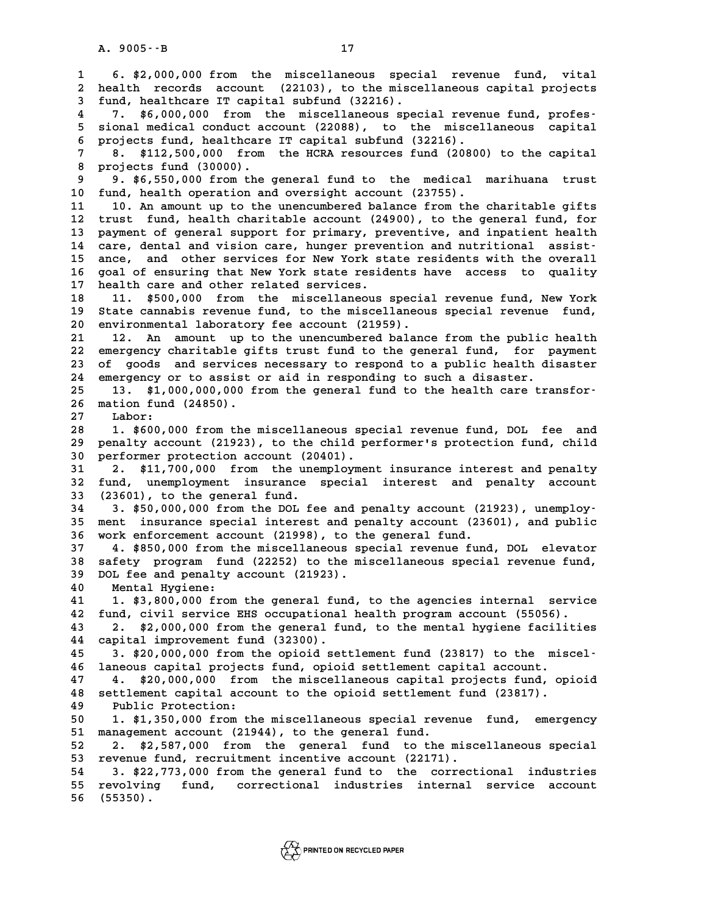**1 6. \$2,000,000 from the miscellaneous special revenue fund, vital 2 health records account (22103), to the miscellaneous capital projects 4 follow 1000 from the miscellaneous speci-**<br> **2 health records account (22103), to the misce**<br> **3 fund, healthcare IT capital subfund (32216).**<br> **1 1 6 000 000** from the miscellaneous gpec 1 **2** health records account (22103), to the miscellaneous capital projects<br>
3 fund, healthcare IT capital subfund (32216).<br>
4 7. \$6,000,000 from the miscellaneous special revenue fund, profes-<br>
5 sional modical conduct ac fund, healthcare IT capital subfund (32216).<br> **5 5** sional medical conduct account (22088), to the miscellaneous capital<br> **5** sional medical conduct account (22088), to the miscellaneous capital<br> **6** projects fund boalth 7. \$6,000,000 from the miscellaneous special reven<br>5 sional medical conduct account (22088), to the miscel<br>6 projects fund, healthcare IT capital subfund (32216).<br><sup>7</sup> 9 \$112,500,000 from the ECBA resources fund (20800) 5 sional medical conduct account (22088), to the miscellaneous capital<br>6 projects fund, healthcare IT capital subfund (32216).<br>7 8. \$112,500,000 from the HCRA resources fund (20800) to the capital<br>8 projects fund (30000). 6 projects fund, healthcare IT capital subfund (32216).<br> **8.** \$112,500,000 from the HCRA resources fund (20800) to the capital<br>
8 projects fund (30000).<br>
9 9. \$6,550,000 from the general fund to the medical marihuana trust 8. \$112,500,000 from the HCRA resources fund (20800) to the capital<br>8 projects fund (30000).<br>9 9. \$6,550,000 from the general fund to the medical marihuana trust<br>10 fund, health operation and oversight account (23755). **10 fund, health operation and oversight account (23755). 11 10. An amount 10. An amount up to the unencumbered balance from the charitable gifts**<br> **11 10. An amount up to the unencumbered balance from the charitable gifts**<br> **11 12 trust** fund boalth sharitable agount (24900) to **10 fund, health operation and oversight account (23755).**<br> **11 10. An amount up to the unencumbered balance from the charitable gifts**<br> **12 trust fund, health charitable account (24900), to the general fund, for**<br> **13 nau** 11 10. An amount up to the unencumbered balance from the charitable gifts<br>12 trust fund, health charitable account (24900), to the general fund, for<br>13 payment of general support for primary, preventive, and inpatient heal 12 trust fund, health charitable account (24900), to the general fund, for<br>13 payment of general support for primary, preventive, and inpatient health<br>14 care, dental and vision care, hunger prevention and nutritional assi 13 payment of general support for primary, preventive, and inpatient health<br>14 care, dental and vision care, hunger prevention and nutritional assist-<br>15 ance, and other services for New York state residents with the overa 14 care, dental and vision care, hunger prevention and nutritional assist-<br>15 ance, and other services for New York state residents with the overall<br>16 goal of ensuring that New York state residents have access to quality<br> 15 ance, and other services for New York st<br>16 goal of ensuring that New York state resid<br>17 health care and other related services.<br>18 11 \$500,000 from the miscallaneous 16 goal of ensuring that New York state residents have access to quality<br>17 health care and other related services.<br>18 11. \$500,000 from the miscellaneous special revenue fund, New York<br>19 State cannabis revenue fund to th 17 health care and other related services.<br>18 11. \$500,000 from the miscellaneous special revenue fund, New York<br>19 State cannabis revenue fund, to the miscellaneous special revenue fund, 18 11. \$500,000 from the miscellaneous specia<br>19 State cannabis revenue fund, to the miscellaneou<br>20 environmental laboratory fee account (21959).<br>21 12 Appenaut up to the unengumbered balance 21 21 12. An amount up to the miscellaneous special revenue fund,<br>
21 12. An amount up to the unencumbered balance from the public health<br>
22 emergency charitable gifts trust fund to the general fund, for payment **20 environmental laboratory fee account (21959).**<br> **21 12. An amount up to the unencumbered balance from the public health**<br> **22 emergency charitable gifts trust fund to the general fund, for payment**<br> **23 of goods** and s 12. An amount up to the unencumbered balance from the public health 22 emergency charitable gifts trust fund to the general fund, for payment 23 of goods and services necessary to respond to a public health disaster<br>24 eme 22 emergency charitable gifts trust fund to the general fund, for p<br>23 of goods and services necessary to respond to a public health di<br>24 emergency or to assist or aid in responding to such a disaster.<br>25 13 \$1,000,000,00 23 of goods and services necessary to respond to a public health disaster<br>
24 emergency or to assist or aid in responding to such a disaster.<br>
25 13. \$1,000,000,000 from the general fund to the health care transfor-<br>
26 ma 24 emergency or to assist or aid in responding to such a disaster.<br>25 13. \$1,000,000,000 from the general fund to the health care<br>26 mation fund (24850).<br>27 Labor: 26 mation fund (24850).<br>27 Labor:<br>28 1. \$600,000 from t **28 1. \$600,000 from the miscellaneous special revenue fund, DOL fee and 19 per manuform 120 per manuform in the miscellaneous special revenue fund, DOL fee and<br>29 penalty account (21923), to the child performer's protection fund, child<br>20 performer protection account (20401)** 1. \$600,000 from the miscellaneous spe<br> **30** performer protection account (20401).<br> **30** performer protection account (20401). **29 penalty account (21923), to the child performer's protection fund, child**<br>30 performer protection account (20401).<br>31 2. \$11,700,000 from the unemployment insurance interest and penalty<br><sup>32</sup> fund, unemployment insuranc **30** performer protection account (20401).<br> **31** 2. \$11,700,000 from the unemployment insurance interest and penalty<br> **32** fund, unemployment insurance special interest and penalty account<br> **33** (23601) to the general fund **31 2.** \$11,700,000 from the une:<br>**32** fund, unemployment insurance<br>**33** (23601), to the general fund.<br>**34 3** \$50,000,000 from the POI fo 32 fund, unemployment insurance special interest and penalty account<br>33 (23601), to the general fund.<br>34 3. \$50,000,000 from the DOL fee and penalty account (21923), unemploy-**33 (23601), to the general fund.**<br> **34 3. \$50,000,000 from the DOL fee and penalty account (21923), unemploy-**<br> **35 ment insurance special interest and penalty account (23601), and public**<br> **26 work of forement aggests** ( 34 3. \$50,000,000 from the DOL fee and penalty account (21<br>35 ment insurance special interest and penalty account (236<br>36 work enforcement account (21998), to the general fund.<br><sup>27</sup> 4 \$950,000 from the miscallaneous aposia **35 ment insurance special interest and penalty account (23601), and public<br>36 work enforcement account (21998), to the general fund.<br>37 4. \$850,000 from the miscellaneous special revenue fund, DOL elevator<br>38 5050ty progr 36 work enforcement account (21998), to the general fund.**<br>37 4. \$850,000 from the miscellaneous special revenue fund, DOL elevator<br>38 safety program fund (22252) to the miscellaneous special revenue fund,<br>29 DOI foc and **4. \$850,000 from the miscellaneous sp**<br> **38 safety program fund (22252) to the mi**<br> **39 DOL fee and penalty account (21923).**<br> **10** Montal Hygiono. **40 Manufal American Solution Solution**<br> **40** Mental Hygiene:<br> **40 Mental Hygiene:**<br> **41 1 \$3,900,000 from 40 DOL fee and penalty account (21923).**<br> **40 Mental Hygiene:**<br> **41 1. \$3,800,000 from the general fund, to the agencies internal service**<br> **42 fund, civil service EHS occupational health program account (55056). 40 Mental Hygiene:**<br>41 1. \$3,800,000 from the general fund, to the agencies internal servic<br>42 fund, civil service EHS occupational health program account (55056).<br>43 2. \$2,000,000 from the general fund, to the mental hyg **41 1. \$3,800,000 from the general fund, to the agencies internal service**<br>**42 fund, civil service EHS occupational health program account (55056).**<br>**43 2. \$2,000,000 from the general fund, to the mental hygiene facilities** 42 fund, civil service EHS occupational<br>43 2. \$2,000,000 from the general fund<br>44 capital improvement fund (32300). **43 2. \$2,000,000 from the general fund, to the mental hygiene facilities**<br>**44 capital improvement fund (32300).**<br>**45 3. \$20,000,000 from the opioid settlement fund (23817) to the miscel-**<br>**46 language senitel projects fun** 44 capital improvement fund (32300).<br>45 3. \$20,000,000 from the opioid settlement fund (23817) to the miscel-<br>46 laneous capital projects fund, opioid settlement capital account.<br>47 4. \$20,000,000 from the miscellaneous ca **45 3. \$20,000,000 from the opioid settlement fund (23817) to the miscel-**<br>**46 laneous capital projects fund, opioid settlement capital account.**<br>**47 4. \$20,000,000 from the miscellaneous capital projects fund, opioid**<br>**48 46 laneous capital projects fund, opioid settlement capital account.**<br>47 4. \$20,000,000 from the miscellaneous capital projects fund, op<br>48 settlement capital account to the opioid settlement fund (23817).<br><sup>49</sup> 48 settlement capital account to the opioid settlement fund (23817).<br>49 Public Protection:<br>50 1. \$1,350,000 from the miscellaneous special revenue fund, em **50 1. \$1,350,000 from the miscellaneous special revenue fund, emergency**<br> **50 1. \$1,350,000 from the miscellaneous special revenue fund, emergency**<br> **51 management aggount (21944)** to the general fund **50** Public Protection:<br>
50 1. \$1,350,000 from the miscellaneous special reversed account (21944), to the general fund.<br>
52. 2. \$2,587,000 from the general fund to the. **1. \$1,350,000 from the miscellaneous special revenue fund, emergency**<br> **51 management account (21944), to the general fund.**<br> **52 2. \$2,587,000 from the general fund to the miscellaneous special**<br> **53 revenue fund, recrui** 51 management account (21944), to the general fund.<br>52 2. \$2,587,000 from the general fund to the misc<br>53 revenue fund, recruitment incentive account (22171). **52 2. \$2,587,000 from the general fund to the miscellaneous special**<br> **53 revenue fund, recruitment incentive account (22171).**<br> **54 3. \$22,773,000 from the general fund to the correctional industries**<br> **55 revolving fund 55 revolving fund, correctional industries internal service account 56 (55350).**

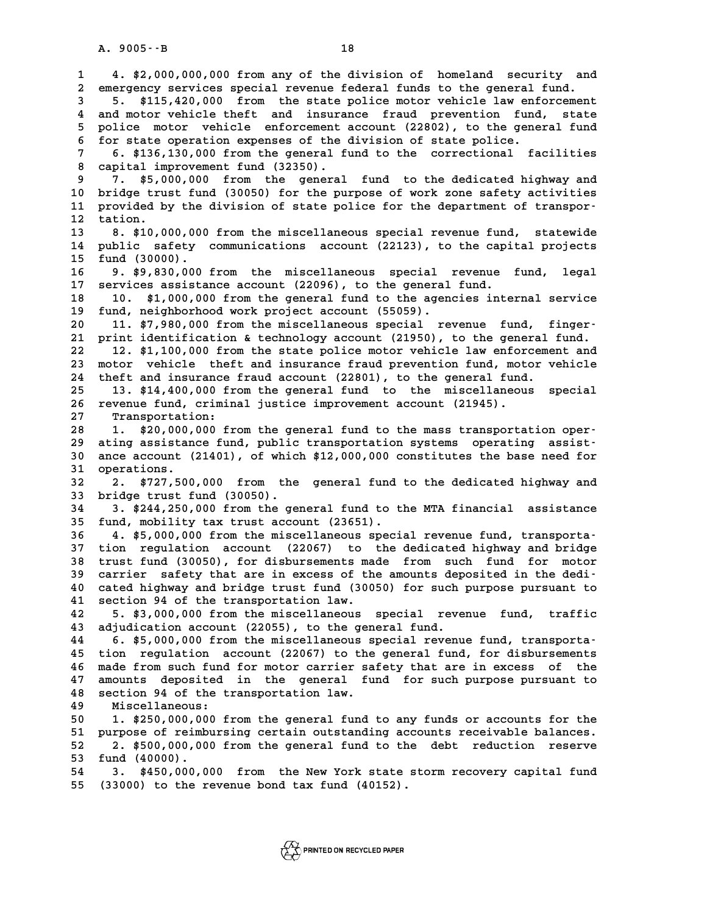**1 4. \$2,000,000,000 from any of the division of homeland security and 2** 4. \$2,000,000,000 from any of the division of homeland security and<br>2 emergency services special revenue federal funds to the general fund. **4. \$2,000,000,000 from any of the division of homeland security and<br>
2 emergency services special revenue federal funds to the general fund.**<br> **5.** \$115,420,000 from the state police motor vehicle law enforcement<br>
<sup>1</sup> and are and motor vehicle special revenue federal funds to the general fund.<br>
4 5. \$115,420,000 from the state police motor vehicle law enforcement<br>
4 and motor vehicle theft and insurance fraud prevention fund, state<br>
5 polic 5. \$115,420,000 from the state police motor vehicle law enforcement<br>4 and motor vehicle theft and insurance fraud prevention fund, state<br>5 police motor vehicle enforcement account (22802), to the general fund<br>5 for state o 4 and motor vehicle theft and insurance fraud prevention fund<br>5 police motor vehicle enforcement account (22802), to the gene<br>6 for state operation expenses of the division of state police.<br><sup>7</sup> 6 \$126,120,000 from the sene 5 police motor vehicle enforcement account (22802), to the general fund<br>6 for state operation expenses of the division of state police.<br>7 6. \$136,130,000 from the general fund to the correctional facilities<br>8 capital impro **8 for state operation expenses of the division of state police.**<br> **8 capital improvement fund (32350).**<br> **8 capital improvement fund (32350).**<br> **8 7. \$5,000,000 from the general fund to the dedicated highway and 6. \$136,130,000 from the general fund to the correctional facilities**<br>**8 capital improvement fund (32350).**<br>**9 7. \$5,000,000 from the general fund to the dedicated highway and**<br>**10 bridge trust fund (30050) for the purpos** 8 capital improvement fund (32350).<br>
9 7. \$5,000,000 from the general fund to the dedicated highway and<br>
10 bridge trust fund (30050) for the purpose of work zone safety activities<br>
11 provided by the division of state pol <sup>9</sup> 7. \$5,000,000 from the general fund to the dedicated highway and<br>
<sup>10</sup> bridge trust fund (30050) for the purpose of work zone safety activities<br>
<sup>11</sup> tation<br>
<sup>12</sup> tation 10 bridge tru<br>11 provided b<br>12 tation.<br><sup>13</sup> <sup>8</sup> \$10 0 11 provided by the division of state police for the department of transpor-<br>12 tation.<br>**8. \$10,000,000** from the miscellaneous special revenue fund, statewide<br>14 public safety communications account (22123), to the capital 12 tation.<br>13 8. \$10,000,000 from the miscellaneous special revenue fund, statewide<br>14 public safety communications account (22123), to the capital projects<br>15 fund (30000) **13 8.** \$10,000,000<br> **14** public safety<br> **15** fund (30000).<br> **16 0.** \$0.930,000 14 public safety communications account (22123), to the capital projects<br>15 fund (30000).<br>16 9. \$9,830,000 from the miscellaneous special revenue fund, legal<br>17 services assistance asseunt (22086), to the seneral fund 15 fund (30000).<br>16 9. \$9,830,000 from the miscellaneous special revenue fund,<br>17 services assistance account (22096), to the general fund.<br>18 10. \$1,000,000 from the general fund to the agencies internal s **16 9. \$9,830,000 from the miscellaneous special revenue fund, legal**<br>17 services assistance account (22096), to the general fund.<br>18 10. \$1,000,000 from the general fund to the agencies internal service<br>19 fund, neighborh 17 services assistance account (22096), to the general fund.<br>18 10. \$1,000,000 from the general fund to the agencies i<br>19 fund, neighborhood work project account (55059).<br>20 11. \$7,980,000 from the miscellaneous special re 10. \$1,000,000 from the general fund to the agencies internal service<br>
19 fund, neighborhood work project account (55059).<br>
20 11. \$7,980,000 from the miscellaneous special revenue fund, finger-<br>
21 print identification & **20 print identification and the miscellaneous special revenue fund, finger-**<br>
20 11. \$7,980,000 from the miscellaneous special revenue fund, finger-<br>
21 print identification & technology account (21950), to the general fu **20 11. \$7,980,000 from the miscellaneous special revenue fund, finger-**<br>**21 print identification & technology account (21950), to the general fund.**<br>**22 12. \$1,100,000 from the state police motor vehicle law enforcement a** 21 print identification & technology account (21950), to the general fund.<br>22 12. \$1,100,000 from the state police motor vehicle law enforcement and<br>23 motor vehicle theft and insurance fraud prevention fund, motor vehicle 12. \$1,100,000 from the state police motor vehicle law enforceme:<br>23 motor vehicle theft and insurance fraud prevention fund, motor v<br>24 theft and insurance fraud account (22801), to the general fund.<br>25 13 \$14,400,000 fro 23 motor vehicle theft and insurance fraud prevention fund, motor vehicle<br>
24 theft and insurance fraud account (22801), to the general fund.<br>
25 13. \$14,400,000 from the general fund to the miscellaneous special<br>
26 reven 24 theft and insurance fraud account (22801), to the general fund.<br>25 13. \$14,400,000 from the general fund to the miscellaneous<br>26 revenue fund, criminal justice improvement account (21945).<br>27 Transportation: 26 revenue fund, criminal justice improvement account (21945).<br>27 Transportation:<br>28 1. \$20,000,000 from the general fund to the mass transpo **28 1. \$20,000,000 from the general fund to the mass transportation oper-29 ating assistance fund, public transportation systems operating assist-1.** \$20,000,000 from the general fund to the mass transportation oper-<br>29 ating assistance fund, public transportation systems operating assist-<br>30 ance account (21401), of which \$12,000,000 constitutes the base need for<br> 29 ating assistan<br>30 ance account (<br>31 operations.<br><sup>32</sup> 3 \$727.500 **30** ance account (21401), of which \$12,000,000 constitutes the base need for operations.<br>32 2. \$727,500,000 from the general fund to the dedicated highway and<br>33 bridge trust fund (30050). **33 bridge trust fund (30050). 32** 2. \$727,500,000 from the general fund to the dedicated highway and<br>33 bridge trust fund (30050).<br>34 3. \$244,250,000 from the general fund to the MTA financial assistance<br><sup>35</sup> fund mobility tax trust account (23651) 33 bridge trust fund (30050).<br>34 3. \$244,250,000 from the general fund to the<br>35 fund, mobility tax trust account (23651). **3.** \$244,250,000 from the general fund to the MTA financial assistance<br> **35 fund, mobility tax trust account (23651).**<br> **36** 4. \$5,000,000 from the miscellaneous special revenue fund, transporta-<br> **37 tion regulation aggo 35 fund, mobility tax trust account (23651).**<br>**36 4. \$5,000,000 from the miscellaneous special revenue fund, transporta-**<br>**37 tion regulation account (22067) to the dedicated highway and bridge**<br>**38 trust fund (30050), fo 4. \$5,000,000 from the miscellaneous special revenue fund, transporta-**<br>**37 tion regulation account (22067) to the dedicated highway and bridge**<br>**38 trust fund (30050), for disbursements made from such fund for motor**<br>**39** 37 tion regulation account (22067) to the dedicated highway and bridge<br>
38 trust fund (30050), for disbursements made from such fund for motor<br>
39 carrier safety that are in excess of the amounts deposited in the dedi-<br>
40 **40 cated highway and bridge trust fund (30050) for such purpose pursuant to** carrier safety that are in excess of the amounts deposited in the dedi-<br>40 cated highway and bridge trust fund (30050) for such purpose pursuant to<br>41 section 94 of the transportation law.<br>42 5. \$3,000,000 from the miscell 40 cated highway and bridge trust fund (30050) for such purpose pursuant to<br>41 section 94 of the transportation law.<br>42 5. \$3,000,000 from the miscellaneous special revenue fund, traffic<br>43 adjudication account (22055) to 41 section 94 of the transportation law.<br>42 5. \$3,000,000 from the miscellaneous special reve:<br>43 adjudication account (22055), to the general fund.<br>44 6 \$5,000,000 from the miscellaneous special reverus **42 5. \$3,000,000 from the miscellaneous special revenue fund, traffic<br>
<b>43 adjudication account (22055), to the general fund.**<br> **44 6. \$5,000,000 from the miscellaneous special revenue fund, transporta-**<br> **45 tion regulat 43 adjudication account (22055), to the general fund.**<br>44 6. \$5,000,000 from the miscellaneous special revenue fund, transporta-<br>45 tion regulation account (22067) to the general fund, for disbursements<br>46 mode from quab **44** 6. \$5,000,000 from the miscellaneous special revenue fund, transporta-<br>45 tion regulation account (22067) to the general fund, for disbursements<br>46 made from such fund for motor carrier safety that are in excess of th 45 tion regulation account (22067) to the general fund, for disbursements<br>46 made from such fund for motor carrier safety that are in excess of the<br>47 amounts deposited in the general fund for such purpose pursuant to<br>48 a A small form such fund for motor carrier safety that are in excess of the 47 amounts deposited in the general fund for such purpose pursuant to<br>48 section 94 of the transportation law.<br>49 Miscellaneous: 47 amounts deposited in the general fund for such purpose pursuant to<br>48 section 94 of the transportation law.<br>49 Miscellaneous:<br>50 1. \$250,000,000 from the general fund to any funds or accounts for the **50 1. \$250,000,000 from the general fund to any funds or accounts for the<br>
<b>50** 1. \$250,000,000 from the general fund to any funds or accounts for the<br>
purpose of reimbursing gertain outstanding accounts receivable balanc Miscellaneous:<br>
50 1. \$250,000,000 from the general fund to any funds or accounts for the<br>
51 purpose of reimbursing certain outstanding accounts receivable balances.<br>
52 3 \$500,000,000 from the general fund to the debt, r **1. \$250,000,000 from the general fund to any funds or accounts for the purpose of reimbursing certain outstanding accounts receivable balances.<br>
<b>2.** \$500,000,000 from the general fund to the debt reduction reserve<br> **53** 51 purpose of reimbursing certain outstanding accounts receivable balances.<br>52 2. \$500,000,000 from the general fund to the debt reduction reserve<br>53 fund (40000).<br>54 3. \$450,000,000 from the New York state storm recovery **54 3. \$450,000,000 from the New York state storm recovery capital fund 55 (33000) to the revenue bond tax fund (40152).**

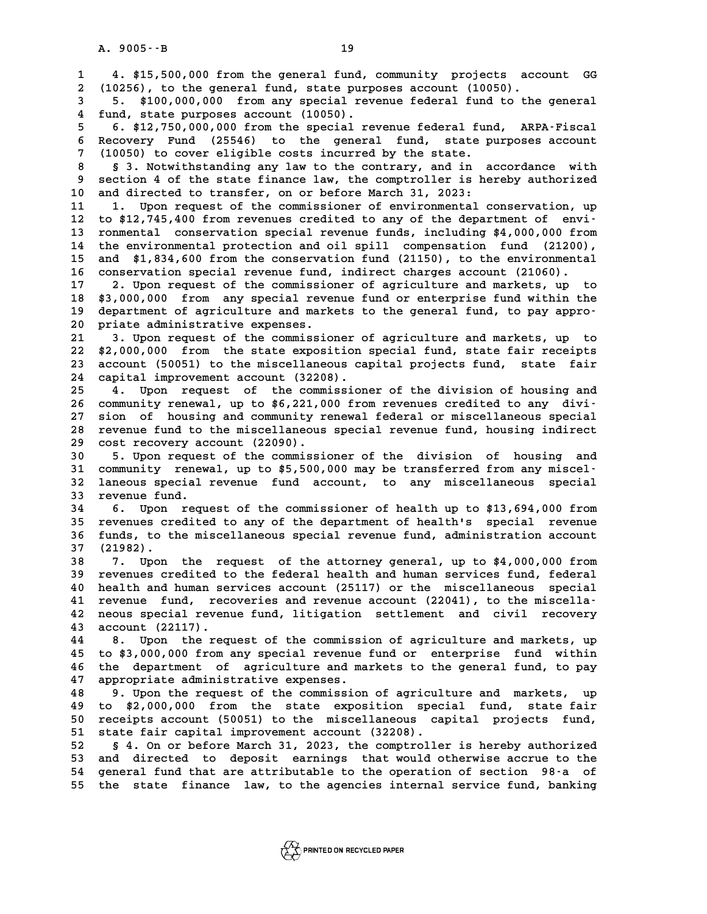**1 4. \$15,500,000 from the general fund, community projects account GG 2 2** (10256), 4. \$15,500,000 from the general fund, community projects account (10050).<br>2 (10256), to the general fund, state purposes account (10050). **4. \$15,500,000 from the general fund, community projects account GG**<br>2 (10256), to the general fund, state purposes account (10050).<br>5. \$100,000,000 from any special revenue federal fund to the general<br>4. fund state purpo 10256), to the general fund, state purposes account (10050).<br> **4 fund, state purposes account (10050).**<br> **4 fund, state purposes account (10050).**<br> **6. \$12,750,000,000 from the special revenue federal fund, ARPA-Fiscal 5 6. \$12,750,000,000 from the special revenue federal fund, ARPA-Fiscal 6. \$12,750,000,000 from the special revenue federal fund, ARPA-Fiscal<br>6 Recovery Fund (25546) to the general fund, state purposes account<br>7 (10050) to gover aligible sests incurred by the state purposes account 6. \$12,750,000,000 from the special revenue federal fund**<br>**6 Recovery Fund (25546) to the general fund, state p**<br>**7 (10050) to cover eligible costs incurred by the state.**<br>**8 S. Algorithetical continues** and in a **8 Recovery Fund (25546) to the general fund, state purposes account**<br> **8 3. Notwithstanding any law to the contrary, and in accordance with**<br> **8 3. Notwithstanding any law to the contrary, and in accordance with**<br> **8 sect 9 (10050)** to cover eligible costs incurred by the state.<br> **9 section 4 of the state finance law, the comptroller is hereby authorized**<br> **9 section 4 of the state finance law, the comptroller is hereby authorized**<br> **9 and** 8 \$ 3. Notwithstanding any law to the contrary, and in accordance with<br>9 section 4 of the state finance law, the comptroller is hereby authorized<br>10 and directed to transfer, on or before March 31, 2023:<br>11 1. Upon request 9 section 4 of the state finance law, the comptroller is hereby authorized<br>10 and directed to transfer, on or before March 31, 2023:<br>11 1. Upon request of the commissioner of environmental conservation, up<br>12 to \$12,745,40 **12 to \$12,745,400 from revenues credited to any of the department of envi-**11 1. Upon request of the commissioner of environmental conservation, up<br>12 to \$12,745,400 from revenues credited to any of the department of envi-<br>13 ronmental conservation special revenue funds, including \$4,000,000 from to \$12,745,400 from revenues credited to any of the department of envi-<br>13 ronmental conservation special revenue funds, including \$4,000,000 from<br>14 the environmental protection and oil spill compensation fund (21200),<br>15 **13 ronmental conservation special revenue funds, including \$4,000,000 from**<br>14 the environmental protection and oil spill compensation fund (21200),<br>15 and \$1,834,600 from the conservation fund (21150), to the environment the environmental protection and oil spill compensation fund (21200)<br>15 and \$1,834,600 from the conservation fund (21150), to the environmenta<br>16 conservation special revenue fund, indirect charges account (21060). **and \$1,834,600 from the conservation fund (21150), to the environmental**<br>16 conservation special revenue fund, indirect charges account (21060).<br>17 2. Upon request of the commissioner of agriculture and markets, up to<br>18 **16 conservation special revenue fund, indirect charges account (21060).**<br> **17 2. Upon request of the commissioner of agriculture and markets, up to**<br> **18 \$3,000,000 from any special revenue fund or enterprise fund within** 17 2. Upon request of the commissioner of agriculture and markets, up to<br>18 \$3,000,000 from any special revenue fund or enterprise fund within the<br>19 department of agriculture and markets to the general fund, to pay appro-**20 \$3,000,000 from any special reverally department of agriculture and mark**<br>20 priate administrative expenses. **20** department of agriculture and markets to the general fund, to pay appro-<br>20 priate administrative expenses.<br>21 3. Upon request of the commissioner of agriculture and markets, up to<br>22 \$2,000,000, from the state expeci 20 priate administrative expenses.<br>21 3. Upon request of the commissioner of agriculture and markets, up to<br>22 \$2,000,000 from the state exposition special fund, state fair receipts<br>23 account (50051) to the miscellaneous **21** 3. Upon request of the commissioner of agriculture and markets, up to \$2,000,000 from the state exposition special fund, state fair receipts account (50051) to the miscellaneous capital projects fund, state fair<br>24 co 22 \$2,000,000 from the state exposition<br>23 account (50051) to the miscellaneous capital improvement account (32208). 23 account (50051) to the miscellaneous capital projects fund, state fair<br>24 capital improvement account (32208).<br>25 4. Upon request of the commissioner of the division of housing and<br>26 community repeated up to \$6.231,000 <sup>24</sup> capital improvement account (32208).<br>
<sup>25</sup> 4. Upon request of the commissioner of the division of housing and<br>
<sup>26</sup> community renewal, up to \$6,221,000 from revenues credited to any divi-<sup>25</sup> <sup>4</sup>. Upon request of the commissioner of the division of housing and<br>26 community renewal, up to \$6,221,000 from revenues credited to any divi-<br>27 sion of housing and community renewal federal or miscellaneous special 26 community renewal, up to \$6,221,000 from revenues credited to any divi-<br>27 sion of housing and community renewal federal or miscellaneous special<br>28 revenue fund to the miscellaneous special revenue fund, housing indire 27 sion of housing and community r<br>28 revenue fund to the miscellaneous<br>29 cost recovery account (22090). **30 5. Upon request of the commissioner of the division of housing and** cost recovery account (22090).<br>
30 5. Upon request of the commissioner of the division of housing and<br>
31 community renewal, up to \$5,500,000 may be transferred from any miscel-<br>
<sup>32</sup> laneous special revenue fund acsount t **5. Upon request of the commissioner of the division of housing and<br>31 community renewal, up to \$5,500,000 may be transferred from any miscel-**<br>32 laneous special revenue fund account, to any miscellaneous special<br>33 reven 31 community renew<br>32 laneous special<br>33 revenue fund.<br><sup>34</sup> 5 <sup>Upon</sup> regu 32 laneous special revenue fund account, to any miscellaneous special<br>33 revenue fund.<br>34 6. Upon request of the commissioner of health up to \$13,694,000 from<br>35 revenues credited to any of the department of health's speci **33 revenue fund.**<br> **34 6. Upon request of the commissioner of health up to \$13,694,000 from**<br> **35 revenues credited to any of the department of health's special revenue**<br> **26 fundation is the missellaneous special revenue 34 6. Upon request of the commissioner of health up to \$13,694,000 from<br>35 revenues credited to any of the department of health's special revenue<br>36 funds, to the miscellaneous special revenue fund, administration account** 35 revenues cr<br>36 funds, to t.<br>37 (21982). **58 5 38 7. Upon the miscellaneous special revenue fund, administration account**<br>**38 7. Upon the request of the attorney general, up to \$4,000,000 from**<br>**39 revenues credited to the federal health and human services fund, 37 (21982).**<br>**38 7. Upon the request of the attorney general, up to \$4,000,000 from<br>39 revenues credited to the federal health and human services fund, federal<br>10 health and human services asseunt (25117) or the missellan** 7. Upon the request of the attorney general, up to \$4,000,000 from<br>39 revenues credited to the federal health and human services fund, federal<br>40 health and human services account (25117) or the miscellaneous special<br>41 re 40 health and human services account (25117) or the miscellaneous special<br>41 revenue fund, recoveries and revenue account (22041), to the miscella-<br>42 neous special revenue fund, litigation settlement and civil recovery 40 health and human services account (25117) or the miscellaneous special<br>41 revenue fund, recoveries and revenue account (22041), to the miscella-<br>42 neous special revenue fund, litigation settlement and civil recovery<br>43 41 revenue fund, rec.<br>42 neous special reven<br>43 account (22117). **42 neous special revenue fund, litigation settlement and civil recovery<br>43 account (22117).<br>44 8. Upon the request of the commission of agriculture and markets, up<br>45 to \$3,000,000 from any gracial revenue fund or enterpr 43 account (22117).**<br>**44 8. Upon the request of the commission of agriculture and markets, up**<br>**45 to \$3,000,000 from any special revenue fund or enterprise fund within**<br>16 the department of agriculture and markets to the **44 8. Upon the request of the commission of agriculture and markets, up**<br>**45 to \$3,000,000 from any special revenue fund or enterprise fund within**<br>**46 the department of agriculture and markets to the general fund, to pay** 45 to \$3,000,000 from any special revenue<br>46 the department of agriculture and ma<br>47 appropriate administrative expenses.<br>48 appropriate proposatiof the commission the department of agriculture and markets to the general fund, to pay<br>47 appropriate administrative expenses.<br>48 9. Upon the request of the commission of agriculture and markets, up<br>49 to \$2,000,000 from the state expositi **49 to \$2,000,000 from the state exposition special fund, state fair 50 1000 From the commission of agriculture and markets, up**<br> **50 to \$2,000,000 from the state exposition special fund, state fair**<br> **50 receipts account (50051) to the miscellaneous capital projects fund,**<br> **51 state fair** 49 to \$2,000,000 from the state exposition spec<br>50 receipts account (50051) to the miscellaneous capital improvement account (32208).<br>52 5.4 Oper before March 31, 2023, the comptrolle **50 receipts account (50051) to the miscellaneous capital projects fund,<br>
51 state fair capital improvement account (32208).**<br>
52 s 4. On or before March 31, 2023, the comptroller is hereby authorized<br>
53 and directed to d 51 state fair capital improvement account (32208).<br>52 § 4. On or before March 31, 2023, the comptroller is hereby authorized<br>53 and directed to deposit earnings that would otherwise accrue to the<br>54 general fund that are a 52 § 4. On or before March 31, 2023, the comptroller is hereby authorized<br>53 and directed to deposit earnings that would otherwise accrue to the<br>54 general fund that are attributable to the operation of section 98-a of<br>55 53 and directed to deposit earnings that would otherwise accrue to the<br>54 general fund that are attributable to the operation of section 98 a of<br>55 the state finance law, to the agencies internal service fund, banking

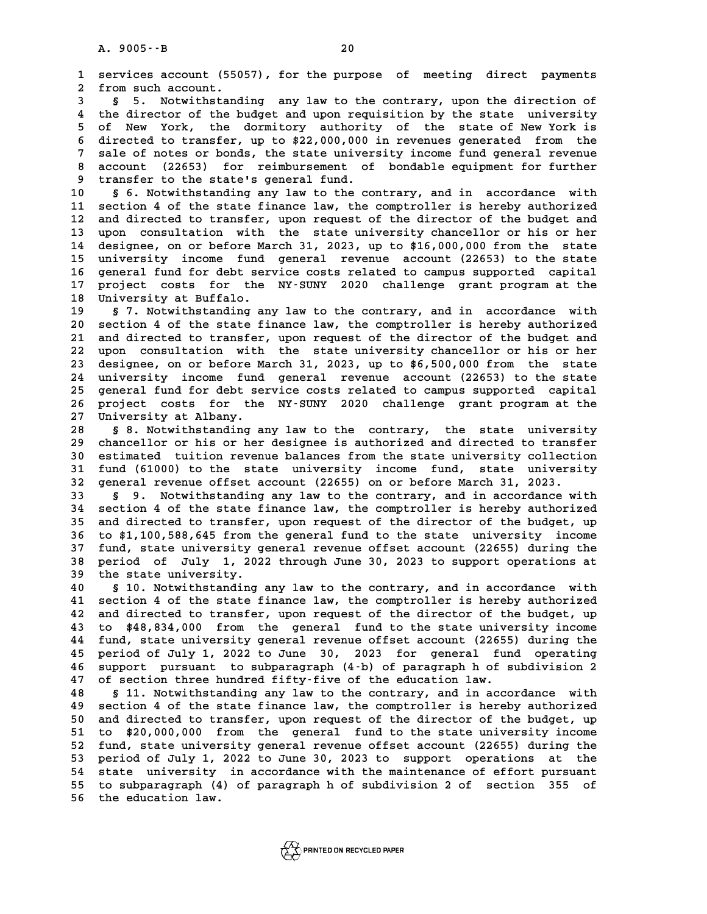**1 services account (55057), for the purpose of meeting direct payments 2** services account (550<br>2 from such account.<br>3 5 5 Notwithstand **3 1 services account (55057), for the purpose of meeting direct payments<br><b>3 § 5.** Notwithstanding any law to the contrary, upon the direction of<br>**4 the director of the budget and upon requisition** by the state uni

from such account.<br> **4 6** 5. Notwithstanding any law to the contrary, upon the direction of<br> **4** the director of the budget and upon requisition by the state university<br> **5** of New York, the dormitory authority of the st 5 5. Notwithstanding any law to the contrary, upon the direction of<br>4 the director of the budget and upon requisition by the state university<br>5 of New York, the dormitory authority of the state of New York is<br>5 directed to 4 the director of the budget and upon requisition by the state university<br>5 of New York, the dormitory authority of the state of New York is<br>6 directed to transfer, up to \$22,000,000 in revenues generated from the<br>7 sale o 5 of New York, the dormitory authority of the state of New York is<br>6 directed to transfer, up to \$22,000,000 in revenues generated from the<br>7 sale of notes or bonds, the state university income fund general revenue<br>2 aggre **8 directed to transfer, up to \$22,000,000 in revenues generated from the**<br>**8 account (22653) for reimbursement of bondable equipment for further**<br>**8 account (22653) for reimbursement of bondable equipment for further** 9 sale of notes or bonds, the state univer<br>
8 account (22653) for reimbursement of<br>
9 transfer to the state's general fund.<br>
8 S. Notwithstanding any law to the sec 10 account (22653) for reimbursement of bondable equipment for further<br>
10 § 6. Notwithstanding any law to the contrary, and in accordance with<br>
11 section 4 of the state finance law the comptroller is bereby authorized

<sup>9</sup> transfer to the state's general fund.<br>
10 § 6. Notwithstanding any law to the contrary, and in accordance with<br>
11 section 4 of the state finance law, the comptroller is hereby authorized<br>
12 and directed to transfer, **10** § 6. Notwithstanding any law to the contrary, and in accordance with<br>11 section 4 of the state finance law, the comptroller is hereby authorized<br>12 and directed to transfer, upon request of the director of the budget 11 section 4 of the state finance law, the comptroller is hereby authorized<br>12 and directed to transfer, upon request of the director of the budget and<br>13 upon consultation with the state university chancellor or his or he 12 and directed to transfer, upon request of the director of the budget and<br>13 upon consultation with the state university chancellor or his or her<br>14 designee, on or before March 31, 2023, up to \$16,000,000 from the state 13 upon consultation with the state university chancellor or his or her<br>14 designee, on or before March 31, 2023, up to \$16,000,000 from the state<br>15 university income fund general revenue account (22653) to the state<br>16 g 14 designee, on or before March 31, 2023, up to \$16,000,000 from the state<br>15 university income fund general revenue account (22653) to the state<br>16 general fund for debt service costs related to campus supported capital<br>1 15 university income fund general revenue account (22653) to the state<br>16 general fund for debt service costs related to campus supported capital<br>17 project costs for the NY-SUNY 2020 challenge grant program at the<br>18 Univ 16 general fund for debt ser<br>17 project costs for the<br>18 University at Buffalo.<br>19 5.7 Notwithstanding an 17 project costs for the NY-SUNY 2020 challenge grant program at the University at Buffalo.<br>19 § 7. Notwithstanding any law to the contrary, and in accordance with<br>20 section 4 of the state finance law, the comptroller is

**20 injversity at Buffalo.**<br> **20 s 7. Notwithstanding any law to the contrary, and in accordance with**<br> **20 section 4 of the state finance law, the comptroller is hereby authorized**<br> **21 and directed to transfer, upon requ 20 S 7. Notwithstanding any law to the contrary, and in accordance with**<br>
20 section 4 of the state finance law, the comptroller is hereby authorized<br>
21 and directed to transfer, upon request of the director of the budge 21 and directed to transfer, upon request of the director of the budget and<br>22 upon consultation with the state university chancellor or his or her<br>23 designee, on or before March 31, 2023, up to \$6,500,000 from the state 21 and directed to transfer, upon request of the director of the budget and<br>22 upon consultation with the state university chancellor or his or her<br>23 designee, on or before March 31, 2023, up to \$6,500,000 from the state<br> 22 upon consultation with the state university chancellor or his or her<br>23 designee, on or before March 31, 2023, up to \$6,500,000 from the state<br>24 university income fund general revenue account (22653) to the state<br>25 co 23 designee, on or before March 31, 2023, up to \$6,500,000 from the state<br>24 university income fund general revenue account (22653) to the state<br>25 general fund for debt service costs related to campus supported capital<br>26 24 university income fund general revenue account (22653) to the state<br>25 general fund for debt service costs related to campus supported capital<br>26 project costs for the NY-SUNY 2020 challenge grant program at the<br><sup>27</sup> Un 25 general fund for debt se<br>26 project costs for the<br>27 University at Albany.<br>29 S.<sup>9</sup> Notwithstanding 2 26 project costs for the NY-SUNY 2020 challenge grant program at the 27 University at Albany.<br>28 § 8. Notwithstanding any law to the contrary, the state university<br>29 chancellor or his or her designee is authorized and dir

**27 University at Albany.**<br>28 § 8. Notwithstanding any law to the contrary, the state university<br>29 chancellor or his or her designee is authorized and directed to transfer<br>20 catimated tuition revenue belanges from the st 8 8. Notwithstanding any law to the contrary, the state university<br>29 chancellor or his or her designee is authorized and directed to transfer<br>30 estimated tuition revenue balances from the state university collection<br><sup>31 </sup> 29 chancellor or his or her designee is authorized and directed to transfer<br>30 estimated tuition revenue balances from the state university collection<br>31 fund (61000) to the state university income fund, state university<br>2 30 estimated tuition revenue balances from the state university collections of the state university income fund, state university general revenue offset account (22655) on or before March 31, 2023.<br>32 general revenue offse 31 fund (61000) to the state university income fund, state university<br>32 general revenue offset account (22655) on or before March 31, 2023.<br>33 § 9. Notwithstanding any law to the contrary, and in accordance with

**32 general revenue offset account (22655) on or before March 31, 2023.**<br>**33 § 9.** Notwithstanding any law to the contrary, and in accordance with<br>**34 section 4 of the state finance law, the comptroller is hereby authorize 33 5 9.** Notwithstanding any law to the contrary, and in accordance with<br>34 section 4 of the state finance law, the comptroller is hereby authorized<br>35 and directed to transfer, upon request of the director of the budge 34 section 4 of the state finance law, the comptroller is hereby authorized<br>35 and directed to transfer, upon request of the director of the budget, up<br>36 to \$1,100,588,645 from the general fund to the state university inc **35 and directed to transfer, upon request of the director of the budget, up**<br>36 to \$1,100,588,645 from the general fund to the state university income<br>37 fund, state university general revenue offset account (22655) durin **36 to \$1,100,588,645 from the general fund to the state university income**<br>37 fund, state university general revenue offset account (22655) during the<br>38 period of July 1, 2022 through June 30, 2023 to support operations 37 fund, state university g<br>38 period of July 1, 202<br>39 the state university. **40 § 10. Notwithstanding any law to the contrary, and in accordance with**

40 s 10. Notwithstanding any law to the contrary, and in accordance with<br>41 section 4 of the state finance law, the comptroller is hereby authorized<br>42 and directed to transfer, upon request of the director of the budget, **40** § 10. Notwithstanding any law to the contrary, and in accordance with<br>41 section 4 of the state finance law, the comptroller is hereby authorized<br>42 and directed to transfer, upon request of the director of the budget 41 section 4 of the state finance law, the comptroller is hereby authorized<br>42 and directed to transfer, upon request of the director of the budget, up<br>43 to \$48,834,000 from the general fund to the state university income 42 and directed to transfer, upon request of the director of the budget, up<br>43 to \$48,834,000 from the general fund to the state university income<br>44 fund, state university general revenue offset account (22655) during the 43 to \$48,834,000 from the general fund to the state university income<br>44 fund, state university general revenue offset account (22655) during the<br>45 period of July 1, 2022 to June 30, 2023 for general fund operating<br>46 su **44 fund, state university general revenue offset account (22655) during the period of July 1, 2022 to June 30, 2023 for general fund operating approximate to subparagraph (4-b) of paragraph h of subdivision 2**<br>2<sup>7</sup> and th 45 period of July 1, 2022 to June 30, 2023 for general fund operating<br>46 support pursuant to subparagraph (4-b) of paragraph h of subdivision 2<br>47 of section three hundred fifty-five of the education law.<br>**6 S 11. Notwiths 46 support pursuant to subparagraph (4-b) of paragraph h of subdivision 2**<br>**47 of section three hundred fifty-five of the education law.**<br>**48 § 11. Notwithstanding any law to the contrary, and in accordance with**<br>**49 Soct** 

**47 of section three hundred fifty-five of the education law.**<br>**48 S 11. Notwithstanding any law to the contrary, and in accordance with**<br>**49 section 4 of the state finance law, the comptroller is hereby authorized**<br>20 and **50 10 and Suppleming 10** and the contrary, and in accordance with<br> **50** and directed to transfer, upon request of the director of the budget, up<br> **51** to \$20,000,000, from the caparal fund to the state university income **50** section 4 of the state finance law, the comptroller is hereby authorized<br>50 and directed to transfer, upon request of the director of the budget, up<br>51 to \$20,000,000 from the general fund to the state university inco 50 and directed to transfer, upon request of the director of the budget, up<br>51 to \$20,000,000 from the general fund to the state university income<br>52 fund, state university general revenue offset account (22655) during the 51 to \$20,000,000 from the general fund to the state university income<br>52 fund, state university general revenue offset account (22655) during the<br>53 period of July 1, 2022 to June 30, 2023 to support operations at the<br>54 52 fund, state university general revenue offset account (22655) during the<br>53 period of July 1, 2022 to June 30, 2023 to support operations at the<br>54 state university in accordance with the maintenance of effort pursuant<br> 53 period of July 1, 2022 to June 30, 2023 to support operations at the<br>54 state university in accordance with the maintenance of effort pursuant<br>55 to subparagraph (4) of paragraph h of subdivision 2 of section 355 of<br>56 53 period of July 1, 2022 to June 30, 2023 to support operations at the<br>54 state university in accordance with the maintenance of effort pursuant<br>55 to subparagraph (4) of paragraph h of subdivision 2 of section 355 of<br>56

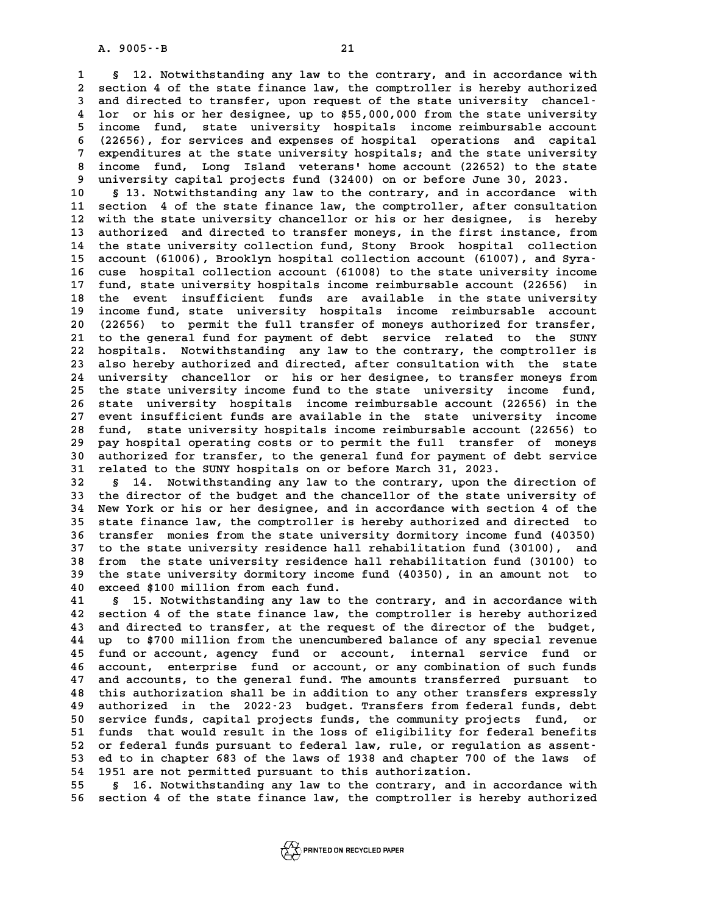**1 § 12. Notwithstanding any law to the contrary, and in accordance with 2 2.** Notwithstanding any law to the contrary, and in accordance with<br>2 section 4 of the state finance law, the comptroller is hereby authorized<br>3 and directed to transfer, woon request of the state university, chancel. **8 12. Notwithstanding any law to the contrary, and in accordance with<br>
2 section 4 of the state finance law, the comptroller is hereby authorized<br>
3 and directed to transfer, upon request of the state university chancel-<br>** 2 section 4 of the state finance law, the comptroller is hereby authorized<br>3 and directed to transfer, upon request of the state university chancel-<br>4 lor or his or her designee, up to \$55,000,000 from the state university 3 and directed to transfer, upon request of the state university chancel-<br>4 lor or his or her designee, up to \$55,000,000 from the state university<br>5 income fund, state university hospitals income reimbursable account<br>6 (2 4 lor or his or her designee, up to \$55,000,000 from the state university<br>5 income fund, state university hospitals income reimbursable account<br>6 (22656), for services and expenses of hospital operations and capital<br>7 curo 5 income fund, state university hospitals income reimbursable account<br>
(22656), for services and expenses of hospital operations and capital<br>
7 expenditures at the state university hospitals; and the state university<br>
inco **8 (22656), for services and expenses of hospital operations and capital<br>7 expenditures at the state university hospitals; and the state university<br>8 income fund, Long Island veterans' home account (22652) to the state<br>8 u 9 11 12 2015 11 12 2015 11 2016 11: 9 11 2016 11: 9 11 2016 11: 9 11 2016 11: 9 11: 9 11: 9 11: 9 11: 9 11: 9** 13. Notwithstanding any law to the contrary, and in accordance with 8 income fund, Long Island veterans' home account (22652) to the state<br>9 university capital projects fund (32400) on or before June 30, 2023.<br>10 § 13. Notwithstanding any law to the contrary, and in accordance with<br>11 sect

9 university capital projects fund (32400) on or before June 30, 2023.<br>
10 § 13. Notwithstanding any law to the contrary, and in accordance with<br>
11 section 4 of the state finance law, the comptroller, after consultation<br> 10 § 13. Notwithstanding any law to the contrary, and in accordance with<br>11 section 4 of the state finance law, the comptroller, after consultation<br>12 with the state university chancellor or his or her designee, is hereby<br> 11 section 4 of the state finance law, the comptroller, after consultation<br>12 with the state university chancellor or his or her designee, is hereby<br>13 authorized and directed to transfer moneys, in the first instance, fro 12 with the state university chancellor or his or her designee, is hereby<br>13 authorized and directed to transfer moneys, in the first instance, from<br>14 the state university collection fund, Stony Brook hospital collection<br> 13 authorized and directed to transfer moneys, in the first instance, from<br>14 the state university collection fund, Stony Brook hospital collection<br>15 account (61006), Brooklyn hospital collection account (61007), and Syra 14 the state university collection fund, Stony Brook hospital collection<br>15 account (61006), Brooklyn hospital collection account (61007), and Syra-<br>16 cuse hospital collection account (61008) to the state university incom **15 account (61006), Brooklyn hospital collection account (61007), and Syra-**<br>16 cuse hospital collection account (61008) to the state university income<br>17 fund, state university hospitals income reimbursable account (2265 16 cuse hospital collection account (61008) to the state university income<br>17 fund, state university hospitals income reimbursable account (22656) in<br>18 the event insufficient funds are available in the state university<br>in 17 fund, state university hospitals income reimbursable account (22656) in<br>18 the event insufficient funds are available in the state university<br>19 income fund, state university hospitals income reimbursable account<br>20 (22 18 the event insufficient funds are available in the state university<br>19 income fund, state university hospitals income reimbursable account<br>20 (22656) to permit the full transfer of moneys authorized for transfer,<br>21 to t 19 income fund, state university hospitals income reimbursable account<br>20 (22656) to permit the full transfer of moneys authorized for transfer,<br>21 to the general fund for payment of debt service related to the SUNY 20 (22656) to permit the full transfer of moneys authorized for transfer,<br>21 to the general fund for payment of debt service related to the SUNY<br>22 hospitals. Notwithstanding any law to the contrary, the comptroller is<br>23 21 to the general fund for payment of debt service related to the SUNY<br>22 hospitals. Notwithstanding any law to the contrary, the comptroller is<br>23 also hereby authorized and directed, after consultation with the state<br>24 22 hospitals. Notwithstanding any law to the contrary, the comptroller is<br>23 also hereby authorized and directed, after consultation with the state<br>24 university chancellor or his or her designee, to transfer moneys from<br>2 23 also hereby authorized and directed, after consultation with the state<br>24 university chancellor or his or her designee, to transfer moneys from<br>25 the state university income fund to the state university income fund,<br>26 24 university chancellor or his or her designee, to transfer moneys from<br>25 the state university income fund to the state university income fund,<br>26 state university hospitals income reimbursable account (22656) in the<br>27 26 state university hospitals income reimbursable account (22656) in the<br>27 event insufficient funds are available in the state university income<br>28 fund, state university hospitals income reimbursable account (22656) to 26 state university hospitals income reimbursable account (22656) in the<br>27 event insufficient funds are available in the state university income<br>28 fund, state university hospitals income reimbursable account (22656) to<br>2 27 event insufficient funds are available in the state university income<br>28 fund, state university hospitals income reimbursable account (22656) to<br>29 pay hospital operating costs or to permit the full transfer of moneys<br>2 **30 fund, state university hospitals income reimbursable account (22656) to**<br>29 pay hospital operating costs or to permit the full transfer of moneys<br>30 authorized for transfer, to the general fund for payment of debt serv Pay hospital operating costs or to permit the full transfer of moneys<br>30 authorized for transfer, to the general fund for payment of debt service<br>31 related to the SUNY hospitals on or before March 31, 2023.<br>32 § 14. Notwi **30** authorized for transfer, to the general fund for payment of debt service<br>31 related to the SUNY hospitals on or before March 31, 2023.<br>32 § 14. Notwithstanding any law to the contrary, upon the direction of<br>the direct

**31 related to the SUNY hospitals on or before March 31, 2023.**<br>**32** § 14. Notwithstanding any law to the contrary, upon the direction of<br>**33** the director of the budget and the chancellor of the state university of<br>**34** N **32** § 14. Notwithstanding any law to the contrary, upon the direction of<br>33 the director of the budget and the chancellor of the state university of<br>34 New York or his or her designee, and in accordance with section 4 of 33 the director of the budget and the chancellor of the state university of<br>34 New York or his or her designee, and in accordance with section 4 of the<br>35 state finance law, the comptroller is hereby authorized and directe **34 New York or his or her designee, and in accordance with section 4 of the state finance law, the comptroller is hereby authorized and directed to transfer monies from the state university dormitory income fund (40350)**<br> 35 state finance law, the comptroller is hereby authorized and directed to<br>36 transfer monies from the state university dormitory income fund (40350)<br>37 to the state university residence hall rehabilitation fund (30100), a **36 transfer monies from the state university dormitory income fund (40350)**<br>37 to the state university residence hall rehabilitation fund (30100), and<br>38 from the state university residence hall rehabilitation fund (30100 37 to the state university residence hall rehabilitation fund (30100), and<br>38 from the state university residence hall rehabilitation fund (30100) to<br>39 the state university dormitory income fund (40350), in an amount not **40 40 40 from the state university residence h**<br>**40 exceed \$100 million from each fund.**<br>**41 6 15 Notwithstanding any law to the** 

the state university dormitory income fund (40350), in an amount not to<br>40 exceed \$100 million from each fund.<br>41 § 15. Notwithstanding any law to the contrary, and in accordance with<br>42 section 4 of the state finance law, **40 exceed \$100 million from each fund.**<br>**41 § 15. Notwithstanding any law to the contrary, and in accordance with**<br>**42 section 4 of the state finance law, the comptroller is hereby authorized**<br>and directed to transfer, at **41 § 15. Notwithstanding any law to the contrary, and in accordance with**<br>**42 section 4 of the state finance law, the comptroller is hereby authorized**<br>**43 and directed to transfer, at the request of the director of the b** 42 section 4 of the state finance law, the comptroller is hereby authorized<br>43 and directed to transfer, at the request of the director of the budget,<br>44 up to \$700 million from the unencumbered balance of any special reve 43 and directed to transfer, at the request of the director of the budget,<br>44 up to \$700 million from the unencumbered balance of any special revenue<br>45 fund or account, agency fund or account, internal service fund or<br>46 44 up to \$700 million from the unencumbered balance of any special revenue<br>45 fund or account, agency fund or account, internal service fund or<br>46 account, enterprise fund or account, or any combination of such funds<br><sup>47</sup> 45 fund or account, agency fund or account, internal service fund or account, enterprise fund or account, or any combination of such funds 47 and accounts, to the general fund. The amounts transferred pursuant to this auth account, enterprise fund or account, or any combination of such funds<br>47 and accounts, to the general fund. The amounts transferred pursuant to<br>48 this authorization shall be in addition to any other transfers expressly<br>19 47 and accounts, to the general fund. The amounts transferred pursuant to<br>48 this authorization shall be in addition to any other transfers expressly<br>49 authorized in the 2022-23 budget. Transfers from federal funds, debt<br> **50 service funds and Solution 10 service funds** and the 2022-23 budget. Transfers from federal funds, debt<br>
50 service funds, capital projects funds, the community projects fund, or<br>
51 funds, that would result in the los 49 authorized in the 2022-23 budget. Transfers from federal funds, debt<br>50 service funds, capital projects funds, the community projects fund, or<br>51 funds that would result in the loss of eligibility for federal benefits<br>5 50 service funds, capital projects funds, the community projects fund, or<br>
51 funds that would result in the loss of eligibility for federal benefits<br>
52 or federal funds pursuant to federal law, rule, or regulation as ass 51 funds that would result in the loss of eligibility for federal benefits<br>52 or federal funds pursuant to federal law, rule, or regulation as assent-<br>53 ed to in chapter 683 of the laws of 1938 and chapter 700 of the laws 52 or federal funds pursuant to federal law, rule, or regulation as assent-<br>53 ed to in chapter 683 of the laws of 1938 and chapter 700 of the laws of<br>54 1951 are not permitted pursuant to this authorization.<br>55 § 16. Notw

**55 § 16. Notwithstanding any law to the contrary, and in accordance with 56 section 4 of the state finance law, the comptroller is hereby authorized**

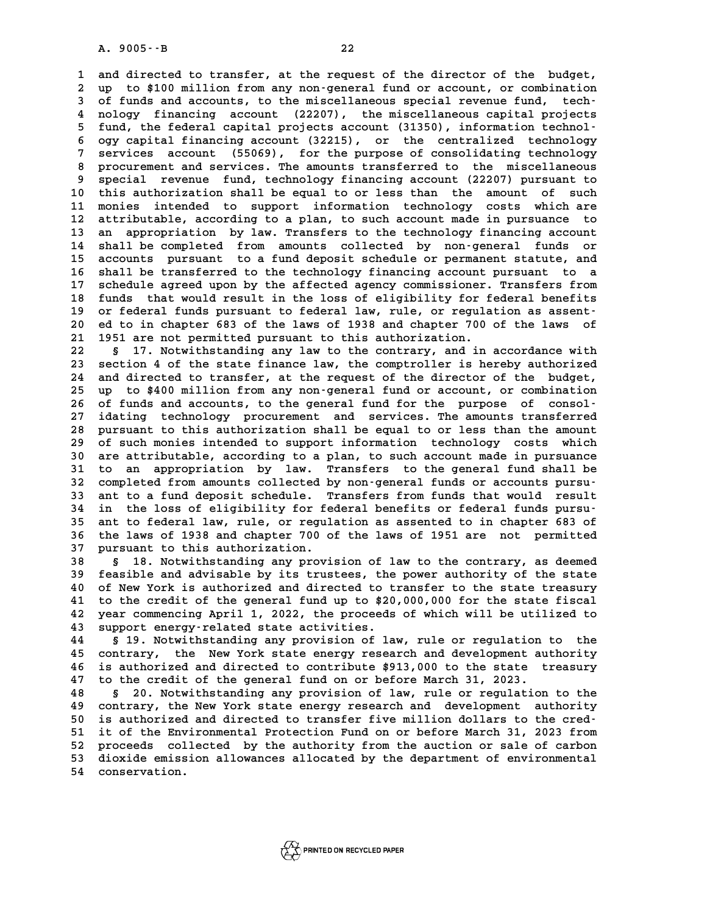**1 and directed to transfer, at the request of the director of the budget, 2** and directed to transfer, at the request of the director of the budget,<br>2 up to \$100 million from any non-general fund or account, or combination<br>3 of funds and accounts, to the miscellaneous special revenue fund, tech 1 and directed to transfer, at the request of the director of the budget,<br>
2 up to \$100 million from any non-general fund or account, or combination<br>
3 of funds and accounts, to the miscellaneous special revenue fund, tech 1 up to \$100 million from any non-general fund or account, or combination<br>3 of funds and accounts, to the miscellaneous special revenue fund, tech-<br>4 nology financing account (22207), the miscellaneous capital projects<br>5 f If the funds and accounts, to the miscellaneous special revenue fund, technology financing account (22207), the miscellaneous capital projects fund, the federal capital projects account (31350), information technol-<br> **6** o a nology financing account (22207), the miscellaneous capital projects<br>
5 fund, the federal capital projects account (31350), information technology<br>
6 ogy capital financing account (32215), or the centralized technology<br> 5 fund, the federal capital projects account (31350), information technology<br>6 ogy capital financing account (32215), or the centralized technology<br>7 services account (55069), for the purpose of consolidating technology<br>8 8 ogy capital financing account (32215), or the centralized technology<br>
8 procurement and services. The amounts transferred to the miscellaneous<br>
8 gradial royause fund technology financing account (22207) purguant to **9 services account (55069), for the purpose of consolidating technology**<br> **9 special revenue fund, technology financing account (22207) pursuant to**<br> **9 special revenue fund, technology financing account (22207) pursuant** 8 procurement and services. The amounts transferred to the miscellaneous<br>
9 special revenue fund, technology financing account (22207) pursuant to<br>
10 this authorization shall be equal to or less than the amount of such<br>
1 9 special revenue fund, technology financing account (22207) pursuant to<br>10 this authorization shall be equal to or less than the amount of such<br>11 monies intended to support information technology costs which are<br>12 attri 10 this authorization shall be equal to or less than the amount of such<br>11 monies intended to support information technology costs which are<br>12 attributable, according to a plan, to such account made in pursuance to<br>13 ap 11 monies intended to support information technology costs which are<br>12 attributable, according to a plan, to such account made in pursuance to<br>13 an appropriation by law. Transfers to the technology financing account<br>14 s 12 attributable, according to a plan, to such account made in pursuance to<br>13 an appropriation by law. Transfers to the technology financing account<br>14 shall be completed from amounts collected by non-general funds or<br>15 a 13 an appropriation by law. Transfers to the technology financing account<br>14 shall be completed from amounts collected by non-general funds or<br>15 accounts pursuant to a fund deposit schedule or permanent statute, and<br>16 sh 14 shall be completed from amounts collected by non-general funds or<br>15 accounts pursuant to a fund deposit schedule or permanent statute, and<br>16 shall be transferred to the technology financing account pursuant to a<br>17 sc 15 accounts pursuant to a fund deposit schedule or permanent statute, and<br>16 shall be transferred to the technology financing account pursuant to a<br>17 schedule agreed upon by the affected agency commissioner. Transfers fro 16 shall be transferred to the technology financing account pursuant to a<br>17 schedule agreed upon by the affected agency commissioner. Transfers from<br>18 funds that would result in the loss of eligibility for federal benefi 17 schedule agreed upon by the affected agency commissioner. Transfers from<br>18 funds that would result in the loss of eligibility for federal benefits<br>19 or federal funds pursuant to federal law, rule, or regulation as ass 18 funds that would result in the loss of eligibility for federal benefits<br>19 or federal funds pursuant to federal law, rule, or regulation as assent-<br>20 ed to in chapter 683 of the laws of 1938 and chapter 700 of the laws 18 funds that would result in the loss of eligibility for federal benefits<br>19 or federal funds pursuant to federal law, rule, or regulation as assent-<br>20 ed to in chapter 683 of the laws of 1938 and chapter 700 of the laws **20 ed to in chapter 683 of the laws of 1938 and chapter 700 of the laws of 1951 are not permitted pursuant to this authorization.**<br> **22 § 17. Notwithstanding any law to the contrary, and in accordance with**<br> **23 section 4** 

21 1951 are not permitted pursuant to this authorization.<br>22 § 17. Notwithstanding any law to the contrary, and in accordance with<br>23 section 4 of the state finance law, the comptroller is hereby authorized<br>24 and directed 8 17. Notwithstanding any law to the contrary, and in accordance with<br>23 section 4 of the state finance law, the comptroller is hereby authorized<br>24 and directed to transfer, at the request of the director of the budget,<br>2 23 section 4 of the state finance law, the comptroller is hereby authorized<br>24 and directed to transfer, at the request of the director of the budget,<br>25 up to \$400 million from any non-general fund or account, or combinat 25 up to \$400 million from any non-general fund or account, or combination<br>26 of funds and accounts, to the general fund for the purpose of consol-<br>27 idating technology procurement and services. The amounts transferred **27 idating technology procurement and services. The amounts transferred 28 pursuant to this authorization shall be equal to or less than the amount** 27 idating technology procurement and services. The amounts transferred<br>28 pursuant to this authorization shall be equal to or less than the amount<br>29 of such monies intended to support information technology costs which<br>2 28 pursuant to this authorization shall be equal to or less than the amount<br>29 of such monies intended to support information technology costs which<br>30 are attributable, according to a plan, to such account made in pursuan <sup>29</sup> of such monies intended to support information technology costs which<br>30 are attributable, according to a plan, to such account made in pursuance<br>31 to an appropriation by law. Transfers to the general fund shall be<br>2 30 are attributable, according to a plan, to such account made in pursuance<br>
31 to an appropriation by law. Transfers to the general fund shall be<br>
32 completed from amounts collected by non-general funds or accounts pursu 31 to an appropriation by law. Transfers to the general fund shall be<br>32 completed from amounts collected by non-general funds or accounts pursu-<br>33 ant to a fund deposit schedule. Transfers from funds that would result<br><sup>3</sup> 32 completed from amounts collected by non-general funds or accounts pursu-<br>33 ant to a fund deposit schedule. Transfers from funds that would result<br>34 in the loss of eligibility for federal benefits or federal funds purs 33 ant to a fund deposit schedule. Transfers from funds that would result<br>34 in the loss of eligibility for federal benefits or federal funds pursu-<br>35 ant to federal law, rule, or regulation as assented to in chapter 683 34 in the loss of eligibility for federal benefits or federal funds pursu-<br>35 ant to federal law, rule, or regulation as assented to in chapter 683 of<br>36 the laws of 1938 and chapter 700 of the laws of 1951 are not permitt 35 ant to federal law, rule, or regul.<br>36 the laws of 1938 and chapter 700 o<br>37 pursuant to this authorization. **36 the laws of 1938 and chapter 700 of the laws of 1951 are not permitted<br>37 pursuant to this authorization.**<br>38 § 18. Notwithstanding any provision of law to the contrary, as deemed<br>39 foasible and advisable by its trust

**37 pursuant to this authorization.**<br> **38** § 18. Notwithstanding any provision of law to the contrary, as deemed<br> **39 feasible and advisable by its trustees, the power authority of the state**<br> **10** of Nov York is authorize 8 18. Notwithstanding any provision of law to the contrary, as deemed<br>
40 of New York is authorized and directed to transfer to the state treasury<br>
41 to the gredit of the general fund up to \$20,000,000 for the state fisca **40** feasible and advisable by its trustees, the power authority of the state<br>40 of New York is authorized and directed to transfer to the state treasury<br>41 to the credit of the general fund up to \$20,000,000 for the state 40 of New York is authorized and directed to transfer to the state treasury<br>41 to the credit of the general fund up to \$20,000,000 for the state fiscal<br>42 year commencing April 1, 2022, the proceeds of which will be utiliz 41 to the credit of the general fund up to \$20<br>42 year commencing April 1, 2022, the proceeds<br>43 support energy-related state activities. **42 year commencing April 1, 2022, the proceeds of which will be utilized to<br>43 support energy-related state activities.<br>44 § 19. Notwithstanding any provision of law, rule or regulation to the<br>45 septies with a New York s** 

**43** support energy-related state activities.<br>44 § 19. Notwithstanding any provision of law, rule or regulation to the<br>45 contrary, the New York state energy research and development authority<br>46 is authorized and directed **44 5** 19. Notwithstanding any provision of law, rule or regulation to the contrary, the New York state energy research and development authority is authorized and directed to contribute \$913,000 to the state treasury<br>
<sup></sup> 45 contrary, the New York state energy research and development authority<br>46 is authorized and directed to contribute \$913,000 to the state treasury<br>47 to the credit of the general fund on or before March 31, 2023.<br>**6** 20. **46 is authorized and directed to contribute \$913,000 to the state treasury**<br>**47 to the credit of the general fund on or before March 31, 2023.**<br>**48 § 20. Notwithstanding any provision of law, rule or regulation to the**<br>**4** 

**47 to the credit of the general fund on or before March 31, 2023.**<br> **48 S 20. Notwithstanding any provision of law, rule or regulation to the contrary, the New York state energy research and development authority**<br> **49 co 50 10. Notwithstanding any provision of law, rule or regulation to the contrary, the New York state energy research and development authority**<br>
50 is authorized and directed to transfer five million dollars to the cred-<br> **50 contrary, the New York state energy research and development authority**<br>
50 is authorized and directed to transfer five million dollars to the cred-<br>
51 it of the Environmental Protection Fund on or before March 31, 20 50 is authorized and directed to transfer five million dollars to the cred-<br>51 it of the Environmental Protection Fund on or before March 31, 2023 from<br>52 proceeds collected by the authority from the auction or sale of car 51 it of the Environmental Protection Fund on or before March 31, 2023 from<br>52 proceeds collected by the authority from the auction or sale of carbon<br>53 dioxide emission allowances allocated by the department of environmen 52 proceeds collected by the authority from the auction or sale of carbon<br>53 dioxide emission allowances allocated by the department of environmental<br>54 conservation.



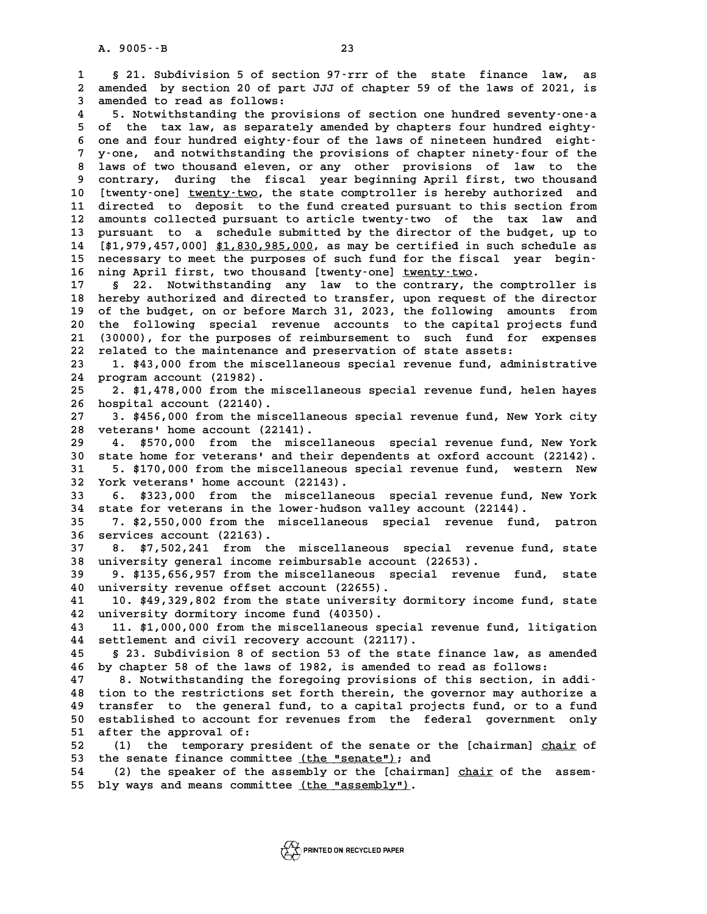**1 § 21. Subdivision 5 of section 97-rrr of the state finance law, as 21. Subdivision 5 of section 97–rrr of the state finance law, as<br>2 amended by section 20 of part JJJ of chapter 59 of the laws of 2021, is 3 1 5 21.** Subdivision 5 of section 20 compared by section 20 of part<br>3 amended to read as follows: a a section 20 of part JJJ of chapter 59 of the laws of 2021, is<br>3 amended to read as follows:<br>4 5. Notwithstanding the provisions of section one hundred seventy-one-a<br>5 of the tax law as separately amended by chapters fou

3 amended to read as follows:<br>
4 5. Notwithstanding the provisions of section one hundred seventy-one-a<br>
5 of the tax law, as separately amended by chapters four hundred eighty-<br>
6 one and four hundred eighty-four of the l **6 one and four hundred eighty-four of the laws of nineteen hundred eight-**5 of the tax law, as separately amended by chapters four hundred eighty-<br>6 one and four hundred eighty-four of the laws of nineteen hundred eight-<br>7 y-one, and notwithstanding the provisions of chapter ninety-four of the<br><sup></sup> **8 one and four hundred eighty-four of the laws of nineteen hundred eight-**<br>**8 laws of two thousand eleven, or any other provisions of law to the**<br>**8 laws of two thousand eleven, or any other provisions of law to the**<br>**8 c 9 y-one, and notwithstanding the provisions of chapter ninety-four of the laws of two thousand eleven, or any other provisions of law to the contrary, during the fiscal year beginning April first, two thousand<br>9 Chronius 10 [twenty-one] twenty-two, the state comptroller is hereby authorized and \_\_\_\_\_\_\_\_\_\_** 9 contrary, during the fiscal year beginning April first, two thousand<br>10 [twenty-one] <u>twenty-two</u>, the state comptroller is hereby authorized and<br>11 directed to deposit to the fund created pursuant to this section from<br>1 10 [twenty-one] <u>twenty-two</u>, the state comptroller is hereby authorized and<br>11 directed to deposit to the fund created pursuant to this section from<br>12 amounts collected pursuant to article twenty-two of the tax law and<br>1 11 directed to deposit to the fund created pursuant to this section from<br>12 amounts collected pursuant to article twenty-two of the tax law and<br>13 pursuant to a schedule submitted by the director of the budget, up to<br>14 [\* 12 amounts collected pursuant to article twenty-two of the tax law and<br>13 pursuant to a schedule submitted by the director of the budget, up to<br>14 [\$1,979,457,000] \$1,830,985,000, as may be certified in such schedule as<br>ne 13 pursuant to a schedule submitted by the director of the budget, up to [\$1,979,457,000] \$1,830,985,000, as may be certified in such schedule as necessary to meet the purposes of such fund for the fiscal year begin-<br><sup>16</sup> 14 [\$1,979,457,000] \$1,830,985,000, as may be certified in such schedule as<br>15 necessary to meet the purposes of such fund for the fiscal year begin-<br>16 ning April first, two thousand [twenty-one] <u>twenty-two</u>.<br>17 § 22. No **15 necessary to meet the purposes of such fund for the fiscal year begin-**<br>**16 ning April first, two thousand [twenty-one] <u>twenty-two</u>.<br>17 § 22. Notwithstanding any law to the contrary, the comptroller is<br>bereby subspire** 

**16 ning April first, two thousand [twenty-one] <u>twenty-two</u>.<br>17 § 22. Notwithstanding any law to the contrary, the comptroller is<br>18 hereby authorized and directed to transfer, upon request of the director<br>19 of the budge** 17 s<sup>2</sup> 22. Notwithstanding any law to the contrary, the comptroller is<br>18 hereby authorized and directed to transfer, upon request of the director<br>19 of the budget, on or before March 31, 2023, the following amounts from<br> 18 hereby authorized and directed to transfer, upon request of the director<br>19 of the budget, on or before March 31, 2023, the following amounts from<br>20 the following special revenue accounts to the capital projects fund<br>2 19 of the budget, on or before March 31, 2023, the following amounts from<br>20 the following special revenue accounts to the capital projects fund<br>21 (30000), for the purposes of reimbursement to such fund for expenses<br>22 re 20 the following special revenue accounts to the capital proj<br>21 (30000), for the purposes of reimbursement to such fund for<br>22 related to the maintenance and preservation of state assets:<br><sup>23</sup> 1 \$43,000 from the miscellan 21 (30000), for the purposes of reimbursement to such fund for expenses<br>22 related to the maintenance and preservation of state assets:<br>23 1. \$43,000 from the miscellaneous special revenue fund, administrative<br>24 program a

22 related to the maintenance<br>23 1. \$43,000 from the misce<br>24 program account (21982). 1. \$43,000 from the miscellaneous special revenue fund, administrative<br>24 program account (21982).<br>25 2. \$1,478,000 from the miscellaneous special revenue fund, helen hayes<br>26 hospital account (22140).

25 2. \$1,478,000 from the miscellaneous special revenue fund, helen hayes<br>26 hospital account (22140).<br>27 3. \$456,000 from the miscellaneous special revenue fund, New York city

**27 3. \$456,000 from the miscellaneous special revenue fund, New York city 28 veterans' home account (22141). 27 3. \$456,000 from the miscellaneous special revenue fund, New York city**<br>28 veterans' home account (22141).<br>4. \$570,000 from the miscellaneous special revenue fund, New York<br>20 state home for upteranglend their dependen

veterans' home account (22141).<br> **30 state home for veterans' and their dependents at oxford account (22142).**<br> **30 state home for veterans' and their dependents at oxford account (22142).**<br> **31** 5 \$170,000 from the miscel **4. \$570,000 from the miscellaneous special revenue fund, New York**<br>30 state home for veterans' and their dependents at oxford account (22142).<br>31 5. \$170,000 from the miscellaneous special revenue fund, western New<br><sup>32</sup> Y 30 state home for veterans' and their depertual to the state of the state of the state of the state of the state of the state of the state of the state of the state of the state of the state of the state of the state of th **5. \$170,000 from the miscellaneous special revenue fund, western New York veterans' home account (22143).**<br>**32 York veterans' home account (22143).**<br>**6. \$323,000 from the miscellaneous special revenue fund, New York**<br>**24** 

**32 York veterans' home account (22143).**<br> **33 6. \$323,000 from the miscellaneous special revenue fund, N**<br> **34 state for veterans in the lower-hudson valley account (22144).**<br> **25 7 \$2.550,000 from the miscellaneous speci 33 6. \$323,000 from the miscellaneous special revenue fund, New York**<br>**34 state for veterans in the lower-hudson valley account (22144).**<br>**7. \$2,550,000 from the miscellaneous special revenue fund, patron**<br>**26 services ac** 

34 state for veterans in the lo<sup>35</sup> 7. \$2,550,000 from the mi<br>36 services account (22163).<br><sup>37</sup> 8 \$7,502,241 from the **35 7. \$2,550,000 from the miscellaneous special revenue fund, patron**<br>36 services account (22163).<br>37 8. \$7,502,241 from the miscellaneous special revenue fund, state<br>28 university seneral income peimburgable asseunt (226

**36 services account (22163).**<br> **37 8. \$7,502,241 from the miscellaneous special revenue fund, state**<br> **38 university general income reimbursable account (22653).**<br> **39 9. \$135.656.957 from the miscellaneous special revenu 37** 8. \$7,502,241 from the miscellaneous special revenue fund, state<br>38 university general income reimbursable account (22653).<br>39 9. \$135,656,957 from the miscellaneous special revenue fund, state<br>40 university revenue o

**40 university general income reimbursable accoun**<br> **40 university revenue offset account (22655).**<br> **40 university revenue offset account (22655).**<br> **41 10 \$49 329 802 from the state university d 9. \$135,656,957 from the miscellaneous special revenue fund, state** university revenue offset account (22655).<br>41 10. \$49,329,802 from the state university dormitory income fund, state<br>42 university dormitory income fund

40 university revenue offset account (22655).<br>
41 10. \$49,329,802 from the state university dormitory income fund, state<br>
42 university dormitory income fund (40350).<br>
43 11. \$1,000,000 from the miscellaneous special reven **41 10. \$49,329,802 from the state university dormitory income fund, state**<br>**42 university dormitory income fund (40350).**<br>**43 11. \$1,000,000 from the miscellaneous special revenue fund, litigation**<br>*44* sottlement and siv

**44 settlement and civil recovery account (22117). 43 11. \$1,000,000 from the miscellaneous special revenue fund, litigation**<br>**44 settlement and civil recovery account (22117).**<br>**5 23. Subdivision 8 of section 53 of the state finance law, as amended**<br>**16 by chapter 52 of** 

**44 settlement and civil recovery account (22117).**<br>45 § 23. Subdivision 8 of section 53 of the state finance law, as amended by chapter 58 of the laws of 1982, is amended to read as follows:<br><sup>47</sup> <sup>8</sup> Notwithing the forego 8 23. Subdivision 8 of section 53 of the state finance law, as amended<br>
46 by chapter 58 of the laws of 1982, is amended to read as follows:<br>
8. Notwithstanding the foregoing provisions of this section, in addi-<br>
<sup>19</sup> tion

**46 by chapter 58 of the laws of 1982, is amended to read as follows:**<br>47 8. Notwithstanding the foregoing provisions of this section, in addi-<br>48 tion to the restrictions set forth therein, the governor may authorize a<br>19 **47 a. Notwithstanding the foregoing provisions of this section, in addi-**<br>48 tion to the restrictions set forth therein, the governor may authorize a<br>49 transfer to the general fund, to a capital projects fund, or to a fu 48 tion to the restrictions set forth therein, the governor may authorize a<br>49 transfer to the general fund, to a capital projects fund, or to a fund<br>50 established to account for revenues from the federal government only 49 transfer to the general<br>50 established to account fo<br>51 after the approval of:<br>52 (1) the terporary pro 50 established to account for revenues from the federal government only<br>51 after the approval of:<br>52 (1) the temporary president of the senate or the [chairman] <u>chair</u> of<br>53 the senate finance committee (the "senate"): an

51 after the approval of:<br>52 (1) the temporary president of the senate or th<br>53 the senate finance committee <u>(the "senate")</u>; and<br>54 (3) the speaker of the assembly or the [shairman] 51 after the approval of:<br>
52 (1) the temporary president of the senate or the [chairman] <u>chair</u> of<br>
53 the senate finance committee <u>(the "senate")</u>; and<br>
54 (2) the speaker of the assembly or the [chairman] <u>chair</u> of t

53 the senate finance committee <u>(the "senate")</u>; and<br>54 (2) the speaker of the assembly or the [chairma:<br>55 bly ways and means committee <u>(the "assembly")</u>.

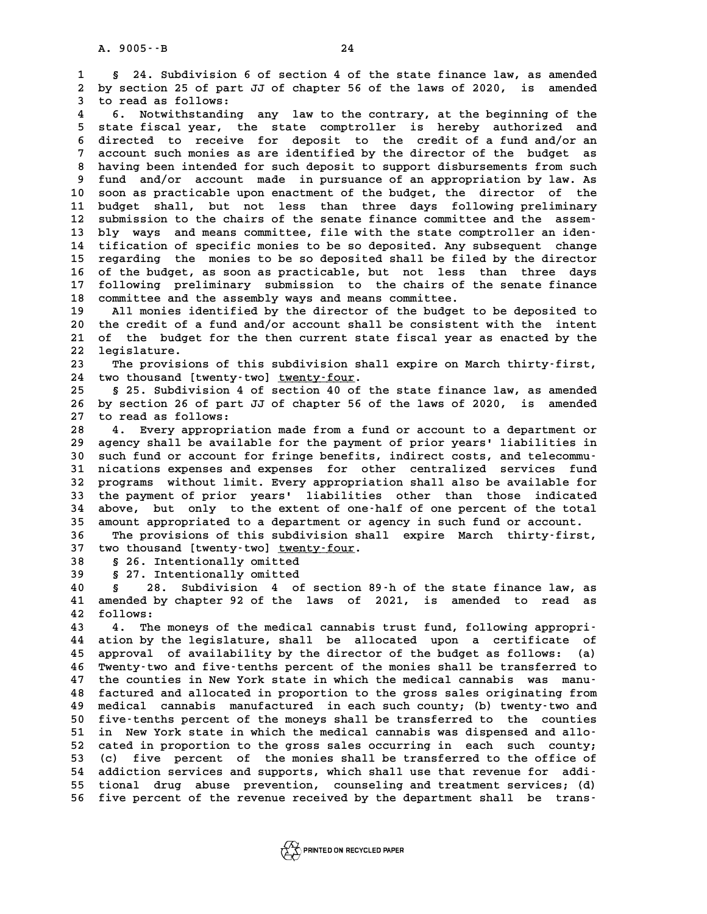**1 § 24. Subdivision 6 of section 4 of the state finance law, as amended 24. Subdivision 6 of section 4 of the state finance law, as amended**<br>2 by section 25 of part JJ of chapter 56 of the laws of 2020, is amended 1 § 24. Subdivision 6<br>2 by section 25 of part<br>3 to read as follows:<br><sup>4</sup> 6 Notwithstanding

**4 6. Notwithstanding any law to the contrary, at the beginning of the 5** to read as follows:<br> **5** state fiscal year, the state comptroller is hereby authorized and<br> **5** state fiscal year, the state comptroller is hereby authorized and<br> **6** directed to receive for depenit to the smodit of a **6.** Notwithstanding any law to the contrary, at the beginning of the<br>5 state fiscal year, the state comptroller is hereby authorized and<br>6 directed to receive for deposit to the credit of a fund and/or an<br>7 aggount such p 5 state fiscal year, the state comptroller is hereby authorized and<br>6 directed to receive for deposit to the credit of a fund and/or an<br>7 account such monies as are identified by the director of the budget as<br>8 hours been 8 directed to receive for deposit to the credit of a fund and/or an<br>
8 having been intended for such deposit to support disbursements from such<br>
9 fund and/or account made in pursuance of an appropriation by law. As account such monies as are identified by the director of the budget as 10 society of the deposit to support disbursements from such<br>10 soon as practicable upon enactment of the budget, the director of the<br>11 budget shall but not less than three days following preliminary 9 fund and/or account made in pursuance of an appropriation by law. As<br>10 soon as practicable upon enactment of the budget, the director of the<br>11 budget shall, but not less than three days following preliminary<br><sup>12</sup> submi 10 soon as practicable upon enactment of the budget, the director of the<br>
11 budget shall, but not less than three days following preliminary<br>
12 submission to the chairs of the senate finance committee and the assem-<br>
<sup>13</sup> 11 budget shall, but not less than three days following preliminary<br>
12 submission to the chairs of the senate finance committee and the assem-<br>
13 bly ways and means committee, file with the state comptroller an iden-<br>
14 12 submission to the chairs of the senate finance committee and the assem-<br>13 bly ways and means committee, file with the state comptroller an iden-<br>14 tification of specific monies to be so deposited. Any subsequent chang 13 bly ways and means committee, file with the state comptroller an iden-<br>14 tification of specific monies to be so deposited. Any subsequent change<br>15 regarding the monies to be so deposited shall be filed by the director 14 tification of specific monies to be so deposited. Any subsequent change<br>15 regarding the monies to be so deposited shall be filed by the director<br>16 of the budget, as soon as practicable, but not less than three days<br><sup>1</sup> 15 regarding the monies to be so deposited shall be filed by the director<br>16 of the budget, as soon as practicable, but not less than three days<br>17 following preliminary submission to the chairs of the senate finance<br>commi 16 of the budget, as soon as practicable, but not less<br>17 following preliminary submission to the chairs of the<br>18 committee and the assembly ways and means committee.<br>19 <sup>allowaria</sup> identified by the director of the budge 17 following preliminary submission to the chairs of the senate finance<br>18 committee and the assembly ways and means committee.<br>19 All monies identified by the director of the budget to be deposited to<br>20 the gradit of a f

20 the committee and the assembly ways and means committee.<br>
20 he credit of a fund and/or account shall be consistent with the intent<br>
21 of the budget for the then gurrent state fiscal wear as enacted by the **20** All monies identified by the director of the budget to be deposited to the credit of a fund and/or account shall be consistent with the intent of the budget for the then current state fiscal year as enacted by the loc 20 the credit of a fund and/or account shall be consistent with the intent<br>21 of the budget for the then current state fiscal year as enacted by the<br>22 legislature.<br>23 The provisions of this subdivision shall expire on Mar 21 of the budget for the then current state fiscal year as enacted by the<br>22 legislature.<br>23 The provisions of this subdivision shall expire on March thirty-first,<br>24 two thousand [twenty-two] twenty-four.

The provisions of this subdivision shall expire on March thirty-first,<br>24 two thousand [twenty-two] <u>twenty-four</u>.<br>25 § 25. Subdivision 4 of section 40 of the state finance law, as amended

**25 § 25. Subdivision 4 of section 40 of the state finance law, as amended** 24 two thousand [twenty-two] <u>twenty-four</u>.<br>25 § 25. Subdivision 4 of section 40 of the state finance law, as amended<br>26 by section 26 of part JJ of chapter 56 of the laws of 2020, is amended 25 § 25. Subdivision 4<br>26 by section 26 of part<br>27 to read as follows:<br><sup>29</sup> <sup>4</sup> From proposable **26 by section 26 of part JJ of chapter 56 of the laws of 2020, is amended<br>27 to read as follows:<br>28 4. Every appropriation made from a fund or account to a department or<br>29 agongu shall be available for the payment of pri** 

**27 to read as follows:**<br>28 **4. Every appropriation made from a fund or account to a department or**<br>29 agency shall be available for the payment of prior years' liabilities in<br>20 guch fund or account for frince bonefits, i 4. Every appropriation made from a fund or account to a department or<br> **30 such fund or account for fringe benefits, indirect costs, and telecommu-**<br> **31 nications expenses and expenses for other centralized services fund** agency shall be available for the payment of prior years' liabilities in<br>30 such fund or account for fringe benefits, indirect costs, and telecommu-<br>31 nications expenses and expenses for other centralized services fund<br>32 30 such fund or account for fringe benefits, indirect costs, and telecommu-<br>31 nications expenses and expenses for other centralized services fund<br>32 programs without limit. Every appropriation shall also be available for<br> 31 nications expenses and expenses for other centralized services fund<br>32 programs without limit. Every appropriation shall also be available for<br>33 the payment of prior years' liabilities other than those indicated<br><sup>34</sup> a **32 programs without limit. Every appropriation shall also be available for**<br>**33 the payment of prior years' liabilities other than those indicated**<br>**34 above, but only to the extent of one-half of one percent of the total** <sup>33</sup> the payment of prior years' liabilities other than those indicated above, but only to the extent of one-half of one percent of the total amount appropriated to a department or agency in such fund or account. **34 above, but only to the extent of one-half of one percent of the total**<br>35 amount appropriated to a department or agency in such fund or account.<br>36 The provisions of this subdivision shall expire March thirty-first,<br><sup>3</sup>

35 amount appropriated to a department or ag<br>36 The provisions of this subdivision shal<br>37 two thousand [twenty-two] <u>twenty-four</u>. 36 The provisions of this subdivi<br>37 two thousand [twenty-two] <u>twenty</u><br>38 § 26. Intentionally omitted<br>39 § 27. Intentionally emitted 37 two thousand [twenty-two] <u>twenty-four</u>.<br>38 § 26. Intentionally omitted<br>39 § 27. Intentionally omitted<br>40 § 28. Subdivision 4 of section

**40 § 28. Subdivision 4 of section 89-h of the state finance law, as 5** 27. Intentionally omitted<br>
40 § 28. Subdivision 4 of section 89 h of the state finance law, as<br>
41 amended by chapter 92 of the laws of 2021, is amended to read as<br>
42 follows: **40 5** 28.<br>**41** amended by<br>**42** follows:

**43 4. The moneys of the medical cannabis trust fund, following appropri-42 follows:**<br>**43 4. The moneys of the medical cannabis trust fund, following appropri-<br><b>44 ation by the legislature, shall be allocated upon a certificate of**<br><sup>45</sup> approvel of availability by the director of the budget 43 4. The moneys of the medical cannabis trust fund, following appropri-<br>44 ation by the legislature, shall be allocated upon a certificate of<br>45 approval of availability by the director of the budget as follows: (a)<br>46 Th 44 ation by the legislature, shall be allocated upon a certificate of<br>45 approval of availability by the director of the budget as follows: (a)<br>46 Twenty-two and five-tenths percent of the monies shall be transferred to<br>47 45 approval of availability by the director of the budget as follows: (a)<br>46 Twenty-two and five-tenths percent of the monies shall be transferred to<br>47 the counties in New York state in which the medical cannabis was manu **46 Twenty-two and five-tenths percent of the monies shall be transferred to the counties in New York state in which the medical cannabis was manu-**<br>**48 factured and allocated in proportion to the gross sales originating f** 47 the counties in New York state in which the medical cannabis was manu-<br>48 factured and allocated in proportion to the gross sales originating from<br>49 medical cannabis manufactured in each such county; (b) twenty-two and factured and allocated in proportion to the gross sales originating from<br>49 medical cannabis manufactured in each such county; (b) twenty-two and<br>50 five-tenths percent of the moneys shall be transferred to the counties<br>51 medical cannabis manufactured in each such county; (b) twenty-two and<br>
50 five-tenths percent of the moneys shall be transferred to the counties<br>
51 in New York state in which the medical cannabis was dispensed and allo-<br> 50 five-tenths percent of the moneys shall be transferred to the counties<br>51 in New York state in which the medical cannabis was dispensed and allo-<br>52 cated in proportion to the gross sales occurring in each such county;<br> 51 in New York state in which the medical cannabis was dispensed and allo-<br>52 cated in proportion to the gross sales occurring in each such county;<br>53 (c) five percent of the monies shall be transferred to the office of<br>54 52 cated in proportion to the gross sales occurring in each such county;<br>
53 (c) five percent of the monies shall be transferred to the office of<br>
54 addiction services and supports, which shall use that revenue for addi-<br> **55 tional drug abuse prevention, counseling and treatment services; (d) 56 five percent of the revenue received by the department shall be trans-**

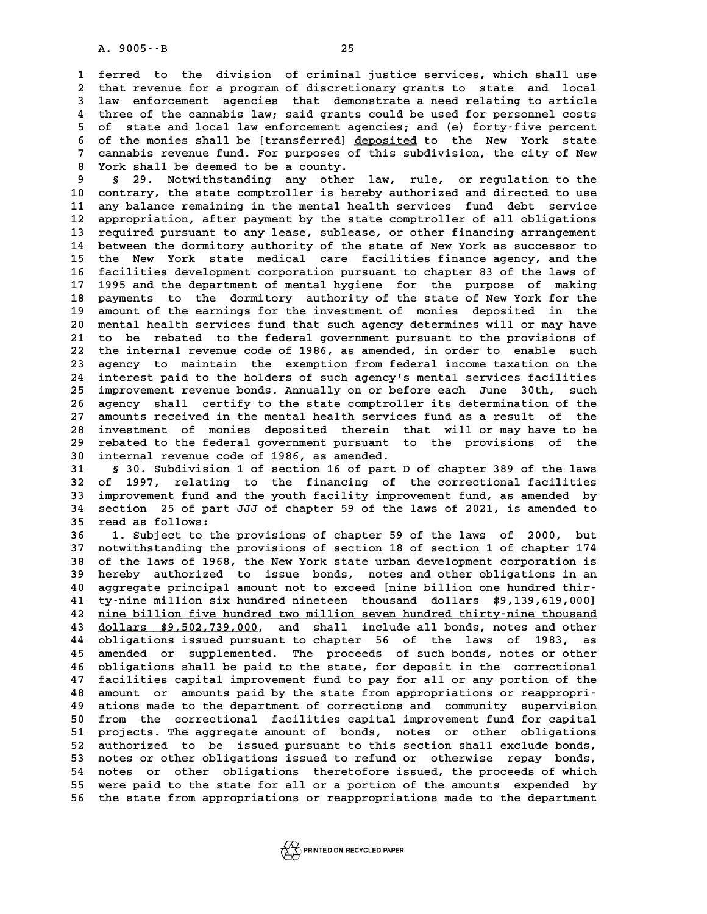**1 ferred to the division of criminal justice services, which shall use 2** ferred to the division of criminal justice services, which shall use<br>2 that revenue for a program of discretionary grants to state and local<br>3 law enforgement agencies that demonstrate a need relating to artigle 1 ferred to the division of criminal justice services, which shall use<br>2 that revenue for a program of discretionary grants to state and local<br>3 law enforcement agencies that demonstrate a need relating to article<br><sup>4</sup> thre 2 that revenue for a program of discretionary grants to state and local<br>3 law enforcement agencies that demonstrate a need relating to article<br>4 three of the cannabis law; said grants could be used for personnel costs<br>5 of **5 law enforcement agencies that demonstrate a need relating to article**<br>4 three of the cannabis law; said grants could be used for personnel costs<br>5 of state and local law enforcement agencies; and (e) forty-five percent<br> 4 three of the cannabis law; said grants could be used for personnel costs<br>5 of state and local law enforcement agencies; and (e) forty-five percent<br>6 of the monies shall be [transferred] <u>deposited</u> to the New York state<br> 5 of state and local law enforcement agencies; and (e) forty-five percent<br>6 of the monies shall be [transferred] <u>deposited</u> to the New York state<br>7 cannabis revenue fund. For purposes of this subdivision, the city of New<br> 6 of the monies shall be [transferred] <u>de</u><br>7 cannabis revenue fund. For purposes of<br>8 York shall be deemed to be a county.<br>8 5 29 Notwithstanding any other 9 **cannabis revenue fund. For purposes of this subdivision, the city of New**<br>8 York shall be deemed to be a county.<br>9 § 29. Notwithstanding any other law, rule, or regulation to the<br>10 contrary, the state comptroller is he

**10 contrary, the state comptroller is hereby authorized and directed to use** <sup>9</sup> § 29. Notwithstanding any other law, rule, or regulation to the<br>10 contrary, the state comptroller is hereby authorized and directed to use<br>11 any balance remaining in the mental health services fund debt service<br>22 ap 10 contrary, the state comptroller is hereby authorized and directed to use<br>11 any balance remaining in the mental health services fund debt service<br>12 appropriation, after payment by the state comptroller of all obligatio 11 any balance remaining in the mental health services fund debt service<br>12 appropriation, after payment by the state comptroller of all obligations<br>13 required pursuant to any lease, sublease, or other financing arrangeme 12 appropriation, after payment by the state comptroller of all obligations<br>13 required pursuant to any lease, sublease, or other financing arrangement<br>14 between the dormitory authority of the state of New York as success **13 required pursuant to any lease, sublease, or other financing arrangement**<br>14 between the dormitory authority of the state of New York as successor to<br>15 the New York state medical care facilities finance agency, and th 14 between the dormitory authority of the state of New York as successor to<br>15 the New York state medical care facilities finance agency, and the<br>16 facilities development corporation pursuant to chapter 83 of the laws of<br> 15 the New York state medical care facilities finance agency, and the<br>16 facilities development corporation pursuant to chapter 83 of the laws of<br>17 1995 and the department of mental hygiene for the purpose of making<br>28 pe 16 facilities development corporation pursuant to chapter 83 of the laws of<br>17 1995 and the department of mental hygiene for the purpose of making<br>18 payments to the dormitory authority of the state of New York for the<br>19 17 1995 and the department of mental hygiene for the purpose of making<br>18 payments to the dormitory authority of the state of New York for the<br>19 amount of the earnings for the investment of monies deposited in the<br>20 ment 18 payments to the dormitory authority of the state of New York for the 19 amount of the earnings for the investment of monies deposited in the 20 mental health services fund that such agency determines will or may have 21 19 amount of the earnings for the investment of monies deposited in the<br>20 mental health services fund that such agency determines will or may have<br>21 to be rebated to the federal government pursuant to the provisions of<br>2 20 mental health services fund that such agency determines will or may have<br>21 to be rebated to the federal government pursuant to the provisions of<br>22 the internal revenue code of 1986, as amended, in order to enable such 21 to be rebated to the federal government pursuant to the provisions of<br>22 the internal revenue code of 1986, as amended, in order to enable such<br>23 agency to maintain the exemption from federal income taxation on the<br>24 22 the internal revenue code of 1986, as amended, in order to enable such<br>23 agency to maintain the exemption from federal income taxation on the<br>24 interest paid to the holders of such agency's mental services facilities<br> 23 agency to maintain the exemption from federal income taxation on the<br>24 interest paid to the holders of such agency's mental services facilities<br>25 improvement revenue bonds. Annually on or before each June 30th, such<br>2 24 interest paid to the holders of such agency's mental services facilities<br>25 improvement revenue bonds. Annually on or before each June 30th, such<br>26 agency shall certify to the state comptroller its determination of the 25 improvement revenue bonds. Annually on or before each June 30th, such<br>26 agency shall certify to the state comptroller its determination of the<br>27 amounts received in the mental health services fund as a result of the<br>i 26 agency shall certify to the state comptroller its determination of the<br>27 amounts received in the mental health services fund as a result of the<br>28 investment of monies deposited therein that will or may have to be<br>29 r 27 amounts received in the mental health services fund as a result of the<br>28 investment of monies deposited therein that will or may have to be<br>29 rebated to the federal government pursuant to the provisions of the<br><sup>20</sup> in 28 investment of monies deposited therein the rebated to the federal government pursuant to internal revenue code of 1986, as amended. **39 rebated to the federal government pursuant to the provisions of the internal revenue code of 1986, as amended.**<br>31 § 30. Subdivision 1 of section 16 of part D of chapter 389 of the laws<br>32 of 1997, relating to the fina

30 internal revenue code of 1986, as amended.<br>
31 § 30. Subdivision 1 of section 16 of part D of chapter 389 of the laws<br>
32 of 1997, relating to the financing of the correctional facilities<br>
33 improvement fund and the yo **31** § 30. Subdivision 1 of section 16 of part D of chapter 389 of the laws<br>32 of 1997, relating to the financing of the correctional facilities<br>33 improvement fund and the youth facility improvement fund, as amended by<br>34 32 of 1997, relating to the financing of the correctional facilities<br>33 improvement fund and the youth facility improvement fund, as amended by<br>34 section 25 of part JJJ of chapter 59 of the laws of 2021, is amended to 33 improvement fund an<br>34 section 25 of part<br>35 read as follows: 34 section 25 of part JJJ of chapter 59 of the laws of 2021, is amended to<br>35 read as follows:<br>36 1. Subject to the provisions of chapter 59 of the laws of 2000, but<br>37 notwithstanding the provisions of section 18 of secti

1. Subject to the provisions of chapter 59 of the laws of 2000, but<br>37 notwithstanding the provisions of section 18 of section 1 of chapter 174<br>38 of the laws of 1968, the New York state urban development corporation is **38 of the laws of 1968, the New York state urban development corporation is** 37 notwithstanding the provisions of section 18 of section 1 of chapter 174<br>38 of the laws of 1968, the New York state urban development corporation is<br>39 hereby authorized to issue bonds, notes and other obligations in an 38 of the laws of 1968, the New York state urban development corporation is<br>39 hereby authorized to issue bonds, notes and other obligations in an<br>40 aggregate principal amount not to exceed [nine billion one hundred thir-**40** hereby authorized to issue bonds, notes and other obligations in an aggregate principal amount not to exceed [nine billion one hundred thir-<br>
41 ty-nine million six hundred nineteen thousand dollars \$9,139,619,000]<br>
4 40 aggregate principal amount not to exceed [nine billion one hundred thir-<br>41 ty-nine million six hundred nineteen thousand dollars \$9,139,619,000]<br>42 <u>nine billion five hundred two million seven hundred thirty-nine thous</u> **43** dollars \$9,502,739,000, and shall include all bonds, notes and other<br>44 obligations issued pursuant to chapter 56 of the laws of 1983, as **42 <u>nine billion five hundred two million seven hundred thirty-nine thousand**<br>43 <u>dollars \$9,502,739,000</u>, and shall include all bonds, notes and other<br>44 obligations issued pursuant to chapter 56 of the laws of 1983, as<br></u> **43** dollars \$9,502,739,000, and shall include all bonds, notes and other<br>44 obligations issued pursuant to chapter 56 of the laws of 1983, as<br>45 amended or supplemented. The proceeds of such bonds, notes or other<br>46 oblig **44 obligations issued pursuant to chapter 56 of the laws of 1983, as<br>45 amended or supplemented. The proceeds of such bonds, notes or other<br>46 obligations shall be paid to the state, for deposit in the correctional<br>47 fac** 45 amended or supplemented. The proceeds of such bonds, notes or other<br>46 obligations shall be paid to the state, for deposit in the correctional<br>47 facilities capital improvement fund to pay for all or any portion of the<br> 46 obligations shall be paid to the state, for deposit in the correctional<br>47 facilities capital improvement fund to pay for all or any portion of the<br>48 amount or amounts paid by the state from appropriations or reappropr 47 facilities capital improvement fund to pay for all or any portion of the<br>48 amount or amounts paid by the state from appropriations or reappropri-<br>49 ations made to the department of corrections and community supervisio 48 amount or amounts paid by the state from appropriations or reappropri-<br>49 ations made to the department of corrections and community supervision<br>50 from the correctional facilities capital improvement fund for capital 49 ations made to the department of corrections and community supervision<br>50 from the correctional facilities capital improvement fund for capital<br>51 projects. The aggregate amount of bonds, notes or other obligations<br>52 p 50 from the correctional facilities capital improvement fund for capital<br>51 projects. The aggregate amount of bonds, notes or other obligations<br>52 authorized to be issued pursuant to this section shall exclude bonds,<br>53 po 51 projects. The aggregate amount of bonds, notes or other obligations<br>52 authorized to be issued pursuant to this section shall exclude bonds,<br>53 notes or other obligations issued to refund or otherwise repay bonds,<br>54 no 52 authorized to be issued pursuant to this section shall exclude bonds,<br>53 notes or other obligations issued to refund or otherwise repay bonds,<br>54 notes or other obligations theretofore issued, the proceeds of which<br>55 w **55 were paid to the state for all or a portion of the amounts expended by 56 the state from appropriations or reappropriations made to the department**

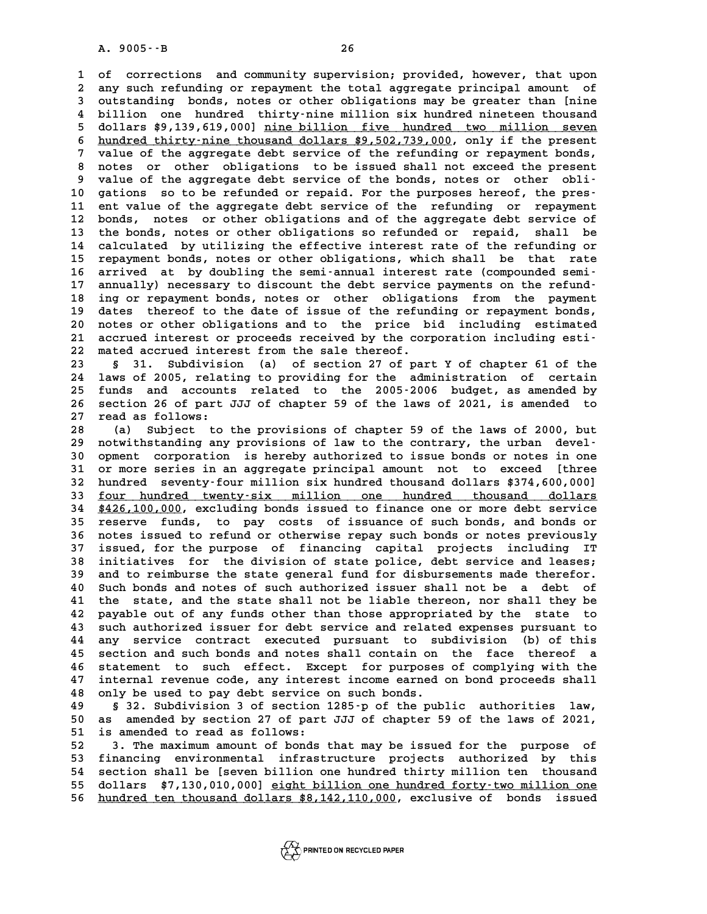**1 of corrections and community supervision; provided, however, that upon** 1 of corrections and community supervision; provided, however, that upon<br>2 any such refunding or repayment the total aggregate principal amount of<br>3 outstanding bonds, potes or other obligations may be greater than [nine 1 of corrections and community supervision; provided, however, that upon<br>2 any such refunding or repayment the total aggregate principal amount of<br>3 outstanding bonds, notes or other obligations may be greater than [nine<br><sup></sup> any such refunding or repayment the total aggregate principal amount of<br>3 outstanding bonds, notes or other obligations may be greater than [nine<br>4 billion one hundred thirty-nine million six hundred nineteen thousand<br>5 do 3 outstanding bonds, notes or other obligations may be greater than [nine<br>4 billion one hundred thirty-nine million six hundred nineteen thousand<br>5 dollars \$9,139,619,000] <u>nine billion five hundred two million seven</u><br>thir 4 billion one hundred thirty-nine million six hundred nineteen thousand<br>5 dollars \$9,139,619,000] <u>nine billion five hundred two million seven</u><br>6 <u>hundred thirty-nine thousand dollars \$9,502,739,000</u>, only if the present<br>7 **7** dollars \$9,139,619,000] <u>nine billion five hundred two million seven</u><br>6 <u>hundred thirty-nine thousand dollars \$9,502,739,000</u>, only if the present<br>7 value of the aggregate debt service of the refunding or repayment bon 8 hundred thirty-nine thousand dollars \$9,502,739,000, only if the present<br>
8 value of the aggregate debt service of the refunding or repayment bonds,<br>
8 notes or other obligations to be issued shall not exceed the present 9 value of the aggregate debt service of the refunding or repayment bonds,<br>
8 notes or other obligations to be issued shall not exceed the present<br>
9 value of the aggregate debt service of the bonds, notes or other obli-<br> 8 notes or other obligations to be issued shall not exceed the present<br>
9 value of the aggregate debt service of the bonds, notes or other obli-<br>
10 gations so to be refunded or repaid. For the purposes hereof, the pres-<br> 9 value of the aggregate debt service of the bonds, notes or other obli-<br>10 gations so to be refunded or repaid. For the purposes hereof, the pres-<br>11 ent value of the aggregate debt service of the refunding or repayment<br>2 10 gations so to be refunded or repaid. For the purposes hereof, the pres-<br>11 ent value of the aggregate debt service of the refunding or repayment<br>12 bonds, notes or other obligations and of the aggregate debt service of<br> 11 ent value of the aggregate debt service of the refunding or repayment<br>12 bonds, notes or other obligations and of the aggregate debt service of<br>13 the bonds, notes or other obligations so refunded or repaid, shall be<br>14 12 bonds, notes or other obligations and of the aggregate debt service of<br>13 the bonds, notes or other obligations so refunded or repaid, shall be<br>14 calculated by utilizing the effective interest rate of the refunding or<br> 13 the bonds, notes or other obligations so refunded or repaid, shall be<br>14 calculated by utilizing the effective interest rate of the refunding or<br>15 repayment bonds, notes or other obligations, which shall be that rate<br>1 14 calculated by utilizing the effective interest rate of the refunding or<br>15 repayment bonds, notes or other obligations, which shall be that rate<br>16 arrived at by doubling the semi-annual interest rate (compounded semi-<br> 15 repayment bonds, notes or other obligations, which shall be that rate<br>16 arrived at by doubling the semi-annual interest rate (compounded semi-<br>17 annually) necessary to discount the debt service payments on the refund-16 arrived at by doubling the semi-annual interest rate (compounded semi-<br>17 annually) necessary to discount the debt service payments on the refund-<br>18 ing or repayment bonds, notes or other obligations from the payment<br>1 17 annually) necessary to discount the debt service payments on the refund-<br>18 ing or repayment bonds, notes or other obligations from the payment<br>19 dates thereof to the date of issue of the refunding or repayment bonds, 18 ing or repayment bonds, notes or other obligations from the payment<br>19 dates thereof to the date of issue of the refunding or repayment bonds,<br>20 notes or other obligations and to the price bid including estimated<br>21 ac 19 dates thereof to the date of issue of the refunding or repayment bonds,<br>
20 notes or other obligations and to the price bid including estimated<br>
21 accrued interest or proceeds received by the corporation including esti 20 notes or other obligations and to the price bid including estimated<br>21 accrued interest or proceeds received by the corporation including esti-<br>22 mated accrued interest from the sale thereof.<br>23 \$ 31. Subdivision (a) o 21 accrued interest or proceeds received by the corporation including esti-<br>22 mated accrued interest from the sale thereof.<br>23 § 31. Subdivision (a) of section 27 of part Y of chapter 61 of the<br>24 laws of 2005, relating t

**24 laws of 2005, relating to providing for the administration of certain 23 5** 31. Subdivision (a) of section 27 of part Y of chapter 61 of the 24 laws of 2005, relating to providing for the administration of certain 25 funds and accounts related to the 2005-2006 budget, as amended by 24 laws of 2005, relating to providing for the administration of certain<br>25 funds and accounts related to the 2005-2006 budget, as amended by<br>26 section 26 of part JJJ of chapter 59 of the laws of 2021, is amended to 25 funds and account<br>26 section 26 of part<br>27 read as follows:<br>28 (a) Subject to 26 section 26 of part JJJ of chapter 59 of the laws of 2021, is amended to<br>27 read as follows:<br>28 (a) Subject to the provisions of chapter 59 of the laws of 2000, but<br>29 notwithstanding any provisions of law to the contrar

**29 notwithstanding any provisions of law to the contrary, the urban devel-30 (a) Subject to the provisions of chapter 59 of the laws of 2000, but**<br>**29 notwithstanding any provisions of law to the contrary, the urban devel-**<br>**30 opment corporation is hereby authorized to issue bonds or notes in** 29 notwithstanding any provisions of law to the contrary, the urban devel-<br>30 opment corporation is hereby authorized to issue bonds or notes in one<br>31 or more series in an aggregate principal amount not to exceed [three<br><sup></sup> 30 opment corporation is hereby authorized to issue bonds or notes in one<br>31 or more series in an aggregate principal amount not to exceed [three<br>32 hundred seventy-four million six hundred thousand dollars \$374,600,000]<br>3 31 or more series in an aggregate principal amount not to exceed [three<br>32 hundred seventy-four million six hundred thousand dollars \$374,600,000]<br><u>four hundred twenty-six million one hundred thousand dollars</u><br>\*426,100,000 32 hundred seventy-four million six hundred thousand dollars \$374,600,000]<br>33 <u>four hundred twenty-six million one hundred thousand dollars</u><br>34 \$426,100,000, excluding bonds issued to finance one or more debt service<br>25 re **33 <u>four hundred twenty-six million</u> one hundred thousand dollars<br>
<b>34 \$426,100,000, excluding bonds issued to finance one or more debt service**<br> **35 reserve funds, to pay costs of issuance of such bonds, and bonds or**<br> **34 \$426,100,000, excluding bonds issued to finance one or more debt service**<br>35 reserve funds, to pay costs of issuance of such bonds, and bonds or<br>36 notes issued to refund or otherwise repay such bonds or notes previous 35 reserve funds, to pay costs of issuance of such bonds, and bonds or<br>36 notes issued to refund or otherwise repay such bonds or notes previously<br>37 issued, for the purpose of financing capital projects including IT<br>38 in 36 notes issued to refund or otherwise repay such bonds or notes previously<br>37 issued, for the purpose of financing capital projects including IT<br>38 initiatives for the division of state police, debt service and leases;<br>39 37 issued, for the purpose of financing capital projects including IT<br>38 initiatives for the division of state police, debt service and leases;<br>39 and to reimburse the state general fund for disbursements made therefor.<br><sup>4</sup> **40 Such and to reimburse the division of state police, debt service and leases;**<br>**40 Such bonds and notes of such authorized issuer shall not be a debt of**<br>**41 the state, and the state shall not be liable thereon, nor sha 41 the state, and the state shall not be liable thereon, nor shall they be** 40 Such bonds and notes of such authorized issuer shall not be a debt of<br>41 the state, and the state shall not be liable thereon, nor shall they be<br>42 payable out of any funds other than those appropriated by the state to<br> 41 the state, and the state shall not be liable thereon, nor shall they be<br>42 payable out of any funds other than those appropriated by the state to<br>43 such authorized issuer for debt service and related expenses pursuant 42 payable out of any funds other than those appropriated by the state to<br>43 such authorized issuer for debt service and related expenses pursuant to<br>44 any service contract executed pursuant to subdivision (b) of this<br>5 s 43 such authorized issuer for debt service and related expenses pursuant to<br>44 any service contract executed pursuant to subdivision (b) of this<br>45 section and such bonds and notes shall contain on the face thereof a<br>46 st **44 any service contract executed pursuant to subdivision (b) of this**<br>**45 section and such bonds and notes shall contain on the face thereof a**<br>**46 statement to such effect. Except for purposes of complying with the**<br><sup>47</sup> 45 section and such bonds and notes shall contain on the face thereof a<br>46 statement to such effect. Except for purposes of complying with the<br>47 internal revenue code, any interest income earned on bond proceeds shall<br>28 46 statement to such effect. Except for purposes<br>47 internal revenue code, any interest income earned<br>48 only be used to pay debt service on such bonds.<br><sup>49</sup> 522 Subdivision 3 of section 1295-p of the pub 47 internal revenue code, any interest income earned on bond proceeds shall<br>48 only be used to pay debt service on such bonds.<br>49 § 32. Subdivision 3 of section 1285-p of the public authorities law,<br>50 as arrorded by secti

**50 as a superior 120 as a superfect of the service on such bonds.**<br> **50 as amended by section 27 of part JJJ of chapter 59 of the laws of 2021,**<br> **50 as amended to read as follows: 5** 32. Subdivision 3 of section<br>50 as amended by section 27 of part<br>51 is amended to read as follows:<br>52 3 The maximum amount of bords **50** as amended by section 27 of part JJJ of chapter 59 of the laws of 2021,<br> **51** is amended to read as follows:<br> **52** 3. The maximum amount of bonds that may be issued for the purpose of<br> **53** financing environmental inf

51 is amended to read as follows:<br>
52 3. The maximum amount of bonds that may be issued for the purpose of<br>
53 financing environmental infrastructure projects authorized by this<br>
54 section shall be [seven billion one hund 52 3. The maximum amount of bonds that may be issued for the purpose of<br>53 financing environmental infrastructure projects authorized by this<br>54 section shall be [seven billion one hundred thirty million ten thousand<br>55 de 53 financing environmental infrastructure projects authorized by this<br>54 section shall be [seven billion one hundred thirty million ten thousand<br>55 dollars \$7,130,010,000] eight billion one hundred forty-two million one<br>56 **55** dollars \$7,130,010,000] <u>eight billion one hundred forty-two million one</u><br>56 hundred ten thousand dollars \$8,142,110,000, exclusive of bonds issued

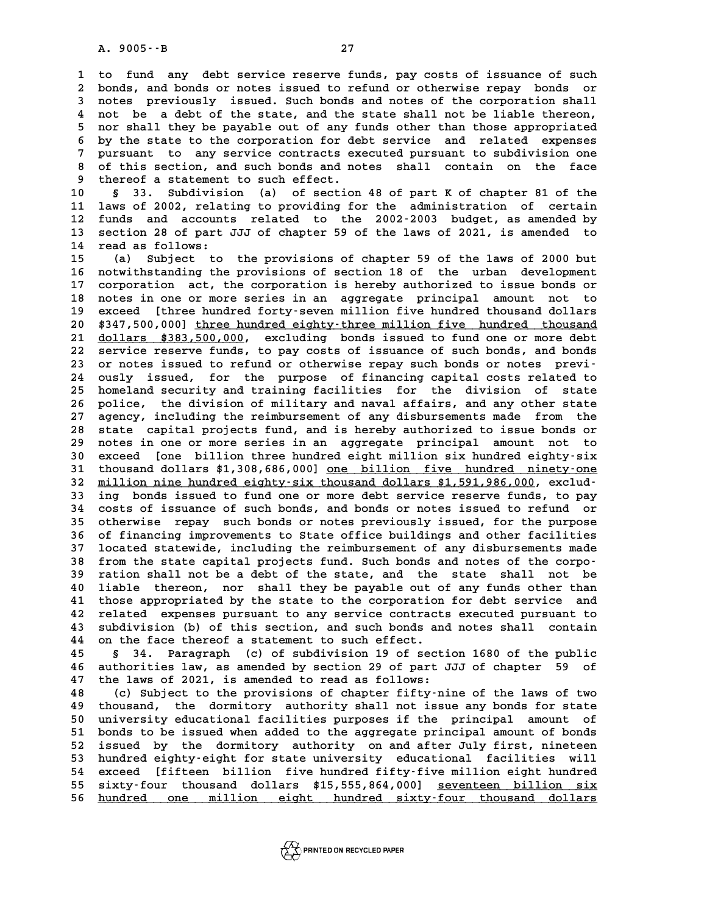**1 to fund any debt service reserve funds, pay costs of issuance of such 2** to fund any debt service reserve funds, pay costs of issuance of such<br>2 bonds, and bonds or notes issued to refund or otherwise repay bonds or<br>3 potes, previously, issued, such bonds and potes of the corporation shall 1 to fund any debt service reserve funds, pay costs of issuance of such<br>2 bonds, and bonds or notes issued to refund or otherwise repay bonds or<br>3 notes previously issued. Such bonds and notes of the corporation shall<br>2 no 2 bonds, and bonds or notes issued to refund or otherwise repay bonds or<br>3 notes previously issued. Such bonds and notes of the corporation shall<br>4 not be a debt of the state, and the state shall not be liable thereon,<br>5 n 5 notes previously issued. Such bonds and notes of the corporation shall<br>4 not be a debt of the state, and the state shall not be liable thereon,<br>5 nor shall they be payable out of any funds other than those appropriated<br>b 4 not be a debt of the state, and the state shall not be liable thereon,<br>5 nor shall they be payable out of any funds other than those appropriated<br>6 by the state to the corporation for debt service and related expenses<br>7 5 nor shall they be payable out of any funds other than those appropriated<br>6 by the state to the corporation for debt service and related expenses<br>7 pursuant to any service contracts executed pursuant to subdivision one<br>9 **8 by the state to the corporation for debt service and related expenses**<br>**8 of this section, and such bonds and notes shall contain on the face**<br>**8 thereof a statement to such offert** 9 pursuant to any service contracts executed pursuant to subdivision one<br>**9 of this section, and such bonds and notes** shall contain on the face<br>**9 thereof a statement to such effect.**<br>**9 33.** Subdivision (a) of section 48 8 of this section, and such bonds and notes shall contain on the face<br>9 thereof a statement to such effect.<br>10 § 33. Subdivision (a) of section 48 of part K of chapter 81 of the<br>11 laws of 2002 relating to providing for th

9 thereof a statement to such effect.<br>10 § 33. Subdivision (a) of section 48 of part K of chapter 81 of the<br>11 laws of 2002, relating to providing for the administration of certain<br>12 funds and aggents related to the 2002-10 § 33. Subdivision (a) of section 48 of part K of chapter 81 of the<br>11 laws of 2002, relating to providing for the administration of certain<br>12 funds and accounts related to the 2002-2003 budget, as amended by<br>13 section 11 laws of 2002, relating to providing for the administration of certain<br>12 funds and accounts related to the 2002-2003 budget, as amended by<br>13 section 28 of part JJJ of chapter 59 of the laws of 2021, is amended to<br>14 ro 12 funds and account<br>13 section 28 of part<br>14 read as follows:<br>15 (a) Subject to 13 section 28 of part JJJ of chapter 59 of the laws of 2021, is amended to<br>14 read as follows:<br>15 (a) Subject to the provisions of chapter 59 of the laws of 2000 but<br>16 notwithstanding the provisions of section 18 of the u

14 read as follows:<br>15 (a) Subject to the provisions of chapter 59 of the laws of 2000 but<br>16 notwithstanding the provisions of section 18 of the urban development<br>17 corporation ast the corporation is bereby authorized to **15** (a) Subject to the provisions of chapter 59 of the laws of 2000 but<br>16 notwithstanding the provisions of section 18 of the urban development<br>17 corporation act, the corporation is hereby authorized to issue bonds or<br>1 16 notwithstanding the provisions of section 18 of the urban development<br>17 corporation act, the corporation is hereby authorized to issue bonds or<br>18 notes in one or more series in an aggregate principal amount not to<br>20 17 corporation act, the corporation is hereby authorized to issue bonds or<br>18 notes in one or more series in an aggregate principal amount not to<br>19 exceed [three hundred forty-seven million five hundred thousand dollars<br><sup></sup> 18 notes in one or more series in an aggregate principal amount not to<br>19 exceed [three hundred forty-seven million five hundred thousand dollars<br>20 \$347,500,000] <u>three hundred eighty-three million five hundred thousand</u><br> **21 exceed** [three hundred forty-seven million five hundred thousand dollars<br>20 \$347,500,000] <u>three hundred eighty-three million five hundred thousand</u><br>21 <u>dollars \$383,500,000</u>, excluding bonds issued to fund one or more 20 \$347,500,000] <u>three hundred eighty-three million five hundred thousand</u><br>21 <u>dollars \$383,500,000</u>, excluding bonds issued to fund one or more debt<br>22 service reserve funds, to pay costs of issuance of such bonds, and b 21 <u>dollars \$383,500,000</u>, excluding bonds issued to fund one or more debt<br>
22 service reserve funds, to pay costs of issuance of such bonds, and bonds<br>
23 or notes issued to refund or otherwise repay such bonds or notes p 22 service reserve funds, to pay costs of issuance of such bonds, and bonds<br>23 or notes issued to refund or otherwise repay such bonds or notes previ-<br>24 ously issued, for the purpose of financing capital costs related to<br> 23 or notes issued to refund or otherwise repay such bonds or notes previ-<br>24 ously issued, for the purpose of financing capital costs related to<br>25 homeland security and training facilities for the division of state<br>26 po 24 ously issued, for the purpose of financing capital costs related to<br>25 homeland security and training facilities for the division of state<br>26 police, the division of military and naval affairs, and any other state<br>27 ag 25 homeland security and training facilities for the division of state<br>26 police, the division of military and naval affairs, and any other state<br>27 agency, including the reimbursement of any disbursements made from the<br>28 **26 police, the division of military and naval affairs, and any other state**<br>27 agency, including the reimbursement of any disbursements made from the<br>28 state capital projects fund, and is hereby authorized to issue bonds agency, including the reimbursement of any disbursements made from the<br>28 state capital projects fund, and is hereby authorized to issue bonds or<br>29 notes in one or more series in an aggregate principal amount not to<br>20 av 28 state capital projects fund, and is hereby authorized to issue bonds or<br>29 notes in one or more series in an aggregate principal amount not to<br>30 exceed [one billion three hundred eight million six hundred eighty-six<br>31 29 notes in one or more series in an aggregate principal amount not to<br>30 exceed [one billion three hundred eight million six hundred eighty-six<br>31 thousand dollars \$1,308,686,000] <u>one billion five hundred ninety-one</u><br>22 30 exceed [one billion three hundred eight million six hundred eighty-six<br>31 thousand dollars \$1,308,686,000] <u>one billion five hundred ninety-one</u><br>32 million nine hundred eighty-six thousand dollars \$1,591,986,000, exclud **31 thousand dollars \$1,308,686,000] <u>one billion five hundred ninety-one</u><br>32 <u>million nine hundred eighty-six thousand dollars \$1,591,986,000</u>, exclud-<br>33 ing bonds issued to fund one or more debt service reserve funds, t 32 million nine hundred eighty-six thousand dollars \$1,591,986,000, exclud-**<br>33 ing bonds issued to fund one or more debt service reserve funds, to pay<br>34 costs of issuance of such bonds, and bonds or notes issued to refu **33** ing bonds issued to fund one or more debt service reserve funds, to pay<br>34 costs of issuance of such bonds, and bonds or notes issued to refund or<br>35 otherwise repay such bonds or notes previously issued, for the purp 34 costs of issuance of such bonds, and bonds or notes issued to refund or<br>35 otherwise repay such bonds or notes previously issued, for the purpose<br>36 of financing improvements to State office buildings and other faciliti 35 otherwise repay such bonds or notes previously issued, for the purpose<br>36 of financing improvements to State office buildings and other facilities<br>37 located statewide, including the reimbursement of any disbursements m 36 of financing improvements to State office buildings and other facilities<br>37 located statewide, including the reimbursement of any disbursements made<br>38 from the state capital projects fund. Such bonds and notes of the c **37 located statewide, including the reimbursement of any disbursements made**<br>**38 from the state capital projects fund. Such bonds and notes of the corpo-**<br>**39 ration shall not be** a debt of the state, and the state shall **40 liable thereon, nor shall they be payable out of any funds other than** 39 ration shall not be a debt of the state, and the state shall not be<br>40 liable thereon, nor shall they be payable out of any funds other than<br>41 those appropriated by the state to the corporation for debt service and<br>42 40 liable thereon, nor shall they be payable out of any funds other than<br>41 those appropriated by the state to the corporation for debt service and<br>42 related expenses pursuant to any service contracts executed pursuant to 41 those appropriated by the state to the corporation for debt service and<br>42 related expenses pursuant to any service contracts executed pursuant to<br>43 subdivision (b) of this section, and such bonds and notes shall conta 42 related expenses pursuant to any service contract<br>43 subdivision (b) of this section, and such bonds an<br>44 on the face thereof a statement to such effect.

**43 subdivision (b) of this section, and such bonds and notes shall contain**<br>**44 on the face thereof a statement to such effect.**<br>**45** § 34. Paragraph (c) of subdivision 19 of section 1680 of the public<br>**46 authorities law 44** on the face thereof a statement to such effect.<br> **45** § 34. Paragraph (c) of subdivision 19 of section 1680 of the public<br> **46** authorities law, as amended by section 29 of part JJJ of chapter 59 of<br>
<sup>47</sup> the laws of **45 5** 34. Paragraph (c) of subdivision 19 of section 46 authorities law, as amended by section 29 of part J<br>47 the laws of 2021, is amended to read as follows:<br>(c) Subject to the provisions of chapter fifty.pi 46 authorities law, as amended by section 29 of part JJJ of chapter 59 of<br>47 the laws of 2021, is amended to read as follows:<br>48 (c) Subject to the provisions of chapter fifty-nine of the laws of two<br>49 thousand, the dormi

48 (c) Subject to the provisions of chapter fifty-nine of the laws of two<br>49 thousand, the dormitory authority shall not issue any bonds for state<br>50 university educational facilities purposes if the principal amount of **50 university educational facilities purposes if the principal amount of** 49 thousand, the dormitory authority shall not issue any bonds for state<br>50 university educational facilities purposes if the principal amount of<br>51 bonds to be issued when added to the aggregate principal amount of bonds<br> 50 university educational facilities purposes if the principal amount of<br>51 bonds to be issued when added to the aggregate principal amount of bonds<br>52 issued by the dormitory authority on and after July first, nineteen<br>53 51 bonds to be issued when added to the aggregate principal amount of bonds<br>52 issued by the dormitory authority on and after July first, nineteen<br>53 hundred eighty-eight for state university educational facilities will<br>54 52 issued by the dormitory authority on and after July first, nineteen<br>53 hundred eighty-eight for state university educational facilities will<br>54 exceed [fifteen billion five hundred fifty-five million eight hundred<br>55 si 53 hundred eighty-eight for state university educational facilities will<br>54 exceed [fifteen billion five hundred fifty-five million eight hundred<br>55 sixty-four thousand dollars \$15,555,864,000] <u>seventeen billion six</u><br>56 h 54 exceed [fifteen billion five-hundred-fifty-five-million-eight-hundred-<br>55 sixty-four thousand dollars \$15,555,864,000] <u>seventeen billion six</u><br>56 <u>hundred one million- eight hundred sixty-four thousand dollars</u>

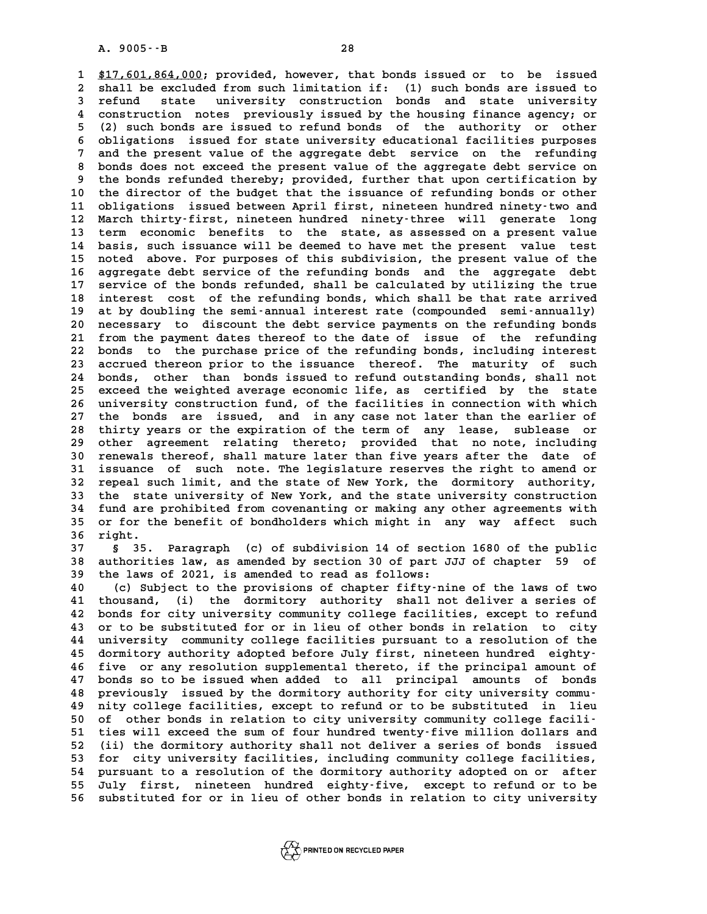**1 \$17,601,864,000; provided, however, that bonds issued or to be issued \_\_\_\_\_\_\_\_\_\_\_\_\_\_\_** 1 \$17,601,864,000; provided, however, that bonds issued or to be issued<br>2 shall be excluded from such limitation if: (1) such bonds are issued to<br>3 refund state university construction bonds and state university **317,601,864,000;** provided, however, that bonds issued or to be issued<br>2 shall be excluded from such limitation if: (1) such bonds are issued to<br>3 refund state university construction bonds and state university<br>4 construc 2 shall be excluded from such limitation if: (1) such bonds are issued to<br>3 refund state university construction bonds and state university<br>4 construction notes previously issued by the housing finance agency; or<br><sup>4</sup> (2) s **5 5 5** (2) such bonds are issued to refund bonds and state university<br> **5** (2) such bonds are issued to refund bonds of the authority or other<br> **5** (b) isotions issued for state university educational focilities purpo 4 construction notes previously issued by the housing finance agency; or<br>5 (2) such bonds are issued to refund bonds of the authority or other<br>6 obligations issued for state university educational facilities purposes<br>7 and <sup>5</sup> (2) such bonds are issued to refund bonds of the authority or other<br>6 obligations issued for state university educational facilities purposes<br>7 and the present value of the aggregate debt service on the refunding<br>bonds 8 obligations issued for state university educational facilities purposes<br>
8 and the present value of the aggregate debt service on the refunding<br>
8 bonds does not exceed the present value of the aggregate debt service on<br> and the present value of the aggregate debt service on the refunding<br>
8 bonds does not exceed the present value of the aggregate debt service on<br>
9 the bonds refunded thereby; provided, further that upon certification by<br> 8 bonds does not exceed the present value of the aggregate debt service on<br>9 the bonds refunded thereby; provided, further that upon certification by<br>10 the director of the budget that the issuance of refunding bonds or ot 10 the bonds refunded thereby; provided, further that upon certification by<br>
10 the director of the budget that the issuance of refunding bonds or other<br>
11 obligations issued between April first, nineteen hundred ninety-t 10 the director of the budget that the issuance of refunding bonds or other<br>11 obligations issued between April first, nineteen hundred ninety-two and<br>12 March thirty-first, nineteen hundred ninety-three will generate long 11 obligations issued between April first, nineteen hundred ninety-two and<br>12 March thirty-first, nineteen hundred ninety-three will generate long<br>13 term economic benefits to the state, as assessed on a present value<br>14 b 12 March thirty-first, nineteen hundred ninety-three will generate long<br>13 term economic benefits to the state, as assessed on a present value<br>14 basis, such issuance will be deemed to have met the present value test<br>15 po 13 term economic benefits to the state, as assessed on a present value<br>14 basis, such issuance will be deemed to have met the present value test<br>15 noted above. For purposes of this subdivision, the present value of the<br>16 14 basis, such issuance will be deemed to have met the present value test<br>15 noted above. For purposes of this subdivision, the present value of the<br>16 aggregate debt service of the refunding bonds and the aggregate debt<br>1 15 noted above. For purposes of this subdivision, the present value of the aggregate debt service of the refunding bonds and the aggregate debt service of the bonds refunded, shall be calculated by utilizing the true<br>18 in 16 aggregate debt service of the refunding bonds and the aggregate debt<br>17 service of the bonds refunded, shall be calculated by utilizing the true<br>18 interest cost of the refunding bonds, which shall be that rate arrived<br> 17 service of the bonds refunded, shall be calculated by utilizing the true<br>18 interest cost of the refunding bonds, which shall be that rate arrived<br>19 at by doubling the semi-annual interest rate (compounded semi-annuall 18 interest cost of the refunding bonds, which shall be that rate arrived<br>19 at by doubling the semi-annual interest rate (compounded semi-annually)<br>20 necessary to discount the debt service payments on the refunding bonds 19 at by doubling the semi-annual interest rate (compounded semi-annually)<br>20 necessary to discount the debt service payments on the refunding bonds<br>21 from the payment dates thereof to the date of issue of the refunding 20 necessary to discount the debt service payments on the refunding bonds<br>21 from the payment dates thereof to the date of issue of the refunding<br>22 bonds to the purchase price of the refunding bonds, including interest<br>23 21 from the payment dates thereof to the date of issue of the refunding<br>22 bonds to the purchase price of the refunding bonds, including interest<br>23 accrued thereon prior to the issuance thereof. The maturity of such<br>24 bo 22 bonds to the purchase price of the refunding bonds, including interest<br>23 accrued thereon prior to the issuance thereof. The maturity of such<br>24 bonds, other than bonds issued to refund outstanding bonds, shall not<br>25 a 23 accrued thereon prior to the issuance thereof. The maturity of such<br>24 bonds, other than bonds issued to refund outstanding bonds, shall not<br>25 exceed the weighted average economic life, as certified by the state<br>26 uni 24 bonds, other than bonds issued to refund outstanding bonds, shall not<br>25 exceed the weighted average economic life, as certified by the state<br>26 university construction fund, of the facilities in connection with which<br>2 25 exceed the weighted average economic life, as certified by the state<br>26 university construction fund, of the facilities in connection with which<br>27 the bonds are issued, and in any case not later than the earlier of<br>28 26 university construction fund, of the facilities in connection with which<br>27 the bonds are issued, and in any case not later than the earlier of<br>28 thirty years or the expiration of the term of any lease, sublease or<br>29 27 the bonds are issued, and in any case not later than the earlier of<br>28 thirty years or the expiration of the term of any lease, sublease or<br>29 other agreement relating thereto; provided that no note, including<br>20 report 28 thirty years or the expiration of the term of any lease, sublease or<br>29 other agreement relating thereto; provided that no note, including<br>30 renewals thereof, shall mature later than five years after the date of<br>31 iss 29 other agreement relating thereto; provided that no note, including<br>30 renewals thereof, shall mature later than five years after the date of<br>31 issuance of such note. The legislature reserves the right to amend or<br>22 re 30 renewals thereof, shall mature later than five years after the date of issuance of such note. The legislature reserves the right to amend or repeal such limit, and the state of New York, the dormitory authority, the sta 31 issuance of such note. The legislature reserves the right to amend or<br>32 repeal such limit, and the state of New York, the dormitory authority,<br>33 the state university of New York, and the state university construction<br> **32 repeal such limit, and the state of New York, the dormitory authority,<br>
33 the state university of New York, and the state university construction<br>
34 fund are prohibited from covenanting or making any other agreements** 33 the state university of New York, and the state university construction<br>34 fund are prohibited from covenanting or making any other agreements with<br>35 or for the benefit of bondholders which might in any way affect such 34 fund are 1<br>
35 or for th<br>
36 right.

**35 or for the benefit of bondholders which might in any way affect such right.**<br>**37** § 35. Paragraph (c) of subdivision 14 of section 1680 of the public<br>**38 authorities law, as amended by section 30 of part JJJ of chapter 36 right.**<br>37 § 35. Paragraph (c) of subdivision 14 of section 1680 of the public<br>38 authorities law, as amended by section 30 of part JJJ of chapter 59 of<br>39 the laws of 2021 is amended to read as follows: **5** 35. Paragraph (c) of subdivision 14 of section 38 authorities law, as amended by section 30 of part J<br>39 the laws of 2021, is amended to read as follows:<br>(c) Subject to the provisions of chapter fifturni **40 (a)** authorities law, as amended by section 30 of part JJJ of chapter 59 of<br>
40 (c) Subject to the provisions of chapter fifty-nine of the laws of two<br>
41 thousand (i) the dormitory authority shall not deliver a series

40 the laws of 2021, is amended to read as follows:<br>
40 (c) Subject to the provisions of chapter fifty-nine of the laws of two<br>
41 thousand, (i) the dormitory authority shall not deliver a series of<br>
42 bonds for city univ **40** (c) Subject to the provisions of chapter fifty-nine of the laws of two<br>**41** thousand, (i) the dormitory authority shall not deliver a series of<br>**42** bonds for city university community college facilities, except to re 41 thousand, (i) the dormitory authority shall not deliver a series of<br>42 bonds for city university community college facilities, except to refund<br>43 or to be substituted for or in lieu of other bonds in relation to city<br>4 42 bonds for city university community college facilities, except to refund<br>43 or to be substituted for or in lieu of other bonds in relation to city<br>44 university community college facilities pursuant to a resolution of t 43 or to be substituted for or in lieu of other bonds in relation to city<br>44 university community college facilities pursuant to a resolution of the<br>45 dormitory authority adopted before July first, nineteen hundred eighty 44 university community college facilities pursuant to a resolution of the<br>45 dormitory authority adopted before July first, nineteen hundred eighty-<br>46 five or any resolution supplemental thereto, if the principal amount 45 dormitory authority adopted before July first, nineteen hundred eighty-<br>46 five or any resolution supplemental thereto, if the principal amount of<br>47 bonds so to be issued when added to all principal amounts of bonds<br>48 46 five or any resolution supplemental thereto, if the principal amount of bonds so to be issued when added to all principal amounts of bonds previously issued by the dormitory authority for city university commu-<br>
49 nity 47 bonds so to be issued when added to all principal amounts of bonds<br>48 previously issued by the dormitory authority for city university commu-<br>49 nity college facilities, except to refund or to be substituted in lieu<br>50 48 previously issued by the dormitory authority for city university commu-<br>
49 nity college facilities, except to refund or to be substituted in lieu<br>
50 of other bonds in relation to city university community college faci **51** ity college facilities, except to refund or to be substituted in lieu<br>50 of other bonds in relation to city university community college facili-<br>51 ties will exceed the sum of four hundred twenty-five million dollars 50 of other bonds in relation to city university community college facili-<br>51 ties will exceed the sum of four hundred twenty-five million dollars and<br>52 (ii) the dormitory authority shall not deliver a series of bonds iss 51 ties will exceed the sum of four hundred twenty-five million dollars and<br>52 (ii) the dormitory authority shall not deliver a series of bonds issued<br>53 for city university facilities, including community college faciliti 52 (ii) the dormitory authority shall not deliver a series of bonds issued<br>53 for city university facilities, including community college facilities,<br>54 pursuant to a resolution of the dormitory authority adopted on or aft **53 for city university facilities, including community college facilities,<br>54 pursuant to a resolution of the dormitory authority adopted on or after<br>55 July first, nineteen hundred eighty-five, except to refund or to be** 54 pursuant to a resolution of the dormitory authority adopted on or after<br>55 July first, nineteen hundred eighty-five, except to refund or to be<br>56 substituted for or in lieu of other bonds in relation to city university

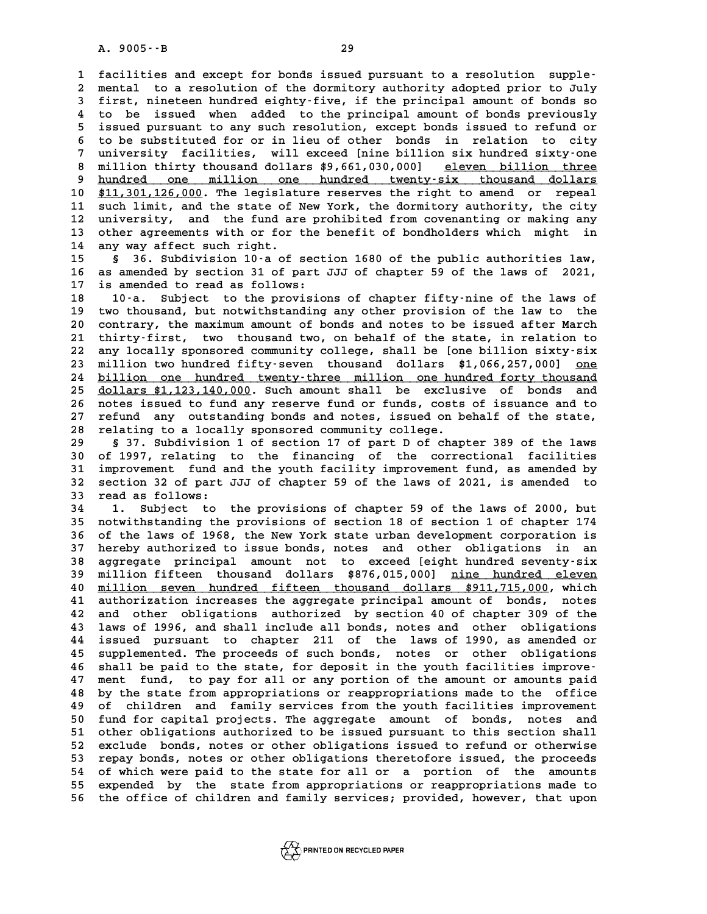A. 9005 $\cdot$ -B<br>1 facilities and except for bonds issued pursuant to a resolution supple-<br><sup>2</sup> montal to a resolution of the dermitery authority adopted prior to July 1 facilities and except for bonds issued pursuant to a resolution supple-<br>2 mental to a resolution of the dormitory authority adopted prior to July<br>3 first, pineteen hundred eighty-five, if the principal amount of bonds so 1 facilities and except for bonds issued pursuant to a resolution supple-<br>2 mental to a resolution of the dormitory authority adopted prior to July<br>3 first, nineteen hundred eighty-five, if the principal amount of bonds so 2 mental to a resolution of the dormitory authority adopted prior to July<br>3 first, nineteen hundred eighty-five, if the principal amount of bonds so<br>4 to be issued when added to the principal amount of bonds previously<br>5 i **5** first, nineteen hundred eighty-five, if the principal amount of bonds so<br>4 to be issued when added to the principal amount of bonds previously<br>5 issued pursuant to any such resolution, except bonds issued to refund or<br> 4 to be issued when added to the principal amount of bonds previously<br>5 issued pursuant to any such resolution, except bonds issued to refund or<br>6 to be substituted for or in lieu of other bonds in relation to city<br>7 unive <sup>5</sup> issued pursuant to any such resolution, except bonds issued to refund or<br>
<sup>6</sup> to be substituted for or in lieu of other bonds in relation to city<br>
<sup>7</sup> university facilities, will exceed [nine billion six hundred sixty-**8 to be substituted for or in lieu of other bonds in relation to city<br>7 university facilities, will exceed [nine billion six hundred sixty-one<br>8 million thirty thousand dollars \$9,661,030,000] eleven billion three<br>bundred** whiversity facilities, will exceed [nine billion six hundred sixty-one<br> **a** million thirty thousand dollars  $$9,661,030,000]$  eleven billion three<br> **p** hundred one million one hundred twenty-six thousand dollars<br>  $$^{41,120$ 8 million thirty thousand dollars \$9,661,030,000] eleven billion three<br>9 hundred one million one hundred twenty-six thousand dollars<br>10 \$11,301,126,000. The legislature reserves the right to amend or repeal<br>11 such limit a 9 <u>hundred one million one hundred twenty-six thousand dollars</u><br>10 \$11,301,126,000. The legislature reserves the right to amend or repeal<br>11 such limit, and the state of New York, the dormitory authority, the city<br>12 unive 10 **\$11,301,126,000**. The legislature reserves the right to amend or repeal<br>11 such limit, and the state of New York, the dormitory authority, the city<br>12 university, and the fund are prohibited from covenanting or making 11 such limit, and the state of New York, the dormitory authority, the city<br>12 university, and the fund are prohibited from covenanting or making any<br>13 other agreements with or for the benefit of bondholders which might i 12 university, and the fund ar<br>13 other agreements with or for<br>14 any way affect such right.<br>15 5 36 Subdivision 10:0.05 **13 other agreements with or for the benefit of bondholders which might in<br>14 any way affect such right.**<br>15 § 36. Subdivision 10-a of section 1680 of the public authorities law,<br>16 as a monded by section 31 of part III of

**14 any way affect such right.**<br>15 § 36. Subdivision 10 a of section 1680 of the public authorities law,<br>16 as amended by section 31 of part JJJ of chapter 59 of the laws of 2021,<br>17 is amended to read as follows: 15 § 36. Subdivision 10-a of sect<br>16 as amended by section 31 of part<br>17 is amended to read as follows: **16 as amended by section 31 of part JJJ of chapter 59 of the laws of 2021,<br>17 is amended to read as follows:**<br>18 10-a. Subject to the provisions of chapter fifty-nine of the laws of<br>19 type though a but notwithtinging any

17 is amended to read as follows:<br>18 10<sup>-</sup>a. Subject to the provisions of chapter fifty-nine of the laws of<br>19 two thousand, but notwithstanding any other provision of the law to the<br>20 contrary the marimum amount of bonds 18 10-a. Subject to the provisions of chapter fifty-nine of the laws of<br>19 two thousand, but notwithstanding any other provision of the law to the<br>20 contrary, the maximum amount of bonds and notes to be issued after March 19 two thousand, but notwithstanding any other provision of the law to the 20 contrary, the maximum amount of bonds and notes to be issued after March 21 thirty-first, two thousand two, on behalf of the state, in relation 20 contrary, the maximum amount of bonds and notes to be issued after March<br>21 thirty-first, two thousand two, on behalf of the state, in relation to<br>22 any locally sponsored community college, shall be [one billion sixty-21 thirty-first, two thousand two, on behalf of the state, in relation to<br>22 any locally sponsored community college, shall be [one billion sixty-six<br>23 million two hundred fifty-seven thousand dollars \$1,066,257,000] <u>one</u> 22 any locally sponsored community college, shall be [one billion sixty-six<br>23 million two hundred fifty-seven thousand dollars \$1,066,257,000] <u>one</u><br>24 billion one hundred twenty-three million one hundred forty thousand<br>2 23 million two hundred fifty-seven thousand dollars \$1,066,257,000] <u>one</u><br>24 <u>billion one hundred twenty-three million one hundred forty thousand</u><br>25 <u>dollars \$1,123,140,000</u>. Such amount shall be exclusive of bonds and<br>26 24 <u>billion one hundred twenty-three million one hundred forty thousand</u><br>25 <u>dollars \$1,123,140,000</u>. Such amount shall be exclusive of bonds and<br>26 notes issued to fund any reserve fund or funds, costs of issuance and to<br> **25 dollars \$1,123,140,000.** Such amount shall be exclusive of bonds and notes issued to fund any reserve fund or funds, costs of issuance and to refund any outstanding bonds and notes, issued on behalf of the state,<br> **27** 26 notes issued to fund any reserve fund or funds, costs of issuance and to<br>27 refund any outstanding bonds and notes, issued on behalf of the state,<br>28 relating to a locally sponsored community college.<br>29 s 37. Subdivisi

**29 § 37. Subdivision 1 of section 17 of part D of chapter 389 of the laws 30 of 1997, relating to the financing of the correctional facilities 5 37. Subdivision 1 of section 17 of part D of chapter 389 of the laws**<br> **30 of 1997, relating to the financing of the correctional facilities**<br> **31 improvement fund and the youth facility improvement fund, as amended by** 30 of 1997, relating to the financing of the correctional facilities<br>31 improvement fund and the youth facility improvement fund, as amended by<br>32 section 32 of part JJJ of chapter 59 of the laws of 2021, is amended to<br>33 31 improvement fund a<br>32 section 32 of part<br>33 read as follows:<br><sup>34</sup> <sup>1</sup> Subject to 32 section 32 of part JJJ of chapter 59 of the laws of 2021, is amended to<br>33 read as follows:<br>34 1. Subject to the provisions of chapter 59 of the laws of 2000, but<br>35 notwithstanding the provisions of section 18 of secti

**33 read as follows:**<br> **34 1. Subject to the provisions of chapter 59 of the laws of 2000, but**<br> **35 notwithstanding the provisions of section 18 of section 1 of chapter 174**<br> **26 of the laws of 1968, the Nov York state wh 1.** Subject to the provisions of chapter 59 of the laws of 2000, but<br>35 notwithstanding the provisions of section 18 of section 1 of chapter 174<br>36 of the laws of 1968, the New York state urban development corporation is<br> 35 notwithstanding the provisions of section 18 of section 1 of chapter 174<br>36 of the laws of 1968, the New York state urban development corporation is<br>37 hereby authorized to issue bonds, notes and other obligations in an 36 of the laws of 1968, the New York state urban development corporation is<br>37 hereby authorized to issue bonds, notes and other obligations in an<br>38 aggregate principal amount not to exceed [eight hundred seventy-six<br><sup>39</sup> 37 hereby authorized to issue bonds, notes and other obligations in an<br>38 aggregate principal amount not to exceed [eight hundred seventy-six<br>39 million fifteen thousand dollars \$876,015,000] <u>nine hundred eleven</u><br>40 milli **40 degregate principal amount not to exceed [eight hundred seventy-six**<br> **40 million seven hundred fifteen thousand dollars \$911,715,000, which**<br> **41 authorization increases the aggregate principal amount of bonds** notes **40 million fifteen thousand dollars \$876,015,000] <u>nine hundred eleven</u><br>40 <u>million seven hundred fifteen thousand dollars \$911,715,000</u>, which<br>41 authorization increases the aggregate principal amount of bonds, notes<br>20** 40 <u>million seven hundred fifteen thousand dollars \$911,715,000</u>, which<br>41 authorization increases the aggregate principal amount of bonds, notes<br>42 and other obligations authorized by section 40 of chapter 309 of the<br>43 l 41 authorization increases the aggregate principal amount of bonds, notes<br>42 and other obligations authorized by section 40 of chapter 309 of the<br>43 laws of 1996, and shall include all bonds, notes and other obligations<br>44 41 authorization increases the aggregate principal amount of bonds, notes<br>42 and other obligations authorized by section 40 of chapter 309 of the<br>43 laws of 1996, and shall include all bonds, notes and other obligations<br>44 **43 laws of 1996, and shall include all bonds, notes and other obligations**<br>**44 issued pursuant to chapter 211 of the laws of 1990, as amended or<br>45 supplemented. The proceeds of such bonds, notes or other obligations**<br>46 44 issued pursuant to chapter 211 of the laws of 1990, as amended or<br>45 supplemented. The proceeds of such bonds, notes or other obligations<br>46 shall be paid to the state, for deposit in the youth facilities improve-<br><sup>47</sup> 45 supplemented. The proceeds of such bonds, notes or other obligations<br>46 shall be paid to the state, for deposit in the youth facilities improve-<br>47 ment fund, to pay for all or any portion of the amount or amounts paid<br> **46 shall be paid to the state, for deposit in the youth facilities improve-**<br>47 ment fund, to pay for all or any portion of the amount or amounts paid<br>48 by the state from appropriations or reappropriations made to the of 47 ment fund, to pay for all or any portion of the amount or amounts paid<br>48 by the state from appropriations or reappropriations made to the office<br>49 of children and family services from the youth facilities improvement<br> by the state from appropriations or reappropriations made to the office<br>49 of children and family services from the youth facilities improvement<br>50 fund for capital projects. The aggregate amount of bonds, notes and<br>51 oth **51** of children and family services from the youth facilities improvement<br>
50 fund for capital projects. The aggregate amount of bonds, notes and<br>
51 other obligations authorized to be issued pursuant to this section shal 50 fund for capital projects. The aggregate amount of bonds, notes and<br>51 other obligations authorized to be issued pursuant to this section shall<br>52 exclude bonds, notes or other obligations issued to refund or otherwise<br> 51 other obligations authorized to be issued pursuant to this section shall<br>52 exclude bonds, notes or other obligations issued to refund or otherwise<br>53 repay bonds, notes or other obligations theretofore issued, the proc **54 of which were paid to the state for all or a portion of the amounts** 53 repay bonds, notes or other obligations theretofore issued, the proceeds<br>54 of which were paid to the state for all or a portion of the amounts<br>55 expended by the state from appropriations or reappropriations made to<br>56 54 of which were paid to the state for all or a portion of the amounts<br>55 expended by the state from appropriations or reappropriations made to<br>56 the office of children and family services; provided, however, that upon

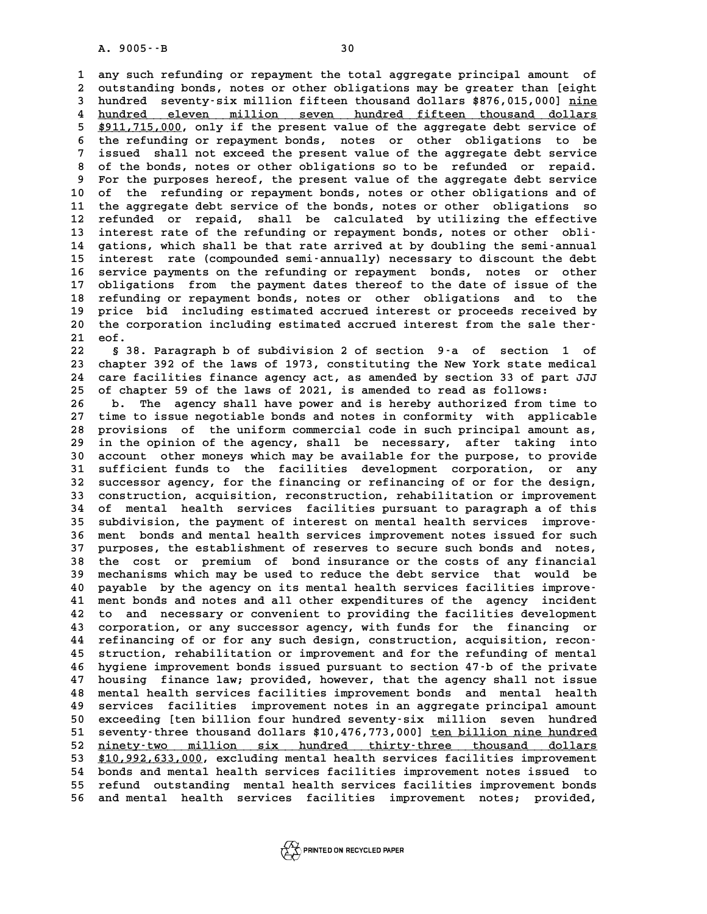**1 any such refunding or repayment the total aggregate principal amount of 2** any such refunding or repayment the total aggregate principal amount of outstanding bonds, notes or other obligations may be greater than [eight] **3** any such refunding or repayment the total aggregate principal amount of outstanding bonds, notes or other obligations may be greater than [eight hundred seventy-six million fifteen thousand dollars \$876,015,000] <u>nine</u> 2 outstanding bonds, notes or other obligations may be greater than [eight<br>3 hundred seventy-six million fifteen thousand dollars \$876,015,000] <u>nine</u><br>4 hundred eleven million seven hundred fifteen thousand dollars<br><sup>\$911,7</sup> 3 hundred seventy-six million fifteen thousand dollars \$876,015,000] <u>nine</u><br>4 hundred eleven million seven hundred fifteen thousand dollars<br>5 \$911,715,000, only if the present value of the aggregate debt service of<br>the ref 4 <u>hundred eleven million seven hundred fifteen thousand dollars</u><br>5 \$911,715,000, only if the present value of the aggregate debt service of<br>6 the refunding or repayment bonds, notes or other obligations to be<br>3 issued sha **7** *11,715,000,* **only if the present value of the aggregate debt service of the refunding or repayment bonds, notes or other obligations to be issued shall not exceed the present value of the aggregate debt service 8 o** 8 the refunding or repayment bonds, notes or other obligations to be<br>7 issued shall not exceed the present value of the aggregate debt service<br>8 of the bonds, notes or other obligations so to be refunded or repaid.<br>9 For t 9 **1 State Shall not exceed the present value of the aggregate debt service**<br>8 of the bonds, notes or other obligations so to be refunded or repaid.<br>9 For the purposes hereof, the present value of the aggregate debt servic 10 of the bonds, notes or other obligations so to be refunded or repaid.<br>
10 of the refunding or repayment bonds, notes or other obligations and of<br>
11 the aggregate debt service of the bonds, notes or other obligations so 9 For the purposes hereof, the present value of the aggregate debt service<br>10 of the refunding or repayment bonds, notes or other obligations and of<br>11 the aggregate debt service of the bonds, notes or other obligations so 10 of the refunding or repayment bonds, notes or other obligations and of<br>11 the aggregate debt service of the bonds, notes or other obligations so<br>12 refunded or repaid, shall be calculated by utilizing the effective<br>inte 11 the aggregate debt service of the bonds, notes or other obligations so<br>12 refunded or repaid, shall be calculated by utilizing the effective<br>13 interest rate of the refunding or repayment bonds, notes or other obli-<br>14 12 refunded or repaid, shall be calculated by utilizing the effective<br>13 interest rate of the refunding or repayment bonds, notes or other obli-<br>14 gations, which shall be that rate arrived at by doubling the semi-annual<br>i 13 interest rate of the refunding or repayment bonds, notes or other obli-<br>14 gations, which shall be that rate arrived at by doubling the semi-annual<br>15 interest rate (compounded semi-annually) necessary to discount the d 14 gations, which shall be that rate arrived at by doubling the semi-annual<br>15 interest rate (compounded semi-annually) necessary to discount the debt<br>16 service payments on the refunding or repayment bonds, notes or other **15 interest rate (compounded semi-annually) necessary to discount the debt**<br>16 service payments on the refunding or repayment bonds, notes or other<br>17 obligations from the payment dates thereof to the date of issue of the 16 service payments on the refunding or repayment bonds, notes or other<br>17 obligations from the payment dates thereof to the date of issue of the<br>18 refunding or repayment bonds, notes or other obligations and to the<br>19 pr 17 obligations from the payment dates thereof to the date of issue of the<br>18 refunding or repayment bonds, notes or other obligations and to the<br>19 price bid including estimated accrued interest or proceeds received by<br>20 18 refunding or repayment bonds, notes or other obligations and to the<br>19 price bid including estimated accrued interest or proceeds received by<br>20 the corporation including estimated accrued interest from the sale ther-<br>2 9 price bid including estimated accrued interest or proceeds received by<br>
20 the corporation including estimated accrued interest from the sale ther-<br>
21 eof.<br>
23 \$38. Paragraph b of subdivision 2 of section 9-a of section

**22 § 38. Paragraph b of subdivision 2 of section 9-a of section 1 of 21 eof.**<br>22 § 38. Paragraph b of subdivision 2 of section 9-a of section 1 of<br>23 chapter 392 of the laws of 1973, constituting the New York state medical<br>24 care facilities finance agency act, as amended by section 33 of 8 38. Paragraph b of subdivision 2 of section 9<sup>-</sup>a of section 1 of<br>23 chapter 392 of the laws of 1973, constituting the New York state medical<br>24 care facilities finance agency act, as amended by section 33 of part JJJ<br>25 23 chapter 392 of the laws of 1973, constituting the New York state med<br>24 care facilities finance agency act, as amended by section 33 of part<br>25 of chapter 59 of the laws of 2021, is amended to read as follows:<br><sup>26</sup> mbs 24 care facilities finance agency act, as amended by section 33 of part JJJ<br>25 of chapter 59 of the laws of 2021, is amended to read as follows:<br>26 b. The agency shall have power and is hereby authorized from time to<br>27 ti

25 of chapter 59 of the laws of 2021, is amended to read as follows:<br>26 b. The agency shall have power and is hereby authorized from time to<br>27 time to issue negotiable bonds and notes in conformity with applicable<br>28 prov 26 b. The agency shall have power and is hereby authorized from time to  $27$  time to issue negotiable bonds and notes in conformity with applicable 28 provisions of the uniform commercial code in such principal amount as, 27 time to issue negotiable bonds and notes in conformity with applicable<br>28 provisions of the uniform commercial code in such principal amount as,<br>29 in the opinion of the agency, shall be necessary, after taking into<br>20 28 provisions of the uniform commercial code in such principal amount as,<br>29 in the opinion of the agency, shall be necessary, after taking into<br>30 account other moneys which may be available for the purpose, to provide<br>31 <sup>29</sup> in the opinion of the agency, shall be necessary, after taking into<br>30 account other moneys which may be available for the purpose, to provide<br>31 sufficient funds to the facilities development corporation, or any<br><sup>22</sup> 30 account other moneys which may be available for the purpose, to provide<br>31 sufficient funds to the facilities development corporation, or any<br>32 successor agency, for the financing or refinancing of or for the design,<br>3 31 sufficient funds to the facilities development corporation, or any<br>32 successor agency, for the financing or refinancing of or for the design,<br>33 construction, acquisition, reconstruction, rehabilitation or improvement<br> 32 successor agency, for the financing or refinancing of or for the design,<br>33 construction, acquisition, reconstruction, rehabilitation or improvement<br>34 of mental health services facilities pursuant to paragraph a of thi 33 construction, acquisition, reconstruction, rehabilitation or improvement<br>34 of mental health services facilities pursuant to paragraph a of this<br>35 subdivision, the payment of interest on mental health services improve-34 of mental health services facilities pursuant to paragraph a of this<br>35 subdivision, the payment of interest on mental health services improve-<br>36 ment bonds and mental health services improvement notes issued for such<br> 35 subdivision, the payment of interest on mental health services improve-<br>36 ment bonds and mental health services improvement notes issued for such<br>37 purposes, the establishment of reserves to secure such bonds and note **36 ment bonds and mental health services improvement notes issued for such purposes, the establishment of reserves to secure such bonds and notes,<br>38 the cost or premium of bond insurance or the costs of any financial<br>app** 37 purposes, the establishment of reserves to secure such bonds and notes,<br>38 the cost or premium of bond insurance or the costs of any financial<br>39 mechanisms which may be used to reduce the debt service that would be<br>20 the cost or premium of bond insurance or the costs of any financial<br>
39 mechanisms which may be used to reduce the debt service that would be<br>
40 payable by the agency on its mental health services facilities improve-<br>
<sup>41</sup> 39 mechanisms which may be used to reduce the debt service that would be<br>40 payable by the agency on its mental health services facilities improve-<br>41 ment bonds and notes and all other expenditures of the agency incident<br> **42 to and necessary or convenient to providing the facilities development 41** ment bonds and notes and all other expenditures of the agency incident<br>42 to and necessary or convenient to providing the facilities development<br>43 corporation, or any successor agency, with funds for the financing or 42 to and necessary or convenient to providing the facilities development<br>43 corporation, or any successor agency, with funds for the financing or<br>44 refinancing of or for any such design, construction, acquisition, recon-43 corporation, or any successor agency, with funds for the financing or<br>44 refinancing of or for any such design, construction, acquisition, recon-<br>45 struction, rehabilitation or improvement and for the refunding of ment **44 refinancing of or for any such design, construction, acquisition, reconstruction, rehabilitation or improvement and for the refunding of mental<br>46 hygiene improvement bonds issued pursuant to section 47-b of the privat** 45 struction, rehabilitation or improvement and for the refunding of mental<br>46 hygiene improvement bonds issued pursuant to section 47-b of the private<br>47 housing finance law; provided, however, that the agency shall not i A magiene improvement bonds issued pursuant to section 47-b of the private<br>47 housing finance law; provided, however, that the agency shall not issue<br>48 mental health services facilities improvement bonds and mental health A services facilities improvement honds and mental health<br> **48 mental health services facilities improvement bonds and mental health**<br> **49 services facilities improvement notes in an aggregate principal amount**<br> **60 servic** 48 mental health services facilities improvement bonds and mental health<br>49 services facilities improvement notes in an aggregate principal amount<br>50 exceeding [ten billion four hundred seventy-six million seven hundred **50** services facilities improvement notes in an aggregate principal amount<br>
50 exceeding [ten billion four hundred seventy-six million seven hundred<br>
51 seventy-three thousand dollars \$10,476,773,000] <u>ten billion nine hu</u> 50 exceeding [ten billion four hundred seventy-six million seven hundred<br>51 seventy-three thousand dollars \$10,476,773,000] <u>ten billion nine hundred</u><br>52 <u>ninety-two million six hundred thirty-three thousand dollars</u><br>53 \$1 51 seventy-three thousand dollars \$10,476,773,000] <u>ten billion nine hundred</u><br>52 <u>ninety-two million six hundred thirty-three thousand dollars<br>53 \$10,992,633,000, excluding mental health services facilities improvement<br>54 </u> 52 <u>ninety-two million six hundred thirty-three thousand dollars</u><br>53 \$10,992,633,000, excluding mental health services facilities improvement<br>54 bonds and mental health services facilities improvement notes issued to<br>55 re 53 \$10,992,633,000, excluding mental health services facilities improvement<br>54 bonds and mental health services facilities improvement notes issued to<br>55 refund outstanding mental health services facilities improvement bon 54 bonds and mental health services facilities improvement notes issued to<br>55 refund outstanding mental health services facilities improvement bonds<br>56 and mental health services facilities improvement notes; provided,

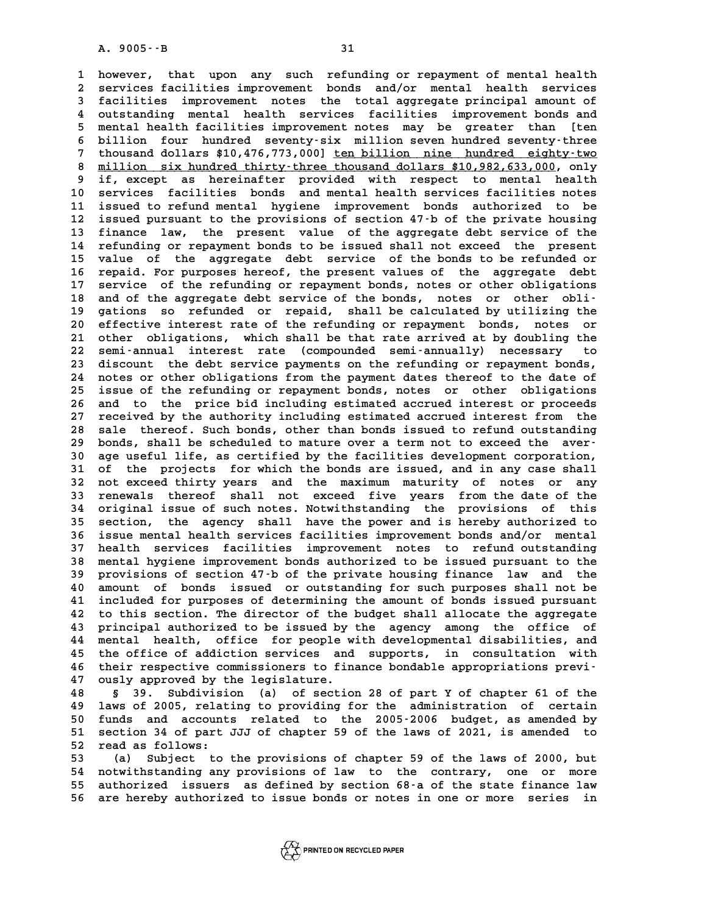A. 9005 - - B<br>1 however, that upon any such refunding or repayment of mental health<br>2 services facilities improvement bonds and/or mental health services 1 however, that upon any such refunding or-repayment of-mental-health<br>2 services facilities improvement bonds and/or mental health services<br>3 facilities improvement potes, the total-aggregate principal-amount of 1 however, that upon any such refunding or repayment of mental health<br>2 services facilities improvement bonds and/or mental health services<br>3 facilities improvement notes the total aggregate principal amount of<br>2 outstandi 2 services facilities improvement bonds and/or mental health services<br>3 facilities improvement notes the total aggregate principal amount of<br>4 outstanding mental health services facilities improvement bonds and<br>5 montal he **facilities improvement notes the total aggregate principal amount of outstanding mental health services facilities improvement bonds and mental health facilities improvement notes may be greater than [ten<br>5 mental health** 4 outstanding mental health services facilities improvement bonds and<br>5 mental health facilities improvement notes may be greater than [ten<br>6 billion four hundred seventy-six million seven hundred seventy-three<br>7 thousand 5 mental health facilities improvement notes may be greater than [ten<br>6 billion four hundred seventy-six million seven hundred seventy-three<br>7 thousand dollars \$10,476,773,000] <u>ten billion nine hundred eighty-two</u><br>11 ion 8 billion four hundred seventy-six million seven hundred seventy-three<br>
7 thousand dollars \$10,476,773,000] <u>ten billion nine hundred eighty-two</u><br>
8 <u>million six hundred thirty-three thousand dollars \$10,982,633,000</u>, only **9** thousand dollars \$10,476,773,000] <u>ten billion nine hundred eighty-two</u><br> **9 million six hundred thirty-three thousand dollars \$10,982,633,000, only**<br> **9 if, except as hereinafter provided with respect to mental health** 8 <u>million six hundred thirty-three thousand dollars \$10,982,633,000</u>, only<br>9 if, except as hereinafter provided with respect to mental health<br>10 services facilities bonds and mental health services facilities notes<br>11 iss <sup>9</sup> if, except as hereinafter provided with respect to mental health<br>
10 services facilities bonds and mental health services facilities notes<br>
11 issued to refund mental hygiene improvement bonds authorized to be<br>
<sup>12</sup> is 10 services facilities bonds and mental health services facilities notes<br>11 issued to refund mental hygiene improvement bonds authorized to be<br>12 issued pursuant to the provisions of section 47-b of the private housing<br>13 11 issued to refund mental hygiene improvement bonds authorized to be<br>12 issued pursuant to the provisions of section 47-b of the private housing<br>13 finance law, the present value of the aggregate debt service of the<br>14 re 12 issued pursuant to the provisions of section 47-b of the private housing<br>13 finance law, the present value of the aggregate debt service of the<br>14 refunding or repayment bonds to be issued shall not exceed the present<br>1 13 finance law, the present value of the aggregate debt service of the<br>14 refunding or repayment bonds to be issued shall not exceed the present<br>15 value of the aggregate debt service of the bonds to be refunded or<br>16 repa 15 value of the aggregate debt service of the bonds to be refunded or<br>16 repaid. For purposes hereof, the present values of the aggregate debt<br>17 service of the refunding or repayment bonds, notes or other obligations 15 value of the aggregate debt service of the bonds to be refunded or<br>16 repaid. For purposes hereof, the present values of the aggregate debt<br>17 service of the refunding or repayment bonds, notes or other obligations<br>28 a 16 repaid. For purposes hereof, the present values of the aggregate debt<br>
17 service of the refunding or repayment bonds, notes or other obligations<br>
18 and of the aggregate debt service of the bonds, notes or other obli-<br> 17 service of the refunding or repayment bonds, notes or other obligations<br>18 and of the aggregate debt service of the bonds, notes or other obli-<br>19 gations so refunded or repaid, shall be calculated by utilizing the<br>20 e 18 and of the aggregate debt service of the bonds, notes or other obli-<br>19 gations so refunded or repaid, shall be calculated by utilizing the<br>20 effective interest rate of the refunding or repayment bonds, notes or<br>21 oth **20** gations so refunded or repaid, shall be calculated by utilizing the<br>20 effective interest rate of the refunding or repayment bonds, notes or<br>21 other obligations, which shall be that rate arrived at by doubling the<br>22 20 effective interest rate of the refunding or repayment bonds, notes or<br>21 other obligations, which shall be that rate arrived at by doubling the<br>22 semi-annual interest rate (compounded semi-annually) necessary to<br>23 dis 21 other obligations, which shall be that rate arrived at by doubling the<br>22 semi-annual interest rate (compounded semi-annually) necessary to<br>23 discount the debt service payments on the refunding or repayment bonds,<br>24 p 22 semi-annual interest rate (compounded semi-annually) necessary to<br>23 discount the debt service payments on the refunding or repayment bonds,<br>24 notes or other obligations from the payment dates thereof to the date of<br>25 23 discount the debt service payments on the refunding or repayment bonds,<br>24 notes or other obligations from the payment dates thereof to the date of<br>25 issue of the refunding or repayment bonds, notes or other obligation 24 notes or other obligations from the payment dates thereof to the date of<br>25 issue of the refunding or repayment bonds, notes or other obligations<br>26 and to the price bid including estimated accrued interest or proceeds<br> 25 issue of the refunding or repayment bonds, notes or other obligations<br>26 and to the price bid including estimated accrued interest or proceeds<br>27 received by the authority including estimated accrued interest from the<br>2 26 and to the price bid including estimated accrued interest or proceeds<br>27 received by the authority including estimated accrued interest from the<br>28 sale thereof. Such bonds, other than bonds issued to refund outstanding 27 received by the authority including estimated accrued interest from the<br>
28 sale thereof. Such bonds, other than bonds issued to refund outstanding<br>
29 bonds, shall be scheduled to mature over a term not to exceed the a 30 sale thereof. Such bonds, other than bonds issued to refund outstanding<br>29 bonds, shall be scheduled to mature over a term not to exceed the aver-<br>30 age useful life, as certified by the facilities development corporati bonds, shall be scheduled to mature over a term not to exceed the aver-<br>30 age useful life, as certified by the facilities development corporation,<br>31 of the projects for which the bonds are issued, and in any case shall<br>3 **30 age useful life, as certified by the facilities development corporation,<br>31 of the projects for which the bonds are issued, and in any case shall**<br>32 not exceed thirty years and the maximum maturity of notes or any<br>33 31 of the projects for which the bonds are issued, and in any case shall<br>32 not exceed thirty years and the maximum maturity of notes or any<br>33 renewals thereof shall not exceed five years from the date of the<br><sup>34</sup> crigina 32 not exceed thirty years and the maximum maturity of notes or any<br>33 renewals thereof shall not exceed five years from the date of the<br>34 original issue of such notes. Notwithstanding the provisions of this<br>35 section, t 33 renewals thereof shall not exceed five years from the date of the<br>34 original issue of such notes. Notwithstanding the provisions of this<br>35 section, the agency shall have the power and is hereby authorized to<br>36 issue **34 original issue of such notes. Notwithstanding the provisions of this**<br>**35 section, the agency shall have the power and is hereby authorized to**<br>**36 issue mental health services facilities improvement bonds and/or menta** 35 section, the agency shall have the power and is hereby authorized to<br>36 issue mental health services facilities improvement bonds and/or mental<br>37 health services facilities improvement notes to refund outstanding<br>28 me **36 issue mental health services facilities improvement bonds and/or mental**<br>**37 health services facilities improvement notes to refund outstanding**<br>**38 mental hygiene improvement bonds authorized to be issued pursuant to 37 health services facilities improvement notes to refund outstanding<br>
<b>38 mental hygiene improvement bonds authorized to be issued pursuant to the**<br> **39 provisions of section 47-b of the private housing finance law and t 40 amount of bonds in the sum of the set of the private bousing finance** law and the provisions of section 47-b of the private housing finance law and the amount of bonds issued or outstanding for such purposes shall not 39 provisions of section 47-b of the private housing finance law and the 40 amount of bonds issued or outstanding for such purposes shall not be 41 included for purposes of determining the amount of bonds issued pursuant t **42 to this section. The director of the budget shall allocate the aggregate 43 principal authorized to be issued by the agency among the office of 44 mental health, office for people with developmental disabilities, and** 43 principal authorized to be issued by the agency among the office of<br>44 mental health, office for people with developmental disabilities, and<br>45 the office of addiction services and supports, in consultation with<br>46 thei 44 mental health, office for people with developmental disabilities, and<br>45 the office of addiction services and supports, in consultation with<br>46 their respective commissioners to finance bondable appropriations previ-<br><sup>4</sup> 45 the office of addiction services and<br>46 their respective commissioners to fin<br>47 ously approved by the legislature.<br>48 5 20 Subdivision (a) of acction **46** their respective commissioners to finance bondable appropriations previ-<br> **47** ously approved by the legislature.<br> **48** § 39. Subdivision (a) of section 28 of part Y of chapter 61 of the<br> **49** laws of 2005, relating t

**49 laws of 2005, relating to providing for the administration of certain 50 funds and accounts and accounts and accounts related to the 2005-2006 budget, as amended by**<br> **50 funds and accounts related to the 2005-2006 budget, as amended by**<br> **51 section 34 of part JJI of chapter 59 of the laws** 19 laws of 2005, relating to providing for the administration of certain<br>50 funds and accounts related to the 2005-2006 budget, as amended by<br>51 section 34 of part JJJ of chapter 59 of the laws of 2021, is amended to<br>52 ro 50 funds and account<br>
51 section 34 of part<br>
52 read as follows:<br>
53 (a) Subject to 51 section 34 of part JJJ of chapter 59 of the laws of 2021, is amended to<br>52 read as follows:<br>53 (a) Subject to the provisions of chapter 59 of the laws of 2000, but<br>54 notwithstanding any provisions of law to the contrar

52 read as follows:<br>53 (a) Subject to the provisions of chapter 59 of the laws of 2000, but<br>54 notwithstanding any provisions of law to the contrary, one or more<br>55 authorized issuers as defined by section 68:2 of the stat **53** (a) Subject to the provisions of chapter 59 of the laws of 2000, but<br>54 notwithstanding any provisions of law to the contrary, one or more<br>55 authorized issuers as defined by section 68-a of the state finance law<br>56 a 54 notwithstanding any provisions of law to the contrary, one or more<br>55 authorized issuers as defined by section 68 a of the state finance law<br>56 are hereby authorized to issue bonds or notes in one or more series in

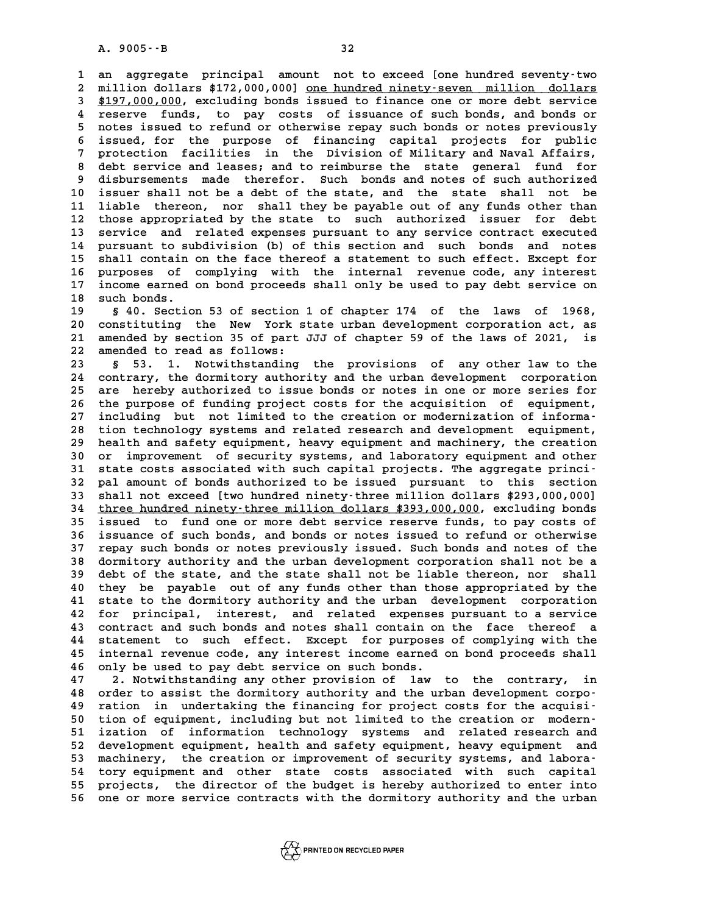**1 an aggregate principal amount not to exceed [one hundred seventy-two 2** an aggregate principal amount not to exceed [one hundred seventy-two<br>2 million dollars \$172,000,000] <u>one hundred ninety-seven million dollars</u><br>3 \$197,000,000 excluding bonds issued to finance one or more debt service **3** an aggregate principal amount not to exceed [one hundred seventy-two<br> **3** \$197,000,000, excluding bonds issued to finance one or more debt service<br> **3** \$197,000,000, excluding bonds issued to finance one or more debt s 2 million dollars \$172,000,000] <u>one hundred ninety-seven million dollars</u><br>  $$197,000,000$ , excluding bonds issued to finance one or more debt service<br>
4 reserve funds, to pay costs of issuance of such bonds, and bonds or<br> **\$197,000,000, excluding bonds issued to finance one or more debt service**<br>4 reserve funds, to pay costs of issuance of such bonds, and bonds or<br>5 notes issued to refund or otherwise repay such bonds or notes previously<br>is **4** reserve funds, to pay costs of issuance of such bonds, and bonds or notes issued to refund or otherwise repay such bonds or notes previously issued, for the purpose of financing capital projects for public protection f 5 notes issued to refund or otherwise repay such bonds or notes previously<br>6 issued, for the purpose of financing capital projects for public<br>7 protection facilities in the Division of Military and Naval Affairs,<br><sup>7</sup> debt 6 issued, for the purpose of financing capital projects for public<br>7 protection facilities in the Division of Military and Naval Affairs,<br>8 debt service and leases; and to reimburse the state general fund for<br>8 digburesmen 9 protection facilities in the Division of Military and Naval Affairs,<br>8 debt service and leases; and to reimburse the state general fund for<br>9 disbursements made therefor. Such bonds and notes of such authorized<br>10 issuer 8 debt service and leases; and to reimburse the state general fund for<br>9 disbursements made therefor. Such bonds and notes of such authorized<br>10 issuer shall not be a debt of the state, and the state shall not be<br>11 liable 9 disbursements made therefor. Such bonds and notes of such authorized<br>10 issuer shall not be a debt of the state, and the state shall not be<br>11 liable thereon, nor shall they be payable out of any funds other than<br><sup>12</sup> th 10 issuer shall not be a debt of the state, and the state shall not be<br>11 liable thereon, nor shall they be payable out of any funds other than<br>12 those appropriated by the state to such authorized issuer for debt<br>3 servic 11 liable thereon, nor shall they be payable out of any funds other than<br>12 those appropriated by the state to such authorized issuer for debt<br>13 service and related expenses pursuant to any service contract executed<br>14 pu 12 those appropriated by the state to such authorized issuer for debt<br>13 service and related expenses pursuant to any service contract executed<br>14 pursuant to subdivision (b) of this section and such bonds and notes<br>15 sha 13 service and related expenses pursuant to any service contract executed<br>14 pursuant to subdivision (b) of this section and such bonds and notes<br>15 shall contain on the face thereof a statement to such effect. Except for<br> 14 pursuant to subdivision (b) of this section and such bonds and notes<br>15 shall contain on the face thereof a statement to such effect. Except for<br>16 purposes of complying with the internal revenue code, any interest<br>17 i **15** shall contain on the face thereof a statement to such effect. Except for<br>16 purposes of complying with the internal revenue code, any interest<br>17 income earned on bond proceeds shall only be used to pay debt service o 16 purposes of<br>17 income earned<br>18 such bonds.<br><sup>19</sup> s<sup>40</sup> Sostion income earned on bond proceeds shall only be used to pay debt service on<br>18 such bonds.<br>19 s 40. Section 53 of section 1 of chapter 174 of the laws of 1968,<br>20 separtituting the New York state urban development corporation

**20 a** such bonds.<br> **20** a 40. Section 53 of section 1 of chapter 174 of the laws of 1968,<br> **20 constituting the New York state urban development corporation act, as**<br> **21 amended by section 35 of part JJJ of chapter 59 of 21 american 33 of section 1 of chapter 174 of the laws of 1968,<br>20 constituting the New York state urban development corporation act, as<br>21 amended by section 35 of part JJJ of chapter 59 of the laws of 2021, is<br>22 amende** 20 constituting the New York s<br>21 amended by section 35 of part<br>22 amended to read as follows:<br><sup>23</sup> 6 5<sup>3</sup> 1 Notwithstanding 21 amended by section 35 of part JJJ of chapter 59 of the laws of 2021, is<br>22 amended to read as follows:<br>3 § 53. 1. Notwithstanding the provisions of any other law to the<br>24 contrary, the dermitery authority and the urban

22 amended to read as follows:<br>23 § 53. 1. Notwithstanding the provisions of any other law to the<br>24 contrary, the dormitory authority and the urban development corporation<br>25 are bereby urbanized to issue bonds or potes i 8 53. 1. Notwithstanding the provisions of any other law to the<br>24 contrary, the dormitory authority and the urban development corporation<br>25 are hereby authorized to issue bonds or notes in one or more series for<br>26 the n 24 contrary, the dormitory authority and the urban development corporation<br>25 are hereby authorized to issue bonds or notes in one or more series for<br>26 the purpose of funding project costs for the acquisition of equipment 25 are hereby authorized to issue bonds or notes in one or more series for<br>26 the purpose of funding project costs for the acquisition of equipment,<br>27 including but not limited to the creation or modernization of informa-26 the purpose of funding project costs for the acquisition of equipment,<br>27 including but not limited to the creation or modernization of informa-<br>28 tion technology systems and related research and development equipment, 27 including but not limited to the creation or modernization of informa-<br>28 tion technology systems and related research and development equipment,<br>29 health and safety equipment, heavy equipment and machinery, the creati 28 tion technology systems and related research and development equipment,<br>29 health and safety equipment, heavy equipment and machinery, the creation<br>30 or improvement of security systems, and laboratory equipment and oth 19 health and safety equipment, heavy equipment and machinery, the creation<br>
30 or improvement of security systems, and laboratory equipment and other<br>
31 state costs associated with such capital projects. The aggregate pr 30 or improvement of security systems, and laboratory equipment and other<br>31 state costs associated with such capital projects. The aggregate princi-<br>32 pal amount of bonds authorized to be issued pursuant to this section<br> 31 state costs associated with such capital projects. The aggregate princi-<br>32 pal amount of bonds authorized to be issued pursuant to this section<br>33 shall not exceed [two hundred ninety-three million dollars \$293,000,000 32 pal amount of bonds authorized to be issued pursuant to this section<br>33 shall not exceed [two hundred ninety-three million dollars \$293,000,000]<br>34 three hundred ninety-three million dollars \$393,000,000, excluding bond 33 shall not exceed [two hundred ninety-three million dollars \$293,000,000]<br>34 <u>three hundred ninety-three million dollars \$393,000,000</u>, excluding bonds<br>35 issued to fund one or more debt service reserve funds, to pay cos **34 three hundred ninety-three million dollars \$393,000,000, excluding bonds**<br>35 issued to fund one or more debt service reserve funds, to pay costs of<br>36 issuance of such bonds, and bonds or notes issued to refund or othe **35** issued to fund one or more debt service reserve funds, to pay costs of issuance of such bonds, and bonds or notes issued to refund or otherwise repay such bonds or notes previously issued. Such bonds and notes of the **36 issuance of such bonds, and bonds or notes issued to refund or otherwise**<br>**37 repay such bonds or notes previously issued. Such bonds and notes of the dormitory authority and the urban development corporation shall not 37 repay such bonds or notes previously issued. Such bonds and notes of the dormitory authority and the urban development corporation shall not be a<br>39 debt of the state, and the state shall not be liable thereon, nor sha 40 dormitory authority and the urban development corporation shall not be a**<br>**40 debt of the state, and the state shall not be liable thereon, nor shall**<br>**40 they be payable out of any funds other than those appropriated** 39 debt of the state, and the state shall not be liable thereon, nor shall 40 they be payable out of any funds other than those appropriated by the state to the dormitory authority and the urban development corporation 42 **42 for principal, interest, and related expenses pursuant to a service 43 contract and such bonds and notes shall contain on the face thereof a** 42 for principal, interest, and related expenses pursuant to a service<br>43 contract and such bonds and notes shall contain on the face thereof a<br>44 statement to such effect. Except for purposes of complying with the<br><sup>45</sup> in 43 contract and such bonds and notes shall contain on the face thereof a<br>44 statement to such effect. Except for purposes of complying with the<br>45 internal revenue code, any interest income earned on bond proceeds shall 44 statement to such effect. Except for purposes<br>45 internal revenue code, any interest income earned<br>46 only be used to pay debt service on such bonds.<br><sup>47</sup> 2 Notwithstanding any other provision of lay. 45 internal revenue code, any interest income earned on bond proceeds shall<br>46 only be used to pay debt service on such bonds.<br>47 2. Notwithstanding any other provision of law to the contrary, in<br>48 order to assist the dor

**46 only be used to pay debt service on such bonds.**<br> **47 2. Notwithstanding any other provision of law to the contrary, in**<br> **48 order to assist the dormitory authority and the urban development corpo-**<br> **49 ration in und 47 2. Notwithstanding any other provision of law to the contrary, in<br>
<b>48 order to assist the dormitory authority and the urban development corpo-**<br> **49 ration in undertaking the financing for project costs for the acquis** % 48 order to assist the dormitory authority and the urban development corporation in undertaking the financing for project costs for the acquisi-<br>
50 tion of equipment, including but not limited to the creation or modern-**49 ration in undertaking the financing for project costs for the acquisi-**<br>50 tion of equipment, including but not limited to the creation or modern-<br>51 ization of information technology systems and related research and<br>5 50 tion of equipment, including but not limited to the creation or modern-<br>51 ization of information technology systems and related research and<br>52 development equipment, health and safety equipment, heavy equipment and<br>53 51 ization of information technology systems and related research and<br>
52 development equipment, health and safety equipment, heavy equipment and<br>
53 machinery, the creation or improvement of security systems, and labora-<br> 52 development equipment, health and safety equipment, heavy equipment and<br>53 machinery, the creation or improvement of security systems, and labora-<br>54 tory equipment and other state costs associated with such capital<br>55 53 machinery, the creation or improvement of security systems, and labora-<br>54 tory equipment and other state costs associated with such capital<br>55 projects, the director of the budget is hereby authorized to enter into<br>56 54 tory equipment and other state costs associated with such capital<br>55 projects, the director of the budget is hereby authorized to enter into<br>56 one or more service contracts with the dormitory authority and the urban

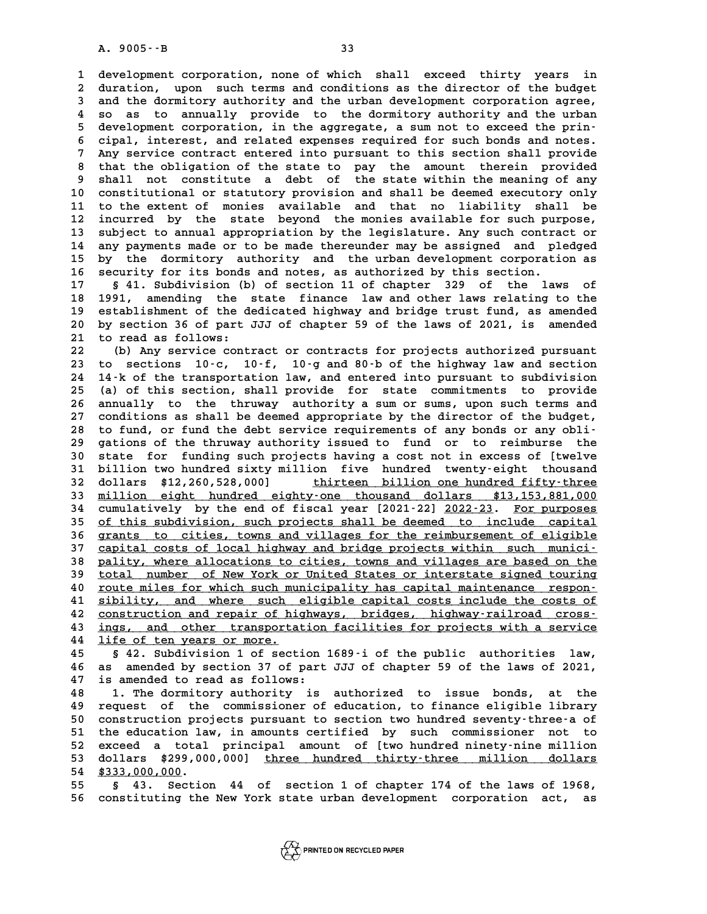**1 development corporation, none of which shall exceed thirty years in 2** development corporation, none of which shall exceed thirty years in<br>2 duration, upon such terms and conditions as the director of the budget<br>3 and the dormitory authority and the urban development corporation agree 1 development corporation, none of which shall exceed thirty years in<br>2 duration, upon such terms and conditions as the director of the budget<br>3 and the dormitory authority and the urban development corporation agree,<br><sup>4</sup> 2 duration, upon such terms and conditions as the director of the budget<br>3 and the dormitory authority and the urban development corporation agree,<br>4 so as to annually provide to the dormitory authority and the urban<br>5 dev 3 and the dormitory authority and the urban development corporation agree,<br>
4 so as to annually provide to the dormitory authority and the urban<br>
5 development corporation, in the aggregate, a sum not to exceed the prin-<br> 4 so as to annually provide to the dormitory authority and the urban<br>5 development corporation, in the aggregate, a sum not to exceed the prin-<br>6 cipal, interest, and related expenses required for such bonds and notes.<br><sup>7</sup> <sup>5</sup> development corporation, in the aggregate, a sum not to exceed the prin-<br>
<sup>6</sup> cipal, interest, and related expenses required for such bonds and notes.<br>
<sup>7</sup> Any service contract entered into pursuant to this section sha **8 cipal, interest, and related expenses required for such bonds and notes.**<br> **8 that the obligation of the state to pay the amount therein provided**<br> **8 that the obligation of the state to pay the amount therein provided Pay service contract entered into pursuant to this section shall provide<br>
8 that the obligation of the state to pay the amount therein provided<br>
9 shall not constitute a debt of the state within the meaning of any<br>
8 cons** 8 that the obligation of the state to pay the amount therein provided<br>9 shall not constitute a debt of the state within the meaning of any<br>10 constitutional or statutory provision and shall be deemed executory only<br>11 to t **11 to the extent of monies available and that no liability shall be** 10 constitutional or statutory provision and shall be deemed executory only<br>11 to the extent of monies available and that no liability shall be<br>12 incurred by the state beyond the monies available for such purpose,<br><sup>13</sup> su 11 to the extent of monies available and that no liability shall be<br>12 incurred by the state beyond the monies available for such purpose,<br>13 subject to annual appropriation by the legislature. Any such contract or<br>14 appr 12 incurred by the state beyond the monies available for such purpose,<br>13 subject to annual appropriation by the legislature. Any such contract or<br>14 any payments made or to be made thereunder may be assigned and pledged<br>1 13 subject to annual appropriation by the legislature. Any such contract or 14 any payments made or to be made thereunder may be assigned and pledged by the dormitory authority and the urban development corporation as secu 14 any payments made or to be made thereunder may be assigned and pl<br>15 by the dormitory authority and the urban development corporation.<br>16 security for its bonds and notes, as authorized by this section. **15 by the dormitory authority and the urban development corporation as<br>16 security for its bonds and notes, as authorized by this section.**<br>17 § 41. Subdivision (b) of section 11 of chapter 329 of the laws of<br>18 1991 spee

**16 security for its bonds and notes, as authorized by this section.**<br> **17** § 41. Subdivision (b) of section 11 of chapter 329 of the laws of<br> **18** 1991, amending the state finance law and other laws relating to the<br> **19** 17 § 41. Subdivision (b) of section 11 of chapter 329 of the laws of<br>18 1991, amending the state finance law and other laws relating to the<br>19 establishment of the dedicated highway and bridge trust fund, as amended<br>20 by 18 1991, amending the state finance law and other laws relating to the<br>19 establishment of the dedicated highway and bridge trust fund, as amended<br>20 by section 36 of part JJJ of chapter 59 of the laws of 2021, is amended<br> 19 establishment of the d<br>20 by section 36 of part<br>21 to read as follows:<br><sup>22</sup> (b) Any service sent **20 by section 36 of part JJJ of chapter 59 of the laws of 2021, is amended<br>21 to read as follows:**<br>22 (b) Any service contract or contracts for projects authorized pursuant<br>23 to sections 10.5 10.5 10.5 and 80.b of the bi

21 to read as follows:<br>22 (b) Any service contract or contracts for projects authorized pursuant<br>23 to sections 10-c, 10-f, 10-g and 80-b of the highway law and section<br>24 14-b of the transportation lay and optered inte pu **22** (b) Any service contract or contracts for projects authorized pursuant<br> **23** to sections 10 c, 10 f, 10 g and 80 b of the highway law and section<br> **24** 14 k of the transportation law, and entered into pursuant to subd 23 to sections 10-c, 10-f, 10-g and 80-b of the highway law and section<br>24 14-k of the transportation law, and entered into pursuant to subdivision<br>25 (a) of this section, shall provide for state commitments to provide<br>26 24 14-k of the transportation law, and entered into pursuant to subdivision<br>25 (a) of this section, shall provide for state commitments to provide<br>26 annually to the thruway authority a sum or sums, upon such terms and<br>27 25 (a) of this section, shall provide for state commitments to provide<br>26 annually to the thruway authority a sum or sums, upon such terms and<br>27 conditions as shall be deemed appropriate by the director of the budget,<br>28 26 annually to the thruway authority a sum or sums, upon such terms and conditions as shall be deemed appropriate by the director of the budget, 28 to fund, or fund the debt service requirements of any bonds or any obli-<br> **29 gations of the thruway authority issued to fund or to reimburse the 30 state for funding such projects having a cost not in excess of [twelve** 39 gations of the thruway authority issued to fund or to reimburse the<br>30 state for funding such projects having a cost not in excess of [twelve<br>31 billion two hundred sixty million five hundred twenty-eight thousand<br>32 de 30 state for funding such projects having a cost not in excess of [twelve<br>31 billion two hundred sixty million five hundred twenty-eight thousand<br>32 dollars \$12,260,528,000] <u>thirteen billion one hundred fifty-three</u><br>33 mi 31 billion two hundred sixty million five hundred twenty-eight thousand<br>32 dollars \$12,260,528,000] <u>thirteen billion one hundred fifty-three</u><br>33 <u>million eight hundred eighty-one thousand dollars \$13,153,881,000</u><br>24 cumul **32 dollars \$12,260,528,000]** thirteen billion one hundred fifty-three<br>33 <u>million eight hundred eighty-one thousand dollars \$13,153,881,000</u><br>34 cumulatively by the end of fiscal year [2021-22] <u>2022-23. For purposes</u><br>25 o 33 <u>million eight hundred eighty-one thousand dollars \$13,153,881,000</u><br>34 cumulatively by the end of fiscal year [2021-22] <u>2022-23. For purposes</u><br>35 <u>of this subdivision, such projects shall be deemed to include capital</u><br> 34 cumulatively by the end of fiscal year [2021-22] <u>2022-23. For purposes</u><br>35 <u>of this subdivision, such projects shall be deemed to include capital</u><br>36 grants to cities, towns and villages for the reimbursement of eligib 35 of this subdivision, such projects shall be deemed to include capital<br>36 grants to cities, towns and villages for the reimbursement of eligible<br>37 capital costs of local highway and bridge projects within such munici-<br>3 **38 <u>pality, where allocations to cities, towns and villages are based on the 39** total number of New York or United States or interstate signed touring</u> 37 capital costs of local highway and bridge projects within such munici-<br> **pality, where allocations to cities, towns and villages are based on the**<br>
<u>total number of New York or United States or interstate signed touring</u> **40 pality, where allocations to cities, towns and villages are based on the total number of New York or United States or interstate signed touring route miles for which such municipality has capital maintenance respon-**<br> 40 <u>route miles for which such municipality has capital maintenance respon-</u><br>41 <u>sibility, and where such eligible capital costs include the costs of</u><br>42 <u>construction and repair of highways, bridges, highway-railroad cros</u> Foute miles for which such municipality has capital maintenance respon-<br>
41 sibility, and where such eligible capital costs include the costs of<br>  $\frac{1}{2}$  construction and repair of highways, bridges, highway-railroad cro 41 <u>sibility, and where such eligible capital costs include the costs of</u><br>42 <u>construction and repair of highways, bridges, highway-railroad cross-</u><br>43 <u>ings, and other transportation facilities for projects with a service</u> 42 <u>construction and repair of hi</u><br>43 <u>ings, and other transporta</u><br>44 <u>life of ten years or more.</u><br>45 \$ 42 Subdivision 1 of sost

**43 <u>ings, and other transportation facilities for projects with a service</u><br>44 <u>life of ten years or more.</u><br>45 § 42. Subdivision 1 of section 1689 i of the public authorities law,<br>46 as amended by section 37 of part JJJ of 44** life of ten years or more.<br> **45** § 42. Subdivision 1 of section 1689 i of the public authorities law,<br> **46** as amended by section 37 of part JJJ of chapter 59 of the laws of 2021,<br> **47** is amended to read as follows: 45 § 42. Subdivision 1 of section<br>46 as amended by section 37 of part<br>47 is amended to read as follows: **46 as amended by section 37 of part JJJ of chapter 59 of the laws of 2021,<br>47 is amended to read as follows:<br>48 1. The dormitory authority is authorized to issue bonds, at the<br>19 request of the commissioner of education t** 

**47 is amended to read as follows:**<br> **48 1. The dormitory authority is authorized to issue bonds, at the request of the commissioner of education, to finance eligible library**<br> **60 construction projects pursuant to section** 1. The dormitory authority is authorized to issue bonds, at the<br>49 request of the commissioner of education, to finance eligible library<br>50 construction projects pursuant to section two hundred seventy-three-a of<br>51 the ed **50** request of the commissioner of education, to finance eligible library<br>50 construction projects pursuant to section two hundred seventy-three-a of<br>51 the education law, in amounts certified by such commissioner not to<br> 50 construction projects pursuant to section two hundred seventy-three-a of<br>51 the education law, in amounts certified by such commissioner not to<br>52 exceed a total principal amount of [two hundred ninety-nine million<br>63 d 51 the education law, in amounts certified by such commissioner not to<br>52 exceed a total principal amount of [two hundred ninety-nine million<br>53 dollars \$299,000,000] <u>three hundred thirty-three million dollars</u><br>54 \$333,00 52 exceed a total<br>53 dollars \$299,00<br>54 \$333,000,000.<br>55 \$ 43 Sostion **53 dollars \$299,000,000]** three hundred thirty-three million dollars<br>54 \$333,000,000.<br>55 \$ 43. Section 44 of section 1 of chapter 174 of the laws of 1968,<br>56 secretivities the New York state urban development serpension a

54 \$333,000,000.<br>55 § 43. Section 44 of section 1 of chapter 174 of the laws of 1968,<br>56 constituting the New York state urban development corporation act, as

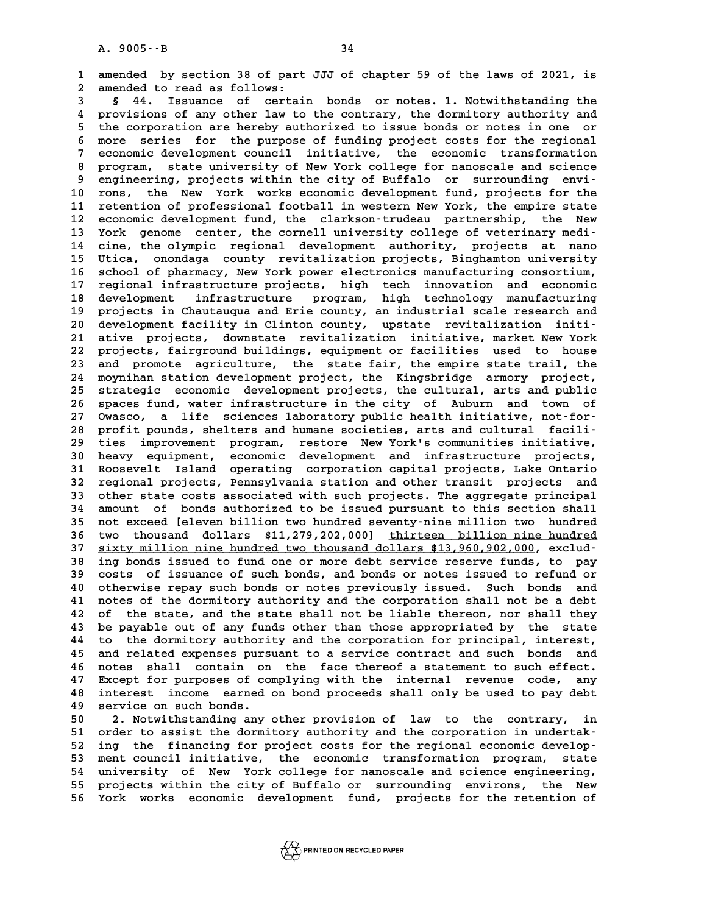**1 amended by section 38 of part JJJ of chapter 59 of the laws of 2021, is 2** amended by section 38 of part<br>2 amended to read as follows:<br>3 6 44 Issuance of certain 1 amended by section 38 of part JJJ of chapter 59 of the laws of 2021, is<br>2 amended to read as follows:<br>3 § 44. Issuance of certain bonds or notes. 1. Notwithstanding the<br>4 provisions of any other law to the sentrary, the

a provisions of any other law to the contrary, the dormitory authority and<br>4 provisions of any other law to the contrary, the dormitory authority and<br>5 the corporation are bereby authorized to issue bords or potes in one o **5 44. Issuance of certain bonds or notes. 1. Notwithstanding the<br>4 provisions of any other law to the contrary, the dormitory authority and<br>5 the corporation are hereby authorized to issue bonds or notes in one or<br>5 more** 4 provisions of any other law to the contrary, the dormitory authority and<br>5 the corporation are hereby authorized to issue bonds or notes in one or<br>6 more series for the purpose of funding project costs for the regional<br>2 <sup>5</sup> the corporation are hereby authorized to issue bonds or notes in one or<br>
<sup>6</sup> more series for the purpose of funding project costs for the regional<br>
<sup>7</sup> economic development council initiative, the economic transformati 8 more series for the purpose of funding project costs for the regional<br>
8 economic development council initiative, the economic transformation<br>
8 program, state university of New York college for nanoscale and science<br>
8 P economic development council initiative, the economic transformation<br> **9 engineering, projects within the city of Buffalo or surrounding envi-**<br> **9 engineering, projects within the city of Buffalo or surrounding envi-**<br> 8 program, state university of New York college for nanoscale and science<br>9 engineering, projects within the city of Buffalo or surrounding envi-<br>10 rons, the New York works economic development fund, projects for the<br>11 r 9 engineering, projects within the city of Buffalo or surrounding envi-<br>10 rons, the New York works economic development fund, projects for the<br>11 retention of professional football in western New York, the empire state<br>22 10 rons, the New York works economic development fund, projects for the<br>11 retention of professional football in western New York, the empire state<br>12 economic development fund, the clarkson-trudeau partnership, the New<br><sup>1</sup> 11 retention of professional football in western New York, the empire state<br>
12 economic development fund, the clarkson-trudeau partnership, the New<br>
13 York genome center, the cornell university college of veterinary medi 12 economic development fund, the clarkson-trudeau partnership, the New<br>13 York genome center, the cornell university college of veterinary medi-<br>14 cine, the olympic regional development authority, projects at nano<br>15 Thi 13 York genome center, the cornell university college of veterinary medi-<br>14 cine, the olympic regional development authority, projects at nano<br>15 Utica, onondaga county revitalization projects, Binghamton university<br>16 sc **16 school of pharmacy, New York power electronics manufacturing consortium,** 15 Utica, onondaga county revitalization projects, Binghamton university<br>16 school of pharmacy, New York power electronics manufacturing consortium,<br>17 regional infrastructure projects, high tech innovation and economic<br>de 16 school of pharmacy, New York power electronics manufacturing consortium,<br>17 regional infrastructure projects, high technology manufacturing<br>18 development infrastructure program, high technology manufacturing<br>19 project 17 regional infrastructure projects, high tech innovation and economic<br>18 development infrastructure program, high technology manufacturing<br>19 projects in Chautauqua and Erie county, an industrial scale research and<br>20 dev 18 development infrastructure program, high technology manufacturing<br>
19 projects in Chautauqua and Erie county, an industrial scale research and<br>
20 development facility in Clinton county, upstate revitalization initi-<br>
<sup></sup> 19 projects in Chautauqua and Erie county, an industrial scale research and<br>20 development facility in Clinton county, upstate revitalization initi-<br>21 ative projects, downstate revitalization initiative, market New York<br>2 20 development facility in Clinton county, upstate revitalization initi-<br>21 ative projects, downstate revitalization initiative, market New York<br>22 projects, fairground buildings, equipment or facilities used to house<br>23 a 21 ative projects, downstate revitalization initiative, market New York<br>22 projects, fairground buildings, equipment or facilities used to house<br>23 and promote agriculture, the state fair, the empire state trail, the<br>24 mo 22 projects, fairground buildings, equipment or facilities used to house<br>23 and promote agriculture, the state fair, the empire state trail, the<br>24 moynihan station development project, the Kingsbridge armory project,<br>25 s 23 and promote agriculture, the state fair, the empire state trail, the<br>24 moynihan station development project, the Kingsbridge armory project,<br>25 strategic economic development projects, the cultural, arts and public<br>26 24 moynihan station development project, the Kingsbridge armory project,<br>25 strategic economic development projects, the cultural, arts and public<br>26 spaces fund, water infrastructure in the city of Auburn and town of<br>27 O 25 strategic economic development projects, the cultural, arts and public<br>26 spaces fund, water infrastructure in the city of Auburn and town of<br>27 Owasco, a life sciences laboratory public health initiative, not-for-<br>28 p 26 spaces fund, water infrastructure in the city of Auburn and town of Owasco, a life sciences laboratory public health initiative, not-for-<br>
28 profit pounds, shelters and humane societies, arts and cultural facili-<br>
29 t **29 ties improvement program, restore New York's communities initiative,** Profit pounds, shelters and humane societies, arts and cultural facili-<br>29 ties improvement program, restore New York's communities initiative,<br>30 heavy equipment, economic development and infrastructure projects,<br>31 Boose **29 ties improvement program, restore New York's communities initiative,<br>30 heavy equipment, economic development and infrastructure projects,<br>31 Roosevelt Island operating corporation capital projects, Lake Ontario<br>22 reg 30 heavy equipment, economic development and infrastructure projects, <br>31 Roosevelt Island operating corporation capital projects, Lake Ontario<br>32 regional projects, Pennsylvania station and other transit projects and<br>33 31 Roosevelt Island operating corporation capital projects, Lake Ontario**<br>**32 regional projects, Pennsylvania station and other transit projects and**<br>**33 other state costs associated with such projects. The aggregate prin** 32 regional projects, Pennsylvania station and other transit projects and<br>33 other state costs associated with such projects. The aggregate principal<br>34 amount of bonds authorized to be issued pursuant to this section shal 33 other state costs associated with such projects. The aggregate principal<br>34 amount of bonds authorized to be issued pursuant to this section shall<br>35 not exceed [eleven billion two hundred seventy-nine million two hundr 34 amount of bonds authorized to be issued pursuant to this section shall<br>35 not exceed [eleven billion two hundred seventy-nine million two hundred<br>36 two thousand dollars \$11,279,202,000] <u>thirteen billion nine hundred</u><br> 35 not exceed [eleven billion two hundred seventy-nine million two hundred<br>36 two thousand dollars \$11,279,202,000] <u>thirteen billion nine hundred</u><br>37 <u>sixty million nine hundred two thousand dollars \$13,960,902,000</u>, excl **36 two thousand dollars \$11,279,202,000] <u>thirteen billion nine hundred</u><br>37 <u>sixty million nine hundred two thousand dollars \$13,960,902,000</u>, exclud-<br>38 ing bonds issued to fund one or more debt service reserve funds, to 37 sixty million nine hundred two thousand dollars \$13,960,902,000, exclud-**<br>38 ing bonds issued to fund one or more debt service reserve funds, to pay<br>39 costs of issuance of such bonds, and bonds or notes issued to refu **40 or set issued to fund one or more debt service reserve funds, to pay**<br> **40 otherwise repay such bonds or notes previously issued.** Such bonds and<br> **40 otherwise repay such bonds or notes previously issued.** Such bonds **40** costs of issuance of such bonds, and bonds or notes issued to refund or otherwise repay such bonds or notes previously issued. Such bonds and notes of the dormitory authority and the corporation shall not be a debt<br> 40 otherwise repay such bonds or notes previously issued. Such bonds and<br>41 notes of the dormitory authority and the corporation shall not be a debt<br>42 of the state, and the state shall not be liable thereon, nor shall the 41 notes of the dormitory authority and the corporation shall not be a debt<br>42 of the state, and the state shall not be liable thereon, nor shall they<br>43 be payable out of any funds other than those appropriated by the sta 42 of the state, and the state shall not be liable thereon, nor shall they<br>43 be payable out of any funds other than those appropriated by the state<br>44 to the dormitory authority and the corporation for principal, interest 43 be payable out of any funds other than those appropriated by the state<br>44 to the dormitory authority and the corporation for principal, interest,<br>45 and related expenses pursuant to a service contract and such bonds and 44 to the dormitory authority and the corporation for principal, interest,<br>45 and related expenses pursuant to a service contract and such bonds and<br>46 notes shall contain on the face thereof a statement to such effect.<br>47 45 and related expenses pursuant to a service contract and such bonds and<br>46 notes shall contain on the face thereof a statement to such effect.<br>47 Except for purposes of complying with the internal revenue code, any<br>48 in A interest and a the face thereof a statement to such effect.<br>
47 Except for purposes of complying with the internal revenue code, any<br>
48 interest income earned on bond proceeds shall only be used to pay debt<br>
49 servise 47 Except for purposes of com<br>48 interest income earned<br>49 service on such bonds.<br>50 2 Notwithstanding any 48 interest income earned on bond proceeds shall only be used to pay debt<br>49 service on such bonds.<br>50 2. Notwithstanding any other provision of law to the contrary, in<br>51 order to assist the dormitory authority and the co

50 service on such bonds.<br>
50 2. Notwithstanding any other provision of law to the contrary, in<br>
51 order to assist the dormitory authority and the corporation in undertak-<br>
52 ing the financing for project sorts for the r 50 2. Notwithstanding any other provision of law to the contrary, in<br>
51 order to assist the dormitory authority and the corporation in undertak-<br>
52 ing the financing for project costs for the regional economic develop-<br> 51 order to assist the dormitory authority and the corporation in undertak-<br>52 ing the financing for project costs for the regional economic develop-<br>53 ment council initiative, the economic transformation program, state<br>5 52 ing the financing for project costs for the regional economic develop-<br>53 ment council initiative, the economic transformation program, state<br>54 university of New York college for nanoscale and science engineering,<br>55 p 53 ment council initiative, the economic transformation program, state<br>54 university of New York college for nanoscale and science engineering,<br>55 projects within the city of Buffalo or surrounding environs, the New<br>56 Mor 55 projects within the city of Buffalo or surrounding environs, the New<br>56 York works economic development fund, projects for the retention of

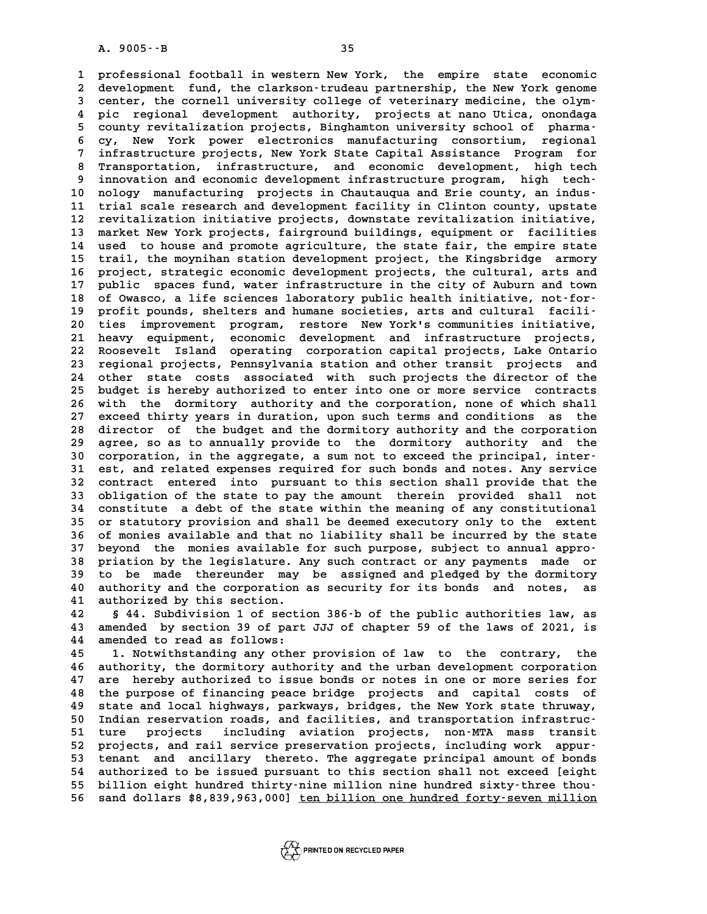**1 professional football in western New York, the empire state economic 2** professional football in western New York, the empire state economic<br>2 development fund, the clarkson-trudeau partnership, the New York genome<br>3 center, the cornell university college of veterinary medicine, the olym. 1 professional football in western New York, the empire state economic<br>
2 development fund, the clarkson-trudeau partnership, the New York genome<br>
3 center, the cornell university college of veterinary medicine, the olym-<br> development fund, the clarkson-trudeau partnership, the New York genome<br>3 center, the cornell university college of veterinary medicine, the olym-<br>4 pic regional development authority, projects at nano Utica, onondaga<br>5 co 3 center, the cornell university college of veterinary medicine, the olym-<br>
4 pic regional development authority, projects at nano Utica, onondaga<br>
5 county revitalization projects, Binghamton university school of pharma-<br> 4 pic regional development authority, projects at nano Utica, onondaga<br>5 county revitalization projects, Binghamton university school of pharma-<br>6 cy, New York power electronics manufacturing consortium, regional<br>infrastru **7 county revitalization projects, Binghamton university school of pharma-**<br> **7 infrastructure projects, New York State Capital Assistance Program for**<br> **7 infrastructure projects, New York State Capital Assistance Program** 8 cy, New York power electronics manufacturing consortium, regional<br>
7 infrastructure projects, New York State Capital Assistance Program for<br>
8 Transportation, infrastructure, and economic development, high tech<br>
8 incurs 1 infrastructure projects, New York State Capital Assistance Program for<br>
8 Transportation, infrastructure, and economic development, high tech-<br>
9 innovation and economic development infrastructure program, high tech-<br>
20 8 Transportation, infrastructure, and economic development, high tech<br>
9 innovation and economic development infrastructure program, high tech<br>
10 nology manufacturing projects in Chautauqua and Erie county, an indus-<br>
<sup>11</sup> 9 innovation and economic development infrastructure program, high tech-<br>10 nology manufacturing projects in Chautauqua and Erie county, an indus-<br>11 trial scale research and development facility in Clinton county, upstate 10 nology manufacturing projects in Chautauqua and Erie county, an indus-<br>11 trial scale research and development facility in Clinton county, upstate<br>12 revitalization initiative projects, downstate revitalization initiati 11 trial scale research and development facility in Clinton county, upstate<br>12 revitalization initiative projects, downstate revitalization initiative,<br>13 market New York projects, fairground buildings, equipment or facili 12 revitalization initiative projects, downstate revitalization initiative,<br>13 market New York projects, fairground buildings, equipment or facilities<br>14 used to house and promote agriculture, the state fair, the empire st 13 market New York projects, fairground buildings, equipment or facilities<br>14 used to house and promote agriculture, the state fair, the empire state<br>15 trail, the moynihan station development project, the Kingsbridge armo 14 used to house and promote agriculture, the state fair, the empire state<br>15 trail, the moynihan station development project, the Kingsbridge armory<br>16 project, strategic economic development projects, the cultural, arts 15 trail, the moynihan station development project, the Kingsbridge armory<br>16 project, strategic economic development projects, the cultural, arts and<br>17 public spaces fund, water infrastructure in the city of Auburn and t 16 project, strategic economic development projects, the cultural, arts and<br>17 public spaces fund, water infrastructure in the city of Auburn and town<br>18 of Owasco, a life sciences laboratory public health initiative, not-17 public spaces fund, water infrastructure in the city of Auburn and town<br>18 of Owasco, a life sciences laboratory public health initiative, not-for-<br>19 profit pounds, shelters and humane societies, arts and cultural faci 18 of Owasco, a life sciences laboratory public health initiative, not-for-<br>19 profit pounds, shelters and humane societies, arts and cultural facili-<br>20 ties improvement program, restore New York's communities initiative, profit pounds, shelters and humane societies, arts and cultural facili-**22 Roosevelt Island operating corporation capital projects, Lake Ontario** 21 heavy equipment, economic development and infrastructure projects,<br>22 Roosevelt Island operating corporation capital projects, Lake Ontario<br>23 regional projects, Pennsylvania station and other transit projects and<br>24 ot 22 Roosevelt Island operating corporation capital projects, Lake Ontario<br>23 regional projects, Pennsylvania station and other transit projects and<br>24 other state costs associated with such projects the director of the<br>25 h 23 regional projects, Pennsylvania station and other transit projects and<br>24 other state costs associated with such projects the director of the<br>25 budget is hereby authorized to enter into one or more service contracts<br>26 24 other state costs associated with such projects the director of the<br>25 budget is hereby authorized to enter into one or more service contracts<br>26 with the dormitory authority and the corporation, none of which shall<br>27 **27 exceed thirty years in duration, upon such terms and conditions as the 26 with the dormitory authority and the corporation, none of which shall**<br>27 exceed thirty years in duration, upon such terms and conditions as the<br>28 director of the budget and the dormitory authority and the corporation 27 exceed thirty years in duration, upon such terms and conditions as the<br>28 director of the budget and the dormitory authority and the corporation<br>29 agree, so as to annually provide to the dormitory authority and the<br>20 28 director of the budget and the dormitory authority and the corporation<br>29 agree, so as to annually provide to the dormitory authority and the<br>30 corporation, in the aggregate, a sum not to exceed the principal, inter-<br><sup></sup> 29 agree, so as to annually provide to the dormitory authority and the corporation, in the aggregate, a sum not to exceed the principal, inter-<br>31 est, and related expenses required for such bonds and notes. Any service<br>32 **30 corporation, in the aggregate, a sum not to exceed the principal, inter-**<br>**31 est, and related expenses required for such bonds and notes. Any service**<br>**32 contract entered into pursuant to this section shall provide t** 31 est, and related expenses required for such bonds and notes. Any service<br>32 contract entered into pursuant to this section shall provide that the<br>33 obligation of the state to pay the amount therein provided shall not<br>3 **34 constitute a debt of the state within the meaning of any constitutional** 33 obligation of the state to pay the amount therein provided shall not<br>34 constitute a debt of the state within the meaning of any constitutional<br>35 or statutory provision and shall be deemed executory only to the extent<br> 34 constitute a debt of the state within the meaning of any constitutional<br>35 or statutory provision and shall be deemed executory only to the extent<br>36 of monies available and that no liability shall be incurred by the st 35 or statutory provision and shall be deemed executory only to the extent<br>36 of monies available and that no liability shall be incurred by the state<br>37 beyond the monies available for such purpose, subject to annual appr 36 of monies available and that no liability shall be incurred by the state<br>37 beyond the monies available for such purpose, subject to annual appro-<br>38 priation by the legislature. Any such contract or any payments made o 37 beyond the monies available for such purpose, subject to annual appro-<br>38 priation by the legislature. Any such contract or any payments made or<br>39 to be made thereunder may be assigned and pledged by the dormitory<br>10 p 38 priation by the legislature. Any such contract or any payments made or<br>39 to be made thereunder may be assigned and pledged by the dormitory<br>40 authority and the corporation as security for its bonds and notes, as<br>41 au to be made thereunder may be assigned and pledged by the dormitory<br>
40 authority and the corporation as security for its bonds and notes, as<br>
41 authorized by this section.<br>
42 § 44. Subdivision 1 of section 386-b of the p

all authority and the corporation as security for its bonds and notes, as<br>41 authorized by this section.<br>42 § 44. Subdivision 1 of section 386-b of the public authorities law, as<br>43 amended by section 39 of part JJJ of cha **41 authorized by this section.**<br>42 § 44. Subdivision 1 of section 386 b of the public authorities law, as<br>43 amended by section 39 of part JJJ of chapter 59 of the laws of 2021, is<br>44 amended to read as follows: 42 § 44. Subdivision 1 of secti43 amended by section 39 of part<br>44 amended to read as follows:<br><sup>45</sup> <sup>1</sup> Motwithstanding any other 43 amended by section 39 of part JJJ of chapter 59 of the laws of 2021, is<br>44 amended to read as follows:<br>45 1. Notwithstanding any other provision of law to the contrary, the<br>46 authority the derminery sutherity and the u

44 amended to read as follows:<br>45 1. Notwithstanding any other provision of law to the contrary, the<br>46 authority, the dormitory authority and the urban development corporation<br>47 are hereby authorized to issue bonds or no 1. Notwithstanding any other provision of law to the contrary, the<br>46 authority, the dormitory authority and the urban development corporation<br>47 are hereby authorized to issue bonds or notes in one or more series for<br><sup>49</sup> **46 authority, the dormitory authority and the urban development corporation**<br>**47 are hereby authorized to issue bonds or notes in one or more series for**<br>**48 the purpose of financing peace bridge projects and capital cost** 47 are hereby authorized to issue bonds or notes in one or more series for<br>48 the purpose of financing peace bridge projects and capital costs of<br>49 state and local highways, parkways, bridges, the New York state thruway,<br> 48 the purpose of financing peace bridge projects and capital costs of<br>
49 state and local highways, parkways, bridges, the New York state thruway,<br>
50 Indian reservation roads, and facilities, and transportation infrastru **50 state and local highways, parkways, bridges, the New York state thruway,<br>
50 Indian reservation roads, and facilities, and transportation infrastruc-<br>
51 ture projects including aviation projects, non-MTA mass transit<br>** 50 Indian reservation roads, and facilities, and transportation infrastruc-<br>
51 ture projects including aviation projects, non-MTA mass transit<br>
52 projects, and rail service preservation projects, including work appur-<br>
5 52 projects, and rail service preservation projects, including work appur-<br>53 tenant and ancillary thereto. The aggregate principal amount of bonds<br>54 authorized to be issued pursuant to this section shall not exceed [eigh 52 projects, and rail service preservation projects, including work appur-<br>53 tenant and ancillary thereto. The aggregate principal amount of bonds<br>54 authorized to be issued pursuant to this section shall not exceed [eigh <sup>53</sup> tenant and ancillary thereto. The aggregate principal amount of bonds<br>
54 authorized to be issued pursuant to this section shall not exceed [eight<br>
55 billion eight hundred thirty-nine million nine hundred sixty-three 55 billion eight hundred thirty-nine million nine hundred sixty-three thou-<br>56 sand dollars \$8,839,963,000] <u>ten billion one hundred forty-seven million</u>

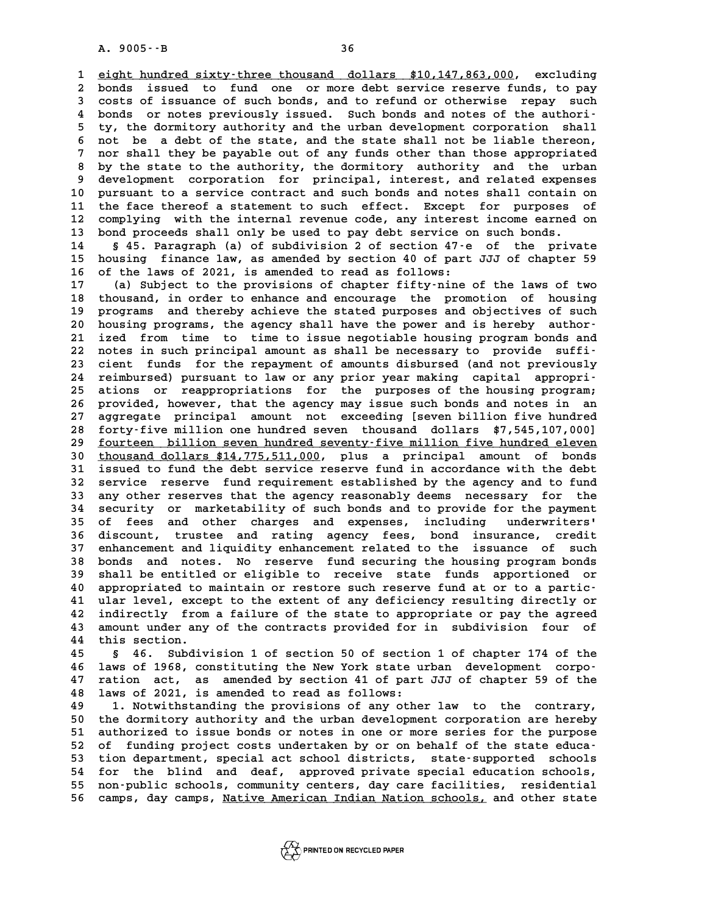**16**<br> **1** eight hundred sixty-three thousand dollars \$10,147,863,000, excluding<br>
<sup>2</sup> bonds issued to fund one or more debt service reserve funds to pay 1 <u>eight hundred sixty-three thousand dollars \$10,147,863,000</u>, excluding<br>2 bonds issued to fund one or more debt service reserve funds, to pay<br>3 sosts of issuance of such bonds, and to refund or otherwise, repay, such **3** eight hundred sixty-three thousand dollars \$10,147,863,000, excluding<br>2 bonds issued to fund one or more debt service reserve funds, to pay<br>3 costs of issuance of such bonds, and to refund or otherwise repay such<br>2 bon 2 bonds issued to fund one or more debt service reserve funds, to pay<br>
3 costs of issuance of such bonds, and to refund or otherwise repay such<br>
4 bonds or notes previously issued. Such bonds and notes of the authori-<br>
<sup>5</sup> 5 costs of issuance of such bonds, and to refund or otherwise repay such<br>4 bonds or notes previously issued. Such bonds and notes of the authori-<br>5 ty, the dormitory authority and the urban development corporation shall<br>5 4 bonds or notes previously issued. Such bonds and notes of the authority, the dormitory authority and the urban development corporation shall not be a debt of the state, and the state shall not be liable thereon,<br>
7 nor s <sup>5</sup> ty, the dormitory authority and the urban development corporation shall<br>
<sup>6</sup> not be a debt of the state, and the state shall not be liable thereon,<br>
<sup>7</sup> nor shall they be payable out of any funds other than those appro **8** not be a debt of the state, and the state shall not be liable thereon,<br> **8** by the state to the authority, the dormitory authority and the urban<br> **8** by the state to the authority, the dormitory authority and the urban P nor shall they be payable out of any funds other than those appropriated<br>
8 by the state to the authority, the dormitory authority and the urban<br>
9 development corporation for principal, interest, and related expenses<br>
9 8 by the state to the authority, the dormitory authority and the urban<br>9 development corporation for principal, interest, and related expenses<br>10 pursuant to a service contract and such bonds and notes shall contain on<br><sup>11</sup> 9 development corporation for principal, interest, and related expenses<br>10 pursuant to a service contract and such bonds and notes shall contain on<br>11 the face thereof a statement to such effect. Except for purposes of<br>22 10 pursuant to a service contract and such bonds and notes shall contain on<br>11 the face thereof a statement to such effect. Except for purposes of<br>12 complying with the internal revenue code, any interest income earned on<br> 11 the face thereof a statement to such effect. Except for purposes of<br>12 complying with the internal revenue code, any interest income earned on<br>13 bond proceeds shall only be used to pay debt service on such bonds.<br>14 § 12 complying with the internal revenue code, any interest income earned on<br>13 bond proceeds shall only be used to pay debt service on such bonds.<br>14 § 45. Paragraph (a) of subdivision 2 of section 47-e of the private<br>15 ho

**13 bond proceeds shall only be used to pay debt service on such bonds.**<br>14 § 45. Paragraph (a) of subdivision 2 of section 47-e of the private<br>15 housing finance law, as amended by section 40 of part JJJ of chapter 59<br>16 **16 of the laws of 2021, is amended to read as follows: 15 housing finance law, as amended by section 40 of part JJJ of chapter 59**<br>**16 of the laws of 2021, is amended to read as follows:**<br>**17** (a) Subject to the provisions of chapter fifty-nine of the laws of two<br>**18** the pro

16 of the laws of 2021, is amended to read as follows:<br>17 (a) Subject to the provisions of chapter fifty-nine of the laws of two<br>18 thousand, in order to enhance and encourage the promotion of housing<br>19 programs and thore 17 (a) Subject to the provisions of chapter fifty-nine of the laws of two<br>18 thousand, in order to enhance and encourage the promotion of housing<br>19 programs and thereby achieve the stated purposes and objectives of such<br>2 18 thousand, in order to enhance and encourage the promotion of housing<br>19 programs and thereby achieve the stated purposes and objectives of such<br>20 housing programs, the agency shall have the power and is hereby author-<br> 19 programs and thereby achieve the stated purposes and objectives of such<br>20 housing programs, the agency shall have the power and is hereby author-<br>21 ized from time to time to issue negotiable housing program bonds and 20 housing programs, the agency shall have the power and is hereby author-<br>21 ized from time to time to issue negotiable housing program bonds and<br>22 notes in such principal amount as shall be necessary to provide suffi-<br>2 21 ized from time to time to issue negotiable housing program bonds and<br>22 notes in such principal amount as shall be necessary to provide suffi-<br>23 cient funds for the repayment of amounts disbursed (and not previously<br>24 22 notes in such principal amount as shall be necessary to provide suffi-<br>
23 cient funds for the repayment of amounts disbursed (and not previously<br>
24 reimbursed) pursuant to law or any prior year making capital appropri 23 cient funds for the repayment of amounts disbursed (and not previously<br>24 reimbursed) pursuant to law or any prior year making capital appropri-<br>25 ations or reappropriations for the purposes of the housing program;<br>26 24 reimbursed) pursuant to law or any prior year making capital appropri-<br>25 ations or reappropriations for the purposes of the housing program;<br>26 provided, however, that the agency may issue such bonds and notes in an<br>27 25 ations or reappropriations for the purposes of the housing program;<br>26 provided, however, that the agency may issue such bonds and notes in an<br>27 aggregate principal amount not exceeding [seven billion five hundred<br>28 f 26 provided, however, that the agency may issue such bonds and notes in an aggregate principal amount not exceeding [seven billion five hundred 28 forty-five million one hundred seven thousand dollars \$7,545,107,000] aggregate principal amount not exceeding [seven billion five hundred<br>
28 forty-five million one hundred seven thousand dollars \$7,545,107,000]<br>
29 <u>fourteen billion seven hundred seventy-five million five hundred eleven</u><br> **28 forty-five million one hundred seven thousand dollars \$7,545,107,000]**<br>**29 <u>fourteen billion seven hundred seventy-five million five hundred eleven**<br>**30** thousand dollars \$14,775,511,000, plus a principal amount of bon</u> fourteen billion seven hundred seventy-five million five hundred eleven **Example 12 service reserve fund requirement established by the agency and to fund<br>32 service reserve fund requirement established by the agency and to fund<br>33 service reserves that the agency researchly deems necessary fo 31** issued to fund the debt service reserve fund in accordance with the debt<br>32 service reserve fund requirement established by the agency and to fund<br>33 any other reserves that the agency reasonably deems necessary for t 32 service reserve fund requirement established by the agency and to fund<br>33 any other reserves that the agency reasonably deems necessary for the<br>34 security or marketability of such bonds and to provide for the payment<br>3 33 any other reserves that the agency reasonably deems necessary for the<br>34 security or marketability of such bonds and to provide for the payment<br>35 of fees and other charges and expenses, including underwriters'<br>36 disco 34 security or marketability of such bonds and to provide for the payment<br>35 of fees and other charges and expenses, including underwriters'<br>36 discount, trustee and rating agency fees, bond insurance, credit<br>27 opharoment 35 of fees and other charges and expenses, including underwriters'<br>36 discount, trustee and rating agency fees, bond insurance, credit<br>37 enhancement and liquidity enhancement related to the issuance of such<br>28 bonds and p 36 discount, trustee and rating agency fees, bond insurance, credit<br>37 enhancement and liquidity enhancement related to the issuance of such<br>38 bonds and notes. No reserve fund securing the housing program bonds<br>39 shall b 37 enhancement and liquidity enhancement related to the issuance of such<br>38 bonds and notes. No reserve fund securing the housing program bonds<br>39 shall be entitled or eligible to receive state funds apportioned or<br>40 appr 38 bonds and notes. No reserve fund securing the housing program bonds<br>
39 shall be entitled or eligible to receive state funds apportioned or<br>
40 appropriated to maintain or restore such reserve fund at or to a partic-<br>
4 39 shall be entitled or eligible to receive state funds apportioned or 40 appropriated to maintain or restore such reserve fund at or to a partic-<br>41 ular level, except to the extent of any deficiency resulting directly or 40 appropriated to maintain or restore such reserve fund at or to a partic-<br>41 ular level, except to the extent of any deficiency resulting directly or<br>42 indirectly from a failure of the state to appropriate or pay the ag 41 ular level, except to the extent of any deficiency resulting directly or<br>42 indirectly from a failure of the state to appropriate or pay the agreed<br>43 amount under any of the contracts provided for in subdivision four o 42 indirectly from<br>43 amount under any<br>44 this section.

43 amount under any of the contracts provided for in subdivision four of<br>44 this section.<br>45 § 46. Subdivision 1 of section 50 of section 1 of chapter 174 of the<br>46 laws of 1968, constituting the New York state urban devel 45 § 46. Subdivision 1 of section 50 of section 1 of chapter 174 of the<br>46 laws of 1968, constituting the New York state urban development corpo-<br>47 ration act, as amended by section 41 of part JJJ of chapter 59 of the **45** § 46. Subdivision 1 of section 50 of section 1 of chapter 174 of the<br>46 laws of 1968, constituting the New York state urban development corpo-<br>47 ration act, as amended by section 41 of part JJJ of chapter 59 of the 46 laws of 1968, constituting the New York state u<br>47 ration act, as amended by section 41 of part<br>48 laws of 2021, is amended to read as follows:<br><sup>49</sup> 1 Notwithstanding the provisions of any other 47 ration act, as amended by section 41 of part JJJ of chapter 59 of the<br>48 laws of 2021, is amended to read as follows:<br>49 1. Notwithstanding the provisions of any other law to the contrary,<br>50 the dermitery authority and

1. Notwithstanding the provisions of any other law to the contrary,<br>
50 the dormitory authority and the urban development corporation are hereby<br>
51 authorized to issue bonds or notes in one or more series for the purpose 1. Notwithstanding the provisions of any other law to the contrary,<br>50 the dormitory authority and the urban development corporation are hereby<br>51 authorized to issue bonds or notes in one or more series for the purpose<br>52 50 the dormitory authority and the urban development corporation are hereby<br>
51 authorized to issue bonds or notes in one or more series for the purpose<br>
52 of funding project costs undertaken by or on behalf of the state 51 authorized to issue bonds or notes in one or more series for the purpose<br>52 of funding project costs undertaken by or on behalf of the state educa-<br>53 tion department, special act school districts, state-supported schoo 52 of funding project costs undertaken by or on behalf of the state educa-<br>53 tion department, special act school districts, state-supported schools<br>54 for the blind and deaf, approved private special education schools,<br>55 53 tion department, special act school districts, state-supported schools<br>54 for the blind and deaf, approved private special education schools,<br>55 non-public schools, community centers, day care facilities, residential<br>56 53 tion department, special act school districts, state-supported schools<br>54 for the blind and deaf, approved private special education schools,<br>55 non-public schools, community centers, day care facilities, residential<br>56

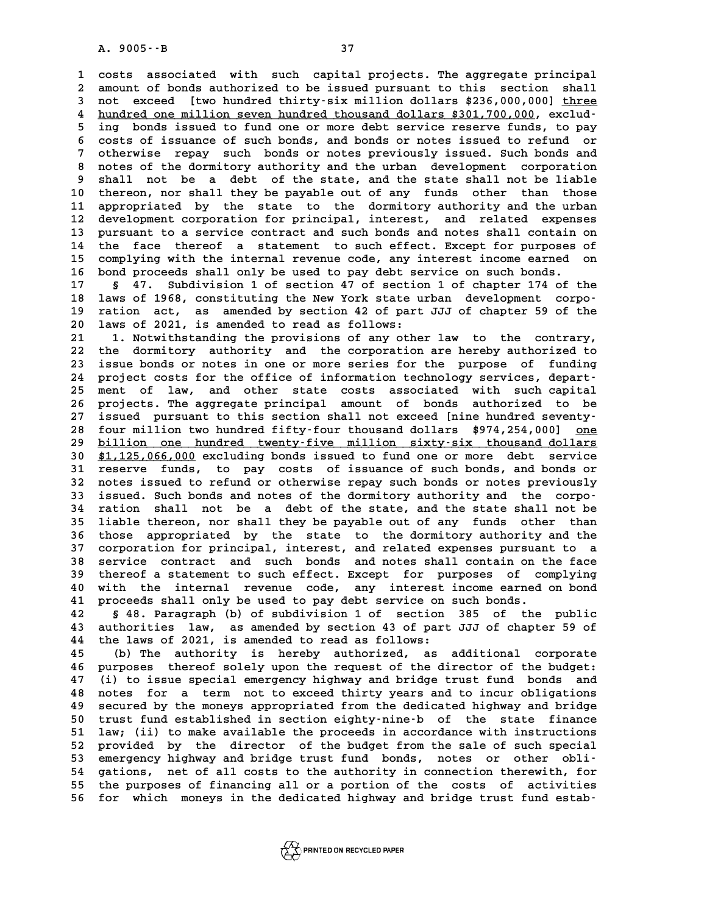**1 costs associated with such capital projects. The aggregate principal 2** costs associated with such capital projects. The aggregate principal<br>2 amount of bonds authorized to be issued pursuant to this section shall<br>3 pot exceed. Ityo bundred thirty-six million dollars \$336,000,0001 three 2 costs associated with such capital projects. The aggregate principal<br>2 amount of bonds authorized to be issued pursuant to this section shall<br>3 not exceed [two hundred thirty-six million dollars \$236,000,000] <u>three</u><br>4 h a mount of bonds authorized to be issued pursuant to this section shall<br>3 not exceed [two hundred thirty-six million dollars \$236,000,000] <u>three</u><br>4 hundred one million seven hundred thousand dollars \$301,700,000, exclud-<br> 3 not exceed [two hundred thirty-six million dollars \$236,000,000] <u>three</u><br>4 hundred one million seven hundred thousand dollars \$301,700,000, exclud-<br>5 ing bonds issued to fund one or more debt service reserve funds, to pa 4 <u>hundred one million seven hundred thousand dollars \$301,700,000</u>, exclud-<br>5 ing bonds issued to fund one or more debt service reserve funds, to pay<br>6 costs of issuance of such bonds, and bonds or notes issued to refund <sup>1</sup> **7** onds issued to fund one or more debt service reserve funds, to pay<br>
<sup>1</sup> costs of issuance of such bonds, and bonds or notes issued to refund or<br>
<sup>1</sup> otherwise repay such bonds or notes previously issued. Such bonds 8 costs of issuance of such bonds, and bonds or notes issued to refund or<br>
8 otherwise repay such bonds or notes previously issued. Such bonds and<br>
8 notes of the dormitory authority and the urban development corporation<br> 9 otherwise repay such bonds or notes previously issued. Such bonds and<br>**9** shall not be a debt of the state, and the state shall not be liable<br>10 thereon, nor shall they be payable out of any funds other than those 8 notes of the dormitory authority and the urban development corporation<br>9 shall not be a debt of the state, and the state shall not be liable<br>10 thereon, nor shall they be payable out of any funds other than those<br>11 appr 9 shall not be a debt of the state, and the state shall not be liable<br>10 thereon, nor shall they be payable out of any funds other than those<br>11 appropriated by the state to the dormitory authority and the urban<br><sup>12</sup> doubl 10 thereon, nor shall they be payable out of any funds other than those<br>11 appropriated by the state to the dormitory authority and the urban<br>12 development corporation for principal, interest, and related expenses<br>13 purs 11 appropriated by the state to the dormitory authority and the urban<br>12 development corporation for principal, interest, and related expenses<br>13 pursuant to a service contract and such bonds and notes shall contain on<br>14 12 development corporation for principal, interest, and related expenses<br>13 pursuant to a service contract and such bonds and notes shall contain on<br>14 the face thereof a statement to such effect. Except for purposes of<br>co 13 pursuant to a service contract and such bonds and notes shall contain on<br>14 the face thereof a statement to such effect. Except for purposes of<br>15 complying with the internal revenue code, any interest income earned on<br> 15 complying with the internal revenue code, any interest income earned on<br>16 bond proceeds shall only be used to pay debt service on such bonds.<br>17 § 47. Subdivision 1 of section 47 of section 1 of chapter 174 of the **15 complying with the internal revenue code, any interest income earned on 16 bond proceeds shall only be used to pay debt service on such bonds.**<br>17 § 47. Subdivision 1 of section 47 of section 1 of chapter 174 of the<br>18

**16 bond proceeds shall only be used to pay debt service on such bonds.**<br> **17** § 47. Subdivision 1 of section 47 of section 1 of chapter 174 of the<br> **18 laws of 1968, constituting the New York state urban development corpo** 17 § 47. Subdivision 1 of section 47 of section 1 of chapter 174 of the<br>18 laws of 1968, constituting the New York state urban development corpo-<br>19 ration act, as amended by section 42 of part JJJ of chapter 59 of the 18 laws of 1968, constituting the New York state u<br>19 ration act, as amended by section 42 of part<br>20 laws of 2021, is amended to read as follows:<br><sup>21</sup> <sup>1</sup> Notwithstanding the provisions of any other 19 ration act, as amended by section 42 of part JJJ of chapter 59 of the<br>20 laws of 2021, is amended to read as follows:<br>21 1. Notwithstanding the provisions of any other law to the contrary,<br>22 the dermitery authority and

**20 laws of 2021, is amended to read as follows:**<br> **21 1. Notwithstanding the provisions of any other law to the contrary,**<br> **22 the dormitory authority and the corporation are hereby authorized to**<br> **23** issue bonds or no 21 1. Notwithstanding the provisions of any other law to the contrary,<br>22 the dormitory authority and the corporation are hereby authorized to<br>23 issue bonds or notes in one or more series for the purpose of funding<br>24 pro 22 the dormitory authority and the corporation are hereby authorized to<br>23 issue bonds or notes in one or more series for the purpose of funding<br>24 project costs for the office of information technology services, depart-<br>2 23 issue bonds or notes in one or more series for the purpose of funding<br>24 project costs for the office of information technology services, depart-<br>25 ment of law, and other state costs associated with such capital<br>26 pro 24 project costs for the office of information technology services, depart-<br>25 ment of law, and other state costs associated with such capital<br>26 projects. The aggregate principal amount of bonds authorized to be<br>27 issued 25 ment of law, and other state costs associated with such capital<br>26 projects. The aggregate principal amount of bonds authorized to be<br>27 issued pursuant to this section shall not exceed [nine hundred seventy-<br>28 four mi 26 projects. The aggregate principal amount of bonds authorized to be<br>27 issued pursuant to this section shall not exceed [nine hundred seventy-<br>28 four million two hundred fifty-four thousand dollars \$974,254,000] <u>one</u><br>b **27** issued pursuant to this section shall not exceed [nine hundred seventy-<br>28 four million two hundred fifty-four thousand dollars \$974,254,000] <u>one</u><br><u>billion one hundred twenty-five million sixty-six thousand dollars</u><br> four million two hundred fifty-four thousand dollars \$974,254,000] <u>one</u><br>29 <u>billion one hundred twenty-five million sixty-six thousand dollars</u><br>30 \$1,125,066,000 excluding bonds issued to fund one or more debt service<br>31 **30 billion one hundred twenty-five million sixty-six thousand dollars**<br> **30 \$1,125,066,000** excluding bonds issued to fund one or more debt service<br> **31 reserve funds, to pay costs of issuance of such bonds, and bonds or** 30 \$1,125,066,000 excluding bonds issued to fund one or more debt service<br>31 reserve funds, to pay costs of issuance of such bonds, and bonds or<br>32 notes issued to refund or otherwise repay such bonds or notes previously<br>3 31 reserve funds, to pay costs of issuance of such bonds, and bonds or notes issued to refund or otherwise repay such bonds or notes previously issued. Such bonds and notes of the dormitory authority and the corpo-<br>
<sup>24</sup> r 32 notes issued to refund or otherwise repay such bonds or notes previously<br>33 issued. Such bonds and notes of the dormitory authority and the corpo-<br>34 ration shall not be a debt of the state, and the state shall not be<br>3 34 ration shall not be a debt of the state, and the state shall not be 34 ration shall not be a debt of the state, and the state shall not be<br>35 liable thereon, nor shall they be payable out of any funds other than<br>36 those appropriated by the state to the dormitory authority and the<br>37 corpo 35 liable thereon, nor shall they be payable out of any funds other than<br>36 those appropriated by the state to the dormitory authority and the<br>37 corporation for principal, interest, and related expenses pursuant to a<br>38 c 36 those appropriated by the state to the dormitory authority and the<br>37 corporation for principal, interest, and related expenses pursuant to a<br>38 service contract and such bonds and notes shall contain on the face<br>thereo 37 corporation for principal, interest, and related expenses pursuant to a<br>38 service contract and such bonds and notes shall contain on the face<br>39 thereof a statement to such effect. Except for purposes of complying<br>40 w 38 service contract and such bonds and notes shall contain on the face<br>39 thereof a statement to such effect. Except for purposes of complying<br>40 with the internal revenue code, any interest income earned on bond<br>41 procee 40 with the internal revenue code, any interest income earned on bond<br>41 proceeds shall only be used to pay debt service on such bonds.<br>42 § 48. Paragraph (b) of subdivision 1 of section 385 of the public

**42 § 48. Paragraph (b) of subdivision 1 of section 385 of the public 41 proceeds shall only be used to pay debt service on such bonds.**<br>**42 § 48. Paragraph (b) of subdivision 1 of section 385 of the public<br><b>43 authorities law, as amended by section 43 of part JJJ of chapter 59 of**<br>*44* the 42 S 48. Paragraph (b) of subdivision 1 of section<br>43 authorities law, as amended by section 43 of part<br>44 the laws of 2021, is amended to read as follows:<br><sup>45</sup> (b) The authority is boroby authorized 43 authorities law, as amended by section 43 of part JJJ of chapter 59 of<br>44 the laws of 2021, is amended to read as follows:<br>(b) The authority is hereby authorized, as additional corporate<br>46 nurroses thereof sololy were

**44 the laws of 2021, is amended to read as follows:**<br> **45** (b) The authority is hereby authorized, as additional corporate<br> **46 purposes thereof solely upon the request of the director of the budget:**<br> **47** (i) to issue s (b) The authority is hereby authorized, as additional corporate<br>46 purposes thereof solely upon the request of the director of the budget:<br>47 (i) to issue special emergency highway and bridge trust fund bonds and<br>18 potes 46 purposes thereof solely upon the request of the director of the budget:<br>47 (i) to issue special emergency highway and bridge trust fund bonds and<br>48 notes for a term not to exceed thirty years and to incur obligations<br>8 <sup>1</sup> (i) to issue special emergency highway and bridge trust fund bonds and<br>48 notes for a term not to exceed thirty years and to incur obligations<br>49 secured by the moneys appropriated from the dedicated highway and bridge **50 to 40 forms for a term not to exceed thirty years and to incur obligations**<br>**49 secured by the moneys appropriated from the dedicated highway and bridge**<br>**50 trust fund established in section eighty-nine-b** of the stat **50** secured by the moneys appropriated from the dedicated highway and bridge<br>50 trust fund established in section eighty-nine-b of the state finance<br>51 law; (ii) to make available the proceeds in accordance with instructi 50 trust fund established in section eighty-nine-b of the state finance<br>51 law; (ii) to make available the proceeds in accordance with instructions<br>52 provided by the director of the budget from the sale of such special<br>53 51 law; (ii) to make available the proceeds in accordance with instructions<br>
52 provided by the director of the budget from the sale of such special<br>
53 emergency highway and bridge trust fund bonds, notes or other obli-<br> 52 provided by the director of the budget from the sale of such special<br>53 emergency highway and bridge trust fund bonds, notes or other obli-<br>54 gations, net of all costs to the authority in connection therewith, for<br>55 t **53 emergency highway and bridge trust fund bonds, notes or other obli-**<br>54 gations, net of all costs to the authority in connection therewith, for<br>55 the purposes of financing all or a portion of the costs of activities<br>5 54 gations, net of all costs to the authority in connection therewith, for<br>55 the purposes of financing all or a portion of the costs of activities<br>56 for which moneys in the dedicated highway and bridge trust fund estab-

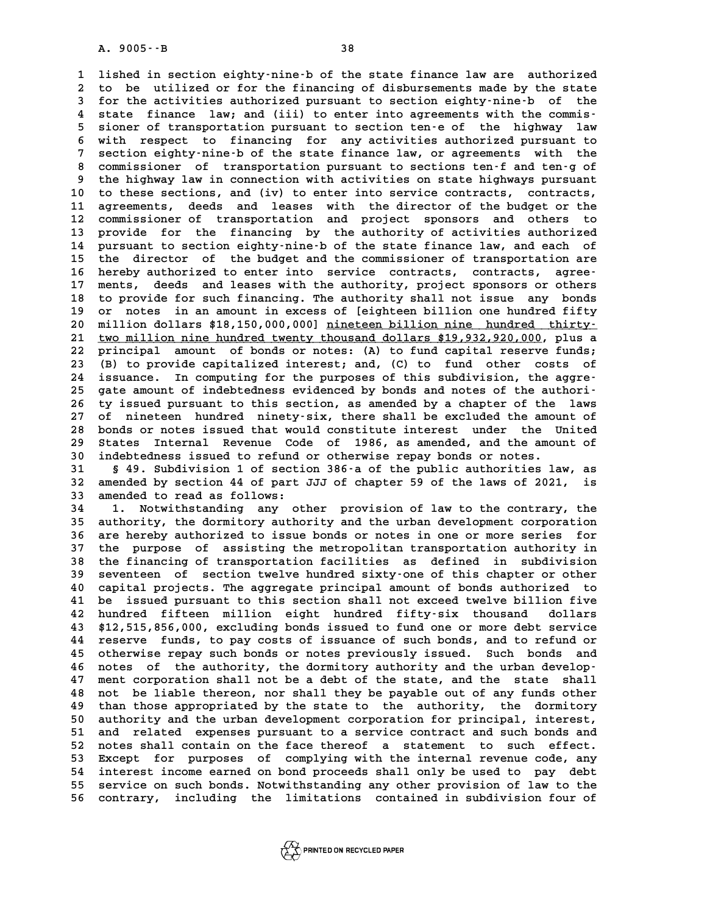**1 lished in section eighty-nine-b of the state finance law are authorized** 1 lished in section eighty-nine-b of the state finance law are authorized<br>2 to be utilized or for the financing of disbursements made by the state<br>3 for the activities authorized pursuant to section eighty-nine-b, of the 1 lished in section eighty-nine-b of the state finance law are authorized<br>2 to be utilized or for the financing of disbursements made by the state<br>3 for the activities authorized pursuant to section eighty-nine-b of the<br>4 2 to be utilized or for the financing of disbursements made by the state<br>
3 for the activities authorized pursuant to section eighty-nine-b of the<br>
4 state finance law; and (iii) to enter into agreements with the commis-<br> **5** for the activities authorized pursuant to section eighty-nine-b of the<br>4 state finance law; and (iii) to enter into agreements with the commis-<br>5 sioner of transportation pursuant to section ten-e of the highway law<br>it 4 state finance law; and (iii) to enter into agreements with the commis-<br>5 sioner of transportation pursuant to section ten-e of the highway law<br>6 with respect to financing for any activities authorized pursuant to<br>7 secti 5 sioner of transportation pursuant to section ten-e of the highway law<br>6 with respect to financing for any activities authorized pursuant to<br>7 section eighty-nine-b of the state finance law, or agreements with the<br>8 secti **8 with respect to financing for any activities authorized pursuant to**<br>**8 commissioner of transportation pursuant to sections ten-f and ten-g of**<br>**8 commissioner of transportation pursuant to sections ten-f and ten-g of**<br> 9 section eighty-nine-b of the state finance law, or agreements with the<br>8 commissioner of transportation pursuant to sections ten-f and ten-g of<br>9 the highway law in connection with activities on state highways pursuant<br>1 8 commissioner of transportation pursuant to sections ten-f and ten-g of<br>9 the highway law in connection with activities on state highways pursuant<br>10 to these sections, and (iv) to enter into service contracts, contracts, 9 the highway law in connection with activities on state highways pursuant<br>10 to these sections, and (iv) to enter into service contracts, contracts,<br>11 agreements, deeds and leases with the director of the budget or the<br>2 **12 commissioner of transportation and project sponsors and others to** 11 agreements, deeds and leases with the director of the budget or the<br>12 commissioner of transportation and project sponsors and others to<br>13 provide for the financing by the authority of activities authorized<br>14 purguant 12 commissioner of transportation and project sponsors and others to<br>13 provide for the financing by the authority of activities authorized<br>14 pursuant to section eighty-nine-b of the state finance law, and each of<br>15 the 13 provide for the financing by the authority of activities authorized<br>14 pursuant to section eighty-nine-b of the state finance law, and each of<br>15 the director of the budget and the commissioner of transportation are<br>16 14 pursuant to section eighty-nine-b of the state finance law, and each of<br>15 the director of the budget and the commissioner of transportation are<br>16 hereby authorized to enter into service contracts, contracts, agree-<br>17 the director of the budget and the commissioner of transportation are<br>16 hereby authorized to enter into service contracts, contracts, agree-<br>17 ments, deeds and leases with the authority, project sponsors or others<br>the pr 16 hereby authorized to enter into service contracts, contracts, agree-<br>17 ments, deeds and leases with the authority, project sponsors or others<br>18 to provide for such financing. The authority shall not issue any bonds<br>20 17 ments, deeds and leases with the authority, project sponsors or others<br>18 to provide for such financing. The authority shall not issue any bonds<br>19 or notes in an amount in excess of [eighteen billion one hundred fifty<br> 18 to provide for such financing. The authority shall not issue any bonds<br>19 or notes in an amount in excess of [eighteen billion one hundred fifty<br>20 million dollars \$18,150,000,000] <u>nineteen billion nine hundred thirty</u> 19 or notes in an amount in excess of [eighteen billion one hundred fifty<br>20 million dollars \$18,150,000,000] <u>nineteen billion nine hundred thirty</u><br>21 <u>two million nine hundred twenty thousand dollars \$19,932,920,000</u>, pl **20 million dollars \$18,150,000,000] <u>nineteen billion nine hundred thirty</u>-<br>
21 <u>two million nine hundred twenty thousand dollars \$19,932,920,000</u>, plus a<br>
22 principal amount of bonds or notes: (A) to fund capital reserv 21 <u>two million nine hundred twenty thousand dollars \$19,932,920,000</u>, plus a<br>22 principal amount of bonds or notes: (A) to fund capital reserve funds;<br>23 (B) to provide capitalized interest; and, (C) to fund other costs** 22 principal amount of bonds or notes: (A) to fund capital reserve funds;<br>
23 (B) to provide capitalized interest; and, (C) to fund other costs of<br>
24 issuance. In computing for the purposes of this subdivision, the aggre-23 (B) to provide capitalized interest; and, (C) to fund other costs of issuance. In computing for the purposes of this subdivision, the aggre-<br>
25 gate amount of indebtedness evidenced by bonds and notes of the authori-<br> 24 issuance. In computing for the purposes of this subdivision, the aggre-<br>25 gate amount of indebtedness evidenced by bonds and notes of the authori-<br>26 ty issued pursuant to this section, as amended by a chapter of the l 25 gate amount of indebtedness evidenced by bonds and notes of the authori-<br>26 ty issued pursuant to this section, as amended by a chapter of the laws<br>27 of nineteen hundred ninety-six, there shall be excluded the amount o 27 of nineteen hundred ninety-six, there shall be excluded the amount of 28 bonds or notes issued that would constitute interest under the United<br>29 States Internal Revenue Code of 1986, as amended, and the amount of 27 of nineteen hundred ninety-six, there shall be excluded the amount of<br>28 bonds or notes issued that would constitute interest under the United<br>29 States Internal Revenue Code of 1986, as amended, and the amount of<br><sup>20</sup> **30 bonds or notes issued that would constitute interest under the U.**<br> **30 States Internal Revenue Code of 1986, as amended, and the amoural indebtedness issued to refund or otherwise repay bonds or notes.**<br> **31** S.<sup>19</sup> S **39 States Internal Revenue Code of 1986, as amended, and the amount of indebtedness issued to refund or otherwise repay bonds or notes.<br>
<b>31** § 49. Subdivision 1 of section 386-a of the public authorities law, as<br> **32. am** 

30 indebtedness issued to refund or otherwise repay bonds or notes.<br>31 § 49. Subdivision 1 of section 386-a of the public authorities law, as<br>32 amended by section 44 of part JJJ of chapter 59 of the laws of 2021, is<br>33 am 32 amended by section 44 of part JJJ of chapter 59 of the laws of 2021,<br>33 amended to read as follows:<br>34 1. Notwithstanding any other provision of law to the contrary, t

**34 1. Notwithstanding any other provision of law to the contrary, the 33 amended to read as follows:**<br> **34 1. Notwithstanding any other provision of law to the contrary, the<br>
35 authority, the dormitory authority and the urban development corporation<br>
26 are broken urbanized to issue bords 1.** Notwithstanding any other provision of law to the contrary, the authority, the dormitory authority and the urban development corporation<br>36 are hereby authorized to issue bonds or notes in one or more series for<br>37 th 35 authority, the dormitory authority and the urban development corporation<br>36 are hereby authorized to issue bonds or notes in one or more series for<br>37 the purpose of assisting the metropolitan transportation authority i 36 are hereby authorized to issue bonds or notes in one or more series for<br>37 the purpose of assisting the metropolitan transportation authority in<br>38 the financing of transportation facilities as defined in subdivision<br>39 37 the purpose of assisting the metropolitan transportation authority in<br>38 the financing of transportation facilities as defined in subdivision<br>39 seventeen of section twelve hundred sixty-one of this chapter or other<br>20 **40 capital projects. The aggregate principal amount of bonds authorized to**<br>**40 capital projects. The aggregate principal amount of bonds authorized to**<br>**41 be issued pursuant to this section shall pot exceed tyelye billi** 39 seventeen of section twelve hundred sixty-one of this chapter or other<br>40 capital projects. The aggregate principal amount of bonds authorized to<br>41 be issued pursuant to this section shall not exceed twelve billion fiv **42 hundred fifteen million eight hundred fifty-six thousand dollars 43 \$12,515,856,000, excluding bonds issued to fund one or more debt service 42 hundred fifteen million eight hundred fifty-six thousand dollars<br>43 \$12,515,856,000, excluding bonds issued to fund one or more debt service<br>44 reserve funds, to pay costs of issuance of such bonds, and to refund or<br>45** 43 \$12,515,856,000, excluding bonds issued to fund one or more debt service<br>44 reserve funds, to pay costs of issuance of such bonds, and to refund or<br>45 otherwise repay such bonds or notes previously issued. Such bonds an **44** reserve funds, to pay costs of issuance of such bonds, and to refund or otherwise repay such bonds or notes previously issued. Such bonds and notes of the authority, the dormitory authority and the urban develop-<br> **46** 45 otherwise repay such bonds or notes previously issued. Such bonds and<br>46 notes of the authority, the dormitory authority and the urban develop-<br>47 ment corporation shall not be a debt of the state, and the state shall<br>4 A notes of the authority, the dormitory authority and the urban develop-<br>47 ment corporation shall not be a debt of the state, and the state shall<br>48 not be liable thereon, nor shall they be payable out of any funds other<br> 47 ment corporation shall not be a debt of the state, and the state shall<br>48 not be liable thereon, nor shall they be payable out of any funds other<br>49 than those appropriated by the state to the authority, the dormitory<br>5 As not be liable thereon, nor shall they be payable out of any funds other<br>
49 than those appropriated by the state to the authority, the dormitory<br>
50 authority and the urban development corporation for principal, interes than those appropriated by the state to the authority, the dormitory<br>50 authority and the urban development corporation for principal, interest,<br>51 and related expenses pursuant to a service contract and such bonds and<br>52 50 authority and the urban development corporation for principal, interest,<br>51 and related expenses pursuant to a service contract and such bonds and<br>52 notes shall contain on the face thereof a statement to such effect.<br>5 50 authority and the urban development corporation for principal, interest,<br>51 and related expenses pursuant to a service contract and such bonds and<br>52 notes shall contain on the face thereof a statement to such effect.<br>5 **54 interest income earned on bond proceeds shall only be used to pay debt 53 Except for purposes of complying with the internal revenue code, any interest income earned on bond proceeds shall only be used to pay debt service on such bonds. Notwithstanding any other provision of law to the contr** 54 interest income earned on bond proceeds shall only be used to pay debt<br>55 service on such bonds. Notwithstanding any other provision of law to the<br>56 contrary, including the limitations contained in subdivision four of



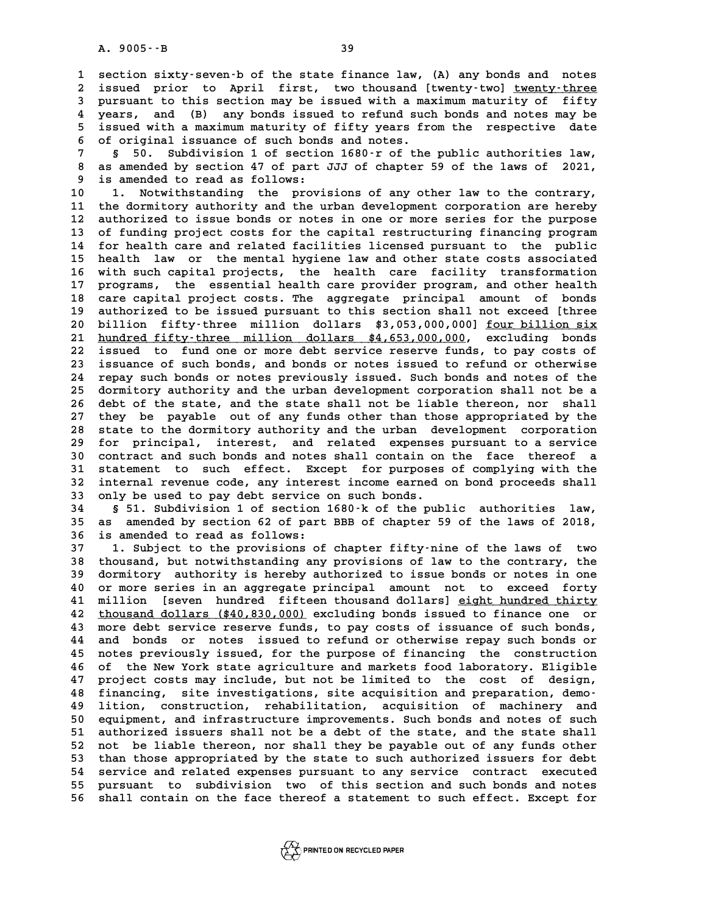**1 section sixty-seven-b of the state finance law, (A) any bonds and notes 2** section sixty-seven-b of the state finance law, (A) any bonds and notes<br>2 issued prior to April first, two thousand [twenty-two] twenty-three<br>3 pursuant to this section may be issued with a maximum maturity of fifty **3** section sixty-seven-b of the state finance law, (A) any bonds and notes<br>2 issued prior to April first, two thousand [twenty-two] <u>twenty-three</u><br>3 pursuant to this section may be issued with a maximum maturity of fifty<br> 2 issued prior to April first, two thousand [twenty-two] <u>twenty-three</u><br>3 pursuant to this section may be issued with a maximum maturity of fifty<br>4 years, and (B) any bonds issued to refund such bonds and notes may be<br>5 ig 3 pursuant to this section may be issued with a maximum maturity of fifty<br>4 years, and (B) any bonds issued to refund such bonds and notes may be<br>5 issued with a maximum maturity of fifty years from the respective date 4 years, and (B) any bonds issued to refund such bonds and notes may be<br>5 issued with a maximum maturity of fifty years from the respective date<br>6 of original issuance of such bonds and notes.<br>8 50. Subdivision 1 of sectio

**7** issued with a maximum maturity of fifty years from the respective date<br> **6** of original issuance of such bonds and notes.<br> **7** § 50. Subdivision 1 of section 1680-r of the public authorities law,<br> **8** as amended by sec **8 of original issuance of such bonds and notes.**<br> **8 50. Subdivision 1 of section 1680 r of the public authorities law,<br>
<b>8 as amended by section 47 of part JJJ of chapter 59 of the laws of 2021,**<br> **8 is amended to read a 9 50.** Subdivision 1 of section<br> **9 is amended to read as follows:**<br> **9 is amended to read as follows:**<br> **9 1 Notwithstanding the argui** 8 as amended by section 47 of part JJJ of chapter 59 of the laws of 2021,<br>9 is amended to read as follows:<br>10 1. Notwithstanding the provisions of any other law to the contrary,<br><sup>11</sup> the dormitory authority and the urban d

<sup>9</sup> is amended to read as follows:<br>
10 1. Notwithstanding the provisions of any other law to the contrary,<br>
11 the dormitory authority and the urban development corporation are hereby<br>
12 unthorized to igue bonds or potes 10 1. Notwithstanding the provisions of any other law to the contrary,<br>11 the dormitory authority and the urban development corporation are hereby<br>12 authorized to issue bonds or notes in one or more series for the purpose **13 of funding project costs for the capital restructuring financing program** 12 authorized to issue bonds or notes in one or more series for the purpose<br>13 of funding project costs for the capital restructuring financing program<br>14 for health care and related facilities licensed pursuant to the pub 13 of funding project costs for the capital restructuring financing program<br>14 for health care and related facilities licensed pursuant to the public<br>15 health law or the mental hygiene law and other state costs associated 14 for health care and related facilities licensed pursuant to the public<br>15 health law or the mental hygiene law and other state costs associated<br>16 with such capital projects, the health care facility transformation<br>17 p 15 health law or the mental hygiene law and other state costs associated<br>16 with such capital projects, the health care facility transformation<br>17 programs, the essential health care provider program, and other health<br>18 c 16 with such capital projects, the health care facility transformation<br>17 programs, the essential health care provider program, and other health<br>18 care capital project costs. The aggregate principal amount of bonds<br>19 put 17 programs, the essential health care provider program, and other health<br>18 care capital project costs. The aggregate principal amount of bonds<br>19 authorized to be issued pursuant to this section shall not exceed [three<br>2 20 during the series of the aggregate principal amount of bonds<br>
20 billion fifty-three million dollars \$3,053,000,000] <u>four billion six</u><br>
21 <u>hundred fifty-three million dollars</u> \$4,653,000,000, excluding bonds authorized to be issued pursuant to this section shall not exceed [three **22 issued to fund one or more debt service reserve funds, to pay costs of** 21 <u>hundred fifty-three million dollars \$4,653,000,000</u>, excluding bonds<br>22 issued to fund one or more debt service reserve funds, to pay costs of<br>23 issuance of such bonds, and bonds or notes issued to refund or otherwise 22 issued to fund one or more debt service reserve funds, to pay costs of<br>23 issuance of such bonds, and bonds or notes issued to refund or otherwise<br>24 repay such bonds or notes previously issued. Such bonds and notes of 23 issuance of such bonds, and bonds or notes issued to refund or otherwise<br>24 repay such bonds or notes previously issued. Such bonds and notes of the<br>25 dormitory authority and the urban development corporation shall not 24 repay such bonds or notes previously issued. Such bonds and notes of the 25 dormitory authority and the urban development corporation shall not be a 26 debt of the state, and the state shall not be liable thereon, nor s **27 they be payable out of any funds other than those appropriated by the** 26 debt of the state, and the state shall not be liable thereon, nor shall<br>27 they be payable out of any funds other than those appropriated by the<br>28 state to the dormitory authority and the urban development corporation<br> 27 they be payable out of any funds other than those appropriated by the<br>28 state to the dormitory authority and the urban development corporation<br>29 for principal, interest, and related expenses pursuant to a service<br>20 c 30 state to the dormitory authority and the urban development corporation<br>29 for principal, interest, and related expenses pursuant to a service<br>30 contract and such bonds and notes shall contain on the face thereof a<br>31 s 29 for principal, interest, and related expenses pursuant to a service<br>30 contract and such bonds and notes shall contain on the face thereof a<br>31 statement to such effect. Except for purposes of complying with the<br>32 inte 30 contract and such bonds and notes shall contain on the face thereof a<br>31 statement to such effect. Except for purposes of complying with the<br>32 internal revenue code, any interest income earned on bond proceeds shall<br>33 31 statement to such effect. Except for purposes of complying with the<br>32 internal revenue code, any interest income earned on bond proceeds shall<br>33 only be used to pay debt service on such bonds.<br>**551.** Subdivision 1 of

32 internal revenue code, any interest income earned on bond proceeds shall<br>33 only be used to pay debt service on such bonds.<br>34 § 51. Subdivision 1 of section 1680-k of the public authorities law,<br>35 as amended by sectio **33 only be used to pay debt service on such bonds.**<br>**34 § 51. Subdivision 1 of section 1680** k of the public authorities law,<br>**35 as amended by section 62 of part BBB of chapter 59 of the laws of 2018,**<br>**36 is amended to 34 s** 51. Subdivision 1 of section<br>35 as amended by section 62 of part<br>36 is amended to read as follows: **35 as amended by section 62 of part BBB of chapter 59 of the laws of 2018,<br>36 is amended to read as follows:**<br>37 1. Subject to the provisions of chapter fifty-nine of the laws of two<br>thousand but potwithstanding any provi

**36 is amended to read as follows:**<br> **37 1. Subject to the provisions of chapter fifty-nine of the laws of two**<br> **38 thousand, but notwithstanding any provisions of law to the contrary, the**<br> **29 degrates:** authority is be **1.** Subject to the provisions of chapter fifty-nine of the laws of two<br>38 thousand, but notwithstanding any provisions of law to the contrary, the<br>39 dormitory authority is hereby authorized to issue bonds or notes in one **40 or more series in an aggregate provisions of law to the contrary, the dormitory authority is hereby authorized to issue bonds or notes in one or more series in an aggregate principal amount not to exceed forty** 39 dormitory authority is hereby authorized to issue bonds or notes in one<br>40 or more series in an aggregate principal amount not to exceed forty<br>41 million [seven hundred fifteen thousand dollars] <u>eight hundred thirty</u><br>4 **42** thousand dollars (\$40,830,000) excluding bonds issued to finance one or<br>43 more debt service reserve funds, to pav costs of issuance of such bonds, 41 million [seven hundred fifteen thousand dollars] eight hundred thirty<br>42 <u>thousand dollars (\$40,830,000</u>) excluding bonds issued to finance one or<br>43 more debt service reserve funds, to pay costs of issuance of such bon **42 <u>thousand dollars (\$40,830,000</u>) excluding bonds issued to finance one or<br>43 more debt service reserve funds, to pay costs of issuance of such bonds,<br>44 and bonds or notes issued to refund or otherwise repay such bonds** As a more debt service reserve funds, to pay costs of issuance of such bonds,<br>
44 and bonds or notes issued to refund or otherwise repay such bonds or<br>
45 notes previously issued, for the purpose of financing the construct 44 and bonds or notes issued to refund or otherwise repay such bonds or<br>45 notes previously issued, for the purpose of financing the construction<br>46 of the New York state agriculture and markets food laboratory. Eligible<br>4 45 notes previously issued, for the purpose of financing the construction<br>46 of the New York state agriculture and markets food laboratory. Eligible<br>47 project costs may include, but not be limited to the cost of design,<br>4 46 of the New York state agriculture and markets food laboratory. Eligible<br>47 project costs may include, but not be limited to the cost of design,<br>48 financing, site investigations, site acquisition and preparation, demo-<br> **47 project costs may include, but not be limited to the cost of design,**<br>48 financing, site investigations, site acquisition and preparation, demo-<br>49 lition, construction, rehabilitation, acquisition of machinery and<br>50 **50 equipment, and infrastructure improvements. Such bonds and notes of such** 19 lition, construction, rehabilitation, acquisition of machinery and<br>50 equipment, and infrastructure improvements. Such bonds and notes of such<br>51 authorized issuers shall not be a debt of the state, and the state shall<br> 50 equipment, and infrastructure improvements. Such bonds and notes of such<br>51 authorized issuers shall not be a debt of the state, and the state shall<br>52 not be liable thereon, nor shall they be payable out of any funds o 51 authorized issuers shall not be a debt of the state, and the state shall<br>52 not be liable thereon, nor shall they be payable out of any funds other<br>53 than those appropriated by the state to such authorized issuers for 52 not be liable thereon, nor shall they be payable out of any funds other<br>53 than those appropriated by the state to such authorized issuers for debt<br>54 service and related expenses pursuant to any service contract execut 53 than those appropriated by the state to such authorized issuers for debt<br>54 service and related expenses pursuant to any service contract executed<br>55 pursuant to subdivision two of this section and such bonds and notes<br> 54 service and related expenses pursuant to any service contract executed<br>55 pursuant to subdivision two of this section and such bonds and notes<br>56 shall contain on the face thereof a statement to such effect. Except for

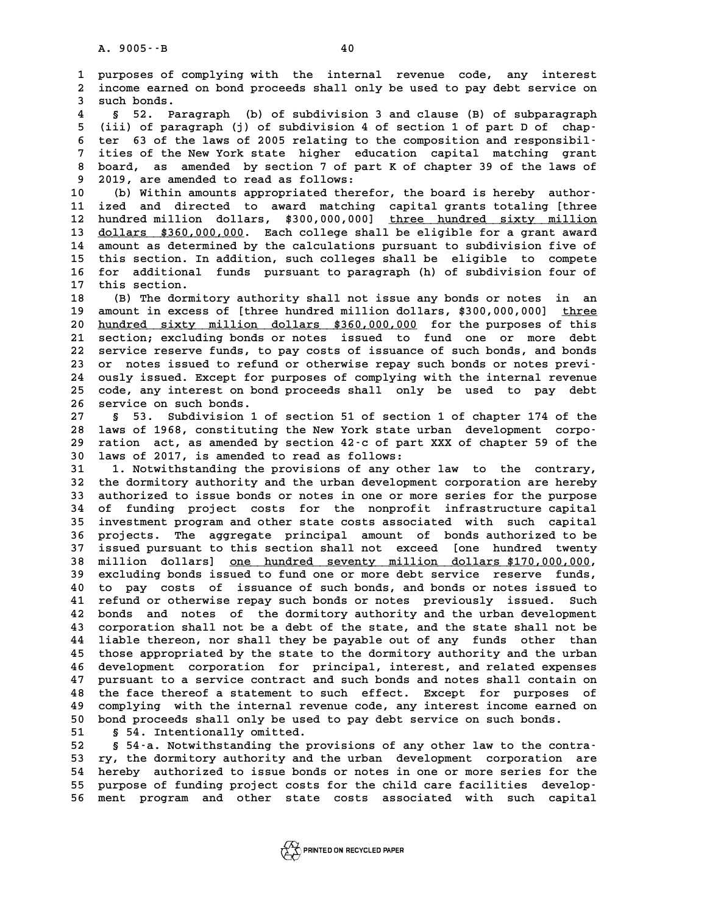**1 purposes of complying with the internal revenue code, any interest 2 income earned on bond proceeds shall only be used to pay debt service on** 1 purposes of compared income earned<br>3 such bonds.<br><sup>4</sup> 5 52 pare **4 2** income earned on bond proceeds shall only be used to pay debt service on such bonds.<br>**4** § 52. Paragraph (b) of subdivision 3 and clause (B) of subparagraph<br>**5** (iii) of paragraph (j) of subdivision 4 of section 1

5 (iii) of subdivision 3 and clause (B) of subparagraph<br> **5** (iii) of paragraph (j) of subdivision 4 of section 1 of part D of chap-<br>
<sup>5</sup> tor 63 of the laws of 2005 relating to the composition and regnonsibile **6** 52. Paragraph (b) of subdivision 3 and clause (B) of subparagraph<br> **6** (iii) of paragraph (j) of subdivision 4 of section 1 of part D of chap-<br> **6** ter 63 of the laws of 2005 relating to the composition and responsibil <sup>5</sup> (iii) of paragraph (j) of subdivision 4 of section 1 of part D of chapter 63 of the laws of 2005 relating to the composition and responsibil-<br>7 ities of the New York state higher education capital matching grant<br>beard **8 ter 63 of the laws of 2005 relating to the composition and responsibil-**<br>7 ities of the New York state higher education capital matching grant<br>8 board, as amended by section 7 of part K of chapter 39 of the laws of<br>8 20 7 ities of the New York state higher edu<br>8 board, as amended by section 7 of par<br>9 2019, are amended to read as follows:<br>0 (b) Within amounts appropriated theref 10 board, as amended by section 7 of part K of chapter 39 of the laws of<br>
10 (b) Within amounts appropriated therefor, the board is hereby author-<br>
11 ized and directed to award matching capital grants totaling [three

<sup>9</sup> 2019, are amended to read as follows:<br>
10 (b) Within amounts appropriated therefor, the board is hereby author-<br>
11 ized and directed to award matching capital grants totaling [three<br>
12 hundred million dollars \*300,00 10 (b) Within amounts appropriated therefor, the board is hereby author-<br>11 ized and directed to award matching capital grants totaling [three<br>12 hundred million dollars, \$300,000,000] <u>three hundred sixty million</u><br>2011ars 11 ized and directed to award matching capital grants totaling [three<br>12 hundred million dollars, \$300,000,000] <u>three hundred sixty million</u><br>13 <u>dollars \$360,000,000</u>. Each college shall be eligible for a grant award<br>14 a 12 hundred million dollars, \$300,000,000] <u>three hundred sixty million</u><br>13 <u>dollars \$360,000,000</u>. Each college shall be eligible for a grant award<br>14 amount as determined by the calculations pursuant to subdivision five o **13 dollars \$360,000,000.** Each college shall be eligible for a grant award<br>14 amount as determined by the calculations pursuant to subdivision five of<br>15 this section. In addition, such colleges shall be eligible to compe 14 amount as determined by the calculations pursuant to subdivision five of<br>15 this section. In addition, such colleges shall be eligible to compete<br>16 for additional funds pursuant to paragraph (h) of subdivision four of<br> 15 this section. In<br>16 for additional<br>17 this section.<br>19 (B) The dermit **16 for additional funds pursuant to paragraph (h) of subdivision four of**<br>**17 this section.**<br>**18** (B) The dormitory authority shall not issue any bonds or notes in an<br>**19 amount in excess of [three hundred million dollars** 

this section.<br>
18 (B) The dormitory authority shall not issue any bonds or notes in an<br>
19 amount in excess of [three hundred million dollars, \$300,000,000] <u>three</u><br>
20 bundred givty million dollars, \$360,000,000, for the (B) The dormitory authority shall not issue any bonds or notes in an<br>19 amount in excess of [three hundred million dollars, \$300,000,000] <u>three</u><br>20 <u>hundred sixty million dollars \$360,000,000</u> for the purposes of this<br>cec **20 amount in excess of [three hundred million dollars, \$300,000,000] three**<br>20 <u>hundred sixty million dollars \$360,000,000</u> for the purposes of this<br>21 section; excluding bonds or notes issued to fund one or more debt<br>22 20 <u>hundred sixty million dollars \$360,000,000</u> for the purposes of this<br>21 section; excluding bonds or notes issued to fund one or more debt<br>22 service reserve funds, to pay costs of issuance of such bonds, and bonds<br>23 o 21 section; excluding bonds or notes issued to fund one or more debt<br>
22 service reserve funds, to pay costs of issuance of such bonds, and bonds<br>
23 or notes issued to refund or otherwise repay such bonds or notes previ-<br> 22 service reserve funds, to pay costs of issuance of such bonds, and bonds<br>23 or notes issued to refund or otherwise repay such bonds or notes previ-<br>24 ously issued. Except for purposes of complying with the internal rev 23 or notes issued to refund or otherwise repay such bonds or notes previ-<br>24 ously issued. Except for purposes of complying with the internal revenue<br>25 code, any interest on bond proceeds shall only be used to pay debt<br>2 24 ously issued. Except for 1<br>25 code, any interest on bonds.<br>26 service on such bonds. 25 code, any interest on bond proceeds shall only be used to pay debt<br>26 service on such bonds.<br>27 § 53. Subdivision 1 of section 51 of section 1 of chapter 174 of the<br>28 laws of 1968, constituting the New York state urban

**28 laws of 1968, constituting the New York state urban development corpo-**8 53. Subdivision 1 of section 51 of section 1 of chapter 174 of the<br>28 laws of 1968, constituting the New York state urban development corpo-<br>29 ration act, as amended by section 42-c of part XXX of chapter 59 of the **30 laws of 2017, is amended to read as follows:** 29 ration act, as amended by section 42-c of part XXX of chapter 59 of the<br>30 laws of 2017, is amended to read as follows:<br>31 1. Notwithstanding the provisions of any other law to the contrary,<br><sup>32</sup> the dermitery authority

**32 the dormitory authority and the urban development corporation are hereby 1. Notwithstanding the provisions of any other law to the contrary,<br>
32 the dormitory authority and the urban development corporation are hereby<br>
33 authorized to issue bonds or notes in one or more series for the purpose** 32 the dormitory authority and the urban development corporation are hereby<br>33 authorized to issue bonds or notes in one or more series for the purpose<br>34 of funding project costs for the nonprofit infrastructure capital<br>3 33 authorized to issue bonds or notes in one or more series for the purpose<br>34 of funding project costs for the nonprofit infrastructure capital<br>35 investment program and other state costs associated with such capital<br>26 p 34 of funding project costs for the nonprofit infrastructure capital<br>35 investment program and other state costs associated with such capital<br>36 projects. The aggregate principal amount of bonds authorized to be<br><sup>37</sup> issue 35 investment program and other state costs associated with such capital<br>36 projects. The aggregate principal amount of bonds authorized to be<br>37 issued pursuant to this section shall not exceed [one hundred twenty **38 million dollars] <u>one hundred seventy million dollars \$170,000,000,</u><br>39 excluding bonds issued to fund one or more debt service reserve funds. 18 issued pursuant to this section shall not exceed [one hundred twenty**<br> **38 million dollars]** <u>one hundred seventy million dollars \$170,000,000</u>,<br> **39 excluding bonds issued to fund one or more debt service reserve fund 40 following 10 and 10 to pay costs of issued to fund one or more debt service reserve funds,<br>40 to pay costs of issuance of such bonds, and bonds or notes issued to<br>41 refund or otherwise repay such bonds or potes previo 40 excluding bonds issued to fund one or more debt service reserve funds,**<br>40 to pay costs of issuance of such bonds, and bonds or notes issued to<br>41 refund or otherwise repay such bonds or notes previously issued. Such<br>2 40 to pay costs of issuance of such bonds, and bonds or notes issued to<br>41 refund or otherwise repay such bonds or notes previously issued. Such<br>42 bonds and notes of the dormitory authority and the urban development<br>43 co **41 refund or otherwise repay such bonds or notes previously issued. Such 42 bonds and notes of the dormitory authority and the urban development 43 corporation shall not be a debt of the state, and the state shall not be** 42 bonds and notes of the dormitory authority and the urban development<br>43 corporation shall not be a debt of the state, and the state shall not be<br>44 liable thereon, nor shall they be payable out of any funds other than<br>4 43 corporation shall not be a debt of the state, and the state shall not be<br>44 liable thereon, nor shall they be payable out of any funds other than<br>45 those appropriated by the state to the dormitory authority and the urb 44 liable thereon, nor shall they be payable out of any funds other than<br>45 those appropriated by the state to the dormitory authority and the urban<br>46 development corporation for principal, interest, and related expenses<br> 45 those appropriated by the state to the dormitory authority and the urban<br>46 development corporation for principal, interest, and related expenses<br>47 pursuant to a service contract and such bonds and notes shall contain development corporation for principal, interest, and related expenses<br>47 pursuant to a service contract and such bonds and notes shall contain on<br>48 the face thereof a statement to such effect. Except for purposes of<br>20 co 47 pursuant to a service contract and such bonds and notes shall contain on<br>48 the face thereof a statement to such effect. Except for purposes of<br>49 complying with the internal revenue code, any interest income earned on<br> 48 the face thereof a statement to such effect. Except for purposes<br>49 complying with the internal revenue code, any interest income earned<br>50 bond proceeds shall only be used to pay debt service on such bonds.<br>51 854 Inte 49 complying with the internal reverty bond proceeds shall only be used<br>51 § 54. Intentionally omitted.<br>52 § 54.2 Notwithstanding the pro-

50 bond proceeds shall only be used to pay debt service on such bonds.<br>
51 § 54. Intentionally omitted.<br>
52 § 54-a. Notwithstanding the provisions of any other law to the contra-<br>
53 ry the dormitory authority and the urba 51 § 54. Intentionally omitted.<br>
52 § 54 a. Notwithstanding the provisions of any other law to the contra-<br>
53 ry, the dormitory authority and the urban development corporation are<br>
54 hereby authorized to issue bonds or n 52 § 54-a. Notwithstanding the provisions of any other law to the contra-<br>53 ry, the dormitory authority and the urban development corporation are<br>54 hereby authorized to issue bonds or notes in one or more series for the<br> 53 ry, the dormitory authority and the urban development corporation are<br>
54 hereby authorized to issue bonds or notes in one or more series for the<br>
55 purpose of funding project costs for the child care facilities develo **56 ment program and other state costs associated with such capital**

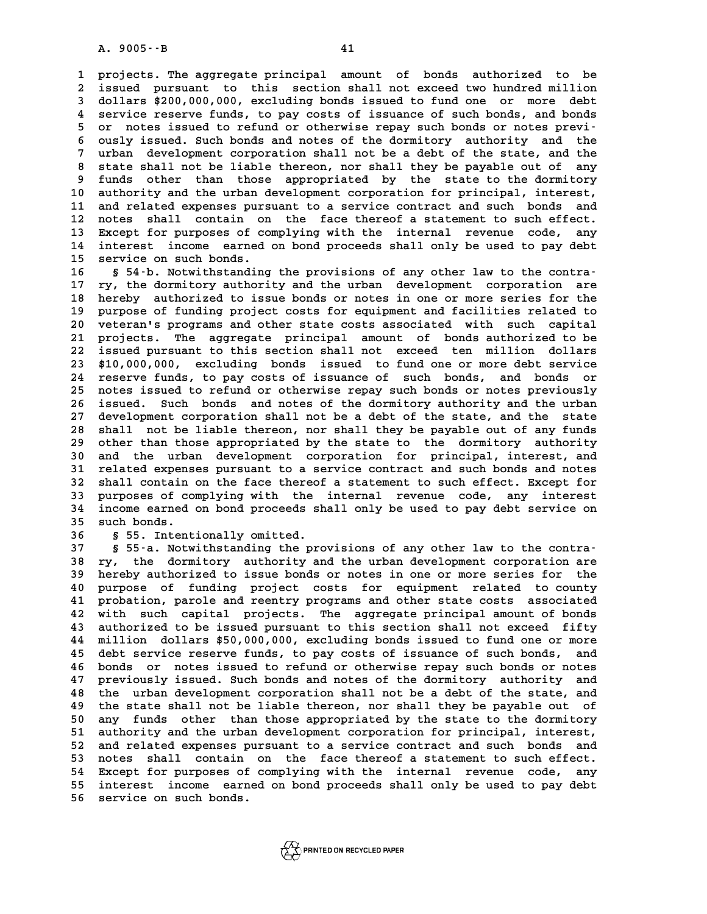**1 projects. The aggregate principal amount of bonds authorized to be 2** projects. The aggregate principal amount of bonds authorized to be<br>2 issued pursuant to this section shall not exceed two hundred million<br>3 dollars \$200,000,000 excluding bonds issued to fund one or more debt 1 projects. The aggregate principal amount of bonds authorized to be<br>3 issued pursuant to this section shall not exceed two hundred million<br>3 dollars \$200,000,000, excluding bonds issued to fund one or more debt<br>4 service 1 issued pursuant to this section shall not exceed two hundred million<br>
3 dollars \$200,000,000, excluding bonds issued to fund one or more debt<br>
4 service reserve funds, to pay costs of issuance of such bonds, and bonds<br>
2 **5** dollars \$200,000,000, excluding bonds issued to fund one or more debt<br> **4** service reserve funds, to pay costs of issuance of such bonds, and bonds<br> **5** or notes issued to refund or otherwise repay such bonds or notes 4 service reserve funds, to pay costs of issuance of such bonds, and bonds<br>5 or notes issued to refund or otherwise repay such bonds or notes previ-<br>6 ously issued. Such bonds and notes of the dormitory authority and the<br>7 5 or notes issued to refund or otherwise repay such bonds or notes previ-<br>6 ously issued. Such bonds and notes of the dormitory authority and the<br>7 urban development corporation shall not be a debt of the state, and the<br>8 8 ously issued. Such bonds and notes of the dormitory authority and the<br>
7 urban development corporation shall not be a debt of the state, and the<br>
8 state shall not be liable thereon, nor shall they be payable out of any<br> 7 urban development corporation shall not be a debt of the state, and the state shall not be liable thereon, nor shall they be payable out of any funds other than those appropriated by the state to the dormitory 8 state shall not be liable thereon, nor shall they be payable out of any<br>9 funds other than those appropriated by the state to the dormitory<br>10 authority and the urban development corporation for principal, interest,<br>11 a 9 funds other than those appropriated by the state to the dormitory<br>10 authority and the urban development corporation for principal, interest,<br>11 and related expenses pursuant to a service contract and such bonds and<br>12 p 10 authority and the urban development corporation for principal, interest,<br>11 and related expenses pursuant to a service contract and such bonds and<br>12 notes shall contain on the face thereof a statement to such effect.<br>1 11 and related expenses pursuant to a service contract and such bonds and<br>12 notes shall contain on the face thereof a statement to such effect.<br>13 Except for purposes of complying with the internal revenue code, any<br>14 in 12 notes shall contain on the face thereof a statement to such effect.<br>13 Except for purposes of complying with the internal revenue code, any<br>14 interest income earned on bond proceeds shall only be used to pay debt<br>15 se Except for purposes of complying with the internal revenue code, any<br>14 interest income earned on bond proceeds shall only be used to pay debt<br>15 service on such bonds.<br>16 § 54 -b. Notwithstanding the provisions of any oth

14 interest income earned on bond proceeds shall only be used to pay debt<br>15 service on such bonds.<br>16 § 54-b. Notwithstanding the provisions of any other law to the contra-<br>17 ry, the dormitory authority and the urban dev 15 service on such bonds.<br>16 § 54-b. Notwithstanding the provisions of any other law to the contra-<br>17 ry, the dormitory authority and the urban development corporation are<br>18 berokus authorized to issue bords ar notes in **16 S 54-b. Notwithstanding the provisions of any other law to the contra-**<br>**17 ry, the dormitory authority and the urban development corporation are**<br>**18 hereby authorized to issue bonds or notes in one or more series for** 17 ry, the dormitory authority and the urban development corporation are<br>18 hereby authorized to issue bonds or notes in one or more series for the<br>19 purpose of funding project costs for equipment and facilities related t 18 hereby authorized to issue bonds or notes in one or more series for the<br>19 purpose of funding project costs for equipment and facilities related to<br>20 veteran's programs and other state costs associated with such capita purpose of funding project costs for equipment and facilities related to veteran's programs and other state costs associated with such capital<br>21 projects. The aggregate principal amount of bonds authorized to be<br>22 issued pursuant to this section shall not exceed ten million dollars<br><sup>23 \*10 00</sup> 21 projects. The aggregate principal amount of bonds authorized to be<br>22 issued pursuant to this section shall not exceed ten million dollars<br>23 \$10,000,000, excluding bonds issued to fund one or more debt service<br>24 reser 22 issued pursuant to this section shall not exceed ten million dollars<br>23 \$10,000,000, excluding bonds issued to fund one or more debt service<br>24 reserve funds, to pay costs of issuance of such bonds, and bonds or<br>25 pote 23 \$10,000,000, excluding bonds issued to fund one or more debt service<br>24 reserve funds, to pay costs of issuance of such bonds, and bonds or<br>25 notes issued to refund or otherwise repay such bonds or notes previously<br>26 24 reserve funds, to pay costs of issuance of such bonds, and bonds or<br>25 notes issued to refund or otherwise repay such bonds or notes previously<br>26 issued. Such bonds and notes of the dormitory authority and the urban<br>27 25 notes issued to refund or otherwise repay such bonds or notes previously<br>26 issued. Such bonds and notes of the dormitory authority and the urban<br>27 development corporation shall not be a debt of the state, and the stat 26 issued. Such bonds and notes of the dormitory authority and the urban<br>27 development corporation shall not be a debt of the state, and the state<br>28 shall not be liable thereon, nor shall they be payable out of any funds 27 development corporation shall not be a debt of the state, and the state<br>28 shall not be liable thereon, nor shall they be payable out of any funds<br>29 other than those appropriated by the state to the dormitory authority **30 shall not be liable thereon, nor shall they be payable out of any funds** other than those appropriated by the state to the dormitory authority and the urban development corporation for principal, interest, and related 29 other than those appropriated by the state to the dormitory authority<br>30 and the urban development corporation for principal, interest, and<br>31 related expenses pursuant to a service contract and such bonds and notes<br>32 30 and the urban development corporation for principal, interest, and<br>31 related expenses pursuant to a service contract and such bonds and notes<br>32 shall contain on the face thereof a statement to such effect. Except for<br> 31 related expenses pursuant to a service contract and such bonds and notes<br>32 shall contain on the face thereof a statement to such effect. Except for<br>33 purposes of complying with the internal revenue code, any interest<br> 32 shall contain on the face thereof a statement to such effect. Except for<br>33 purposes of complying with the internal revenue code, any interest<br>34 income earned on bond proceeds shall only be used to pay debt service on<br> 33 purposes of complying with the internal revenue code, any interest<br>34 income earned on bond proceeds shall only be used to pay debt service on<br>35 such bonds.<br>8 s 55. Intentionally omitted. 34 income earned on bond proceeds shall only be used to pay debt service on<br>35 such bonds.<br>**§ 55. Intentionally omitted.**<br>37 § 55-a. Notwithstanding the provisions of any other law to the contra-

**37 § 55-a. Notwithstanding the provisions of any other law to the contra-36 S 55. Intentionally omitted.**<br> **38 S 55-a. Notwithstanding the provisions of any other law to the contra-**<br> **38 ry, the dormitory authority and the urban development corporation are**<br> **29 beroby authorized to issue bor 37 55-a. Notwithstanding the provisions of any other law to the contra-**<br>**38 ry, the dormitory authority and the urban development corporation are**<br>**39 hereby authorized to issue bonds or notes in one or more series for 40 purpose of funding and the urban development corporation are**<br> **40 purpose of funding project costs for equipment related to county**<br> **40 purpose of funding project costs for equipment related to county**<br> **41 probation** At the purpose of funding project costs for equipment related to county<br>40 purpose of funding project costs for equipment related to county<br>41 probation, parole and reentry programs and other state costs associated<br>42 with 40 purpose of funding project costs for equipment related to county<br>41 probation, parole and reentry programs and other state costs associated<br>42 with such capital projects. The aggregate principal amount of bonds<br><sup>43</sup> aut 41 probation, parole and reentry programs and other state costs associated<br>42 with such capital projects. The aggregate principal amount of bonds<br>43 authorized to be issued pursuant to this section shall not exceed fifty<br><sup></sup> 42 with such capital projects. The aggregate principal amount of bonds<br>43 authorized to be issued pursuant to this section shall not exceed fifty<br>44 million dollars \$50,000,000, excluding bonds issued to fund one or more<br>4 43 authorized to be issued pursuant to this section shall not exceed fifty<br>44 million dollars \$50,000,000, excluding bonds issued to fund one or more<br>45 debt service reserve funds, to pay costs of issuance of such bonds, a 44 million dollars \$50,000,000, excluding bonds issued to fund one or more<br>45 debt service reserve funds, to pay costs of issuance of such bonds, and<br>46 bonds or notes issued to refund or otherwise repay such bonds or note 45 debt service reserve funds, to pay costs of issuance of such bonds, and<br>46 bonds or notes issued to refund or otherwise repay such bonds or notes<br>47 previously issued. Such bonds and notes of the dormitory authority and **46 bonds or notes issued to refund or otherwise repay such bonds or notes**<br>**47 previously issued. Such bonds and notes of the dormitory authority and**<br>**48 the urban development corporation shall not be a debt of the state 47 previously issued. Such bonds and notes of the dormitory authority and the urban development corporation shall not be a debt of the state, and the state shall not be liable thereon, nor shall they be payable out of** 48 the urban development corporation shall not be a debt of the state, and<br>49 the state shall not be liable thereon, nor shall they be payable out of<br>50 any funds other than those appropriated by the state to the dormitory the state shall not be liable thereon, nor shall they be payable out of<br>50 any funds other than those appropriated by the state to the dormitory<br>51 authority and the urban development corporation for principal, interest,<br>5 50 any funds other than those appropriated by the state to the dormitory<br>51 authority and the urban development corporation for principal, interest,<br>52 and related expenses pursuant to a service contract and such bonds and 51 authority and the urban development corporation for principal, interest,<br>52 and related expenses pursuant to a service contract and such bonds and<br>53 notes shall contain on the face thereof a statement to such effect.<br>5 52 and related expenses pursuant to a service contract and such bonds and<br>53 notes shall contain on the face thereof a statement to such effect.<br>54 Except for purposes of complying with the internal revenue code, any<br>55 in 53 notes shall contain on the face thereof a statement to such effect.<br>54 Except for purposes of complying with the internal revenue code, any<br>55 interest income earned on bond proceeds shall only be used to pay debt<br>56 se 54 Except for purposes of complying with the internal revenue code, any<br>55 interest income earned on bond proceeds shall only be used to pay debt<br>56 service on such bonds.



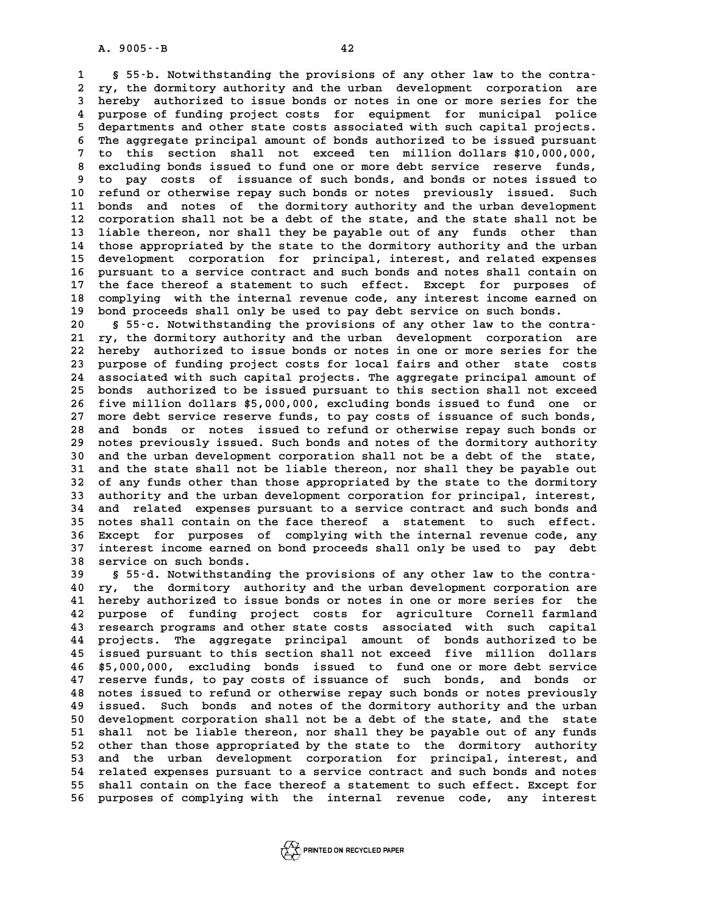**12**<br> **1** § 55-b. Notwithstanding the provisions of any other law to the contra-<br> **1** strathstanding the provisions of any other law to the contra-<br>
<sup>2</sup> ry the dermitery sutherity and the urban development corporation are **2 ry, the dormitory authority and the urban development corporation are 3 55-b. Notwithstanding the provisions of any other law to the contra-**<br>**2 ry, the dormitory authority and the urban development corporation are**<br>**3 hereby authorized to issue bonds or notes in one or more series for the** 2 ry, the dormitory authority and the urban development corporation are<br>3 hereby authorized to issue bonds or notes in one or more series for the<br>4 purpose of funding project costs for equipment for municipal police<br>5 depa For the purpose of funding project costs for equipment for municipal police<br> **5 departments and other state costs associated with such capital projects.**<br> **5 departments and other state costs associated with such capital p** 4 purpose of funding project costs for equipment for municipal police<br>5 departments and other state costs associated with such capital projects.<br>6 The aggregate principal amount of bonds authorized to be issued pursuant<br>7 departments and other state costs associated with such capital projects.<br>
The aggregate principal amount of bonds authorized to be issued pursuant<br>
7 to this section shall not exceed ten million dollars \$10,000,000,<br>
2 cur **8** The aggregate principal amount of bonds authorized to be issued pursuant<br>
7 to this section shall not exceed ten million dollars \$10,000,000,<br>
8 excluding bonds issued to fund one or more debt service reserve funds,<br>
1 9 to this section shall not exceed ten million dollars \$10,000,000,<br>8 excluding bonds issued to fund one or more debt service reserve funds,<br>9 to pay costs of issuance of such bonds, and bonds or notes issued to<br>10 refund 8 excluding bonds issued to fund one or more debt service reserve funds,<br>
9 to pay costs of issuance of such bonds, and bonds or notes issued to<br>
10 refund or otherwise repay such bonds or notes previously issued. Such<br>
11 9 to pay costs of issuance of such bonds, and bonds or notes issued to<br>10 refund or otherwise repay such bonds or notes previously issued. Such<br>11 bonds and notes of the dormitory authority and the urban development<br>22 cor 10 refund or otherwise repay such bonds or notes previously issued. Such<br>11 bonds and notes of the dormitory authority and the urban development<br>12 corporation shall not be a debt of the state, and the state shall not be<br>1 11 bonds and notes of the dormitory authority and the urban development<br>12 corporation shall not be a debt of the state, and the state shall not be<br>13 liable thereon, nor shall they be payable out of any funds other than<br>1 12 corporation shall not be a debt of the state, and the state shall not be<br>13 liable thereon, nor shall they be payable out of any funds other than<br>14 those appropriated by the state to the dormitory authority and the urb 13 liable thereon, nor shall they be payable out of any funds other than<br>14 those appropriated by the state to the dormitory authority and the urban<br>15 development corporation for principal, interest, and related expenses<br> those appropriated by the state to the dormitory authority and the urban<br>15 development corporation for principal, interest, and related expenses<br>16 pursuant to a service contract and such bonds and notes shall contain on<br> 15 development corporation for principal, interest, and related expenses<br>16 pursuant to a service contract and such bonds and notes shall contain on<br>17 the face thereof a statement to such effect. Except for purposes of<br>co 16 pursuant to a service contract and such bonds and notes shall contain on<br>17 the face thereof a statement to such effect. Except for purposes of<br>18 complying with the internal revenue code, any interest income earned on<br> 17 the face thereof a statement to such effect. Except for purposes of 18 complying with the internal revenue code, any interest income earned on bond proceeds shall only be used to pay debt service on such bonds.<br>8 55-c. 20 **20 \$ 55-c. Notwithstanding the provisions of any interest income earned on<br>
20 \$ 55-c. Notwithstanding the provisions of any other law to the contra-<br>
<sup>21</sup> ry the dormitory authority and the urban development corporati** 

**20 bond proceeds shall only be used to pay debt service on such bonds.**<br> **20 S 55-c. Notwithstanding the provisions of any other law to the contra-**<br> **21 ry, the dormitory authority and the urban development corporation a** 8 20 20 20 20 20 5 55-c. Notwithstanding the provisions of any other law to the contra-<br>21 ry, the dormitory authority and the urban development corporation are<br>22 hereby authorized to issue bonds or notes in one or more s 21 ry, the dormitory authority and the urban development corporation are<br>22 hereby authorized to issue bonds or notes in one or more series for the<br>23 purpose of funding project costs for local fairs and other state costs<br> 22 hereby authorized to issue bonds or notes in one or more series for the<br>23 purpose of funding project costs for local fairs and other state costs<br>24 associated with such capital projects. The aggregate principal amount 23 purpose of funding project costs for local fairs and other state costs<br>24 associated with such capital projects. The aggregate principal amount of<br>25 bonds authorized to be issued pursuant to this section shall not exce 24 associated with such capital projects. The aggregate principal amount of<br>25 bonds authorized to be issued pursuant to this section shall not exceed<br>26 five million dollars \$5,000,000, excluding bonds issued to fund one 25 bonds authorized to be issued pursuant to this section shall not exceed<br>26 five million dollars \$5,000,000, excluding bonds issued to fund one or<br>27 more debt service reserve funds, to pay costs of issuance of such bond 26 five million dollars \$5,000,000, excluding bonds issued to fund one or<br>27 more debt service reserve funds, to pay costs of issuance of such bonds,<br>28 and bonds or notes issued to refund or otherwise repay such bonds or<br> 27 more debt service reserve funds, to pay costs of issuance of such bonds,<br>28 and bonds or notes issued to refund or otherwise repay such bonds or<br>29 notes previously issued. Such bonds and notes of the dormitory authorit and bonds or notes issued to refund or otherwise repay such bonds or<br>
29 notes previously issued. Such bonds and notes of the dormitory authority<br>
30 and the urban development corporation shall not be a debt of the state,<br> 29 notes previously issued. Such bonds and notes of the dormitory authority<br>30 and the urban development corporation shall not be a debt of the state,<br>31 and the state shall not be liable thereon, nor shall they be payable 30 and the urban development corporation shall not be a debt of the state,<br>31 and the state shall not be liable thereon, nor shall they be payable out<br>32 of any funds other than those appropriated by the state to the dormi 31 and the state shall not be liable thereon, nor shall they be payable out<br>32 of any funds other than those appropriated by the state to the dormitory<br>33 authority and the urban development corporation for principal, inte **34 and related expenses pursuant to a service contract and such bonds and** 33 authority and the urban development corporation for principal, interest,<br>34 and related expenses pursuant to a service contract and such bonds and<br>35 notes shall contain on the face thereof a statement to such effect. 34 and related expenses pursuant to a service contract and such bonds and<br>35 notes shall contain on the face thereof a statement to such effect.<br>36 Except for purposes of complying with the internal revenue code, any<br>37 in 35 notes shall contain on the face thereof a statement to such effect.<br>36 Except for purposes of complying with the internal revenue code, any<br>37 interest income earned on bond proceeds shall only be used to pay debt<br>38 se 36 Except for purposes of complying with the internal revenue code, any<br>37 interest income earned on bond proceeds shall only be used to pay debt<br>38 service on such bonds.<br>39 s 55-d. Notwithstanding the provisions of any o

**39 § 55-d. Notwithstanding the provisions of any other law to the contra-40 service on such bonds.**<br> **40 s 55-d. Notwithstanding the provisions of any other law to the contra-**<br> **40 ry, the dormitory authority and the urban development corporation are**<br> **41 hereby authorized to issue bonds or 40 S 55-d. Notwithstanding the provisions of any other law to the contra-**<br> **40 ry, the dormitory authority and the urban development corporation are**<br> **41 hereby authorized to issue bonds or notes in one or more series f 40 ry, the dormitory authority and the urban development corporation are**<br>**41 hereby authorized to issue bonds or notes in one or more series for the**<br>**42 purpose of funding project costs for agriculture Cornell farmland** Al hereby authorized to issue bonds or notes in one or more series for the<br>42 purpose of funding project costs for agriculture Cornell farmland<br>43 research programs and other state costs associated with such capital<br>44 pro 42 purpose of funding project costs for agriculture Cornell farmland<br>43 research programs and other state costs associated with such capital<br>44 projects. The aggregate principal amount of bonds authorized to be<br>45 issued p **43** research programs and other state costs associated with such capital<br>44 projects. The aggregate principal amount of bonds authorized to be<br>45 issued pursuant to this section shall not exceed five million dollars<br>46 \$5 44 projects. The aggregate principal amount of bonds authorized to be<br>45 issued pursuant to this section shall not exceed five million dollars<br>46 \$5,000,000, excluding bonds issued to fund one or more debt service<br>47 reser **45** issued pursuant to this section shall not exceed five million dollars<br>46 \$5,000,000, excluding bonds issued to fund one or more debt service<br>47 reserve funds, to pay costs of issuance of such bonds, and bonds or<br>18 re 46 \$5,000,000, excluding bonds issued to fund one or more debt service<br>47 reserve funds, to pay costs of issuance of such bonds, and bonds or<br>48 notes issued to refund or otherwise repay such bonds or notes previously<br>19 i **47 reserve funds, to pay costs of issuance of such bonds, and bonds or notes issued to refund or otherwise repay such bonds or notes previously issued. Such bonds and notes of the dormitory authority and the urban**<br>**49 is** 48 notes issued to refund or otherwise repay such bonds or notes previously<br>49 issued. Such bonds and notes of the dormitory authority and the urban<br>50 development corporation shall not be a debt of the state, and the stat 49 issued. Such bonds and notes of the dormitory authority and the urban<br>50 development corporation shall not be a debt of the state, and the state<br>51 shall not be liable thereon, nor shall they be payable out of any funds 50 development corporation shall not be a debt of the state, and the state<br>51 shall not be liable thereon, nor shall they be payable out of any funds<br>52 other than those appropriated by the state to the dormitory authority 51 shall not be liable thereon, nor shall they be payable out of any funds<br>52 other than those appropriated by the state to the dormitory authority<br>53 and the urban development corporation for principal, interest, and<br>54 r 52 other than those appropriated by the state to the dormitory authority<br>53 and the urban development corporation for principal, interest, and<br>54 related expenses pursuant to a service contract and such bonds and notes<br>55 53 and the urban development corporation for principal, interest, and<br>54 related expenses pursuant to a service contract and such bonds and notes<br>55 shall contain on the face thereof a statement to such effect. Except for<br> 54 related expenses pursuant to a service contract and such bonds and notes<br>55 shall contain on the face thereof a statement to such effect. Except for<br>56 purposes of complying with the internal revenue code, any interest

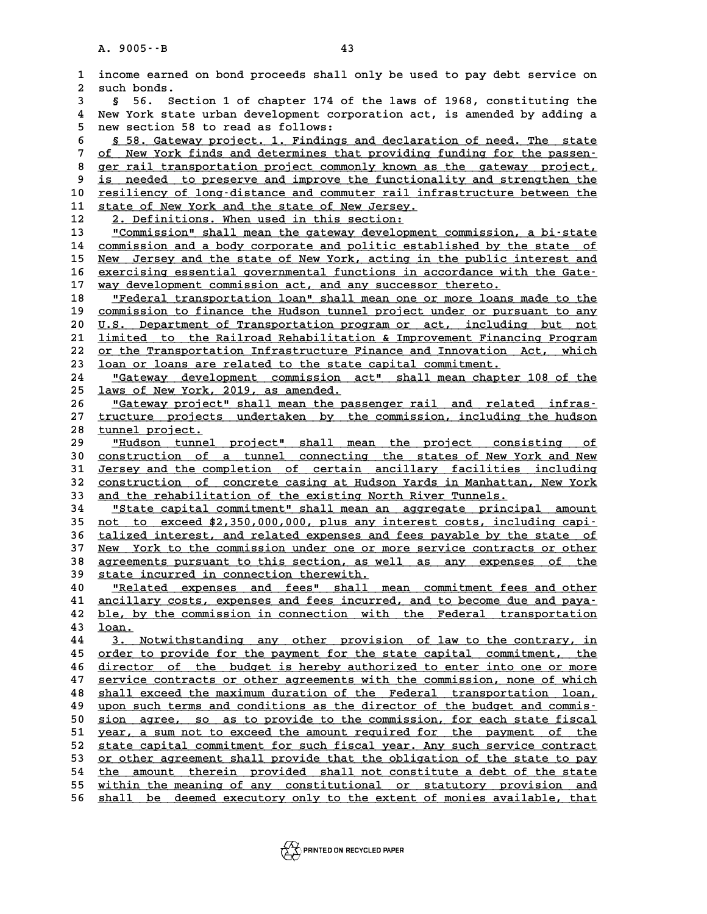|                     | A. 9005 -- B<br>43                                                                                                                                |
|---------------------|---------------------------------------------------------------------------------------------------------------------------------------------------|
| 1<br>$\overline{a}$ | income earned on bond proceeds shall only be used to pay debt service on<br>such bonds.                                                           |
| 3                   | Section 1 of chapter 174 of the laws of 1968, constituting the<br>56.<br>Ş.                                                                       |
| 4<br>5              | New York state urban development corporation act, is amended by adding a<br>new section 58 to read as follows:                                    |
| 6                   | § 58. Gateway project. 1. Findings and declaration of need. The state                                                                             |
| 7                   | of New York finds and determines that providing funding for the passen-                                                                           |
| 8                   | ger rail transportation project commonly known as the gateway project,                                                                            |
| 9                   | is needed to preserve and improve the functionality and strengthen the                                                                            |
| 10                  | resiliency of long-distance and commuter rail infrastructure between the                                                                          |
| 11                  | state of New York and the state of New Jersey.                                                                                                    |
| 12                  | 2. Definitions. When used in this section:                                                                                                        |
| 13                  | "Commission" shall mean the gateway development commission, a bi-state                                                                            |
| 14                  | commission and a body corporate and politic established by the state of                                                                           |
| 15                  | New Jersey and the state of New York, acting in the public interest and                                                                           |
| 16                  | exercising essential governmental functions in accordance with the Gate-                                                                          |
| 17                  | way development commission act, and any successor thereto.                                                                                        |
| 18                  | "Federal transportation loan" shall mean one or more loans made to the                                                                            |
| 19<br>20            | commission to finance the Hudson tunnel project under or pursuant to any                                                                          |
| 21                  | U.S. Department of Transportation program or act, including but not<br>limited to the Railroad Rehabilitation & Improvement Financing Program     |
| 22                  | or the Transportation Infrastructure Finance and Innovation Act, which                                                                            |
| 23                  | loan or loans are related to the state capital commitment.                                                                                        |
| 24                  | "Gateway development commission act" shall mean chapter 108 of the                                                                                |
| 25                  | laws of New York, 2019, as amended.                                                                                                               |
| 26                  | "Gateway project" shall mean the passenger rail and related infras-                                                                               |
| 27                  | tructure projects undertaken by the commission, including the hudson                                                                              |
| 28                  | tunnel project.                                                                                                                                   |
| 29                  | "Hudson tunnel project" shall mean the project consisting<br>оf                                                                                   |
| 30                  | construction of a tunnel connecting the states of New York and New                                                                                |
| 31                  | Jersey and the completion of certain ancillary facilities including                                                                               |
| 32                  | construction of concrete casing at Hudson Yards in Manhattan, New York                                                                            |
| 33                  | and the rehabilitation of the existing North River Tunnels.                                                                                       |
| 34<br>35            | "State capital commitment" shall mean an aggregate principal amount<br>not to exceed \$2,350,000,000, plus any interest costs, including capi-    |
| 36                  | talized interest, and related expenses and fees payable by the state of                                                                           |
| 37                  | New York to the commission under one or more service contracts or other                                                                           |
| 38                  | <u>agreements pursuant to this section, as well as any expenses of</u><br><u>the</u>                                                              |
| 39                  | state incurred in connection therewith.                                                                                                           |
| 40                  | "Related expenses and fees" shall mean commitment fees and other                                                                                  |
| 41                  | ancillary costs, expenses and fees incurred, and to become due and paya-                                                                          |
| 42                  | ble, by the commission in connection with the Federal transportation                                                                              |
| 43                  | loan.                                                                                                                                             |
| 44                  | 3. Notwithstanding any other provision of law to the contrary, in                                                                                 |
| 45                  | order to provide for the payment for the state capital commitment, the                                                                            |
| 46                  | director of the budget is hereby authorized to enter into one or more                                                                             |
| 47                  | service contracts or other agreements with the commission, none of which                                                                          |
| 48<br>49            | shall exceed the maximum duration of the Federal transportation loan,<br>upon such terms and conditions as the director of the budget and commis- |
| 50                  | sion agree, so as to provide to the commission, for each state fiscal                                                                             |
| 51                  | year, a sum not to exceed the amount required for the payment of the                                                                              |
| 52                  | state capital commitment for such fiscal year. Any such service contract                                                                          |
| 53                  | or other agreement shall provide that the obligation of the state to pay                                                                          |
| 54                  | the amount therein provided shall not constitute a debt of the state                                                                              |
| 55                  | within the meaning of any constitutional or statutory provision and                                                                               |
| 56                  | shall be deemed executory only to the extent of monies available, that                                                                            |
|                     |                                                                                                                                                   |

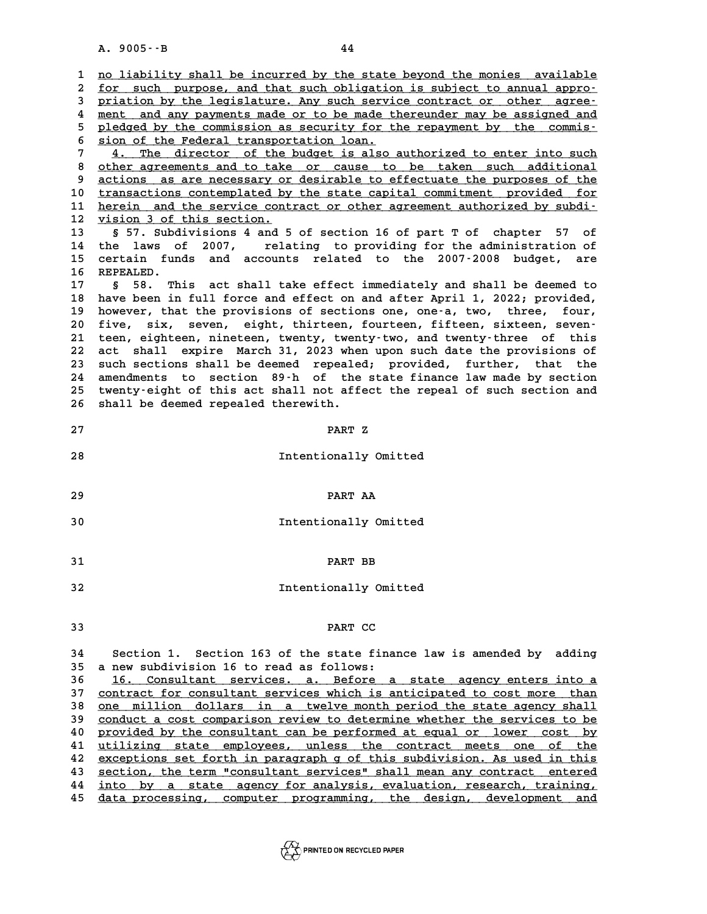A. 9005 · - B<br>
1 <u>no liability shall be incurred by the state beyond the monies available</u><br>
2 for gush purpose, and that such obligation is subject to appual appro-**2** <u>no liability shall be incurred by the state beyond the monies available</u><br>2 <u>for such purpose, and that such obligation is subject to annual appro-</u><br>3 pristion by the legislature, Any such service contract or other agr 3 <u>no liability shall be incurred by the state beyond the monies available<br>2 for such purpose, and that such obligation is subject to annual appro-<br>3 priation by the legislature. Any such service contract or other agree-<br>2</u> for such purpose, and that such obligation is subject to annual appro-<br> **priation** by the legislature. Any such service contract or other agree-<br>
<u>ment and any payments made or to be made thereunder may be assigned and</u><br>
p Friation by the legislature. Any such service contract or other agree-<br>
<u>ment</u> and any payments made or to be made thereunder may be assigned and<br>
pledged by the commission as security for the repayment by the commis-<br>
sio 4 <u>ment and any payments made or to be made thereunder may be assigned and<br>5 pledged by the commission as security for the repayment by the commis-<br>6 sion of the Federal transportation loan.<br>7 4. The director of the budget</u> 9 pledged by the commission as security for the repayment by the commis-<br>
<sup>5</sup> sion of the Federal transportation loan.<br>
<sup>7</sup> 4. The director of the budget is also authorized to enter into such<br>
<sup>1</sup> shere are approximate and 8 <u>sion of the Federal transportation loan.</u><br> **4.** The director of the budget is also authorized to enter into such<br>
<u>8 other agreements and to take or cause to be taken such additional</u><br>
actions as are possessive adoptabl 4. The director of the budget is also authorized to enter into such<br>8 other agreements and to take or cause to be taken such additional<br>9 actions as are necessary or desirable to effectuate the purposes of the<br>transactions 8 other agreements and to take or cause to be taken such additional<br>9 actions as are necessary or desirable to effectuate the purposes of the<br>10 <u>transactions contemplated by the state capital commitment provided for</u><br>11 b 9 actions as are necessary or desirable to effectuate the purposes of the transactions contemplated by the state capital commitment provided for herein and the service contract or other agreement authorized by subdi-<br>
<sup>12</sup> 10 **transactions contemplated by**<br>
11 **herein and the service cont**<br>
12 **vision 3 of this section.**<br>
13 **6 57 Subdivisions 4 and 5 11 herein and the service contract or other agreement authorized by subdi-**<br> **12 yision 3 of this section.**<br> **13** § 57. Subdivisions 4 and 5 of section 16 of part T of chapter 57 of<br> **14** the laws of 2007. relating to pro **12 <u>vision 3 of this section.</u><br>13 § 57. Subdivisions 4 and 5 of section 16 of part T of chapter 57 of<br>14 the laws of 2007, relating to providing for the administration of<br>15 certain funds and asseunts related to the 2007-**13 **b** 57. Subdivisions 4 and 5 of section 16 of part T of chapter 57 of<br>14 the laws of 2007, relating to providing for the administration of<br>15 certain funds and accounts related to the 2007-2008 budget, are 14 the laws o<br>15 certain fun<br>16 REPEALED.<br><sup>17</sup> 5 50 <sup>mb</sup> 15 certain funds and accounts related to the 2007-2008 budget, are<br>16 REPEALED.<br>17 § 58. This act shall take effect immediately and shall be deemed to<br>18 have been in full force and effect on and after April 1, 2022; provi 17 § 58. This act shall take effect immediately and shall be deemed to<br>18 have been in full force and effect on and after April 1, 2022; provided,<br>19 however, that the provisions of sections one, one-a, two, three, four, **17** § 58. This act shall take effect immediately and shall be deemed to<br>18 however, that the provisions of sections one, one-a, two, three, four,<br>20 five six secure eight thirteen fourteen fifteen sixteen seven. 18 have been in full force and effect on and after April 1, 2022; provided,<br>19 however, that the provisions of sections one, one-a, two, three, four,<br>20 five, six, seven, eight, thirteen, fourteen, fifteen, sixteen, seven-**20 however, that the provisions of sections one, one-a, two, three, four, five, six, seven, eight, thirteen, fourteen, fifteen, sixteen, seven-**<br>21 teen, eighteen, nineteen, twenty, twenty-two, and twenty-three of this<br>22 20 five, six, seven, eight, thirteen, fourteen, fifteen, sixteen, seven-<br>21 teen, eighteen, nineteen, twenty, twenty-two, and twenty-three of this<br>22 act shall expire March 31, 2023 when upon such date the provisions of 21 teen, eighteen, nineteen, twenty, twenty-two, and twenty-three of this<br>22 act shall expire March 31, 2023 when upon such date the provisions of<br>23 such sections shall be deemed repealed; provided, further, that the<br>24 s 22 act shall expire March 31, 2023 when upon such date the provisions of<br>23 such sections shall be deemed repealed; provided, further, that the<br>24 amendments to section 89-h of the state finance law made by section<br>25 type 23 such sections shall be deemed repealed; provided, further, that the<br>24 amendments to section 89-h of the state finance law made by section<br>25 twenty-eight of this act shall not affect the repeal of such section and<br>26 s 24 amendments to section 89<sup>-</sup>h of the state finance law made by section 25 twenty-eight of this act shall not affect the repeal of such section and 26 shall be deemed repealed therewith.<br>27 PART Z PART Z<br>28 Intentionally Omitted<br>28 Intentionally Omitted **29 PART AA** PART AA<br> **30** Intentionally Omitted **31 PART BB 31** PART BB<br> **32** Intentionally Omitted **33** PART CC **23**<br>34 Section 1. Section 163 of the state finance law is amended by adding<br>35 Section and interest and an interval and follows: **34** Section 1. Section 163 of the state final<br>35 a new subdivision 16 to read as follows:<br>36 15 Consultant servises a Pefere 3 Section 1. Section 163 of the state finance law is amended by adding<br>35 a new subdivision 16 to read as follows:<br>36 16. Consultant services. a. Before a state agency enters into a<br>37 contract for consultant services which **35 a new subdivision 16 to read as follows:**<br> **36** 16. Consultant services. a. Before a state agency enters into a<br> **37** contract for consultant services which is anticipated to cost more than<br> **28** 200 million dollars in **36** <u>16. Consultant services, a. Before a state agency enters into a</u><br> **37** <u>contract for consultant services which is anticipated to cost more than</u><br>
<u>28</u> one million dollars in a twelve month period the state agency sha 37 <u>contract for consultant services which is anticipated to cost more than</u><br>38 <u>one million dollars in a twelve month period the state agency shall</u><br>39 <u>conduct a cost comparison review to determine whether the services t</u> one million dollars in a twelve month period the state agency shall<br> **40** provided by the consultant can be performed at equal or lower cost by<br>
<sup>41</sup> utilizing state employees upless the contrast meets one of the conduct a cost comparison review to determine whether the services to be<br>40 provided by the consultant can be performed at equal or lower cost by<br>41 utilizing state employees, unless the contract meets one of the<br>experienc 40 <u>provided by the consultant can be performed at equal or lower cost by</u><br>41 <u>utilizing state employees, unless the contract meets one of the</u><br>42 <u>exceptions set forth in paragraph g of this subdivision. As used in this</u> 41 utilizing state employees, unless the contract meets one of the exceptions set forth in paragraph g of this subdivision. As used in this section, the term "consultant services" shall mean any contract entered<br>43 section **42** exceptions set forth in paragraph g of this subdivision. As used in this section, the term "consultant services" shall mean any contract entered into by a state agency for analysis, evaluation, research, training, and 44 into by a state agency for analysis, evaluation, research, training,<br>45 <u>data processing, computer programming, the design, development and</u>

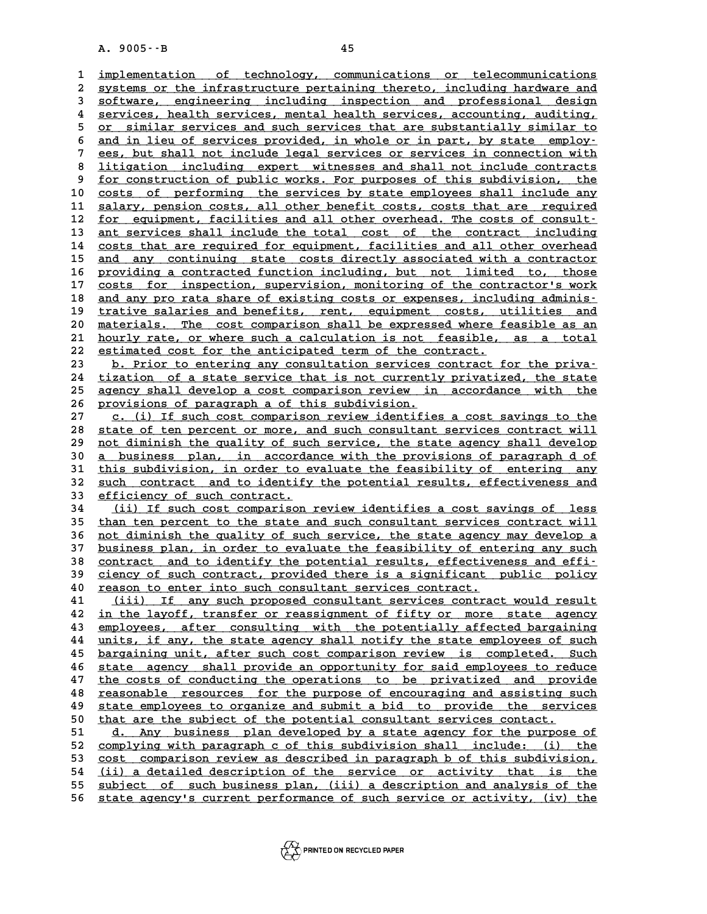A. 9005 · - B<br>
1 <u>implementation of technology, communications or telecommunications</u><br>
2 gystems or the infrastructure pertaining therete including bardware and **2** <u>implementation of technology</u>, communications or telecommunications<br>2 systems or the infrastructure pertaining thereto, including hardware and<br>3 software, engineering including inspection and professional design implementation of technology, communications or telecommunications<br>
2 systems or the infrastructure pertaining thereto, including hardware and<br>
3 software, engineering including inspection and professional design<br>
3 sorvig 4 systems or the infrastructure pertaining thereto, including hardware and<br>
3 software, engineering including inspection and professional design<br>
4 services, health services, mental health services, accounting, auditing,<br> 5 software, engineering including inspection and professional design<br>
4 services, health services, mental health services, accounting, auditing,<br>
<u>or similar services and such services that are substantially similar to</u><br> 8 **detail is and in the services** and such services are substantially similar to<br>
<u>and in lieu of services provided, in whole or in part, by state employ-</u><br> **perty is and in lieu of services provided, in whole or in part,** <u>or similar services and such services that are substantially similar to<br>
and in lieu of services provided, in whole or in part, by state employ-<br>
<u>ees, but shall not include legal services or services in connection with</u><br></u> 8 and in lieu of services provided, in whole or in part, by state employ-<br>
8 <u>litigation including expert witnesses and shall not include contracts</u><br>
8 for construction of public works, For purposes of this subdivision, th 9 ees, but shall not include legal services or services in connection with<br>
8 litigation including expert witnesses and shall not include contracts<br>
9 <u>for construction of public works</u>. For purposes of this subdivision, t 8 <u>litigation including expert witnesses and shall not include contracts</u><br>
<u>10 costs of performing the services by state employees shall include any</u><br>
<sup>21</sup> calary persion costs all other benefit costs costs that are requir <sup>9</sup> <u>for construction of public works. For purposes of this subdivision, the costs of performing the services by state employees shall include any salary, pension costs, all other benefit costs, costs that are required for</u> costs of performing the services by state employees shall include any<br>
11 salary, pension costs, all other benefit costs, costs that are required<br>
12 <u>for equipment, facilities and all other overhead. The costs of consult-</u> 11 salary, pension costs, all other benefit costs, costs that are required<br>
12 <u>for equipment, facilities and all other overhead</u>. The costs of consult-<br>
13 <u>ant services shall include the total</u> cost of the contract inclu **12** <u>for equipment, facilities and all other overhead. The costs of consult-</u><br> **13** <u>ant services shall include the total cost of the contract including</u><br> **14** <u>costs that are required for equipment, facilities and all ot</u> ant services shall include the total cost of the contract including<br>
14 costs that are required for equipment, facilities and all other overhead<br>
15 and any continuing state costs directly associated with a contractor<br>
16 24 costs that are required for equipment, facilities and all other overhead<br>
15 <u>and any continuing state</u> costs directly associated with a contractor<br>
16 providing a contracted function including, but not limited to, thos and any continuing state costs directly associated with a contractor<br>
16 providing a contracted function including, but not limited to, those<br>
17 costs for inspection, supervision, monitoring of the contractor's work<br>
2014 **16** providing a contracted function including, but not limited to, those<br>17 costs for inspection, supervision, monitoring of the contractor's work<br>and any pro rata share of existing costs or expenses, including adminis-<br>t costs for inspection, supervision, monitoring of the contractor's work<br>
18 and any pro rata share of existing costs or expenses, including adminis-<br>
19 trative salaries and benefits, rent, equipment costs, utilities and<br>
2 and any pro rata share of existing costs or expenses, including adminis-<br>
19 trative salaries and benefits, rent, equipment costs, utilities and<br>
20 materials. The cost comparison shall be expressed where feasible as an<br>
2 19 trative salaries and benefits, rent, equipment costs, utilities and<br>20 materials. The cost comparison shall be expressed where feasible as an<br>21 hourly rate, or where such a calculation is not feasible, as a total<br>22 es 22 estimated cost for the anticipated term of the contract.<br>23 b. Prior to entering any consultation services contract for the priva-21 <u>hourly rate, or where such a calculation is not feasible, as a total</u><br>22 <u>estimated cost for the anticipated term of the contract.</u><br>23 **b.** Prior to entering any consultation services contract for the priva-<br>24 tizatio 22 <u>estimated cost for the anticipated term of the contract.</u><br>
23 <u>b. Prior to entering any consultation services contract for the priva-</u><br>
24 <u>tization of a state service that is not currently privatized, the state</u><br>
25 2 **23** b. Prior to entering any consultation services contract for the priva-<br>24 tization of a state service that is not currently privatized, the state<br>25 agency shall develop a cost comparison review in accordance with the 24 <u>tization of a state service that is not currentl</u><br>25 <u>agency shall develop a cost comparison review in</u><br>26 <u>provisions of paragraph a of this subdivision.</u><br>27 **a** (i) If such soat comparison review identifie **25** agency shall develop a cost comparison review in accordance with the<br>26 provisions of paragraph a of this subdivision.<br>27 c. (i) If such cost comparison review identifies a cost savings to the<br>28 state of top porcent **26 provisions of paragraph a of this subdivision.**<br>
27 c. (i) If such cost comparison review identifies a cost savings to the<br>
28 state of ten percent or more, and such consultant services contract will<br>
29 pot diminish t 27 c. (i) If such cost comparison review identifies a cost savings to the<br>
28 state of ten percent or more, and such consultant services contract will<br>
29 not diminish the quality of such service, the state agency shall de 38 state of ten percent or more, and such consultant services contract will<br>29 <u>not diminish the quality of such service</u>, the state agency shall develop<br>30 <u>a business plan, in accordance with the provisions of paragraph </u> **39** <u>not diminish the quality of such service</u>, the state agency shall develop<br>30 <u>a business plan, in accordance with the provisions of paragraph d of<br>31 this subdivision, in order to evaluate the feasibility of entering</u> 30 a business plan, in accordance with the provisions of paragraph d of<br>31 this subdivision, in order to evaluate the feasibility of entering any<br>32 <u>such contract and to identify the potential results, effectiveness and</u><br> 31 this subdivision, in order to e<br>32 <u>such contract and to identify</u><br>33 <u>efficiency of such contract.</u> 32 <u>such contract and to identify the potential results, effectiveness and<br>33 efficiency of such contract.<br>34 (ii) If such cost comparison review identifies a cost savings of less<br>35 than ten percent to the state and such </u> 33 efficiency of such contract.<br>
34 (ii) If such cost comparison review identifies a cost savings of less<br>
35 than ten percent to the state and such consultant services contract will<br>
36 not diminish the guality of such se **34** (ii) If such cost comparison review identifies a cost savings of less<br> **35** than ten percent to the state and such consultant services contract will<br> **36** <u>not diminish the quality of such service</u>, the state agency m <sup>35</sup> than ten percent to the state and such consultant services contract will<br>36 <u>not diminish the quality of such service</u>, the state agency may develop a<br>37 <u>business plan, in order to evaluate the feasibility of enterin</u> 36 <u>not diminish the quality of such service, the state agency may develop a<br>37 business plan, in order to evaluate the feasibility of entering any such<br>38 <u>contract and to identify the potential results, effectiveness and</u></u> business plan, in order to evaluate the feasibility of entering any such<br>38 <u>contract and to identify the potential results, effectiveness and effi-</u><br><u>ciency of such contract, provided there is a significant public policy</u> 38 <u>contract and to identify the potential results, effective</u><br>
39 <u>ciency of such contract, provided there is a significant</u><br>
40 <u>reason to enter into such consultant services contract.</u><br>
41 (iii) If any such proposed con detail of the such contract, provided there is a significant public policy<br> **40** <u>reason to enter into such consultant services contract.</u><br> **41** (iii) If any such proposed consultant services contract would result<br> **42** in **Frame 12**<br> **40 reason to enter into such consultant services contract.**<br> **42** <u>in the layoff, transfer or reassignment of fifty or more state agency</u><br> **A1 annives** after consulting with the potentially affected bargai **41** (iii) If any such proposed consultant services contract would result<br> **42** in the layoff, transfer or reassignment of fifty or more state agency<br> **43** employees, after consulting with the potentially affected bargaini **42** <u>in the layoff, transfer or reassignment of fifty or more state agency</u><br>43 <u>employees, after consulting with the potentially affected bargaining</u><br><u>units, if any, the state agency shall notify the state employees of su</u> 43 employees, after consulting with the potentially affected bargaining<br>44 <u>units, if any, the state agency shall notify the state employees of such<br>bargaining unit, after such cost comparison review is completed. Such<br>46 </u> a time and the state agency shall notify the state employees of such<br>  $\frac{bargaining unit, after such cost comparison review is completed. Such  
\nstate agency shall provide an opportunity for said employees to reduce  
\nthe cost of and writing the operations to be minimized and provide$ detaing the cost comparison review is completed. Such<br>46 state agency shall provide an opportunity for said employees to reduce<br>47 the costs of conducting the operations to be privatized and provide<br>48 reasonable resources 46 <u>state agency shall provide an opportunity for said employees to reduce</u><br>47 <u>the costs of conducting the operations to be privatized and provide</u><br><u>reasonable resources for the purpose of encouraging and assisting such</u><br> the costs of conducting the operations to be privatized and provide<br> **48** <u>state employees to organize and submit a bid to provide the services</u><br>
that are the subject of the potential consultant services contact reasonable resources for the purpose of encouraging and assisting such<br> **50** that are the subject of the potential consultant services contact.<br> **51** d. Any business plan developed by a state agency for the purpose of **51 d. Any business plan developed by a state agency for the purpose of \_\_\_\_\_\_\_\_\_\_\_\_\_\_\_\_\_\_\_\_\_\_\_\_\_\_\_\_\_\_\_\_\_\_\_\_\_\_\_\_\_\_\_\_\_\_\_\_\_\_\_\_\_\_\_\_\_\_\_\_\_\_\_\_\_\_\_\_\_\_** that are the subject of the potential consultant services contact.<br>
51 d. Any business plan developed by a state agency for the purpo<br>
52 <u>complying with paragraph c of this subdivision shall include: (i)</u><br>
53 cost compari 53 <u>cost comparison review as described in paragraph b of this subdivision,</u><br>54 (ii) a detailed description of the service or activity that is the 52 complying with paragraph c of this subdivision shall include: (i) the<br>53 <u>cost comparison review as described in paragraph b of this subdivision,</u><br>54 (ii) a detailed description of the service or activity that is the<br>55 **53** cost comparison review as described in paragraph b of this subdivision,<br>
<u>(ii) a detailed description of the</u> service or activity that is the<br>
<u>subject of such business plan, (iii) a description and analysis of the</u><br> 54 <u>(ii) a detailed description of the service or activity that is the subject of such business plan, (iii) a description and analysis of the state agency's current performance of such service or activity, (iv) the</u>

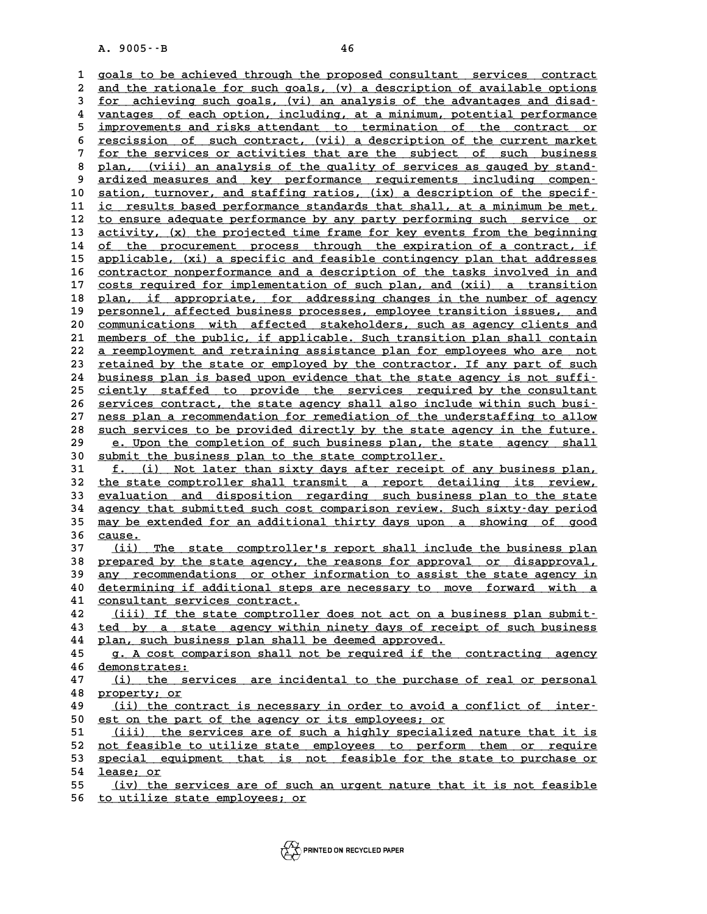A. 9005 · - B<br>1 goals to be achieved through the proposed consultant services contract<br>2 and the rationale for such soals (w) a description of available options **2** goals to be achieved through the proposed consultant services contract<br>2 and the rationale for such goals, (v) a description of available options<br>3 for eshieving such goals, (vi) an analysis of the advantages and disad qoals to be achieved through the proposed consultant services contract<br> **3** and the rationale for such goals, (v) a description of available options<br>
<u>for achieving such goals, (vi) an analysis of the advantages and disad-</u> and the rationale for such goals, (v) a description of available options<br>
for achieving such goals, (vi) an analysis of the advantages and disad-<br>
<u>unneages</u> of each option, including, at a minimum, potential performance<br> **5 improvements and risks attendant to termination of the contract or \_\_\_\_\_\_\_\_\_\_\_\_\_\_\_\_\_\_\_\_\_\_\_\_\_\_\_\_\_\_\_\_\_\_\_\_\_\_\_\_\_\_\_\_\_\_\_\_\_\_\_\_\_\_\_\_\_\_\_\_\_\_\_\_\_\_\_\_\_\_\_\_** 4 <u>vantages of each option, including, at a minimum, potential performance<br>5 improvements and risks attendant to termination of the contract or<br>6 rescission of such contract, (vii) a description of the current market<br>5 for</u> improvements and risks attendant to termination of the contract or<br>
<u>for the services or activities that are the subject of such business</u><br>
<sup>7</sup> point (wiji) an applying of the guality of services as sured by stand **8** <u>rescission of such contract, (vii) a description of the current market</u><br> **8** <u>plan, (viii) an analysis of the quality of services as gauged by stand-<br> **analysis of the quality of services as gauged by stand-**<br> **analys</u> 9** <u>for the services or activities that are the subject of such business<br> **9 ardized measures and key performance requirements including compen-**<br> **2 action** turnouge and staffing pation (iv) a decorrigion of the spec</u> 8 plan, (viii) an analysis of the quality of services as gauged by stand-<br>9 ardized measures and key performance requirements including compen-<br>10 sation, turnover, and staffing ratios, (ix) a description of the specif-<br>is 9 ardized measures and key performance requirements including compen-<br>
10 sation, turnover, and staffing ratios, (ix) a description of the specif-<br>
11 <u>ic results based performance standards that shall, at a minimum be met</u> **10** sation, turnover, and staffing ratios, (ix) a description of the specif-<br>
ic results based performance standards that shall, at a minimum be met,<br>
<u>to ensure adequate performance by any party performing such service o</u> 11 <u>ic results based performance standards that shall, at a minimum be met,</u><br>
12 <u>to ensure adequate performance by any party performing such service or</u><br>
13 <u>activity, (x) the projected time frame for key events from the </u> 12 <u>to ensure adequate performance by any party performing such service or</u><br>13 <u>activity, (x) the projected time frame for key events from the beginning</u><br>14 <u>of the procurement process through the expiration of a contract,</u> 13 <u>activity, (x) the projected time frame for key events from the beginning<br>14 of the procurement process through the expiration of a contract, if<br>15 applicable, (xi) a specific and feasible contingency plan that addresse</u> of the procurement process through the expiration of a contract, if<br>
15 applicable, (xi) a specific and feasible contingency plan that addresses<br>
16 <u>contractor nonperformance and a description of the tasks involved in and</u> applicable, (xi) a specific and feasible contingency plan that addresses<br>
16 contractor nonperformance and a description of the tasks involved in and<br>
17 costs required for implementation of such plan, and (xii) a transiti 26 contractor nonperformance and a description of the tasks involved in and<br>
17 costs required for implementation of such plan, and (xii) a transition<br>
18 plan, if appropriate, for addressing changes in the number of agenc 17 costs required for implementation of such plan, and (xii) a transition<br>18 plan, if appropriate, for addressing changes in the number of agency<br>19 personnel, affected business processes, employee transition issues, and<br>2 18 plan, if appropriate, for addressing changes in the number of agency<br>19 personnel, affected business processes, employee transition issues, and<br>20 <u>communications with affected stakeholders</u>, such as agency clients and<br> 19 personnel, affected business processes, employee transition issues, and<br>20 <u>communications with affected stakeholders</u>, such as agency clients and<br>21 members of the public, if applicable. Such transition plan shall cont 20 communications with affected stakeholders, such as agency clients and<br>
21 <u>members of the public, if applicable</u>. Such transition plan shall contain<br>
22 <u>a reemployment and retraining assistance plan for employees who a</u> 21 <u>members of the public, if applicable. Such transition plan shall contain</u><br>22 <u>a reemployment and retraining assistance plan for employees who are not</u><br>23 <u>retained by the state or employed by the contractor. If any par</u> 22 <u>a reemployment and retraining assistance plan for employees who are not<br>23 retained by the state or employed by the contractor. If any part of such<br>24 business plan is based upon evidence that the state agency is not s</u> <sup>23</sup> retained by the state or employed by the contractor. If any part of such<br>
<sup>24</sup> business plan is based upon evidence that the state agency is not suffi-<br>
<sup>25</sup> ciently staffed to provide the services required by the con 24 <u>business plan is based upon evidence that the state agency is not suffi-</u><br>25 <u>ciently staffed to provide the services required by the consultant</u><br>26 <u>services contract, the state agency shall also include within such b</u> ciently staffed to provide the services required by the consultant<br>26 services contract, the state agency shall also include within such busi-<br>27 <u>ness plan a recommendation for remediation of the understaffing to allow</u><br>2 **26** services contract, the state agency shall also include within such busi-<br> **28** <u>such services to be provided directly by the state agency in the future.</u><br> **28** <u>such services to be provided directly by the state agenc</u> ness plan a recommendation for remediation of the understaffing to allow<br>
<u>such services to be provided directly by the state agency in the future.</u><br>
<u>e. Upon the completion of such business plan, the state agency shall</u><br> 30 <u>such services to be provided directly by the state age e. Upon the completion of such business plan, the s<br>30 <u>submit the business plan to the state comptroller.</u><br>31 f (i) Not later than sixty days after receipt of</u> **29** e. Upon the completion of such business plan, the state agency shall<br>30 submit the business plan to the state comptroller.<br>31 <u>f. (i)</u> Not later than sixty days after receipt of any business plan,<br>the state comptrollo 30 submit the business plan to the state comptroller.<br>
31 <u>f. (i)</u> Not later than sixty days after receipt of any business plan,<br>
32 the state comptroller shall transmit a report detailing its review,<br>
33 evaluation and di **<u>f. (i)</u> Not later than sixty days after receipt of any business plan,<br>
32 the state comptroller shall transmit a report detailing its review,<br>
<u>evaluation and disposition regarding such business plan to the state</u><br>
34 ag** 32 the state comptroller shall transmit a report detailing its review,<br>33 evaluation and disposition regarding such business plan to the state<br>34 agency that submitted such cost comparison review. Such sixty-day period<br>35 33 <u>evaluation and disposition regarding such business plan to the state</u><br>34 <u>agency that submitted such cost comparison review. Such sixty-day period</u><br>35 <u>may be extended for an additional thirty days upon a showing of go</u> 34 agency that submitted such cost comparison review. Such sixty-day period<br>35 <u>may be extended for an additional thirty days upon a showing of good</u><br>36 <u>cause.</u><br>37 (ii) The state comptroller's report shall include the bus 35 <u>may be extended for an additional thirty days upon a showing of good</u><br>36 <u>cause.</u><br>27 (ii) The state comptroller's report shall include the business plan<br>38 prepared by the state agency, the reasons for approval or disa 36 <u>cause.</u><br>37 <u>(ii) The state comptroller's report shall include the business plan<br>38 prepared by the state agency, the reasons for approval or disapproval,<br>39 apy recommongations or other information to assist the state </u> 37 (ii) The state comptroller's report shall include the business plan<br>38 <u>prepared by the state agency, the reasons for approval or disapproval,</u><br>39 <u>any recommendations or other information to assist the state agency in</u> 38 <u>prepared by the state agency, the reasons for approval or disapproval,</u><br>39 <u>any recommendations or other information to assist the state agency in</u><br>40 determining if additional steps are necessary to move forward with 39 <u>any recommendations or other information to assist the state agency in</u><br>40 <u>determining if additional steps are necessary to move forward with a</u><br>41 <u>consultant services contract.</u><br>42 (iii) If the state comptroller doe determining if additional steps are necessary to move forward with a<br>
41 consultant services contract.<br>
42 (iii) If the state comptroller does not act on a business plan submit-<br>
43 ted by a state agency within pinety days 41 <u>consultant services contract.</u><br>42 (iii) If the state comptroller does not act on a business plan submit-<br>43 ted by a state agency within ninety days of receipt of such business<br>44 plan such business plan shall be deeme 42 (iii) If the state comptroller does not act on a bu<br>43 <u>ted by a state agency within ninety days of recei</u><br>44 plan, such business plan shall be deemed approved.<br>45 **c** a cost comparison shall pot be required if the the test of two state agency within ninety days of receipt of such business<br> **44** plan, such business plan shall be deemed approved.<br> **45** g. A cost comparison shall not be required if the contracting agency<br> **46** demonstr <u>14 plan, such business plan shall be deemed approved.<br>
45 g. A cost comparison shall not be required if the<br>
46 demonstrates:<br>
47 (i) the services are incidental to the purchas</u> **45 g.** A cost comparison shall not be required if the contracting agency<br>46 demonstrates:<br>47 (i) the services are incidental to the purchase of real or personal 46 <u>demonstrates:</u><br>47 <u>(i) the ser</u><br>48 <u>property; or</u><br>49 (ii) the sent 47 (i) the services are incidental to the purchase of real or personal<br>48 <u>property; or</u><br>49 (ii) the contract is necessary in order to avoid a conflict of inter-<br>50 est on the part of the aggregator its employees: or **50 extertly: A property: Or**<br> **50** est on the part of the agency or its employees; or<br> **E1** (ii) the services are of such a highly specialize 49 (ii) the contract is necessary in order to avoid a conflict of inter-<br>50 est on the part of the agency or its employees; or<br>51 (iii) the services are of such a highly specialized nature that it is<br>52 not fossible to uti 50 est on the part of the agency or its employees; or<br>
51 (iii) the services are of such a highly specialized nature that it is<br>
52 <u>not feasible to utilize state employees to perform them or require</u><br>
53 special equipment 51 (iii) the services are of such a highly specialized nature that it is<br>52 <u>not feasible to utilize state employees to perform them or require</u><br>53 <u>special equipment that is not feasible for the state to purchase or</u><br>54 l 52 <u>not feasible</u><br>53 <u>special eque</u><br>54 <u>lease; or</u><br>55 (iv) the 3 53 <u>special equipment that is not feasible for the state to purchase or</u><br>54 <u>lease; or</u><br><u>(iv) the services are of such an urgent nature that it is not feasible</u><br>56 to utilize state employees: or

**56 to utilize state employees; or \_\_\_\_\_\_\_\_\_\_\_\_\_\_\_\_\_\_\_\_\_\_\_\_\_\_\_\_\_\_**

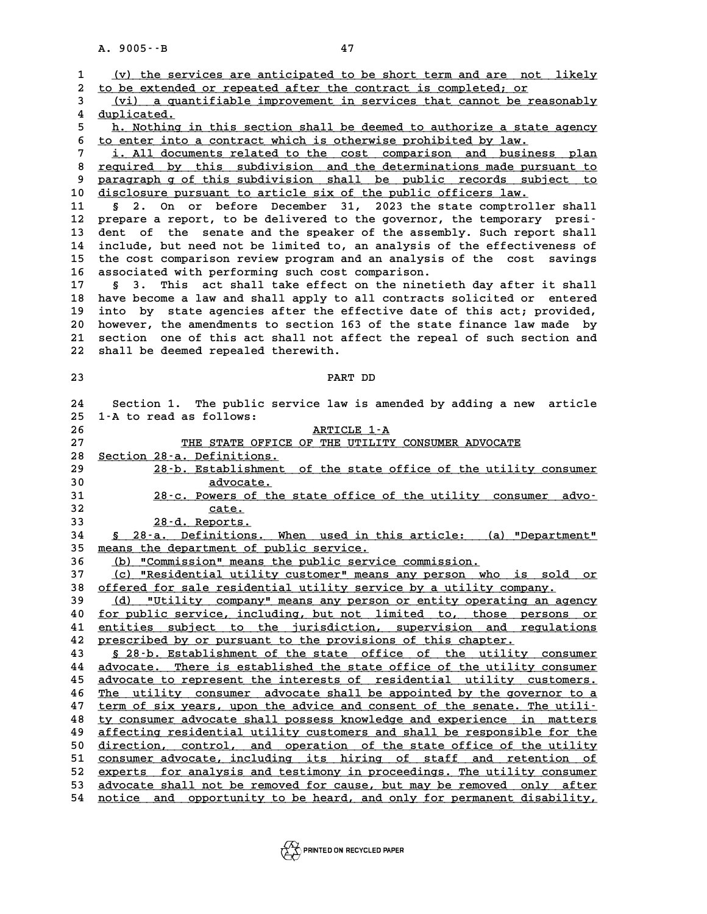|                | A. 9005 -- B<br>47                                                         |
|----------------|----------------------------------------------------------------------------|
|                |                                                                            |
| $\mathbf{1}$   | (v) the services are anticipated to be short term and are not likely       |
| $\overline{a}$ | to be extended or repeated after the contract is completed; or             |
| 3              | (vi) a quantifiable improvement in services that cannot be reasonably      |
| 4              | duplicated.                                                                |
| 5              | h. Nothing in this section shall be deemed to authorize a state agency     |
| 6              | to enter into a contract which is otherwise prohibited by law.             |
| 7              | i. All documents related to the cost comparison and business plan          |
| 8              | required by this subdivision and the determinations made pursuant to       |
| 9              | paragraph g of this subdivision shall be public records subject to         |
| 10             | disclosure pursuant to article six of the public officers law.             |
| 11             | On or before December 31, 2023 the state comptroller shall<br>2.<br>Ş.     |
| 12             | prepare a report, to be delivered to the governor, the temporary presi-    |
| 13             | dent of the senate and the speaker of the assembly. Such report shall      |
| 14             | include, but need not be limited to, an analysis of the effectiveness of   |
| 15             | the cost comparison review program and an analysis of the cost<br>savings  |
| 16             | associated with performing such cost comparison.                           |
| 17             | This act shall take effect on the ninetieth day after it shall<br>S.<br>3. |
| 18             | have become a law and shall apply to all contracts solicited or entered    |
| 19             | into by state agencies after the effective date of this act; provided,     |
| 20             | however, the amendments to section 163 of the state finance law made by    |
| 21             | section one of this act shall not affect the repeal of such section and    |
| 22             | shall be deemed repealed therewith.                                        |
| 23             | PART DD                                                                    |
|                |                                                                            |
| 24             | Section 1. The public service law is amended by adding a new article       |
| 25             | 1-A to read as follows:                                                    |
| 26             | ARTICLE 1-A                                                                |
| 27             | THE STATE OFFICE OF THE UTILITY CONSUMER ADVOCATE                          |
| 28             | Section 28-a. Definitions.                                                 |
| 29             | 28 b. Establishment of the state office of the utility consumer            |
| 30             | advocate.                                                                  |
| 31             | 28-c. Powers of the state office of the utility consumer advo-             |
| 32             | cate.                                                                      |
| 33             | 28-d. Reports.                                                             |
| 34             | § 28-a. Definitions. When used in this article: (a) "Department"           |
| 35             | means the department of public service.                                    |
| 36             | (b) "Commission" means the public service commission.                      |
| 37             | (c) "Residential utility customer" means any person who is sold or         |
| 38             | offered for sale residential utility service by a utility company.         |
| 39             | "Utility company" means any person or entity operating an agency<br>(d)    |
| 40             | for public service, including, but not limited to, those persons or        |
| 41             | entities subject to the jurisdiction, supervision and regulations          |
| 42             | prescribed by or pursuant to the provisions of this chapter.               |
| 43             | \$ 28.b. Establishment of the state office of the utility consumer         |
| 44             | advocate. There is established the state office of the utility consumer    |
| 45             | advocate to represent the interests of residential utility customers.      |
| 46             | The utility consumer advocate shall be appointed by the governor to a      |
| 47             | term of six years, upon the advice and consent of the senate. The utili-   |
| 48             | ty consumer advocate shall possess knowledge and experience in matters     |
| 49             | affecting residential utility customers and shall be responsible for the   |
| 50             | direction, control, and operation of the state office of the utility       |
| 51             | consumer advocate, including its hiring of staff and retention of          |
| 52             | experts for analysis and testimony in proceedings. The utility consumer    |
| 53             | advocate shall not be removed for cause, but may be removed only after     |
| 54             | notice and opportunity to be heard, and only for permanent disability,     |
|                |                                                                            |

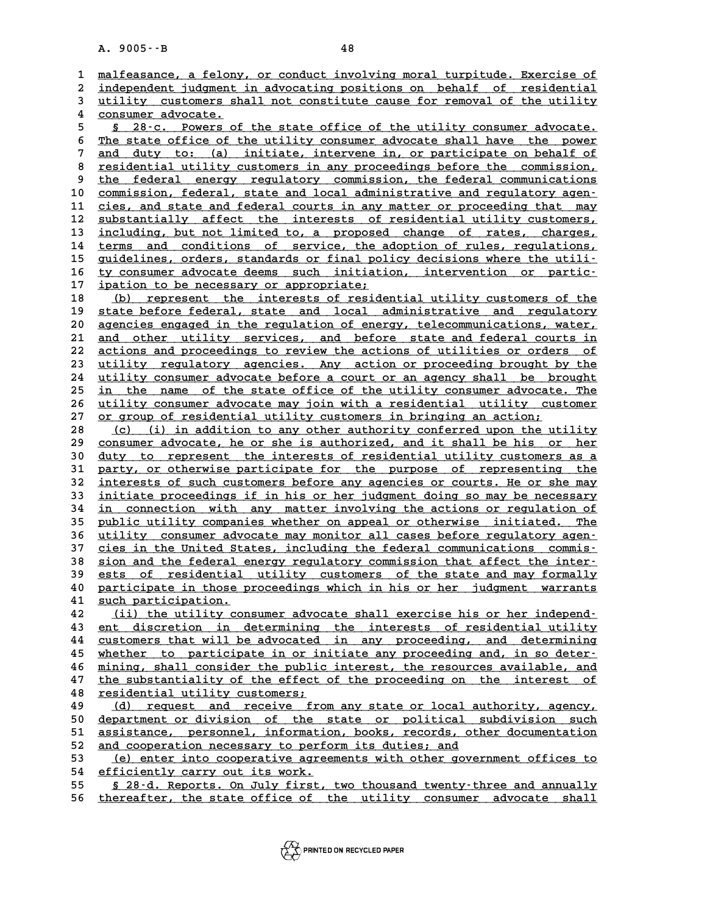|          | A. 9005 -- B<br>48                                                                                                                                |       |
|----------|---------------------------------------------------------------------------------------------------------------------------------------------------|-------|
|          |                                                                                                                                                   |       |
| 1        | malfeasance, a felony, or conduct involving moral turpitude. Exercise of<br>independent judgment in advocating positions on behalf of residential |       |
| 2<br>3   | utility customers shall not constitute cause for removal of the utility                                                                           |       |
| 4        | consumer advocate.                                                                                                                                |       |
| 5        | § 28.c. Powers of the state office of the utility consumer advocate.                                                                              |       |
| 6        | The state office of the utility consumer advocate shall have the power                                                                            |       |
| 7        | duty to: (a) initiate, intervene in, or participate on behalf of<br>and                                                                           |       |
| 8        | residential utility customers in any proceedings before the commission,                                                                           |       |
| 9        | federal energy regulatory commission, the federal communications<br>the                                                                           |       |
| 10       | commission, federal, state and local administrative and regulatory agen-                                                                          |       |
| 11       | cies, and state and federal courts in any matter or proceeding that may                                                                           |       |
| 12       | substantially affect the interests of residential utility customers,                                                                              |       |
| 13       | including, but not limited to, a proposed change of rates, charges,                                                                               |       |
| 14       | and conditions of service, the adoption of rules, regulations,<br>terms                                                                           |       |
| 15       | guidelines, orders, standards or final policy decisions where the utili-                                                                          |       |
| 16       | ty consumer advocate deems such initiation, intervention or partic-                                                                               |       |
| 17       | ipation to be necessary or appropriate;                                                                                                           |       |
| 18       | represent the interests of residential utility customers of the<br>(b)<br>state before federal, state and local administrative and regulatory     |       |
| 19<br>20 | agencies engaged in the regulation of energy, telecommunications, water,                                                                          |       |
| 21       | and other utility services, and before state and federal courts in                                                                                |       |
| 22       | actions and proceedings to review the actions of utilities or orders of                                                                           |       |
| 23       | utility regulatory agencies. Any action or proceeding brought by the                                                                              |       |
| 24       | utility consumer advocate before a court or an agency shall be brought                                                                            |       |
| 25       | in the name of the state office of the utility consumer advocate. The                                                                             |       |
| 26       | utility consumer advocate may join with a residential utility customer                                                                            |       |
| 27       | or group of residential utility customers in bringing an action;                                                                                  |       |
| 28       | (i) in addition to any other authority conferred upon the utility<br>(c)                                                                          |       |
| 29       | consumer advocate, he or she is authorized, and it shall be his or her                                                                            |       |
| 30       | duty to represent the interests of residential utility customers as a                                                                             |       |
| 31<br>32 | party, or otherwise participate for the purpose of representing the<br>interests of such customers before any agencies or courts. He or she may   |       |
| 33       | initiate proceedings if in his or her judgment doing so may be necessary                                                                          |       |
| 34       | in connection with any matter involving the actions or regulation of                                                                              |       |
| 35       | public utility companies whether on appeal or otherwise initiated. The                                                                            |       |
| 36       | utility consumer advocate may monitor all cases before regulatory agen-                                                                           |       |
| 37       | cies in the United States, including the federal communications commis-                                                                           |       |
| 38       | sion and the federal energy regulatory commission that affect the inter-                                                                          |       |
| 39       | ests of residential utility customers of the state and may formally                                                                               |       |
| 40       | participate in those proceedings which in his or her judgment warrants                                                                            |       |
| 41       | such participation.                                                                                                                               |       |
| 42       | (ii) the utility consumer advocate shall exercise his or her independ-                                                                            |       |
| 43       | ent discretion in determining the interests of residential utility                                                                                |       |
| 44<br>45 | customers that will be advocated in any proceeding, and determining<br>whether to participate in or initiate any proceeding and, in so deter-     |       |
| 46       | mining, shall consider the public interest, the resources available, and                                                                          |       |
| 47       | the substantiality of the effect of the proceeding on the interest of                                                                             |       |
| 48       | residential utility customers;                                                                                                                    |       |
| 49       | request and receive from any state or local authority, agency,<br>(d)                                                                             |       |
| 50       | department or division of the state or political subdivision such                                                                                 |       |
| 51       | assistance, personnel, information, books, records, other documentation                                                                           |       |
| 52       | and cooperation necessary to perform its duties; and                                                                                              |       |
| 53       | (e) enter into cooperative agreements with other government offices to                                                                            |       |
| 54       | efficiently carry out its work.                                                                                                                   |       |
| 55       | § 28-d. Reports. On July first, two thousand twenty-three and annually                                                                            |       |
| 56       | thereafter, the state office of the utility consumer advocate                                                                                     | shall |

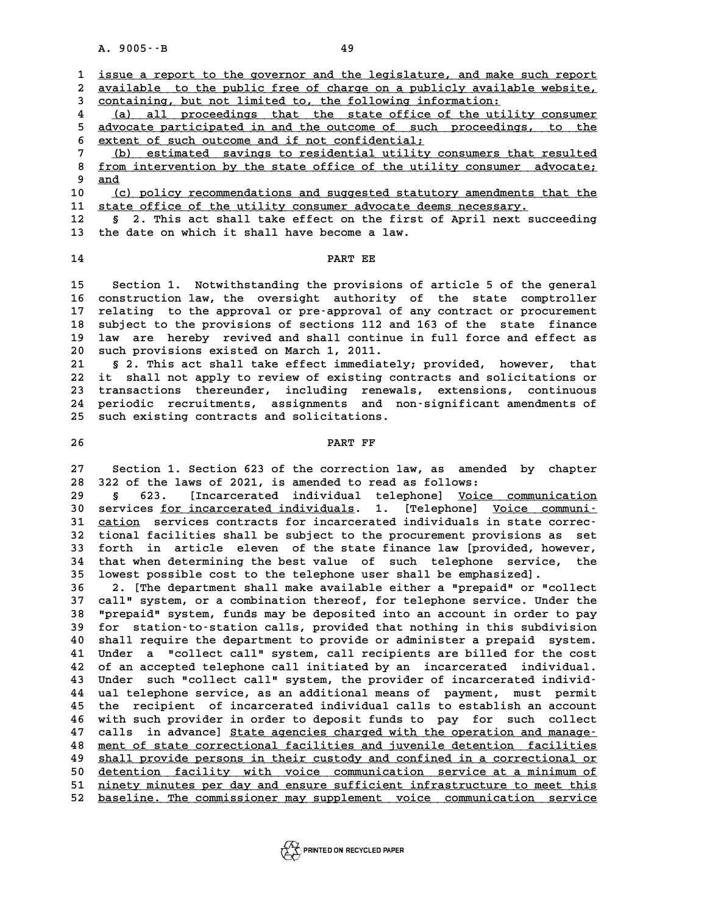A. 9005 · - B<br>1 <u>issue a report to the governor and the legislature, and make such report</u><br>2 available to the public free of charge on a publicly available vebsite **2** issue a report to the governor and the legislature, and make such report<br>2 <u>available to the public free of charge on a publicly available website,<br>3 containing, but not limited to, the following information.</u> **3** issue a report to the governor and the legislature, and make<br> **2** available to the public free of charge on a publicly availab<br>
<u>containing, but not limited to, the following information:</u><br>  $\frac{1}{2}$   $\frac{1}{2}$  all proc a vailable to the public free of charge on a publicly available website,<br>  $\frac{1}{2}$  containing, but not limited to, the following information:<br>  $\frac{1}{2}$  (a) all proceedings that the state office of the utility consumer<br>
a

3 containing, but not limited to, the following information:<br>
4 (a) all proceedings that the state office of the utility consumer<br>
5 advocate participated in and the outcome of such proceedings, to the<br>
<sup>5</sup> sutert of such **6 extent of such outcome and if not confidential; \_\_\_\_\_\_\_\_\_\_\_\_\_\_\_\_\_\_\_\_\_\_\_\_\_\_\_\_\_\_\_\_\_\_\_\_\_\_\_\_\_\_\_\_\_\_\_**

5 advocate participated in and the outcome of such proceedings, to the<br>
6 extent of such outcome and if not confidential;<br>
7 (b) estimated savings to residential utility consumers that resulted<br>
8 from intervention by the **8 from intervention by the state office of the utility consumers that resulted**<br>**8 from intervention by the state office of the utility consumer advocate;**<br>**9 and** 7 <u>(b)</u><br>8 <u>from i</u><br>9 <u>and</u> 8 <u>from intervention by the state office of the utility consumer advocate;</u><br>
9 <u>and</u><br>
10 <u>(c) policy recommendations and suggested statutory amendments that the</u><br>
11 state office of the utility consumer advocate deems pece

9 and<br>
10 (c) policy recommendations and suggested statutory amendments the<br>
11 state office of the utility consumer advocate deems necessary.<br>
<sup>12</sup> s<sup>2</sup> mbis 2st shall take offect on the first of Anril newt sug 10 (c) policy recommendations and suggested statutory amendments that the<br>11 state office of the utility consumer advocate deems necessary.<br>12 s 2. This act shall take effect on the first of April next succeeding<br>the date

11 <u>state office of the utility consumer advocate deems necessary.</u><br>12 § 2. This act shall take effect on the first of April next succeeding<br>13 the date on which it shall have become a law. 13 the date on which it shall have become a law.<br>14 PART EE

**15 Section 1. Notwithstanding the provisions of article 5 of the general 15 Section 1. Notwithstanding the provisions of article 5 of the general<br>16 construction law, the oversight authority of the state comptroller**<br>17 relating to the approval or pro-approval of any contract or progurement **15 Section 1. Notwithstanding the provisions of article 5 of the general<br>16 construction law, the oversight authority of the state comptroller<br>17 relating to the approval or pre-approval of any contract or procurement**<br>18 16 construction law, the oversight authority of the state comptroller<br>17 relating to the approval or pre-approval of any contract or procurement<br>18 subject to the provisions of sections 112 and 163 of the state finance<br>19 17 relating to the approval or pre-approval of any contract or procurement<br>18 subject to the provisions of sections 112 and 163 of the state finance<br>19 law are hereby revived and shall continue in full force and effect as<br> **20 such provisions existed on March 1, 2011.** 19 law are hereby revived and shall continue in full force and effect as<br>
20 such provisions existed on March 1, 2011.<br>
21 § 2. This act shall take effect immediately; provided, however, that<br>
22 it shall not apply to revi

**22 it shall not apply to review of existing contracts and solicitations or** 21 § 2. This act shall take effect immediately; provided, however, that<br>22 it shall not apply to review of existing contracts and solicitations or<br>23 transactions thereunder, including renewals, extensions, continuous<br>24 p 22 it shall not apply to review of existing contracts and solicitations or<br>23 transactions thereunder, including renewals, extensions, continuous<br>24 periodic recruitments, assignments and non-significant amendments of<br>25 q 23 transactions thereunder, including renewal<br>24 periodic recruitments, assignments and no<br>25 such existing contracts and solicitations. 24 periodic recruitments, assignments and non-significant amendments of<br>25 such existing contracts and solicitations.<br>26 PART FF

PART FF<br>27 Section 1. Section 623 of the correction law, as amended by chapter<br>28 322 of the laws of 2021, is amended to read as follows: **27** Section 1. Section 623 of the correction law, as amende<br>28 322 of the laws of 2021, is amended to read as follows:<br>29 6 623 [Incarcerated individual telephonel Voice Section 1. Section 623 of the correction law, as amended by chapter<br> **28 322 of the laws of 2021, is amended to read as follows:**<br> **39 § 623.** [Incarcerated individual telephone] <u>Voice communication</u><br> **20 Secusion** for in

**30 services for incarcerated individuals. 1. [Telephone] Voice communi- \_\_\_\_\_\_\_\_\_\_\_\_\_\_\_\_\_\_\_\_\_\_\_\_\_\_\_\_ \_\_\_\_\_\_\_\_\_\_\_\_\_\_\_ 8** 623. [Incarcerated individual telephone] <u>Voice communication</u><br>30 services <u>for incarcerated individuals</u>. 1. [Telephone] <u>Voice communi-</u><br>31 <u>cation</u> services contracts for incarcerated individuals in state correc-<br>io 30 services <u>for incarcerated individuals</u>. 1. [Telephone] <u>Voice communi-</u><br>31 <u>cation</u> services contracts for incarcerated individuals in state correc-<br>32 tional facilities shall be subject to the procurement provisions a 31 <u>cation</u> services contracts for incarcerated individuals in state correc-<br>32 tional facilities shall be subject to the procurement provisions as set<br>33 forth in article eleven of the state finance law [provided, however 32 tional facilities shall be subject to the procurement provisions as set<br>33 forth in article eleven of the state finance law [provided, however,<br>34 that when determining the best value of such telephone service, the<br>35 l 33 forth in article eleven of the state finance law [provided, how<br>34 that when determining the best value of such telephone service,<br>35 lowest possible cost to the telephone user shall be emphasized].<br>26 3 [The department **34 that when determining the best value of such telephone service, the lowest possible cost to the telephone user shall be emphasized].**<br>36 2. [The department shall make available either a "prepaid" or "collect<br>37 31] Sys

**35 lowest possible cost to the telephone user shall be emphasized].**<br>**36 2. [The department shall make available either a "prepaid" or "collect**<br>**37 call" system, or a combination thereof, for telephone service. Under the 36 2.** [The department shall make available either a "prepaid" or "collect<br>37 call" system, or a combination thereof, for telephone service. Under the<br>38 "prepaid" system, funds may be deposited into an account in order t **call" system, or a combination thereof, for telephone service. Under the**<br>**38 "prepaid" system, funds may be deposited into an account in order to pay**<br>**59 for station-to-station calls, provided that nothing in this subdi 40 shall republication** which may be deposited into an account in order to pay<br> **40 shall require the department to provide or administer a prepaid system.**<br> **40 shall require the department to provide or administer a pre 40** for station to station calls, provided that nothing in this subdivision<br>40 shall require the department to provide or administer a prepaid system.<br>41 Under a "collect call" system, call recipients are billed for the c 40 shall require the department to provide or administer a prepaid system.<br>41 Under a "collect call" system, call recipients are billed for the cost<br>42 of an accepted telephone call initiated by an incarcerated individual. 41 Under a "collect call" system, call recipients are billed for the cost<br>42 of an accepted telephone call initiated by an incarcerated individual.<br>43 Under such "collect call" system, the provider of incarcerated individ-42 of an accepted telephone call initiated by an incarcerated individual.<br>43 Under such "collect call" system, the provider of incarcerated individ-<br>44 ual telephone service, as an additional means of payment, must permit<br> 43 Under such "collect call" system, the provider of incarcerated individ-<br>44 ual telephone service, as an additional means of payment, must permit<br>45 the recipient of incarcerated individual calls to establish an account<br> 44 ual telephone service, as an additional means of payment, must permit<br>45 the recipient of incarcerated individual calls to establish an account<br>46 with such provider in order to deposit funds to pay for such collect<br>47 45 the recipient of incarcerated individual calls to establish an account<br>46 with such provider in order to deposit funds to pay for such collect<br>47 calls in advance] <u>State agencies charged with the operation and manage</u><br> **46** with such provider in order to deposit funds to pay for such collect<br>47 calls in advance] <u>State agencies charged with the operation and manage-</u><br><u>and ment of state correctional facilities and juvenile detention facil</u> 47 calls in advance] <u>State agencies charged with the operation and manage-</u><br>48 <u>ment of state correctional facilities and juvenile detention facilities</u><br>49 <u>shall provide persons in their custody and confined in a correct</u> **50 ment of state correctional facilities and juvenile detention facilities<br>
49 shall provide persons in their custody and confined in a correctional or<br>
50 detention facility with voice communication service at a minimum** \$19 **shall provide persons in their custody and confined in a correctional or**<br>\$1 detention facility with voice communication service at a minimum of<br>\$1 ninety minutes per day and ensure sufficient infrastructure to meet t 50 <u>detention facility with voice communication service-at-a-minimum-of-</u><br>51 <u>ninety-minutes per day and ensure sufficient infrastructure to meet this</u><br>52 <u>baseline. The commissioner may supplement voice communication serv</u>

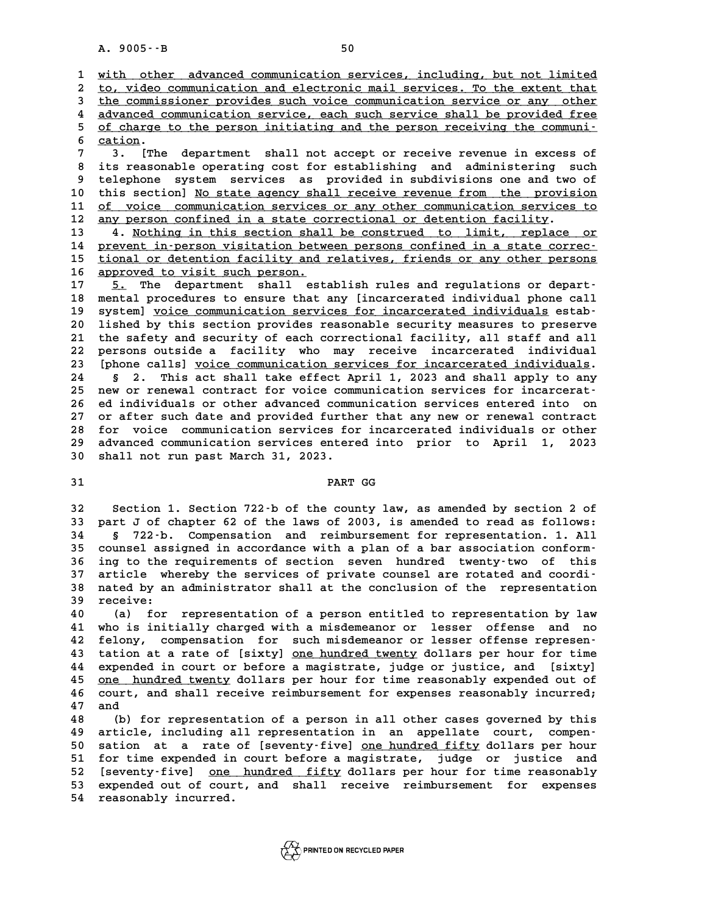A. 9005 · · B<br>1 <u>with other advanced communication services, including, but not limited</u><br>2 to, video communication and electronic mail services. To the extent that **2 to, video communication and electronic mail services. To the extent that \_\_\_\_\_\_\_\_\_\_\_\_\_\_\_\_\_\_\_\_\_\_\_\_\_\_\_\_\_\_\_\_\_\_\_\_\_\_\_\_\_\_\_\_\_\_\_\_\_\_\_\_\_\_\_\_\_\_\_\_\_\_\_\_\_\_\_\_\_\_\_\_** 3 with other advanced communication services, including, but not limited<br>
2 to, video communication and electronic mail services. To the extent that<br>
3 the communissioner provides such voice communication service or any ot to, video communication and electronic mail services. To the extent that<br> **4** the communissioner provides such voice communication service or any other<br> **4** advanced communication service, each such service shall be provid the commissioner provides such voice communication service or any other<br>4 advanced communication service, each such service shall be provided free<br>5 of charge to the person initiating and the person receiving the communi-<br> 4 advanced communication service, each such service shall be provided free<br>5 <u>of charge to the person initiating and the person receiving the communi-<br>6 cation.<br>7 3. [The department shall not accept or receive revenue in e</u> 5 <u>of charge to the person initiating and the person receiving the communi-<br>
6 cation.<br>
7 3. [The department shall not accept or receive revenue in excess of<br>
8 its reasonable operating cost for establishing and administer</u>

**8 its reasonable operating cost for establishing and administering such 9 telephone system services as provided in subdivisions one and two of** 8 its reasonable operating cost for establishing and administering such<br>9 telephone system services as provided in subdivisions one and two of<br>10 this section] <u>No state agency shall receive revenue from the provision</u><br>11 9 telephone system services as provided in subdivisions one and two of<br>10 this section] <u>No state agency shall receive revenue from the provision</u><br>11 <u>of voice communication services or any other communication services to</u> to this section] <u>No state agency shall receive revenue from the provision</u><br>11 <u>of voice communication services or any other communication services to</u><br>12 <u>any person confined in a state correctional or detention facility</u>

13 4. <u>Nothing in this section shall be construed to limit, replace or</u><br>14 prevent in-person visitation between persons confined in a state correc-14 prevent in-person visitation between persons confined in a state correc-<br>15 tional or detention facility and relatives, friends or any other persons 13 4. Nothing in this section shall be construed to limit, replace or<br>14 prevent in person visitation between persons confined in a state correc-<br>tional or detention facility and relatives, friends or any other persons<br>25 14 <u>prevent in person visitation betw</u><br>15 <u>tional or detention facility and</u><br>16 <u>approved to visit such person.</u><br>17 5 The department shall est

16 <u>approved to visit such person.</u><br>17 5. The department shall establish rules and regulations or depart-<br>18 mental procedures to ensure that any fincarcerated individual phone call **16 approved to visit such person.**<br> **17** 5. The department shall establish rules and regulations or depart-<br> **18 mental procedures to ensure that any [incarcerated individual phone call**<br> **19 dividual procedures communica** 17 5. The department shall establish rules and regulations or depart-<br>
18 mental procedures to ensure that any [incarcerated individual phone call<br>
19 system] <u>voice communication services for incarcerated individuals</u> est 18 mental procedures to ensure that any [incarcerated individual phone call<br>19 system] <u>voice communication services for incarcerated individuals</u> estab-<br>20 lished by this section provides reasonable security measures to p 19 system] <u>voice communication services for incarcerated individuals</u> estab-<br>20 lished by this section provides reasonable security measures to preserve<br>21 the safety and security of each correctional facility, all staff 20 lished by this section provides reasonable security measures to preserve<br>21 the safety and security of each correctional facility, all staff and all<br>22 persons outside a facility who may receive incarcerated individual<br> 21 the safety and security of each correctional facility, all staff and all<br>22 persons outside a facility who may receive incarcerated individual<br>23 [phone calls] <u>voice communication services for incarcerated individuals</u> 22 persons outside a facility who may receive incarcerated individual<br>23 [phone calls] <u>voice communication services for incarcerated individuals</u>.<br>24 § 2. This act shall take effect April 1, 2023 and shall apply to any<br>25 Iphone calls) <u>voice communication services for incarcerated individuals</u>.<br>
24 § 2. This act shall take effect April 1, 2023 and shall apply to any<br>
25 new or renewal contract for voice communication services for incarcera **24 Solution:** 22. This act shall take effect April 1, 2023 and shall apply to any<br>25 new or renewal contract for voice communication services for incarcerat-<br>26 ed individuals or other advanced communication services ente 25 new or renewal contract for voice communication services for incarcerat-<br>26 ed individuals or other advanced communication services entered into on<br>27 or after such date and provided further that any new or renewal cont 26 ed individuals or other advanced communication services entered into on<br>27 or after such date and provided further that any new or renewal contract<br>28 for voice communication services for incarcerated individuals or oth 27 or after such date and provided further that any new or renewal contract<br>28 for voice communication services for incarcerated individuals or other<br>29 advanced communication services entered into prior to April 1, 2023<br>2 28 for voice communication services fo<br>29 advanced communication services enter<br>30 shall not run past March 31, 2023. advanced communication services entered into prior to April 1,<br>30 shall not run past March 31, 2023.<br>**PART GG** 

**32 Section 1. Section 722-b of the county law, as amended by section 2 of 32** Section 1. Section 722 b of the county law, as amended by section 2 of<br>33 part J of chapter 62 of the laws of 2003, is amended to read as follows:<br>34 5 733 by Componention, and reimburgement for representation 1, 11 **32** Section 1. Section 722-b of the county law, as amended by section 2 of<br> **33** part J of chapter 62 of the laws of 2003, is amended to read as follows:<br> **34** § 722-b. Compensation and reimbursement for representation. 1 33 part J of chapter 62 of the laws of 2003, is amended to read as follows:<br> **34** S 722-b. Compensation and reimbursement for representation. 1. All<br>
35 counsel assigned in accordance with a plan of a bar association confo **34** § 722-b. Compensation and reimbursement for representation. 1. All<br>35 counsel assigned in accordance with a plan of a bar association conform-<br>36 ing to the requirements of section seven hundred twenty-two of this<br>37 35 counsel assigned in accordance with a plan of a bar association conform-<br>36 ing to the requirements of section seven hundred twenty-two of this<br>37 article whereby the services of private counsel are rotated and coordi-<br> 36 ing to the requirements of section seven hundred twenty-two of this<br>37 article whereby the services of private counsel are rotated and coordi-<br>38 nated by an administrator shall at the conclusion of the representation<br>2 37 article whereby the services of private counsel are rotated and coordi<sup>-</sup><br>38 nated by an administrator shall at the conclusion of the representation<br>39 receive:<br>40 (a) for representation of a person entitled to represen

**40 (a) for representation of a person entitled to representation by law 40** (a) for representation of a person entitled to representation by law<br>41 who is initially charged with a misdemeanor or lesser offense and no<br>42 folony componention for such misdemeanor or lesser offense represen-**40** (a) for representation of a person entitled to representation by law<br> **41** who is initially charged with a misdemeanor or lesser offense and no<br> **42** felony, compensation for such misdemeanor or lesser offense represe 41 who is initially charged with a misdemeanor or lesser offense and no<br>42 felony, compensation for such misdemeanor or lesser offense represen-<br>43 tation at a rate of [sixty] <u>one hundred twenty</u> dollars per hour for time **42 felony, compensation for such misdemeanor or lesser offense represen-**<br>**43 tation at a rate of [sixty] <u>one hundred twenty</u> dollars per hour for time<br><b>44 expended in court or before a magistrate, judge or justice, and** 43 tation at a rate of [sixty] <u>one hundred twenty</u> dollars per hour for time<br>44 expended in court or before a magistrate, judge or justice, and [sixty]<br>45 <u>one hundred twenty</u> dollars per hour for time reasonably expended 44 expended in court or before a magistrate, judge or justice, and [sixty]<br>45 <u>one hundred twenty</u> dollars per hour for time reasonably expended out of<br>46 court, and shall receive reimbursement for expenses reasonably incu 45 <u>one h</u><br>46 court,<br>47 and 46 court, and shall receive reimbursement for expenses reasonably incurred;<br>47 and<br>(b) for representation of a person in all other cases governed by this<br>49 article, including all representation in an appellate court, comp

47 and<br>48 (b) for representation of a person in all other cases governed by this<br>49 article, including all representation in an appellate court, compen-<br>50 sation at a rate of [souentu-five] ane hundred fifty dollars per b (b) for representation of a person in all other cases governed by this<br>
49 article, including all representation in an appellate court, compen-<br>
50 sation at a rate of [seventy-five] <u>one hundred fifty</u> dollars per hour<br>
5 50 sation at a rate of [seventy-five] <u>one hundred fifty</u> dollars per hour<br>51 for time expended in court before a magistrate, judge or justice and<br>52 [seventy-five] one hundred fifty dollars per hour for time reasonably 50 sation at a rate of [seventy-five] <u>one hundred fifty</u> dollars per hour<br>51 for time expended in court before a magistrate, judge or justice and<br>52 [seventy-five] <u>one hundred fifty</u> dollars per hour for time reasonably<br> 51 for time expended in court before a magistrate, judge or justice and<br>52 [seventy-five] <u>one hundred fifty</u> dollars per hour for time reasonably<br>53 expended out of court, and shall receive reimbursement for expenses 53 expended out of court, and shall receive reimbursement for expenses 54 reasonably incurred.

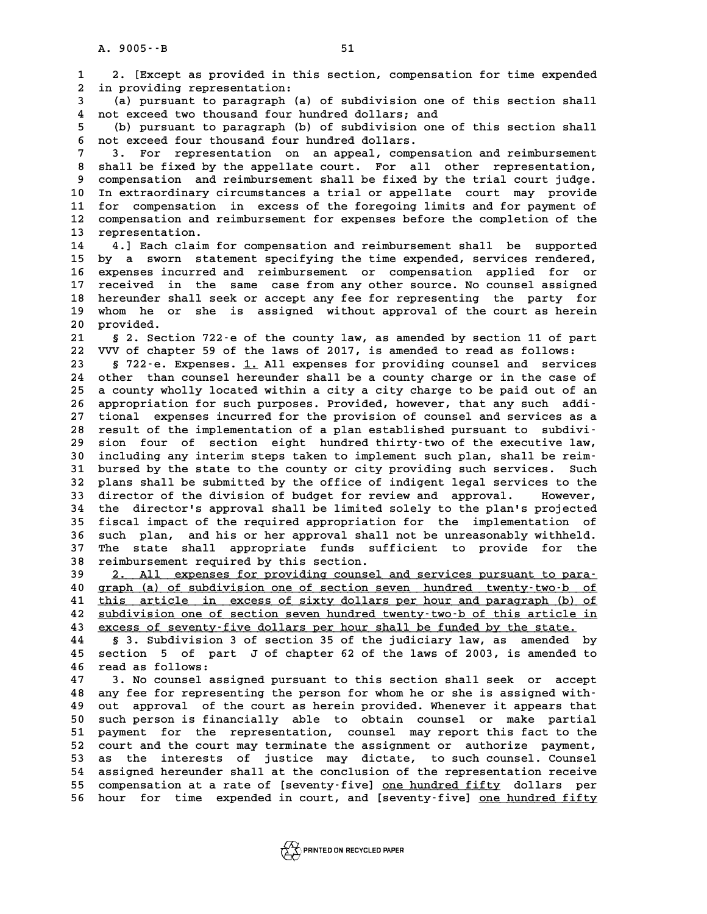**1 2. [Except as provided in this section, compensation for time expended 2.** [Except as provided in thi<br>2 in providing representation:<br><sup>2</sup> (a) pursuant to paragraph (a) **3.** [Except as provided in this section, compensation for time expended<br> **2** in providing representation:<br>
(a) pursuant to paragraph (a) of subdivision one of this section shall<br>
1 not avesed two thougand four hundred dol 1 in providing representation:<br>
4 not exceed two thousand four hundred dollars; and<br>
4 not exceed two thousand four hundred dollars; and<br>
5 (b) purguant to paragraph (b) of subdivision and 2 **5** (a) pursuant to paragraph (a) of subdivision one of this section shall<br>
4 not exceed two thousand four hundred dollars; and<br>
(b) pursuant to paragraph (b) of subdivision one of this section shall<br>
5 not exceed four tho 4 not exceed two thousand four hundred dollars; and<br>
5 (b) pursuant to paragraph (b) of subdivision one of this section shall<br>
6 not exceed four thousand four hundred dollars.<br>
7 3. For representation on an appeal, compens **7** (b) pursuant to paragraph (b) of subdivision one of this section shall<br> **6** not exceed four thousand four hundred dollars.<br> **7** 3. For representation on an appeal, compensation and reimbursement<br>
<sup>8</sup> shall be fined by 8 not exceed four thousand four hundred dollars.<br> **8 shall be fixed by the appellate court.** For all other representation,<br> **8 shall be fixed by the appellate court.** For all other representation,<br> **8 someonsation, and rei 9 3. For representation on an appeal, compensation and reimbursement<br>
8 shall be fixed by the appellate court. For all other representation,<br>
9 compensation and reimbursement shall be fixed by the trial court judge.**<br>
In 8 shall be fixed by the appellate court. For all other representation,<br>9 compensation and reimbursement shall be fixed by the trial court judge.<br>10 In extraordinary circumstances a trial or appellate court may provide<br><sup>11</sup> 9 compensation and reimbursement shall be fixed by the trial court judge.<br>10 In extraordinary circumstances a trial or appellate court may provide<br>11 for compensation in excess of the foregoing limits and for payment of<br>22 10 In extraordinary circumstances a trial or appellate court may provide<br>11 for compensation in excess of the foregoing limits and for payment of<br>12 compensation and reimbursement for expenses before the completion of the<br> 11 for compensation in excess of the foregoing limits and for payment of<br>12 compensation and reimbursement for expenses before the completion of the<br>13 representation.<br>14 4.] Each claim for compensation and reimbursement s **14 4.] Each claim for compensation and reimbursement shall be supported** 13 representation.<br>14 4.] Each claim for compensation and reimbursement shall be supported<br>15 by a sworn statement specifying the time expended, services rendered,<br>16 cupenses incurred and reimbursement or sempensation ana 14 <sup>4</sup> 4.] Each claim for compensation and reimbursement shall be supported<br>15 by a sworn statement specifying the time expended, services rendered,<br>16 expenses incurred and reimbursement or compensation applied for or<br>17 15 by a sworn statement specifying the time expended, services rendered,<br>16 expenses incurred and reimbursement or compensation applied for or<br>17 received in the same case from any other source. No counsel assigned<br>heround 16 expenses incurred and reimbursement or compensation applied for or<br>17 received in the same case from any other source. No counsel assigned<br>18 hereunder shall seek or accept any fee for representing the party for<br>19 when 17 received in the same case from any other source. No counsel assigned<br>18 hereunder shall seek or accept any fee for representing the party for<br>19 whom he or she is assigned without approval of the court as herein<br>20 prov 18 hereunder shall seek or accept any fee for representing the party for<br>19 whom he or she is assigned without approval of the court as herein<br>20 provided.<br>21 § 2. Section 722 e of the county law, as amended by section 11 **21 whom he or she is assigned without approval of the court as herein**<br>**21 § 2. Section 722-e of the county law, as amended by section 11 of part**<br>**22 VVV of chapter 59 of the laws of 2017, is amended to read as follows: 20 provided.**<br> **21 § 2. Section 722 e of the county law, as amended by section 11 of part**<br> **22 VVV of chapter 59 of the laws of 2017, is amended to read as follows:**<br> **23** § 722 e Frances 1, all ernorses for providing co **21** § 2. Section 722-e of the county law, as amended by section 11 of part<br>22 WW of chapter 59 of the laws of 2017, is amended to read as follows:<br>8 722-e. Expenses. 1. All expenses for providing counsel and services<br>24 o 22 VVV of chapter 59 of the laws of 2017, is amended to read as follows:<br>23 § 722-e. Expenses. <u>1.</u> All expenses for providing counsel and services<br>24 other than counsel hereunder shall be a county charge or in the case of **23 5** 722-e. Expenses. <u>1.</u> All expenses for providing counsel and services<br>24 other than counsel hereunder shall be a county charge or in the case of<br>25 a county wholly located within a city a city charge to be paid ou 24 other than counsel hereunder shall be a county charge or in the case of<br>
25 a county wholly located within a city a city charge to be paid out of an<br>
26 appropriation for such purposes. Provided, however, that any such 25 a county wholly located within a city a city charge to be paid out of an appropriation for such purposes. Provided, however, that any such addi-<br>27 tional expenses incurred for the provision of counsel and services as a **28 result of the implementation of a plan established pursuant to subdivi-**27 tional expenses incurred for the provision of counsel and services as a<br>28 result of the implementation of a plan established pursuant to subdivi-<br>29 sion four of section eight hundred thirty-two of the executive law,<br>i 28 result of the implementation of a plan established pursuant to subdivi-<br>
29 sion four of section eight hundred thirty-two of the executive law,<br>
30 including any interim steps taken to implement such plan, shall be reim 30 sion four of section eight hundred thirty-two of the executive law,<br>30 including any interim steps taken to implement such plan, shall be reim-<br>31 bursed by the state to the county or city providing such services. Such<br> 30 including any interim steps taken to implement such plan, shall be reim-<br>31 bursed by the state to the county or city providing such services. Such<br>32 plans shall be submitted by the office of indigent legal services to 31 bursed by the state to the county or city providing such services. Such<br>32 plans shall be submitted by the office of indigent legal services to the<br>33 director of the division of budget for review and approval. However, 32 plans shall be submitted by the office of indigent legal services to the<br>33 director of the division of budget for review and approval. However,<br>34 the director's approval shall be limited solely to the plan's projected 33 director of the division of budget for review and approval. However,<br>34 the director's approval shall be limited solely to the plan's projected<br>35 fiscal impact of the required appropriation for the implementation of<br>36 <sup>34</sup> the director's approval shall be limited solely to the plan's projected<br>35 fiscal impact of the required appropriation for the implementation of<br>36 such plan, and his or her approval shall not be unreasonably withheld 35 fiscal impact of the required appropriation for the implementation of<br>36 such plan, and his or her approval shall not be unreasonably withheld.<br>37 The state shall appropriate funds sufficient to provide for the<br>28 reimb 36 such plan, and his or her approval shall not be unreasonably withheld.<br>37 The state shall appropriate funds sufficient to provide for the<br>38 reimbursement required by this section.<br><u>39 2. All expenses for providing coun</u> 37 The state shall appropriate funds sufficient to provide for the<br> **38 reimbursement required by this section.**<br>
<u>2. All expenses for providing counsel and services pursuant to para-</u><br> **40 graph (a) of subdivision one of 40 graph (a) of subdivision one of section seven hundred twenty-two-b of \_\_\_\_\_\_\_\_\_\_\_\_\_\_\_\_\_\_\_\_\_\_\_\_\_\_\_\_\_\_\_\_\_\_\_\_\_\_\_\_\_\_\_\_\_\_\_\_\_\_\_\_\_\_\_\_\_\_\_\_\_\_\_\_\_\_\_\_\_\_\_\_** 2. All expenses for providing counsel and services pursuant to para-<br>
40 graph (a) of subdivision one of section seven hundred twenty-two-b of<br>
41 this article in excess of sixty dollars per hour and paragraph (b) of<br>
42 s 40 graph (a) of subdivision one of section seven hundred twenty-two-b of<br>41 this article in excess of sixty dollars per hour and paragraph (b) of<br>42 subdivision one of section seven hundred twenty-two-b of this article in<br> 42 <u>subdivision one of section seven hundred twenty-two-b of this article in</u><br>43 <u>excess of seventy-five dollars per hour shall be funded by the state.</u><br>44 § 3. Subdivision 3 of section 35 of the judiciary law, as amended **44 § 3. Subdivision 3 of section 35 of the judiciary law, as amended by 43** excess of seventy-five dollars per hour shall be funded by the state.<br> **44** § 3. Subdivision 3 of section 35 of the judiciary law, as amended by<br> **45** section 5 of part J of chapter 62 of the laws of 2003, is amended 44 § 3. Subdivision<br>45 section 5 of par<br>46 read as follows: **45 section 5 of part J of chapter 62 of the laws of 2003, is amended to<br>46 read as follows:**<br>47 3. No counsel assigned pursuant to this section shall seek or accept<br>48 pays for proposables the parson for them be as she is **46 read as follows:**<br> **47 3. No counsel assigned pursuant to this section shall seek or accept**<br> **48 any fee for representing the person for whom he or she is assigned with-**<br>
<u>19 aut</u> approved of the sourt as berein prov **47 3. No counsel assigned pursuant to this section shall seek or accept**<br>**48 any fee for representing the person for whom he or she is assigned with-**<br>**49 out approval of the court as herein provided. Whenever it appears** 48 any fee for representing the person for whom he or she is assigned with-<br>49 out approval of the court as herein provided. Whenever it appears that<br>50 such person is financially able to obtain counsel or make partial<br>51 49 out approval of the court as herein provided. Whenever it appears that<br>50 such person is financially able to obtain counsel or make partial<br>51 payment for the representation, counsel may report this fact to the<br>52 sourt 50 such person is financially able to obtain counsel or make partial<br>51 payment for the representation, counsel may report this fact to the<br>52 court and the court may terminate the assignment or authorize payment,<br>53 as th 51 payment for the representation, counsel may report this fact to the<br>52 court and the court may terminate the assignment or authorize payment,<br>53 as the interests of justice may dictate, to such counsel. Counsel<br>54 assig 52 court and the court may terminate the assignment or authorize payment,<br>53 as the interests of justice may dictate, to such counsel. Counsel<br>54 assigned hereunder shall at the conclusion of the representation receive<br>55 53 as the interests of justice may dictate, to such counsel. Counsel<br>54 assigned hereunder shall at the conclusion of the representation receive<br>55 compensation at a rate of [seventy-five] <u>one hundred fifty</u> dollars per<br>5 55 compensation at a rate of [seventy-five] <u>one hundred fifty</u> dollars per<br>56 hour for time expended in court, and [seventy-five] <u>one hundred fifty</u>

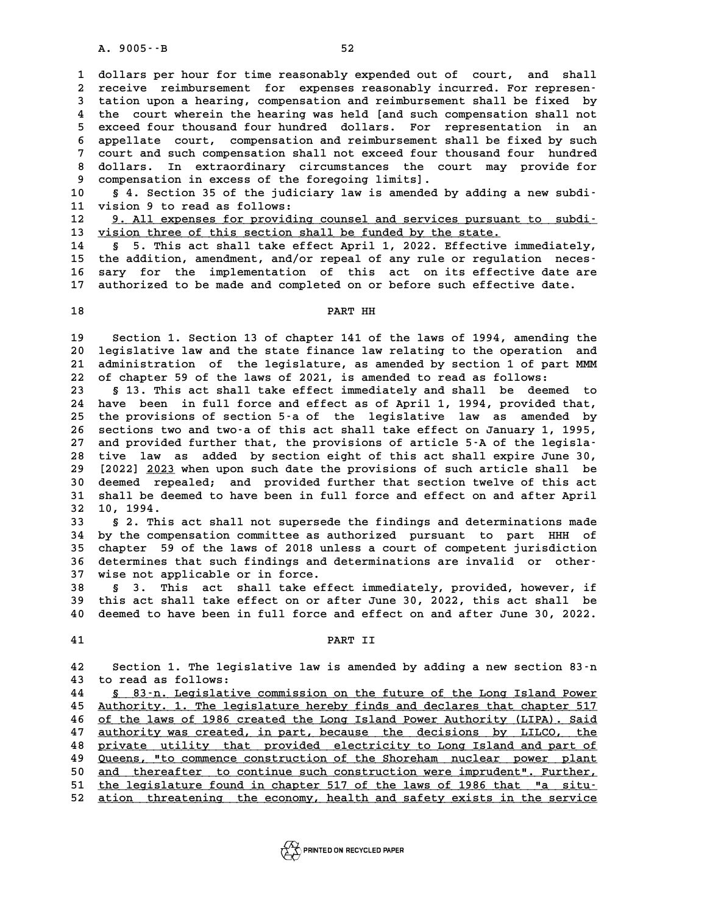A. 9005 -- B<br>1 dollars per hour for time reasonably expended out of court, and shall<br>2 require reimburgement for expenses reasonably inqurred. For representing 1 dollars per hour for time reasonably expended out of court, and shall<br>2 receive reimbursement for expenses reasonably incurred. For represen-<br>3 tation upon a bearing compensation and reimbursement shall be fixed by **3** dollars per hour for time reasonably expended out of court, and shall<br>2 receive reimbursement for expenses reasonably incurred. For represen-<br>3 tation upon a hearing, compensation and reimbursement shall be fixed by<br>4 a the court wherein the compensation and reimbursement shall be fixed by<br>
4 the court wherein the hearing was held [and such compensation shall not<br>
a core of four the same bunded dollars For representation in an 3 tation upon a hearing, compensation and reimbursement shall be fixed by<br>4 the court wherein the hearing was held [and such compensation shall not<br>5 exceed four thousand four hundred dollars. For representation in an<br>5 ap 4 the court wherein the hearing was held [and such compensation shall not<br>5 exceed four thousand four hundred dollars. For representation in an<br>6 appellate court, compensation and reimbursement shall be fixed by such<br>7 sou 5 exceed four thousand four hundred dollars. For representation in an<br>6 appellate court, compensation and reimbursement shall be fixed by such<br>7 court and such compensation shall not exceed four thousand four hundred<br>8 dol 8 appellate court, compensation and reimbursement shall be fixed by such<br>7 court and such compensation shall not exceed four thousand four hundred<br>8 dollars. In extraordinary circumstances the court may provide for<br>9 compe Fourt and such compensation shall not exceed four the dollars. In extraordinary circumstances the compensation in excess of the foregoing limits]. 8 dollars. In extraordinary circumstances the court may provide for<br>
9 compensation in excess of the foregoing limits].<br>
10 § 4. Section 35 of the judiciary law is amended by adding a new subdi-<br>
<sup>11</sup> vision <sup>9</sup> to read as

9 compensation in excess of the f<br>10 § 4. Section 35 of the judici<br>11 vision 9 to read as follows:<br><sup>12</sup> <sup>0</sup> <sup>11</sup> cypenses for providing **10** § 4. Section 35 of the judiciary law is amended by adding a new subdi-<br>11 vision 9 to read as follows:<br><u>9. All expenses for providing counsel and services pursuant to subdi-</u><br>is vision three of this section shall be f

11 vision 9 to read as follows:<br>
12 9. All expenses for providing counsel and services pursuant to subdi-<br>
13 <u>vision three of this section shall be funded by the state.</u><br>
14 § 5. This act shall take effect April 1, 2022. **12 9. All expenses for providing counsel and services pursuant to subdi-**<br> **13 yision three of this section shall be funded by the state.**<br> **14** § 5. This act shall take effect April 1, 2022. Effective immediately,<br> **15**

**13** <u>vision three of this section shall be funded by the state.</u><br>
14 § 5. This act shall take effect April 1, 2022. Effective immediately,<br>
15 the addition, amendment, and/or repeal of any rule or regulation neces-<br>
16 sa 14 s 5. This act shall take effect April 1, 2022. Effective immediately,<br>15 the addition, amendment, and/or repeal of any rule or regulation neces-<br>16 sary for the implementation of this act on its effective date are<br><sup>17</sup> 15 the addition, amendment, and/or repeal of any rule or regulation neces<sup>-</sup><br>16 sary for the implementation of this act on its effective date are<br>17 authorized to be made and completed on or before such effective date. 17 authorized to be made and completed on or before such effective date.<br>18

**19 Section 1. Section 13 of chapter 141 of the laws of 1994, amending the 20** Section 1. Section 13 of chapter 141 of the laws of 1994, amending the<br>20 legislative law and the state finance law relating to the operation and<br>21 administration of the legislature as amended by section 1 of part MM **20** Section 1. Section 13 of chapter 141 of the laws of 1994, amending the<br>20 legislative law and the state finance law relating to the operation and<br>21 administration of the legislature, as amended by section 1 of part M 20 legislative law and the state finance law relating to the operation<br>21 administration of the legislature, as amended by section 1 of part<br>22 of chapter 59 of the laws of 2021, is amended to read as follows:<br><sup>23</sup> 5.13 Th

21 administration of the legislature, as amended by section 1 of part MMM<br>22 of chapter 59 of the laws of 2021, is amended to read as follows:<br>8 13. This act shall take effect immediately and shall be deemed to<br>24 have bee 22 of chapter 59 of the laws of 2021, is amended to read as follows:<br>23 § 13. This act shall take effect immediately and shall be deemed to<br>24 have been in full force and effect as of April 1, 1994, provided that,<br>25 the p 23 § 13. This act shall take effect immediately and shall be deemed to<br>24 have been in full force and effect as of April 1, 1994, provided that,<br>25 the provisions of section 5-a of the legislative law as amended by<br>26 deci 24 have been in full force and effect as of April 1, 1994, provided that,<br>25 the provisions of section 5-a of the legislative law as amended by<br>26 sections two and two-a of this act shall take effect on January 1, 1995,<br>27 25 the provisions of section 5-a of the legislative law as amended by<br>
26 sections two and two-a of this act shall take effect on January 1, 1995,<br>
27 and provided further that, the provisions of article 5-A of the legisla 26 sections two and two-a of this act shall take effect on January 1, 1995,<br>27 and provided further that, the provisions of article 5-A of the legisla-<br>28 tive law as added by section eight of this act shall expire June 30 27 and provided further that, the provisions of article 5-A of the legisla-<br>28 tive law as added by section eight of this act shall expire June 30,<br>29 [2022] <u>2023</u> when upon such date the provisions of such article shall 28 tive law as added by section eight of this act shall expire June 30,<br>29 [2022] <u>2023</u> when upon such date the provisions of such article shall be<br>30 deemed repealed; and provided further that section twelve of this act<br> 120221 2023 when upon such date the provisions of such article shall be<br>30 deemed repealed; and provided further that section twelve of this act<br>31 shall be deemed to have been in full force and effect on and after April<br><sup></sup> **30** deemed repe.<br> **31** shall be deem<br> **32** 10, 1994. **31 shall be deemed to have been in full force and effect on and after April<br>32 10, 1994.**<br>**5 2. This act shall not supersede the findings and determinations made**<br>24 by 1. Componentian committee as authorized pursuant to

**32 10, 1994.**<br> **33 § 2. This act shall not supersede the findings and determinations made**<br> **34 by the compensation committee as authorized pursuant to part HHH of**<br> **25 chanter** 59 of the laws of 2018 unloss a sourt of c **33 52.** This act shall not supersede the findings and determinations made<br> **34** by the compensation committee as authorized pursuant to part HHH of<br>
35 chapter 59 of the laws of 2018 unless a court of competent jurisdic 34 by the compensation committee as authorized pursuant to part HHH of<br>35 chapter 59 of the laws of 2018 unless a court of competent jurisdiction<br>36 determines that such findings and determinations are invalid or other-<br><sup>2</sup> 35 chapter 59 of the laws of 2018 unl<br>36 determines that such findings and d<br>37 wise not applicable or in force.<br><sup>39</sup> 5<sup>2</sup> This 25t shall take offe 36 determines that such findings and determinations are invalid or other-<br>37 wise not applicable or in force.<br>38 § 3. This act shall take effect immediately, provided, however, if<br>this act shall take effect on or after Jun

**37 wise not applicable or in force.**<br>**38 § 3. This act shall take effect immediately, provided, however, if<br><b>39 this act shall take effect on or after June 30, 2022, this act shall be**<br>**40 deemed to have been in full forc 8 S 3. This act shall take effect immediately, provided, however, if<br>39 this act shall take effect on or after June 30, 2022, this act shall be<br>40 deemed to have been in full force and effect on and after June 30, 2022. 41 PART II**

**42 Section 1. The legislative law is amended by adding a new section 83-n 42** Section 1. The legis<br>43 to read as follows:<br>44 S. 83. Legislative Section 1. The legislative law is amended by adding a new section 83<sup>-</sup>n<br>
43 to read as follows:<br>
<u>44 § 83-n. Legislative commission on the future of the Long Island Power</u><br>
45 Authority. 1. The legislature hereby finds an

45 <u>Authority. 1. The legislature hereby finds and declares that chapter 517</u><br>46 of the laws of 1986 created the Long Island Power Authority (LIPA). Said **46 of the laws of 1986 created the Long Island Power Authority (LIPA). Said \_\_\_\_\_\_\_\_\_\_\_\_\_\_\_\_\_\_\_\_\_\_\_\_\_\_\_\_\_\_\_\_\_\_\_\_\_\_\_\_\_\_\_\_\_\_\_\_\_\_\_\_\_\_\_\_\_\_\_\_\_\_\_\_\_\_\_\_\_\_\_\_** At a suthority. 1. The legislature hereby finds and declares that chapter 517<br>
of the laws of 1986 created the Long Island Power Authority (LIPA). Said<br>
47 authority was created, in part, because the decisions by LILCO, th of the laws of 1986 created the Long Island Power Authority (LIPA). Said<br>47 <u>authority was created, in part, because the decisions by LILCO, the</u><br>private utility that provided electricity to Long Island and part of<br>20 Ouee **47 authority was created, in part, because the decisions by LILCO, the private utility that provided electricity to Long Island and part of Queens, "to commence construction of the Shoreham nuclear power plant**<br> **49 Queen** 8 <u>private utility that provided electricity to Long Island and part of</u><br>49 <u>Queens, "to commence construction of the Shoreham nuclear power plant</u><br>50 <u>and thereafter to continue such construction were imprudent". Further,</u> Queens, "to commence construction of the Shoreham nuclear power plant<br>50 and thereafter to continue such construction were imprudent". Further,<br><u>the legislature found in chapter 517 of the laws of 1986 that "a situ-</u><br>ation 50 <u>and thereafter to continue such construction were imprudent". Further,</u><br>51 <u>the legislature found in chapter 517 of the laws of 1986 that "a situ-</u><br>52 <u>ation threatening the economy, health and safety exists in the ser</u>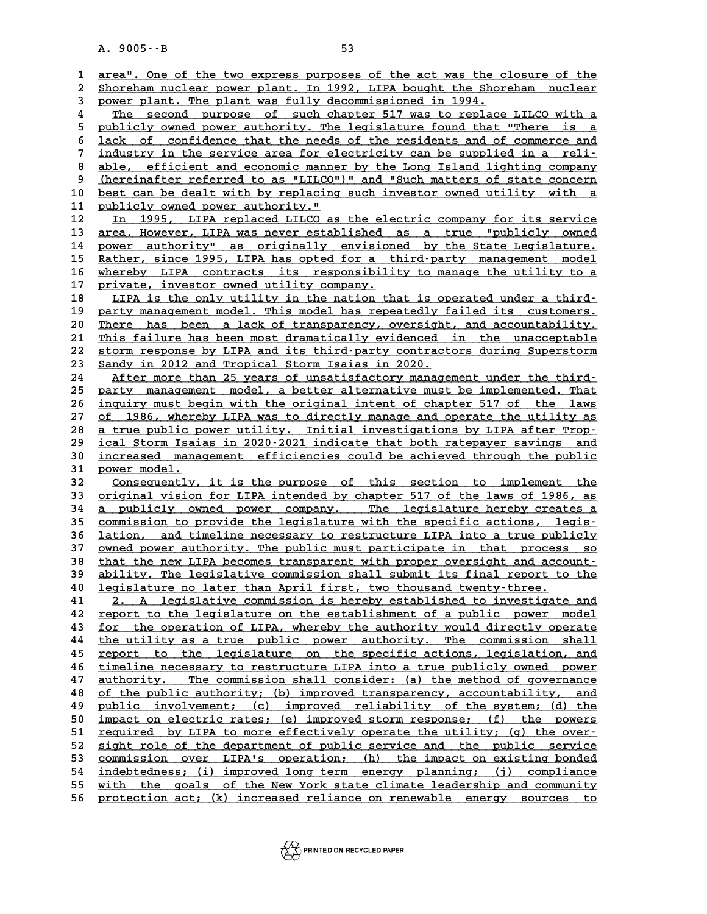A. 9005 · - B<br>1 <u>area". One of the two express purposes of the act was the closure of the</u><br>2 Shorebam nuclear power plant. In 1992, LIBA bought the Shorebam, nuclear area". One of the two express purposes of the act was the closure of the<br>2 <u>Shoreham nuclear power plant. In 1992, LIPA bought the Shoreham nuclear</u><br>3 Dower plant, The plant was fully decommissioned in 1994 **3 power plant was purposes of the act was the closure of the Shoreham nuclear power plant. In 1992, LIPA bought the Shoreham nuclear power plant. The plant was fully decommissioned in 1994.<br>The second purpose of such chap** Shoreham nuclear power plant. In 1992, LIPA bought the Shoreham nuclear<br> **4** The second purpose of such chapter 517 was to replace LILCO with a<br>
publishy owned power sutbority. The logislature found that WThere is a Fower plant. The plant was fully decommissioned in 1994.<br>
The second purpose of such chapter 517 was to replace LILCO with a<br>
publicly owned power authority. The legislature found that "There is a<br>
lack of confidence that The second purpose of such chapter 517 was to replace LILCO with a<br>
5 publicly owned power authority. The legislature found that "There is a<br>
<u>lack of confidence that the needs of the residents and of commerce and</u><br>
indust 5 publicly owned power authority. The legislature found that "There is a<br>
46 lack of confidence that the needs of the residents and of commerce and<br>
7 industry in the service area for electricity can be supplied in a reli-**8** lack of confidence that the needs of the residents and of commerce and<br> **3** industry in the service area for electricity can be supplied in a reli-<br>
<u>able, efficient and economic manner by the Long Island lighting comp</u> industry in the service area for electricity can be supplied in a reli-<br>able, efficient and economic manner by the Long Island lighting company<br>(hereinafter referred to as "LILCO")" and "Such matters of state concern<br>best 8 <u>able, efficient and economic manner by the Long Island lighting company<br>
9 (hereinafter referred to as "LILCO")" and "Such matters of state concern<br>
10 <u>best can be dealt with by replacing such investor owned utility wi</u></u> 9 **(hereinafter referred to as "LILCO"**<br>10 <u>best can be dealt with by replacing</u><br>11 <u>publicly owned power authority."</u><br>12 **ID** 1995 **LIPA** roplaced LILCO 25 10 <u>best can be dealt with by replacing such investor owned utility with a</u><br>11 <u>publicly owned power authority."</u><br>12 In 1995, LIPA replaced LILCO as the electric company for its service<br>13 area. However, LIPA was never e **11 publicly owned power authority."**<br> **12** In 1995, LIPA replaced LILCO as the electric company for its service<br> **area. However, LIPA was never established as a true "publicly owned<br>
<b>POWER SULPA POWER SULPA SERVICES** I2 In 1995, LIPA replaced LILCO as the electric company for its service<br>13 <u>area. However, LIPA was never established as a true "publicly owned</u><br>14 power authority" as originally envisioned by the State Legislature.<br>25 Pot area. However, LIPA was never established as a true "publicly owned<br>
14 power authority" as originally envisioned by the State Legislature.<br>
15 Rather, since 1995, LIPA has opted for a third-party management model<br>
16 Phor 14 power authority" as originally envisioned by the State Legislature.<br>15 <u>Rather, since 1995, LIPA has opted for a third-party management model</u><br>16 whereby LIPA contracts its responsibility to manage the utility to a<br>17 p Rather, since 1995, LIPA has opted for a the whereby LIPA contracts its responsibility company.<br>
17 private, investor owned utility company. **16 whereby LIPA contracts its responsibility to manage the utility to a**<br>17 <u>private, investor owned utility company.</u><br>18 <u>LIPA is the only utility in the nation that is operated under a third</u><br>party management model whis private, investor owned utility company.<br>
18 <u>LIPA is the only utility in the nation that is operated under a third-</u><br>
19 <u>party management model. This model has repeatedly failed its customers.</u><br>
20 There has been a lask LIPA is the only utility in the nation that is operated under a third-<br> **20** <u>There has been a lack of transparency</u>, oversight, and accountability.<br>
<sup>21</sup> This failure has been most dramatically evidenced in the unaccounta party management model. This model has repeatedly failed its customers.<br>
20 There has been a lack of transparency, oversight, and accountability.<br>
21 This failure has been most dramatically evidenced in the unacceptable<br>
2 There has been a lack of transparency, oversight, and accountability.<br>
21 <u>This failure has been most dramatically evidenced in the unacceptable<br>
22 storm response by LIPA and its third-party contractors during Superstorm<br></u> 21 This failure has been most dramatically evidenced<br>
22 storm response by LIPA and its third-party contract<br>
23 Sandy in 2012 and Tropical Storm Isaias in 2020.<br>
24 after more than 25 years of ungatisfactory manages 22 storm response by LIPA and its third-party contractors during Superstorm<br>23 Sandy in 2012 and Tropical Storm Isaias in 2020.<br>24 After more than 25 years of unsatisfactory management under the third-<br>25 Darty management **23** <u>Sandy in 2012</u> and Tropical Storm Isaias in 2020.<br>
24 After more than 25 years of unsatisfactory management under the third-<br>
25 party management model, a better alternative must be implemented. That<br>
26 inquiry must After more than 25 years of unsatisfactory management under the third-<br>
25 party management model, a better alternative must be implemented. That<br>
26 <u>inquiry must begin with the original intent of chapter 517 of the laws</u> 25 party management model, a better alternative must be implemented. That<br>26 <u>inquiry must begin with the original intent of chapter 517 of the laws</u><br>27 <u>of 1986, whereby LIPA was to directly manage and operate the utility</u> **26 inquiry must begin with the original intent of chapter 517 of the laws**<br>
27 of 1986, whereby LIPA was to directly manage and operate the utility as<br>
28 <u>a true public power utility. Initial investigations by LIPA after</u> of 1986, whereby LIPA was to directly manage and operate the utility as<br>
28 a true public power utility. Initial investigations by LIPA after Trop-<br>
<u>ical Storm Isaias in 2020-2021 indicate that both ratepayer savings and</u> **38 a true public power utility. Initial investigations by LIPA after Trop-**<br>29 <u>ical Storm Isaias in 2020–2021 indicate that both ratepayer savings and<br>30 increased management efficiencies could be achieved through the pu</u> **29** ical Storm Isai<br>30 <u>increased mana</u><br>31 <u>power model.</u><br>22 Consequently increased management efficiencies could be achieved through the public<br>31 <u>Consequently, it is the purpose of this section to implement the</u><br>33 criginal vision for LIPA intended by chapter 517 of the laws of 1986, as 31 <u>power model.</u><br>32 <u>Consequently, it is the purpose of this section to implement the</u><br>33 <u>original vision for LIPA intended by chapter 517 of the laws of 1986, as</u><br>34 a publicly owned power company. The legislature hereb Consequently, it is the purpose of this section to implement the<br>33 <u>original vision for LIPA intended by chapter 517 of the laws of 1986, as</u><br>34 <u>a publicly owned power company. The legislature hereby creates a</u><br>25 commis 33 <u>original vision for LIPA intended by chapter 517 of the laws of 1986, as<br>34 a publicly owned power company. The legislature hereby creates a<br><u>commission to provide the legislature with the specific actions, legis-</u><br>lat</u> **34** <u>a publicly owned power company.</u> The legislature hereby creates a<br>35 <u>commission to provide the legislature with the specific actions, legis-</u><br>36 <u>lation, and timeline necessary to restructure LIPA into a true public</u> 35 <u>commission to provide the legislature with the specific actions, legis-</u><br>36 <u>lation, and timeline necessary to restructure LIPA into a true publicly</u><br>37 <u>owned power authority. The public must participate in that proce</u> **36 lation, and timeline necessary to restructure LIPA into a true publicly<br>37 owned power authority. The public must participate in that process so<br>that the new LIPA becomes transparent with proper oversight and account-<br>** 37 <u>owned power authority. The public must participate in that process so<br>38 that the new LIPA becomes transparent with proper oversight and account-<br>39 ability. The legislative commission shall submit its final report to </u> that the new LIPA becomes transparent with proper oversight and account-<br> **ability.** The legislative commission shall submit its final report to the<br> **40** legislature no later than April first, two thousand twenty-three.<br> **41** 2. A legislative commission is hereby established to investigate and<br>42 report to the legislature on the establishment of a public power model 42 <u>report to the legislature on the establishment of a public power model</u><br>43 <u>for the operation of LIPA</u>, whereby the authority would directly operate **41 2. A legislative commission is hereby established to investigate and<br>42 report to the legislature on the establishment of a public power model**<br>**43 for the operation of LIPA, whereby the authority would directly operat 42** report to the legislature on the establishment of a public power model<br> **43** <u>for the operation of LIPA</u>, whereby the authority would directly operate<br> **44** the utility as a true public power authority. The commission for the operation of LIPA, whereby the authority would directly operate<br>  $\frac{1}{2}$  the utility as a true public power authority. The commission shall<br>  $\frac{1}{2}$  report to the legislature on the specific actions, legislatio the utility as a true public power authority. The commission shall<br>45 <u>report to the legislature on the specific actions, legislation, and</u><br>46 <u>timeline necessary to restructure LIPA into a true publicly owned power</u><br>47 au **45** <u>report to the legislature</u> on the specific actions, legislation, and timeline necessary to restructure LIPA into a true publicly owned power authority. The commission shall consider: (a) the method of governance af t **46** <u>timeline necessary to restructure LIPA into a true publicly owned power</u><br>47 <u>authority. The commission shall consider:</u> (a) the method of governance<br><u>of the public authority; (b) improved transparency, accountability</u> **47** <u>authority. The commission shall consider:</u> (a) the method of governance<br>48 of the public authority; (b) improved transparency, accountability, and<br>49 <u>public involvement; (c) improved reliability of the system; (d) t</u> **50 impact on electric rates; (e) improved storm response; (f) the powers \_\_\_\_\_\_\_\_\_\_\_\_\_\_\_\_\_\_\_\_\_\_\_\_\_\_\_\_\_\_\_\_\_\_\_\_\_\_\_\_\_\_\_\_\_\_\_\_\_\_\_\_\_\_\_\_\_\_\_\_\_\_\_\_\_\_\_\_\_\_\_\_** qualic involvement; (c) improved reliability of the system; (d) the<br>50 <u>impact on electric rates; (e) improved storm response; (f) the powers<br>51 <u>required by LIPA to more effectively operate the utility; (g) the over-</u><br>52 </u> 50 <u>impact on electric rates; (e) improved storm response; (f) the powers</u><br>51 <u>required by LIPA to more effectively operate the utility; (g) the over-</u><br>52 <u>sight role of the department of public service and the public serv</u> 53 <u>commission over LIPA's operation; (h) the impact on existing bonded</u><br>54 indebtedness; (i) improve<u>d long term energy planning; (j) compliance</u> 52 <u>sight role of the department of public service and the public service</u><br>53 <u>commission over LIPA's operation; (h) the impact on existing bonded</u><br>54 <u>indebtedness; (i) improved long term energy planning; (j) compliance</u><br> **53** commission over LIPA's operation; (h) the impact on existing bonded<br>54 <u>indebtedness; (i) improved long term energy planning; (j) compliance<br>55 with the goals of the New York state climate leadership and community<br>56 </u> 55 <u>with the goals of the New York state climate leadership and community 56</u> protection act; (k) increased reliance on renewable energy sources to

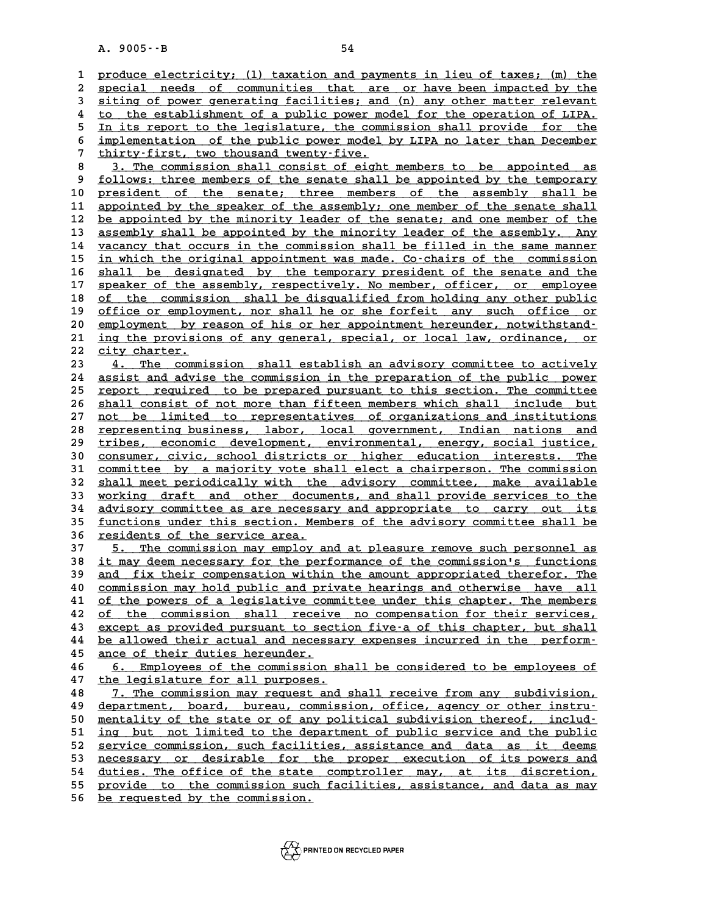A. 9005 · - B<br>1 <u>produce electricity; (1) taxation and payments in lieu of taxes; (m) the</u><br>2 special poeds of communities that axe or have been impacted by the 2 produce electricity; (1) taxation and payments in lieu of taxes; (m) the<br>2 <u>special needs of communities that are or have been impacted by the</u><br>3 siting of power congrating facilities: and (n) any other matter relevant 3 produce electricity; (1) taxation and payments in lieu of taxes; (m) the<br>2 special needs of communities that are or have been impacted by the<br>3 siting of power generating facilities; and (n) any other matter relevant<br>4 t special needs of communities that are or have been impacted by the<br>
intimum of power generating facilities; and (n) any other matter relevant<br>
to the establishment of a public power model for the operation of LIPA.<br>
In its 5 iting of power generating facilities; and (n) any other matter relevant<br>
<sup>4</sup> to the establishment of a public power model for the operation of LIPA.<br>
<u>In its report to the legislature</u>, the commission shall provide for t 4 to the establishment of a public power model for the operation of LIPA.<br>
<u>In its report to the legislature</u>, the commission shall provide for the<br>
implementation of the public power model by LIPA no later than December<br> 5 In its report to the legislature, the commission shall provide for the<br>6 <u>implementation</u> of the public power model by LIPA no later than December<br>7 thirty-first, two thousand twenty-five.<br>8 3. The commission shall consi 8 <u>implementation of the public power model by LIPA no later than December</u><br>
8 <u>3. The commission shall consist of eight members to be appointed as</u><br>
9 follows: three members of the senate shall be appointed by the tempora

9 <u>follows: three members of the senate shall be appointed by the temporary</u><br>10 president of the senate; three members of the assembly shall be **10 president of the senate; three members of the assembly shall be \_\_\_\_\_\_\_\_\_\_\_\_\_\_\_\_\_\_\_\_\_\_\_\_\_\_\_\_\_\_\_\_\_\_\_\_\_\_\_\_\_\_\_\_\_\_\_\_\_\_\_\_\_\_\_\_\_\_\_\_\_\_\_\_\_\_\_\_\_\_\_\_** 9 <u>follows: three members of the senate shall be appointed by the temporary</u><br>10 <u>president of the senate; three members of the assembly shall be</u><br>11 appointed by the speaker of the assembly; one member of the senate shall<br> president of the senate; three members of the assembly shall be appointed by the speaker of the assembly; one member of the senate shall be appointed by the minority leader of the senate; and one member of the assembly sha 11 appointed by the speaker of the assembly; one member of the senate shall<br>12 <u>be appointed by the minority leader of the senate; and one member of the assembly. Any</u><br>assembly shall be appointed by the minority leader of 12 <u>be appointed by the minority leader of the senate; and one member of the assembly shall be appointed by the minority leader of the assembly. Any vacancy that occurs in the commission shall be filled in the same manner</u> assembly shall be appointed by the minority leader of the assembly. Any vacancy that occurs in the commission shall be filled in the same manner in which the original appointment was made. Co-chairs of the commission shall **14** vacancy that occurs in the commission shall be filled in the same manner<br> **15** in which the original appointment was made. Co-chairs of the commission<br> **16** shall be designated by the temporary president of the senate in which the original appointment was made. Co-chairs of the commission<br>16 shall be designated by the temporary president of the senate and the<br>17 speaker of the assembly, respectively. No member, officer, or employee<br>18 s **16** shall be designated by the temporary president of the senate and the speaker of the assembly, respectively. No member, officer, or employee of the commission shall be disqualified from holding any other public of the 17 speaker of the assembly, respectively. No member, officer, or employee<br>
18 of the commission shall be disqualified from holding any other public<br>
19 office or employment, nor shall be or she forfeit any such office or<br> of the commission shall be disqualified from holding any other public<br>
19 <u>office or employment</u>, nor shall he or she forfeit any such office or<br>
20 <u>employment by reason of his or her appointment hereunder, notwithstand</u><br> 19 office or employment, nor shall he or she forfeit any such office or employment by reason of his or her appointment hereunder, notwithstand-<br>21 ing the provisions of any general, special, or local law, ordinance, or<br>22 21 <u>ing the provisions of any general, special, or local law, ordinance, or <br>22 <u>city charter.</u><br>23 4. The commission shall establish an advisory committee to actively</u> 21 <u>ing the provisions of any general, special, or local law, ordinance, or<br>22 <u>city charter.</u><br>23 <u>4. The commission shall establish an advisory committee to actively</u><br>24 aggist and advise the commission in the preparation</u>

22 city charter.<br>
23 <u>4. The commission shall establish an advisory committee to actively</u><br>
24 <u>assist and advise the commission in the preparation of the public power</u><br>
25 report required to be prepared purguant to this s 23 4. The commission shall establish an advisory committee to actively<br>24 assist and advise the commission in the preparation of the public power<br>25 report required to be prepared pursuant to this section. The committee<br>26 24 assist and advise the commission in the preparation of the public power<br>25 <u>report required to be prepared pursuant to this section. The committee<br>26 shall consist of not more than fifteen members which shall include bu</u> **25 report required to be prepared pursuant to this section. The committee shall consist of not more than fifteen members which shall include but not be limited to representatives of organizations and institutions repres** 26 <u>shall consist of not more than fifteen members which shall include but<br>27 <u>not be limited to representatives of organizations and institutions</u><br>28 representing business, labor, local government, Indian nations and<br>trib</u> and institutions<br>
<u>28 tepresenting business, labor, local government, Indian nations and<br>
29 tribes, economic development, environmental, energy, social justice,<br>
20 consumer givie school districts or higher education inte</u> **28 representing business, labor, local government, Indian nations and<br>
29 tribes, economic development, environmental, energy, social justice,<br>
<u>consumer, civic, school districts or higher education interests. The</u><br>
commi 39** tribes, economic development, environmental, energy, social justice,<br>30 consumer, civic, school districts or higher education interests. The<br>31 committee by a majority vote shall elect a chairperson. The commission<br>32 30 consumer, civic, school districts or higher education interests. The committee by a majority vote shall elect a chairperson. The commission shall meet periodically with the advisory committee, make available working dra 31 <u>committee by a majority vote shall elect a chairperson. The commission</u><br>32 <u>shall meet periodically with the advisory committee, make available</u><br>33 <u>working draft and other documents, and shall provide services to the</u> 32 shall meet periodically with the advisory committee, make available<br>33 <u>working draft and other documents, and shall provide services to the</u><br>34 <u>advisory committee as are necessary and appropriate to carry out its</u><br>35 33 <u>working draft and other documents, and shall provide services to the advisory committee as are necessary and appropriate to carry out its functions under this section. Members of the advisory committee shall be residen</u> 34 <u>advisory committee as are necessary and appropriate to carry out its</u><br>35 <u>functions under this section. Members of the advisory committee shall be</u><br>36 <u>residents of the service area.</u><br>37 5. The commission may employ an

35 <u>functions under this section. Members of the advisory committee shall be<br>36 <u>residents of the service area.</u><br>37 5. The commission may employ and at pleasure remove such personnel as<br>38 it may deem necessary for the per</u> **36** <u>residents of the service area.</u><br> **37** 5. The commission may employ and at pleasure remove such personnel as<br> **38** it may deem necessary for the performance of the commission's functions<br>
and fix their componention wi 37 5. The commission may employ and at pleasure remove such personnel as<br>38 <u>it may deem necessary for the performance of the commission's functions<br>39 and fix their compensation within the amount appropriated therefor. Th</u> 38 <u>it may deem necessary for the performance of the commission's functions<br>39 and fix their compensation within the amount appropriated therefor. The<br>40 <u>commission may hold public and private hearings and otherwise have </u></u> and fix their compensation within the amount appropriated therefor. The commission may hold public and private hearings and otherwise have all of the powers of a legislative committee under this chapter. The members of the commission may hold public and private hearings and otherwise have all<br>
of the powers of a legislative committee under this chapter. The members<br>
of the commission shall receive no compensation for their services,<br>
a excep **41** of the powers of a legislative committee under this chapter. The members<br> **42** of the commission shall receive no compensation for their services,<br>
<u>except as provided pursuant to section five-a of this chapter, but s</u> **42** of the commission shall receive no compensation for their services,<br> **43** except as provided pursuant to section five-a of this chapter, but shall<br> **be allowed their actual and necessary expenses incurred in the perfo** 43 except as provided pursuant to sec<br>
<u>44</u> be allowed their actual and necess<br>
<u>ance of their duties hereunder.</u><br>
46 formalized at the commission be allowed their actual and necessary expenses incurred in the perform-<br>45 <u>ance of their duties hereunder.</u><br>46 <u>6. Employees of the commission shall be considered to be employees of</u><br>47 the legislature for all purposes.

47 the legislature for all purposes.<br>48 1. The commission may request and shall receive from any subdivision, 6. Employees of the commission shall be considered to be employees of<br>
47 the legislature for all purposes.<br>
48 7. The commission may request and shall receive from any subdivision,<br>
49 department, board, bureau, commissio 47 <u>the legislature for all purposes.</u><br>48 7. The commission may request and shall receive from any subdivision,<br>49 department, board, bureau, commission, office, agency or other instru-<br>50 montality of the state or of any **50 1. The commission may request and shall receive from any subdivision,**<br> **49 department, board, bureau, commission, office, agency or other instru-**<br> **50 mentality of the state or of any political subdivision thereof, i** department, board, bureau, commission, office, agency or other instru-<br>50 <u>mentality of the state or of any political subdivision thereof, includ-</u><br>51 <u>ing but not limited to the department of public service and the public</u> 50 <u>mentality of the state or of any political subdivision thereof, includ-<br>51 <u>ing but not limited to the department of public service and the public</u><br>52 <u>service commission, such facilities, assistance and data as it dee</u></u> 51 <u>ing but not limited to the department of public service and the public</u><br>52 <u>service commission, such facilities, assistance and data as it deems</u><br>53 <u>necessary or desirable for the proper execution of its powers and</u><br>5 52 <u>service commission, such facilities, assistance and data as it deems<br>53 necessary or desirable for the proper execution of its powers and<br>54 duties. The office of the state comptroller may, at its discretion,<br>55 neovid</u> F3 necessary or desirable for the proper execution of its powers and<br>54 duties. The office of the state comptroller may, at its discretion,<br>55 provide to the commission such facilities, assistance, and data as may<br>56 be re 54 duties. The office of the state comptroller may, at its discretion,<br>55 provide to the commission such facilities, assistance, and data as may<br>56 be requested by the commission.